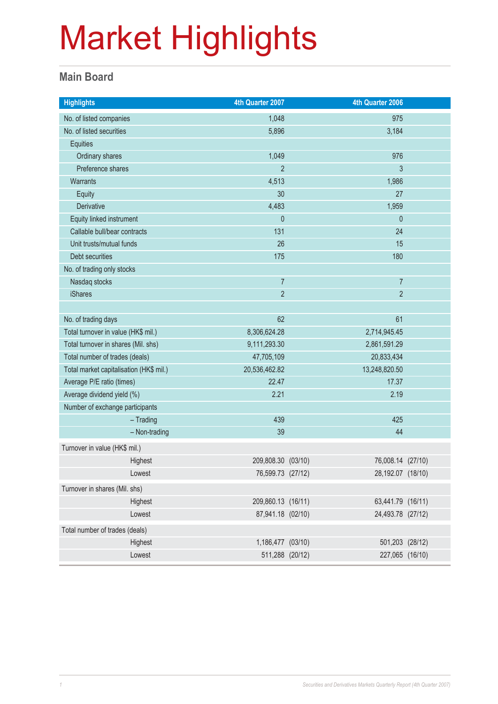#### **Main Board**

| <b>Highlights</b>                       | 4th Quarter 2007   | 4th Quarter 2006  |  |
|-----------------------------------------|--------------------|-------------------|--|
| No. of listed companies                 | 1,048              | 975               |  |
| No. of listed securities                | 5,896              | 3,184             |  |
| Equities                                |                    |                   |  |
| Ordinary shares                         | 1,049              | 976               |  |
| Preference shares                       | $\overline{2}$     | 3                 |  |
| Warrants                                | 4,513              | 1,986             |  |
| <b>Equity</b>                           | 30                 | 27                |  |
| Derivative                              | 4,483              | 1,959             |  |
| Equity linked instrument                | $\mathbf{0}$       | $\mathbf 0$       |  |
| Callable bull/bear contracts            | 131                | 24                |  |
| Unit trusts/mutual funds                | 26                 | 15                |  |
| Debt securities                         | 175                | 180               |  |
| No. of trading only stocks              |                    |                   |  |
| Nasdaq stocks                           | $\overline{7}$     | $\overline{7}$    |  |
| <b>iShares</b>                          | $\overline{2}$     | $\overline{2}$    |  |
|                                         |                    |                   |  |
| No. of trading days                     | 62                 | 61                |  |
| Total turnover in value (HK\$ mil.)     | 8,306,624.28       | 2,714,945.45      |  |
| Total turnover in shares (Mil. shs)     | 9,111,293.30       | 2,861,591.29      |  |
| Total number of trades (deals)          | 47,705,109         | 20,833,434        |  |
| Total market capitalisation (HK\$ mil.) | 20,536,462.82      | 13,248,820.50     |  |
| Average P/E ratio (times)               | 22.47              | 17.37             |  |
| Average dividend yield (%)              | 2.21               | 2.19              |  |
| Number of exchange participants         |                    |                   |  |
| $-$ Trading                             | 439                | 425               |  |
| - Non-trading                           | 39                 | 44                |  |
| Turnover in value (HK\$ mil.)           |                    |                   |  |
| Highest                                 | 209,808.30 (03/10) | 76,008.14 (27/10) |  |
| Lowest                                  | 76,599.73 (27/12)  | 28,192.07 (18/10) |  |
| Turnover in shares (Mil. shs)           |                    |                   |  |
| Highest                                 | 209,860.13 (16/11) | 63,441.79 (16/11) |  |
| Lowest                                  | 87,941.18 (02/10)  | 24,493.78 (27/12) |  |
| Total number of trades (deals)          |                    |                   |  |
| Highest                                 | 1,186,477 (03/10)  | 501,203 (28/12)   |  |
| Lowest                                  | 511,288 (20/12)    | 227,065 (16/10)   |  |
|                                         |                    |                   |  |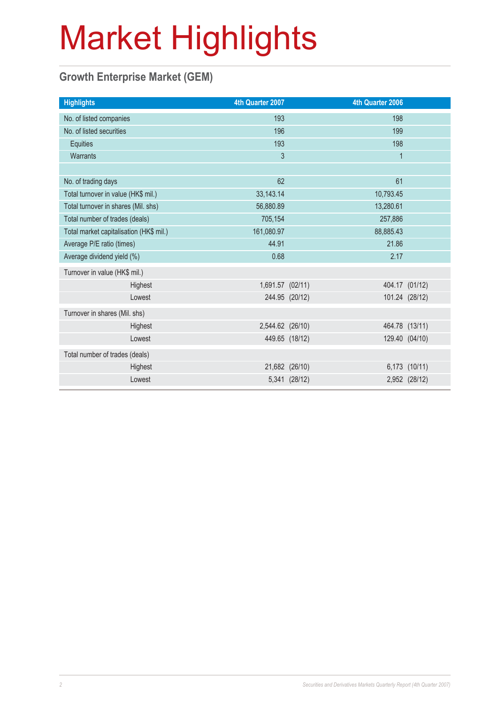### **Growth Enterprise Market (GEM)**

| <b>Highlights</b>                       |         | 4th Quarter 2007 |                | 4th Quarter 2006 |                |
|-----------------------------------------|---------|------------------|----------------|------------------|----------------|
| No. of listed companies                 |         | 193              |                | 198              |                |
| No. of listed securities                |         | 196              |                | 199              |                |
| Equities                                |         | 193              |                | 198              |                |
| Warrants                                |         | 3                |                | $\mathbf{1}$     |                |
|                                         |         |                  |                |                  |                |
| No. of trading days                     |         | 62               |                | 61               |                |
| Total turnover in value (HK\$ mil.)     |         | 33, 143. 14      |                | 10,793.45        |                |
| Total turnover in shares (Mil. shs)     |         | 56,880.89        |                | 13,280.61        |                |
| Total number of trades (deals)          |         | 705,154          |                | 257,886          |                |
| Total market capitalisation (HK\$ mil.) |         | 161,080.97       |                | 88,885.43        |                |
| Average P/E ratio (times)               |         | 44.91            |                | 21.86            |                |
| Average dividend yield (%)              |         | 0.68             |                | 2.17             |                |
| Turnover in value (HK\$ mil.)           |         |                  |                |                  |                |
|                                         | Highest | 1,691.57 (02/11) |                |                  | 404.17 (01/12) |
|                                         | Lowest  |                  | 244.95 (20/12) |                  | 101.24 (28/12) |
| Turnover in shares (Mil. shs)           |         |                  |                |                  |                |
|                                         | Highest | 2,544.62 (26/10) |                |                  | 464.78 (13/11) |
|                                         | Lowest  |                  | 449.65 (18/12) |                  | 129.40 (04/10) |
| Total number of trades (deals)          |         |                  |                |                  |                |
|                                         | Highest |                  | 21,682 (26/10) |                  | 6,173 (10/11)  |
|                                         | Lowest  |                  | 5,341 (28/12)  |                  | 2,952 (28/12)  |
|                                         |         |                  |                |                  |                |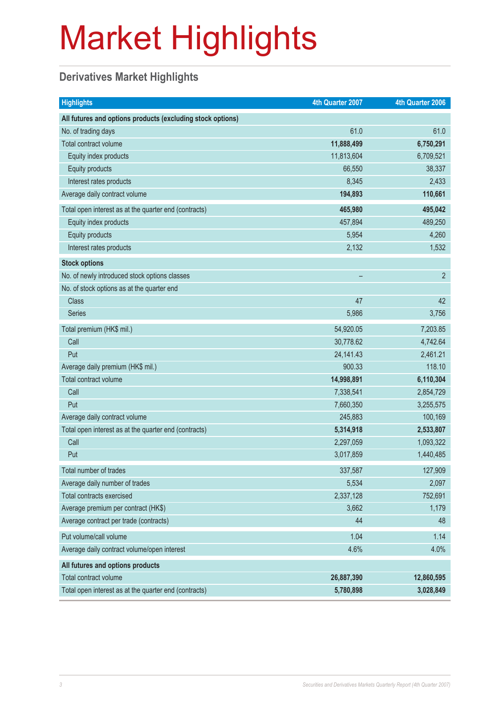### **Derivatives Market Highlights**

| <b>Highlights</b>                                          | 4th Quarter 2007 | 4th Quarter 2006 |
|------------------------------------------------------------|------------------|------------------|
| All futures and options products (excluding stock options) |                  |                  |
| No. of trading days                                        | 61.0             | 61.0             |
| Total contract volume                                      | 11,888,499       | 6,750,291        |
| Equity index products                                      | 11,813,604       | 6,709,521        |
| <b>Equity products</b>                                     | 66,550           | 38,337           |
| Interest rates products                                    | 8,345            | 2,433            |
| Average daily contract volume                              | 194,893          | 110,661          |
| Total open interest as at the quarter end (contracts)      | 465,980          | 495,042          |
| Equity index products                                      | 457,894          | 489,250          |
| Equity products                                            | 5,954            | 4,260            |
| Interest rates products                                    | 2,132            | 1,532            |
| <b>Stock options</b>                                       |                  |                  |
| No. of newly introduced stock options classes              |                  | $\overline{2}$   |
| No. of stock options as at the quarter end                 |                  |                  |
| <b>Class</b>                                               | 47               | 42               |
| <b>Series</b>                                              | 5,986            | 3,756            |
| Total premium (HK\$ mil.)                                  | 54,920.05        | 7,203.85         |
| Call                                                       | 30,778.62        | 4,742.64         |
| Put                                                        | 24, 141. 43      | 2,461.21         |
| Average daily premium (HK\$ mil.)                          | 900.33           | 118.10           |
| Total contract volume                                      | 14,998,891       | 6,110,304        |
| Call                                                       | 7,338,541        | 2,854,729        |
| Put                                                        | 7,660,350        | 3,255,575        |
| Average daily contract volume                              | 245,883          | 100,169          |
| Total open interest as at the quarter end (contracts)      | 5,314,918        | 2,533,807        |
| Call                                                       | 2,297,059        | 1,093,322        |
| Put                                                        | 3,017,859        | 1,440,485        |
| Total number of trades                                     | 337,587          | 127,909          |
| Average daily number of trades                             | 5,534            | 2,097            |
| Total contracts exercised                                  | 2,337,128        | 752,691          |
| Average premium per contract (HK\$)                        | 3,662            | 1,179            |
| Average contract per trade (contracts)                     | 44               | 48               |
| Put volume/call volume                                     | 1.04             | 1.14             |
| Average daily contract volume/open interest                | 4.6%             | 4.0%             |
| All futures and options products                           |                  |                  |
| Total contract volume                                      | 26,887,390       | 12,860,595       |
| Total open interest as at the quarter end (contracts)      | 5,780,898        | 3,028,849        |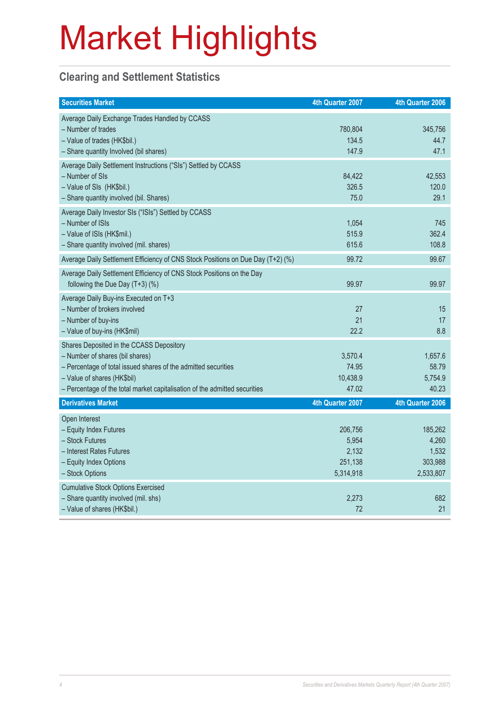### **Clearing and Settlement Statistics**

| <b>Securities Market</b>                                                                                                                                                                                                                                   | 4th Quarter 2007                                  | 4th Quarter 2006                                  |
|------------------------------------------------------------------------------------------------------------------------------------------------------------------------------------------------------------------------------------------------------------|---------------------------------------------------|---------------------------------------------------|
| Average Daily Exchange Trades Handled by CCASS<br>- Number of trades<br>- Value of trades (HK\$bil.)<br>- Share quantity Involved (bil shares)                                                                                                             | 780,804<br>134.5<br>147.9                         | 345,756<br>44.7<br>47.1                           |
| Average Daily Settlement Instructions ("SIs") Settled by CCASS<br>- Number of SIs<br>- Value of SIs (HK\$bil.)<br>- Share quantity involved (bil. Shares)                                                                                                  | 84,422<br>326.5<br>75.0                           | 42,553<br>120.0<br>29.1                           |
| Average Daily Investor SIs ("ISIs") Settled by CCASS<br>- Number of ISIs<br>- Value of ISIs (HK\$mil.)<br>- Share quantity involved (mil. shares)                                                                                                          | 1,054<br>515.9<br>615.6                           | 745<br>362.4<br>108.8                             |
| Average Daily Settlement Efficiency of CNS Stock Positions on Due Day (T+2) (%)                                                                                                                                                                            | 99.72                                             | 99.67                                             |
| Average Daily Settlement Efficiency of CNS Stock Positions on the Day<br>following the Due Day (T+3) (%)                                                                                                                                                   | 99.97                                             | 99.97                                             |
| Average Daily Buy-ins Executed on T+3<br>- Number of brokers involved<br>- Number of buy-ins<br>- Value of buy-ins (HK\$mil)                                                                                                                               | 27<br>21<br>22.2                                  | 15<br>17<br>8.8                                   |
| Shares Deposited in the CCASS Depository<br>- Number of shares (bil shares)<br>- Percentage of total issued shares of the admitted securities<br>- Value of shares (HK\$bil)<br>- Percentage of the total market capitalisation of the admitted securities | 3,570.4<br>74.95<br>10,438.9<br>47.02             | 1,657.6<br>58.79<br>5,754.9<br>40.23              |
| <b>Derivatives Market</b>                                                                                                                                                                                                                                  | 4th Quarter 2007                                  | 4th Quarter 2006                                  |
| Open Interest<br>- Equity Index Futures<br>- Stock Futures<br>- Interest Rates Futures<br>- Equity Index Options<br>- Stock Options                                                                                                                        | 206,756<br>5,954<br>2,132<br>251,138<br>5,314,918 | 185,262<br>4,260<br>1,532<br>303,988<br>2,533,807 |
| <b>Cumulative Stock Options Exercised</b><br>- Share quantity involved (mil. shs)<br>- Value of shares (HK\$bil.)                                                                                                                                          | 2,273<br>72                                       | 682<br>21                                         |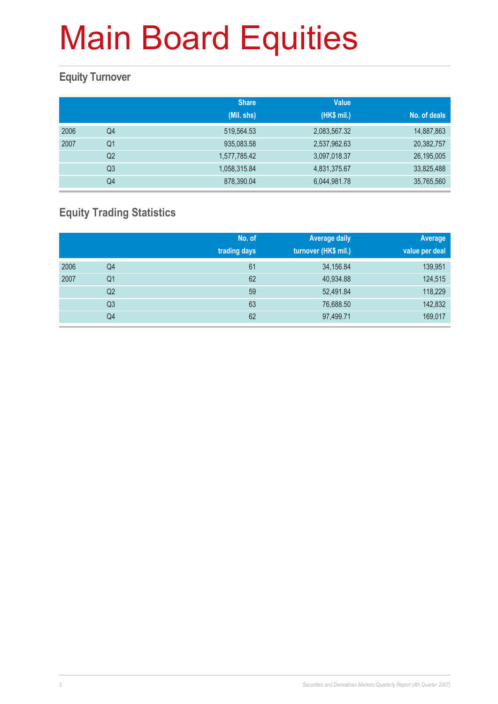### **Equity Turnover**

|      |                | <b>Share</b> | <b>Value</b> |              |
|------|----------------|--------------|--------------|--------------|
|      |                | (Mil. shs)   | (HK\$ mil.)  | No. of deals |
| 2006 | Q4             | 519,564.53   | 2,083,567.32 | 14,887,863   |
| 2007 | Q <sub>1</sub> | 935,083.58   | 2,537,962.63 | 20,382,757   |
|      | Q <sub>2</sub> | 1,577,785.42 | 3,097,018.37 | 26,195,005   |
|      | Q <sub>3</sub> | 1,058,315.84 | 4,831,375.67 | 33,825,488   |
|      | Q4             | 878,390.04   | 6,044,981.78 | 35,765,560   |

### **Equity Trading Statistics**

|      |                | No. of<br>trading days | <b>Average daily</b><br>turnover (HK\$ mil.) | Average<br>value per deal |
|------|----------------|------------------------|----------------------------------------------|---------------------------|
| 2006 | Q4             | 61                     | 34,156.84                                    | 139,951                   |
| 2007 | Q <sub>1</sub> | 62                     | 40,934.88                                    | 124,515                   |
|      | Q <sub>2</sub> | 59                     | 52,491.84                                    | 118,229                   |
|      | Q <sub>3</sub> | 63                     | 76,688.50                                    | 142,832                   |
|      | Q4             | 62                     | 97,499.71                                    | 169,017                   |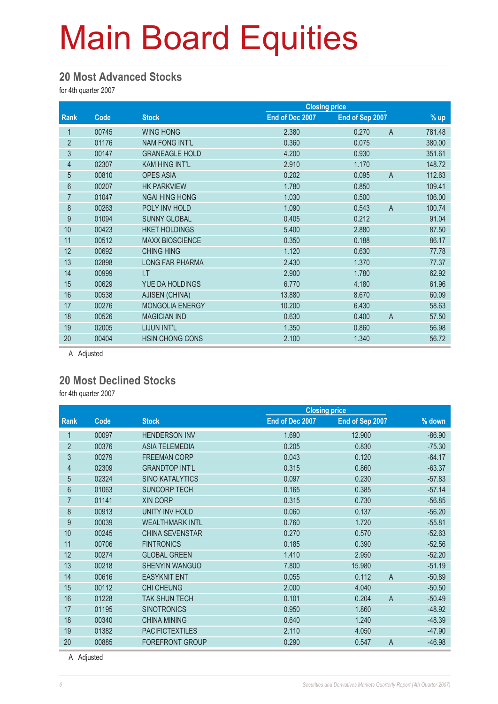#### **20 Most Advanced Stocks**

for 4th quarter 2007

|                |       |                        |                 | <b>Closing price</b> |                          |
|----------------|-------|------------------------|-----------------|----------------------|--------------------------|
| Rank           | Code  | <b>Stock</b>           | End of Dec 2007 | End of Sep 2007      | $%$ up                   |
| 1              | 00745 | <b>WING HONG</b>       | 2.380           | 0.270                | $\mathsf{A}$<br>781.48   |
| $\overline{2}$ | 01176 | <b>NAM FONG INT'L</b>  | 0.360           | 0.075                | 380.00                   |
| 3              | 00147 | <b>GRANEAGLE HOLD</b>  | 4.200           | 0.930                | 351.61                   |
| $\overline{4}$ | 02307 | <b>KAM HING INT'L</b>  | 2.910           | 1.170                | 148.72                   |
| $\overline{5}$ | 00810 | <b>OPES ASIA</b>       | 0.202           | 0.095                | $\overline{A}$<br>112.63 |
| 6              | 00207 | <b>HK PARKVIEW</b>     | 1.780           | 0.850                | 109.41                   |
| $\overline{7}$ | 01047 | <b>NGAI HING HONG</b>  | 1.030           | 0.500                | 106.00                   |
| 8              | 00263 | POLY INV HOLD          | 1.090           | 0.543                | $\overline{A}$<br>100.74 |
| 9              | 01094 | <b>SUNNY GLOBAL</b>    | 0.405           | 0.212                | 91.04                    |
| 10             | 00423 | <b>HKET HOLDINGS</b>   | 5.400           | 2.880                | 87.50                    |
| 11             | 00512 | <b>MAXX BIOSCIENCE</b> | 0.350           | 0.188                | 86.17                    |
| 12             | 00692 | <b>CHING HING</b>      | 1.120           | 0.630                | 77.78                    |
| 13             | 02898 | <b>LONG FAR PHARMA</b> | 2.430           | 1.370                | 77.37                    |
| 14             | 00999 | I.T                    | 2.900           | 1.780                | 62.92                    |
| 15             | 00629 | YUE DA HOLDINGS        | 6.770           | 4.180                | 61.96                    |
| 16             | 00538 | AJISEN (CHINA)         | 13.880          | 8.670                | 60.09                    |
| 17             | 00276 | <b>MONGOLIA ENERGY</b> | 10.200          | 6.430                | 58.63                    |
| 18             | 00526 | <b>MAGICIAN IND</b>    | 0.630           | 0.400                | 57.50<br>$\overline{A}$  |
| 19             | 02005 | LIJUN INT'L            | 1.350           | 0.860                | 56.98                    |
| 20             | 00404 | <b>HSIN CHONG CONS</b> | 2.100           | 1.340                | 56.72                    |
|                |       |                        |                 |                      |                          |

A Adjusted

#### **20 Most Declined Stocks**

for 4th quarter 2007

|                 |       |                        |                 | <b>Closing price</b>    |          |  |
|-----------------|-------|------------------------|-----------------|-------------------------|----------|--|
| <b>Rank</b>     | Code  | <b>Stock</b>           | End of Dec 2007 | End of Sep 2007         | % down   |  |
|                 | 00097 | <b>HENDERSON INV</b>   | 1.690           | 12.900                  | $-86.90$ |  |
| $\overline{2}$  | 00376 | <b>ASIA TELEMEDIA</b>  | 0.205           | 0.830                   | $-75.30$ |  |
| 3               | 00279 | <b>FREEMAN CORP</b>    | 0.043           | 0.120                   | $-64.17$ |  |
| $\overline{4}$  | 02309 | <b>GRANDTOP INT'L</b>  | 0.315           | 0.860                   | $-63.37$ |  |
| 5               | 02324 | <b>SINO KATALYTICS</b> | 0.097           | 0.230                   | $-57.83$ |  |
| $6\phantom{.}6$ | 01063 | <b>SUNCORP TECH</b>    | 0.165           | 0.385                   | $-57.14$ |  |
| $\overline{7}$  | 01141 | <b>XIN CORP</b>        | 0.315           | 0.730                   | $-56.85$ |  |
| 8               | 00913 | <b>UNITY INV HOLD</b>  | 0.060           | 0.137                   | $-56.20$ |  |
| 9               | 00039 | <b>WEALTHMARK INTL</b> | 0.760           | 1.720                   | $-55.81$ |  |
| 10              | 00245 | <b>CHINA SEVENSTAR</b> | 0.270           | 0.570                   | $-52.63$ |  |
| 11              | 00706 | <b>FINTRONICS</b>      | 0.185           | 0.390                   | $-52.56$ |  |
| 12              | 00274 | <b>GLOBAL GREEN</b>    | 1.410           | 2.950                   | $-52.20$ |  |
| 13              | 00218 | <b>SHENYIN WANGUO</b>  | 7.800           | 15.980                  | $-51.19$ |  |
| 14              | 00616 | <b>EASYKNIT ENT</b>    | 0.055           | $\overline{A}$<br>0.112 | $-50.89$ |  |
| 15              | 00112 | <b>CHI CHEUNG</b>      | 2.000           | 4.040                   | $-50.50$ |  |
| 16              | 01228 | <b>TAK SHUN TECH</b>   | 0.101           | $\overline{A}$<br>0.204 | $-50.49$ |  |
| 17              | 01195 | <b>SINOTRONICS</b>     | 0.950           | 1.860                   | $-48.92$ |  |
| 18              | 00340 | <b>CHINA MINING</b>    | 0.640           | 1.240                   | $-48.39$ |  |
| 19              | 01382 | <b>PACIFICTEXTILES</b> | 2.110           | 4.050                   | $-47.90$ |  |
| 20              | 00885 | <b>FOREFRONT GROUP</b> | 0.290           | $\overline{A}$<br>0.547 | $-46.98$ |  |

A Adjusted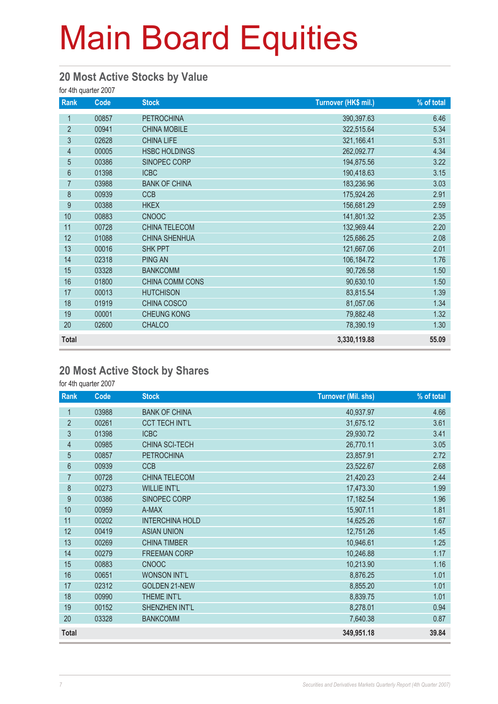#### **20 Most Active Stocks by Value**

for 4th quarter 2007

| <b>Rank</b>    | Code  | <b>Stock</b>         | Turnover (HK\$ mil.) | % of total |
|----------------|-------|----------------------|----------------------|------------|
| 1              | 00857 | <b>PETROCHINA</b>    | 390,397.63           | 6.46       |
| $\overline{2}$ | 00941 | <b>CHINA MOBILE</b>  | 322,515.64           | 5.34       |
| $\mathfrak{S}$ | 02628 | <b>CHINA LIFE</b>    | 321,166.41           | 5.31       |
| 4              | 00005 | <b>HSBC HOLDINGS</b> | 262,092.77           | 4.34       |
| $\overline{5}$ | 00386 | SINOPEC CORP         | 194,875.56           | 3.22       |
| $6\phantom{a}$ | 01398 | <b>ICBC</b>          | 190,418.63           | 3.15       |
| $\overline{7}$ | 03988 | <b>BANK OF CHINA</b> | 183,236.96           | 3.03       |
| 8              | 00939 | <b>CCB</b>           | 175,924.26           | 2.91       |
| 9              | 00388 | <b>HKEX</b>          | 156,681.29           | 2.59       |
| 10             | 00883 | <b>CNOOC</b>         | 141,801.32           | 2.35       |
| 11             | 00728 | CHINA TELECOM        | 132,969.44           | 2.20       |
| 12             | 01088 | <b>CHINA SHENHUA</b> | 125,686.25           | 2.08       |
| 13             | 00016 | <b>SHK PPT</b>       | 121,667.06           | 2.01       |
| 14             | 02318 | <b>PING AN</b>       | 106,184.72           | 1.76       |
| 15             | 03328 | <b>BANKCOMM</b>      | 90,726.58            | 1.50       |
| 16             | 01800 | CHINA COMM CONS      | 90,630.10            | 1.50       |
| 17             | 00013 | <b>HUTCHISON</b>     | 83,815.54            | 1.39       |
| 18             | 01919 | CHINA COSCO          | 81,057.06            | 1.34       |
| 19             | 00001 | <b>CHEUNG KONG</b>   | 79,882.48            | 1.32       |
| 20             | 02600 | <b>CHALCO</b>        | 78,390.19            | 1.30       |
| <b>Total</b>   |       |                      | 3,330,119.88         | 55.09      |

#### **20 Most Active Stock by Shares**

for 4th quarter 2007

| Rank           | Code  | <b>Stock</b>           | <b>Turnover (Mil. shs)</b> | % of total |
|----------------|-------|------------------------|----------------------------|------------|
| 1              | 03988 | <b>BANK OF CHINA</b>   | 40,937.97                  | 4.66       |
| $\overline{2}$ | 00261 | <b>CCT TECH INT'L</b>  | 31,675.12                  | 3.61       |
| 3              | 01398 | <b>ICBC</b>            | 29,930.72                  | 3.41       |
| $\overline{4}$ | 00985 | CHINA SCI-TECH         | 26,770.11                  | 3.05       |
| $\overline{5}$ | 00857 | <b>PETROCHINA</b>      | 23,857.91                  | 2.72       |
| $6\,$          | 00939 | <b>CCB</b>             | 23,522.67                  | 2.68       |
| $\overline{7}$ | 00728 | <b>CHINA TELECOM</b>   | 21,420.23                  | 2.44       |
| 8              | 00273 | <b>WILLIE INT'L</b>    | 17,473.30                  | 1.99       |
| 9              | 00386 | SINOPEC CORP           | 17,182.54                  | 1.96       |
| 10             | 00959 | A-MAX                  | 15,907.11                  | 1.81       |
| 11             | 00202 | <b>INTERCHINA HOLD</b> | 14,625.26                  | 1.67       |
| 12             | 00419 | <b>ASIAN UNION</b>     | 12,751.26                  | 1.45       |
| 13             | 00269 | <b>CHINA TIMBER</b>    | 10,946.61                  | 1.25       |
| 14             | 00279 | <b>FREEMAN CORP</b>    | 10,246.88                  | 1.17       |
| 15             | 00883 | <b>CNOOC</b>           | 10,213.90                  | 1.16       |
| 16             | 00651 | <b>WONSON INT'L</b>    | 8,876.25                   | 1.01       |
| 17             | 02312 | <b>GOLDEN 21-NEW</b>   | 8,855.20                   | 1.01       |
| 18             | 00990 | THEME INT'L            | 8,839.75                   | 1.01       |
| 19             | 00152 | SHENZHEN INT'L         | 8,278.01                   | 0.94       |
| 20             | 03328 | <b>BANKCOMM</b>        | 7,640.38                   | 0.87       |
| <b>Total</b>   |       |                        | 349,951.18                 | 39.84      |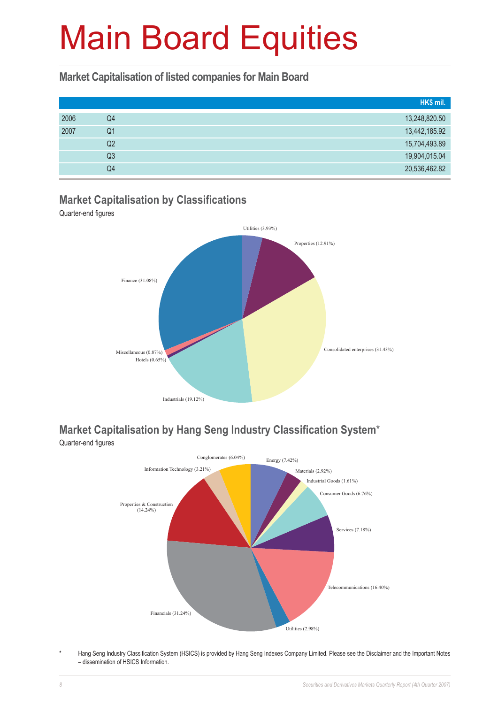### **Market Capitalisation of listed companies for Main Board**

|    | HK\$ mil.     |
|----|---------------|
| Q4 | 13,248,820.50 |
| Q1 | 13,442,185.92 |
| Q2 | 15,704,493.89 |
| Q3 | 19,904,015.04 |
| Q4 | 20,536,462.82 |
|    |               |

### **Market Capitalisation by Classifications**

Quarter-end figures



### **Market Capitalisation by Hang Seng Industry Classification System**\*



Hang Seng Industry Classification System (HSICS) is provided by Hang Seng Indexes Company Limited. Please see the Disclaimer and the Important Notes – dissemination of HSICS Information.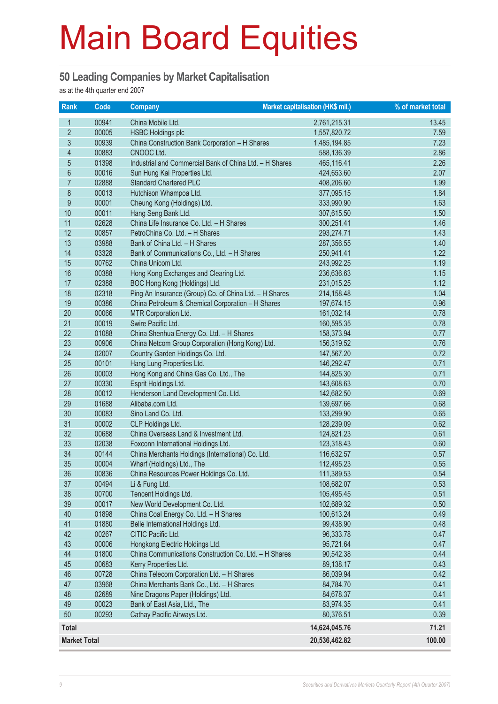#### **50 Leading Companies by Market Capitalisation**

as at the 4th quarter end 2007

| <b>Rank</b>             | Code  | <b>Company</b>                                          | <b>Market capitalisation (HK\$ mil.)</b> | % of market total |
|-------------------------|-------|---------------------------------------------------------|------------------------------------------|-------------------|
| $\mathbf{1}$            | 00941 | China Mobile Ltd.                                       | 2,761,215.31                             | 13.45             |
| $\overline{2}$          | 00005 | <b>HSBC Holdings plc</b>                                | 1,557,820.72                             | 7.59              |
| $\mathfrak{S}$          | 00939 | China Construction Bank Corporation - H Shares          | 1,485,194.85                             | 7.23              |
| $\overline{\mathbf{4}}$ | 00883 | CNOOC Ltd.                                              | 588,136.39                               | 2.86              |
| $\overline{5}$          | 01398 | Industrial and Commercial Bank of China Ltd. - H Shares | 465,116.41                               | 2.26              |
| $6\,$                   | 00016 | Sun Hung Kai Properties Ltd.                            | 424,653.60                               | 2.07              |
| $\overline{7}$          | 02888 | <b>Standard Chartered PLC</b>                           | 408,206.60                               | 1.99              |
| 8                       | 00013 | Hutchison Whampoa Ltd.                                  | 377,095.15                               | 1.84              |
| 9                       | 00001 | Cheung Kong (Holdings) Ltd.                             | 333,990.90                               | 1.63              |
| 10                      | 00011 | Hang Seng Bank Ltd.                                     | 307,615.50                               | 1.50              |
| 11                      | 02628 | China Life Insurance Co. Ltd. - H Shares                | 300,251.41                               | 1.46              |
| 12                      | 00857 | PetroChina Co. Ltd. - H Shares                          | 293,274.71                               | 1.43              |
| 13                      | 03988 | Bank of China Ltd. - H Shares                           | 287,356.55                               | 1.40              |
| 14                      | 03328 | Bank of Communications Co., Ltd. - H Shares             | 250,941.41                               | 1.22              |
| 15                      | 00762 | China Unicom Ltd.                                       | 243,992.25                               | 1.19              |
| 16                      | 00388 | Hong Kong Exchanges and Clearing Ltd.                   | 236,636.63                               | 1.15              |
| 17                      | 02388 | BOC Hong Kong (Holdings) Ltd.                           | 231,015.25                               | 1.12              |
| 18                      | 02318 | Ping An Insurance (Group) Co. of China Ltd. - H Shares  | 214,158.48                               | 1.04              |
| 19                      | 00386 | China Petroleum & Chemical Corporation - H Shares       | 197,674.15                               | 0.96              |
| 20                      | 00066 | MTR Corporation Ltd.                                    | 161,032.14                               | 0.78              |
| 21                      | 00019 | Swire Pacific Ltd.                                      | 160,595.35                               | 0.78              |
| 22                      | 01088 | China Shenhua Energy Co. Ltd. - H Shares                | 158,373.94                               | 0.77              |
| 23                      | 00906 | China Netcom Group Corporation (Hong Kong) Ltd.         | 156,319.52                               | 0.76              |
| 24                      | 02007 | Country Garden Holdings Co. Ltd.                        | 147,567.20                               | 0.72              |
| 25                      | 00101 | Hang Lung Properties Ltd.                               | 146,292.47                               | 0.71              |
| 26                      | 00003 | Hong Kong and China Gas Co. Ltd., The                   | 144,825.30                               | 0.71              |
| 27                      | 00330 | Esprit Holdings Ltd.                                    | 143,608.63                               | 0.70              |
| 28                      | 00012 | Henderson Land Development Co. Ltd.                     | 142,682.50                               | 0.69              |
| 29                      | 01688 | Alibaba.com Ltd.                                        | 139,697.66                               | 0.68              |
| 30                      | 00083 | Sino Land Co. Ltd.                                      | 133,299.90                               | 0.65              |
| 31                      | 00002 | CLP Holdings Ltd.                                       | 128,239.09                               | 0.62              |
| 32                      | 00688 | China Overseas Land & Investment Ltd.                   | 124,821.23                               | 0.61              |
| 33                      | 02038 | Foxconn International Holdings Ltd.                     | 123,318.43                               | 0.60              |
| 34                      | 00144 | China Merchants Holdings (International) Co. Ltd.       | 116,632.57                               | 0.57              |
| 35                      | 00004 | Wharf (Holdings) Ltd., The                              | 112,495.23                               | 0.55              |
| 36                      | 00836 | China Resources Power Holdings Co. Ltd.                 | 111,389.53                               | 0.54              |
| 37                      | 00494 | Li & Fung Ltd.                                          | 108,682.07                               | 0.53              |
| 38                      | 00700 | Tencent Holdings Ltd.                                   | 105,495.45                               | 0.51              |
| 39                      | 00017 | New World Development Co. Ltd.                          | 102,689.32                               | 0.50              |
| 40                      | 01898 | China Coal Energy Co. Ltd. - H Shares                   | 100,613.24                               | 0.49              |
| 41                      | 01880 | Belle International Holdings Ltd.                       | 99,438.90                                | 0.48              |
| 42                      | 00267 | CITIC Pacific Ltd.                                      | 96,333.78                                | 0.47              |
| 43                      | 00006 | Hongkong Electric Holdings Ltd.                         | 95,721.64                                | 0.47              |
| 44                      | 01800 | China Communications Construction Co. Ltd. - H Shares   | 90,542.38                                | 0.44              |
| 45                      | 00683 | Kerry Properties Ltd.                                   | 89,138.17                                | 0.43              |
| 46                      | 00728 | China Telecom Corporation Ltd. - H Shares               | 86,039.94                                | 0.42              |
| 47                      | 03968 | China Merchants Bank Co., Ltd. - H Shares               | 84,784.70                                | 0.41              |
| 48                      | 02689 | Nine Dragons Paper (Holdings) Ltd.                      | 84,678.37                                | 0.41              |
| 49                      | 00023 | Bank of East Asia, Ltd., The                            | 83,974.35                                | 0.41              |
| 50                      | 00293 | Cathay Pacific Airways Ltd.                             | 80,376.51                                | 0.39              |
| <b>Total</b>            |       |                                                         | 14,624,045.76                            | 71.21             |
| <b>Market Total</b>     |       |                                                         | 20,536,462.82                            | 100.00            |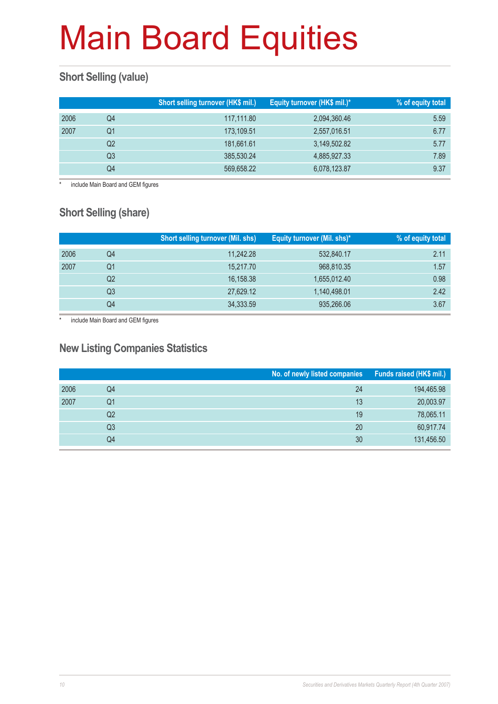### **Short Selling (value)**

|      |    | Short selling turnover (HK\$ mil.) | Equity turnover (HK\$ mil.)* | % of equity total |
|------|----|------------------------------------|------------------------------|-------------------|
| 2006 | Q4 | 117,111.80                         | 2,094,360.46                 | 5.59              |
| 2007 | Q1 | 173,109.51                         | 2,557,016.51                 | 6.77              |
|      | Q2 | 181,661.61                         | 3,149,502.82                 | 5.77              |
|      | Q3 | 385,530.24                         | 4,885,927.33                 | 7.89              |
|      | Q4 | 569,658.22                         | 6,078,123.87                 | 9.37              |

include Main Board and GEM figures

### **Short Selling (share)**

|      |    | <b>Short selling turnover (Mil. shs)</b> | Equity turnover (Mil. shs)* | % of equity total |
|------|----|------------------------------------------|-----------------------------|-------------------|
| 2006 | Q4 | 11,242.28                                | 532,840.17                  | 2.11              |
| 2007 | Q1 | 15,217.70                                | 968,810.35                  | 1.57              |
|      | Q2 | 16,158.38                                | 1,655,012.40                | 0.98              |
|      | Q3 | 27,629.12                                | 1,140,498.01                | 2.42              |
|      | Q4 | 34,333.59                                | 935,266.06                  | 3.67              |

\* include Main Board and GEM figures

#### **New Listing Companies Statistics**

|      |    | No. of newly listed companies | Funds raised (HK\$ mil.) |
|------|----|-------------------------------|--------------------------|
| 2006 | Q4 | 24                            | 194,465.98               |
| 2007 | Q1 | 13                            | 20,003.97                |
|      | Q2 | 19                            | 78,065.11                |
|      | Q3 | 20                            | 60,917.74                |
|      | Q4 | 30                            | 131,456.50               |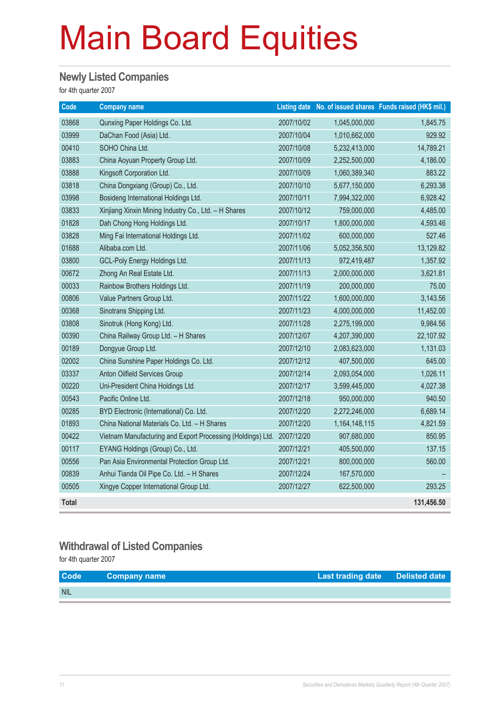#### **Newly Listed Companies**

for 4th quarter 2007

| Code         | <b>Company name</b>                                         |            |               | Listing date No. of issued shares Funds raised (HK\$ mil.) |
|--------------|-------------------------------------------------------------|------------|---------------|------------------------------------------------------------|
| 03868        | Qunxing Paper Holdings Co. Ltd.                             | 2007/10/02 | 1,045,000,000 | 1,845.75                                                   |
| 03999        | DaChan Food (Asia) Ltd.                                     | 2007/10/04 | 1,010,662,000 | 929.92                                                     |
| 00410        | SOHO China Ltd.                                             | 2007/10/08 | 5,232,413,000 | 14,789.21                                                  |
| 03883        | China Aoyuan Property Group Ltd.                            | 2007/10/09 | 2,252,500,000 | 4,186.00                                                   |
| 03888        | Kingsoft Corporation Ltd.                                   | 2007/10/09 | 1,060,389,340 | 883.22                                                     |
| 03818        | China Dongxiang (Group) Co., Ltd.                           | 2007/10/10 | 5,677,150,000 | 6,293.38                                                   |
| 03998        | Bosideng International Holdings Ltd.                        | 2007/10/11 | 7,994,322,000 | 6,928.42                                                   |
| 03833        | Xinjiang Xinxin Mining Industry Co., Ltd. - H Shares        | 2007/10/12 | 759,000,000   | 4,485.00                                                   |
| 01828        | Dah Chong Hong Holdings Ltd.                                | 2007/10/17 | 1,800,000,000 | 4,593.46                                                   |
| 03828        | Ming Fai International Holdings Ltd.                        | 2007/11/02 | 600,000,000   | 527.46                                                     |
| 01688        | Alibaba.com Ltd.                                            | 2007/11/06 | 5,052,356,500 | 13,129.82                                                  |
| 03800        | GCL-Poly Energy Holdings Ltd.                               | 2007/11/13 | 972,419,487   | 1,357.92                                                   |
| 00672        | Zhong An Real Estate Ltd.                                   | 2007/11/13 | 2,000,000,000 | 3,621.81                                                   |
| 00033        | Rainbow Brothers Holdings Ltd.                              | 2007/11/19 | 200,000,000   | 75.00                                                      |
| 00806        | Value Partners Group Ltd.                                   | 2007/11/22 | 1,600,000,000 | 3,143.56                                                   |
| 00368        | Sinotrans Shipping Ltd.                                     | 2007/11/23 | 4,000,000,000 | 11,452.00                                                  |
| 03808        | Sinotruk (Hong Kong) Ltd.                                   | 2007/11/28 | 2,275,199,000 | 9,984.56                                                   |
| 00390        | China Railway Group Ltd. - H Shares                         | 2007/12/07 | 4,207,390,000 | 22,107.92                                                  |
| 00189        | Dongyue Group Ltd.                                          | 2007/12/10 | 2,083,623,000 | 1,131.03                                                   |
| 02002        | China Sunshine Paper Holdings Co. Ltd.                      | 2007/12/12 | 407,500,000   | 645.00                                                     |
| 03337        | Anton Oilfield Services Group                               | 2007/12/14 | 2,093,054,000 | 1,026.11                                                   |
| 00220        | Uni-President China Holdings Ltd.                           | 2007/12/17 | 3,599,445,000 | 4,027.38                                                   |
| 00543        | Pacific Online Ltd.                                         | 2007/12/18 | 950,000,000   | 940.50                                                     |
| 00285        | BYD Electronic (International) Co. Ltd.                     | 2007/12/20 | 2,272,246,000 | 6,689.14                                                   |
| 01893        | China National Materials Co. Ltd. - H Shares                | 2007/12/20 | 1,164,148,115 | 4,821.59                                                   |
| 00422        | Vietnam Manufacturing and Export Processing (Holdings) Ltd. | 2007/12/20 | 907,680,000   | 850.95                                                     |
| 00117        | EYANG Holdings (Group) Co., Ltd.                            | 2007/12/21 | 405,500,000   | 137.15                                                     |
| 00556        | Pan Asia Environmental Protection Group Ltd.                | 2007/12/21 | 800,000,000   | 560.00                                                     |
| 00839        | Anhui Tianda Oil Pipe Co. Ltd. - H Shares                   | 2007/12/24 | 167,570,000   |                                                            |
| 00505        | Xingye Copper International Group Ltd.                      | 2007/12/27 | 622,500,000   | 293.25                                                     |
| <b>Total</b> |                                                             |            |               | 131,456.50                                                 |

#### **Withdrawal of Listed Companies**

for 4th quarter 2007

| <b>Code</b> | <b>Company name</b> | Last trading date Delisted date |  |
|-------------|---------------------|---------------------------------|--|
| <b>NIL</b>  |                     |                                 |  |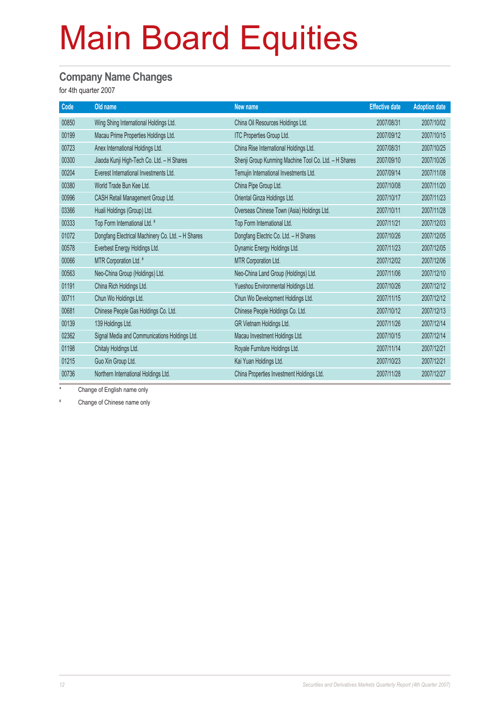#### **Company Name Changes**

for 4th quarter 2007

| Old name                                          | New name                                              | <b>Effective date</b> | <b>Adoption date</b> |
|---------------------------------------------------|-------------------------------------------------------|-----------------------|----------------------|
| Wing Shing International Holdings Ltd.            | China Oil Resources Holdings Ltd.                     | 2007/08/31            | 2007/10/02           |
| Macau Prime Properties Holdings Ltd.              | ITC Properties Group Ltd.                             | 2007/09/12            | 2007/10/15           |
| Anex International Holdings Ltd.                  | China Rise International Holdings Ltd.                | 2007/08/31            | 2007/10/25           |
| Jiaoda Kunji High-Tech Co. Ltd. - H Shares        | Shenji Group Kunming Machine Tool Co. Ltd. - H Shares | 2007/09/10            | 2007/10/26           |
| Everest International Investments Ltd.            | Temujin International Investments Ltd.                | 2007/09/14            | 2007/11/08           |
| World Trade Bun Kee Ltd.                          | China Pipe Group Ltd.                                 | 2007/10/08            | 2007/11/20           |
| CASH Retail Management Group Ltd.                 | Oriental Ginza Holdings Ltd.                          | 2007/10/17            | 2007/11/23           |
| Huali Holdings (Group) Ltd.                       | Overseas Chinese Town (Asia) Holdings Ltd.            | 2007/10/11            | 2007/11/28           |
| Top Form International Ltd. #                     | Top Form International Ltd.                           | 2007/11/21            | 2007/12/03           |
| Dongfang Electrical Machinery Co. Ltd. - H Shares | Dongfang Electric Co. Ltd. - H Shares                 | 2007/10/26            | 2007/12/05           |
| Everbest Energy Holdings Ltd.                     | Dynamic Energy Holdings Ltd.                          | 2007/11/23            | 2007/12/05           |
| MTR Corporation Ltd. #                            | MTR Corporation Ltd.                                  | 2007/12/02            | 2007/12/06           |
| Neo-China Group (Holdings) Ltd.                   | Neo-China Land Group (Holdings) Ltd.                  | 2007/11/06            | 2007/12/10           |
| China Rich Holdings Ltd.                          | Yueshou Environmental Holdings Ltd.                   | 2007/10/26            | 2007/12/12           |
| Chun Wo Holdings Ltd.                             | Chun Wo Development Holdings Ltd.                     | 2007/11/15            | 2007/12/12           |
| Chinese People Gas Holdings Co. Ltd.              | Chinese People Holdings Co. Ltd.                      | 2007/10/12            | 2007/12/13           |
| 139 Holdings Ltd.                                 | GR Vietnam Holdings Ltd.                              | 2007/11/26            | 2007/12/14           |
| Signal Media and Communications Holdings Ltd.     | Macau Investment Holdings Ltd.                        | 2007/10/15            | 2007/12/14           |
| Chitaly Holdings Ltd.                             | Royale Furniture Holdings Ltd.                        | 2007/11/14            | 2007/12/21           |
| Guo Xin Group Ltd.                                | Kai Yuan Holdings Ltd.                                | 2007/10/23            | 2007/12/21           |
| Northern International Holdings Ltd.              | China Properties Investment Holdings Ltd.             | 2007/11/28            | 2007/12/27           |
|                                                   |                                                       |                       |                      |

Change of English name only

# Change of Chinese name only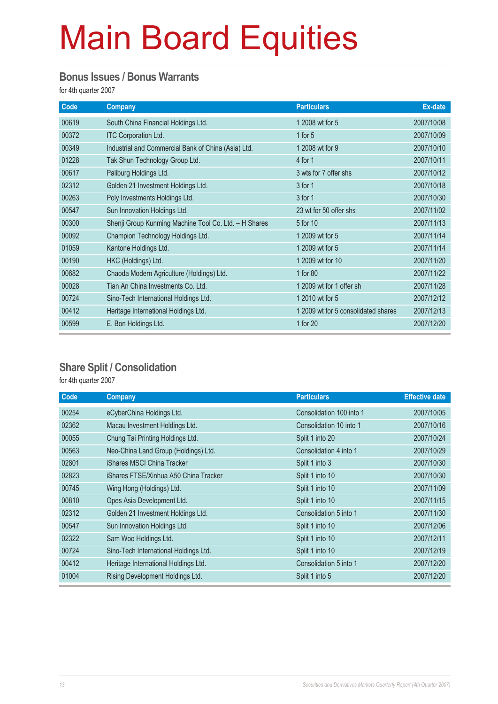#### **Bonus Issues / Bonus Warrants**

for 4th quarter 2007

| Code  | <b>Company</b>                                        | <b>Particulars</b>                  | Ex-date    |
|-------|-------------------------------------------------------|-------------------------------------|------------|
| 00619 | South China Financial Holdings Ltd.                   | 1 2008 wt for 5                     | 2007/10/08 |
| 00372 | <b>ITC Corporation Ltd.</b>                           | 1 for $5$                           | 2007/10/09 |
| 00349 | Industrial and Commercial Bank of China (Asia) Ltd.   | 1 2008 wt for 9                     | 2007/10/10 |
| 01228 | Tak Shun Technology Group Ltd.                        | 4 for 1                             | 2007/10/11 |
| 00617 | Paliburg Holdings Ltd.                                | 3 wts for 7 offer shs               | 2007/10/12 |
| 02312 | Golden 21 Investment Holdings Ltd.                    | 3 for 1                             | 2007/10/18 |
| 00263 | Poly Investments Holdings Ltd.                        | 3 for 1                             | 2007/10/30 |
| 00547 | Sun Innovation Holdings Ltd.                          | 23 wt for 50 offer shs              | 2007/11/02 |
| 00300 | Shenji Group Kunming Machine Tool Co. Ltd. - H Shares | 5 for 10                            | 2007/11/13 |
| 00092 | Champion Technology Holdings Ltd.                     | 1 2009 wt for 5                     | 2007/11/14 |
| 01059 | Kantone Holdings Ltd.                                 | 1 2009 wt for 5                     | 2007/11/14 |
| 00190 | HKC (Holdings) Ltd.                                   | 1 2009 wt for 10                    | 2007/11/20 |
| 00682 | Chaoda Modern Agriculture (Holdings) Ltd.             | 1 for 80                            | 2007/11/22 |
| 00028 | Tian An China Investments Co. Ltd.                    | 1 2009 wt for 1 offer sh            | 2007/11/28 |
| 00724 | Sino-Tech International Holdings Ltd.                 | 1 2010 wt for 5                     | 2007/12/12 |
| 00412 | Heritage International Holdings Ltd.                  | 1 2009 wt for 5 consolidated shares | 2007/12/13 |
| 00599 | E. Bon Holdings Ltd.                                  | 1 for 20                            | 2007/12/20 |

#### **Share Split / Consolidation**

for 4th quarter 2007

| Code  | <b>Company</b>                        | <b>Particulars</b>       | <b>Effective date</b> |
|-------|---------------------------------------|--------------------------|-----------------------|
| 00254 | eCyberChina Holdings Ltd.             | Consolidation 100 into 1 | 2007/10/05            |
| 02362 | Macau Investment Holdings Ltd.        | Consolidation 10 into 1  | 2007/10/16            |
| 00055 | Chung Tai Printing Holdings Ltd.      | Split 1 into 20          | 2007/10/24            |
| 00563 | Neo-China Land Group (Holdings) Ltd.  | Consolidation 4 into 1   | 2007/10/29            |
| 02801 | iShares MSCI China Tracker            | Split 1 into 3           | 2007/10/30            |
| 02823 | iShares FTSE/Xinhua A50 China Tracker | Split 1 into 10          | 2007/10/30            |
| 00745 | Wing Hong (Holdings) Ltd.             | Split 1 into 10          | 2007/11/09            |
| 00810 | Opes Asia Development Ltd.            | Split 1 into 10          | 2007/11/15            |
| 02312 | Golden 21 Investment Holdings Ltd.    | Consolidation 5 into 1   | 2007/11/30            |
| 00547 | Sun Innovation Holdings Ltd.          | Split 1 into 10          | 2007/12/06            |
| 02322 | Sam Woo Holdings Ltd.                 | Split 1 into 10          | 2007/12/11            |
| 00724 | Sino-Tech International Holdings Ltd. | Split 1 into 10          | 2007/12/19            |
| 00412 | Heritage International Holdings Ltd.  | Consolidation 5 into 1   | 2007/12/20            |
| 01004 | Rising Development Holdings Ltd.      | Split 1 into 5           | 2007/12/20            |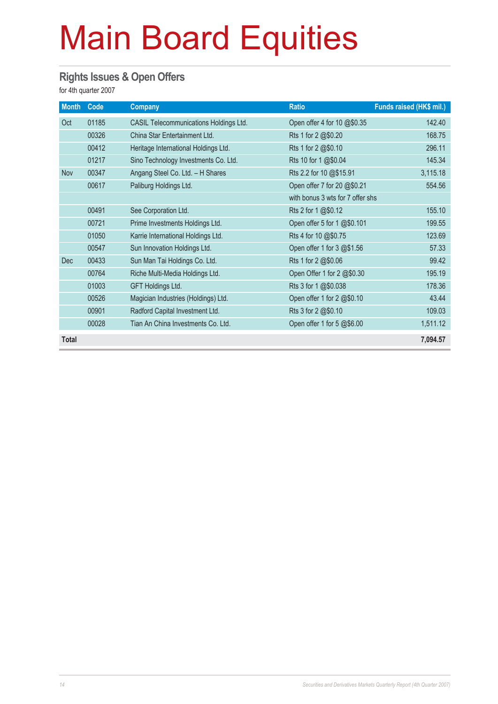#### **Rights Issues & Open Offers**

for 4th quarter 2007

| <b>Month</b> | Code  | <b>Company</b>                         | <b>Ratio</b>                     | Funds raised (HK\$ mil.) |
|--------------|-------|----------------------------------------|----------------------------------|--------------------------|
| Oct          | 01185 | CASIL Telecommunications Holdings Ltd. | Open offer 4 for 10 @\$0.35      | 142.40                   |
|              | 00326 | China Star Entertainment Ltd.          | Rts 1 for 2 @\$0.20              | 168.75                   |
|              | 00412 | Heritage International Holdings Ltd.   | Rts 1 for 2 @\$0.10              | 296.11                   |
|              | 01217 | Sino Technology Investments Co. Ltd.   | Rts 10 for 1 @\$0.04             | 145.34                   |
| <b>Nov</b>   | 00347 | Angang Steel Co. Ltd. - H Shares       | Rts 2.2 for 10 @\$15.91          | 3,115.18                 |
|              | 00617 | Paliburg Holdings Ltd.                 | Open offer 7 for 20 @\$0.21      | 554.56                   |
|              |       |                                        | with bonus 3 wts for 7 offer shs |                          |
|              | 00491 | See Corporation Ltd.                   | Rts 2 for 1 @\$0.12              | 155.10                   |
|              | 00721 | Prime Investments Holdings Ltd.        | Open offer 5 for 1 @\$0.101      | 199.55                   |
|              | 01050 | Karrie International Holdings Ltd.     | Rts 4 for 10 @\$0.75             | 123.69                   |
|              | 00547 | Sun Innovation Holdings Ltd.           | Open offer 1 for 3 @\$1.56       | 57.33                    |
| <b>Dec</b>   | 00433 | Sun Man Tai Holdings Co. Ltd.          | Rts 1 for 2 @\$0.06              | 99.42                    |
|              | 00764 | Riche Multi-Media Holdings Ltd.        | Open Offer 1 for 2 @\$0.30       | 195.19                   |
|              | 01003 | <b>GFT Holdings Ltd.</b>               | Rts 3 for 1 @\$0.038             | 178.36                   |
|              | 00526 | Magician Industries (Holdings) Ltd.    | Open offer 1 for 2 @\$0.10       | 43.44                    |
|              | 00901 | Radford Capital Investment Ltd.        | Rts 3 for 2 @\$0.10              | 109.03                   |
|              | 00028 | Tian An China Investments Co. Ltd.     | Open offer 1 for 5 @\$6.00       | 1,511.12                 |
| <b>Total</b> |       |                                        |                                  | 7,094.57                 |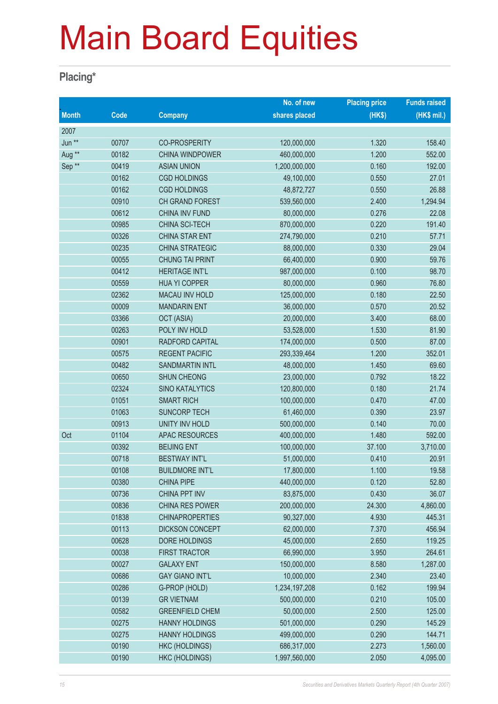#### **Placing\***

|                   |       |                        | No. of new    | <b>Placing price</b> | <b>Funds raised</b> |
|-------------------|-------|------------------------|---------------|----------------------|---------------------|
| <b>Month</b>      | Code  | <b>Company</b>         | shares placed | (HK\$)               | (HK\$ mil.)         |
| 2007              |       |                        |               |                      |                     |
| Jun **            | 00707 | <b>CO-PROSPERITY</b>   | 120,000,000   | 1.320                | 158.40              |
| Aug **            | 00182 | <b>CHINA WINDPOWER</b> | 460,000,000   | 1.200                | 552.00              |
| Sep <sup>**</sup> | 00419 | <b>ASIAN UNION</b>     | 1,200,000,000 | 0.160                | 192.00              |
|                   | 00162 | <b>CGD HOLDINGS</b>    | 49,100,000    | 0.550                | 27.01               |
|                   | 00162 | <b>CGD HOLDINGS</b>    | 48,872,727    | 0.550                | 26.88               |
|                   | 00910 | CH GRAND FOREST        | 539,560,000   | 2.400                | 1,294.94            |
|                   | 00612 | CHINA INV FUND         | 80,000,000    | 0.276                | 22.08               |
|                   | 00985 | CHINA SCI-TECH         | 870,000,000   | 0.220                | 191.40              |
|                   | 00326 | <b>CHINA STAR ENT</b>  | 274,790,000   | 0.210                | 57.71               |
|                   | 00235 | CHINA STRATEGIC        | 88,000,000    | 0.330                | 29.04               |
|                   | 00055 | <b>CHUNG TAI PRINT</b> | 66,400,000    | 0.900                | 59.76               |
|                   | 00412 | <b>HERITAGE INT'L</b>  | 987,000,000   | 0.100                | 98.70               |
|                   | 00559 | <b>HUA YI COPPER</b>   | 80,000,000    | 0.960                | 76.80               |
|                   | 02362 | <b>MACAU INV HOLD</b>  | 125,000,000   | 0.180                | 22.50               |
|                   | 00009 | <b>MANDARIN ENT</b>    | 36,000,000    | 0.570                | 20.52               |
|                   | 03366 | OCT (ASIA)             | 20,000,000    | 3.400                | 68.00               |
|                   | 00263 | POLY INV HOLD          | 53,528,000    | 1.530                | 81.90               |
|                   | 00901 | RADFORD CAPITAL        | 174,000,000   | 0.500                | 87.00               |
|                   | 00575 | <b>REGENT PACIFIC</b>  | 293,339,464   | 1.200                | 352.01              |
|                   | 00482 | <b>SANDMARTIN INTL</b> | 48,000,000    | 1.450                | 69.60               |
|                   | 00650 | SHUN CHEONG            | 23,000,000    | 0.792                | 18.22               |
|                   | 02324 | <b>SINO KATALYTICS</b> | 120,800,000   | 0.180                | 21.74               |
|                   | 01051 | <b>SMART RICH</b>      | 100,000,000   | 0.470                | 47.00               |
|                   | 01063 | <b>SUNCORP TECH</b>    | 61,460,000    | 0.390                | 23.97               |
|                   | 00913 | UNITY INV HOLD         | 500,000,000   | 0.140                | 70.00               |
| Oct               | 01104 | <b>APAC RESOURCES</b>  | 400,000,000   | 1.480                | 592.00              |
|                   | 00392 | <b>BEIJING ENT</b>     | 100,000,000   | 37.100               | 3,710.00            |
|                   | 00718 | <b>BESTWAY INT'L</b>   | 51,000,000    | 0.410                | 20.91               |
|                   | 00108 | <b>BUILDMORE INT'L</b> | 17,800,000    | 1.100                | 19.58               |
|                   | 00380 | <b>CHINA PIPE</b>      | 440,000,000   | 0.120                | 52.80               |
|                   | 00736 | <b>CHINA PPT INV</b>   | 83,875,000    | 0.430                | 36.07               |
|                   | 00836 | <b>CHINA RES POWER</b> | 200,000,000   | 24.300               | 4,860.00            |
|                   | 01838 | <b>CHINAPROPERTIES</b> | 90,327,000    | 4.930                | 445.31              |
|                   | 00113 | <b>DICKSON CONCEPT</b> | 62,000,000    | 7.370                | 456.94              |
|                   | 00628 | DORE HOLDINGS          | 45,000,000    | 2.650                | 119.25              |
|                   | 00038 | <b>FIRST TRACTOR</b>   | 66,990,000    | 3.950                | 264.61              |
|                   | 00027 | <b>GALAXY ENT</b>      | 150,000,000   | 8.580                | 1,287.00            |
|                   | 00686 | <b>GAY GIANO INT'L</b> | 10,000,000    | 2.340                | 23.40               |
|                   | 00286 | G-PROP (HOLD)          | 1,234,197,208 | 0.162                | 199.94              |
|                   | 00139 | <b>GR VIETNAM</b>      | 500,000,000   | 0.210                | 105.00              |
|                   | 00582 | <b>GREENFIELD CHEM</b> | 50,000,000    | 2.500                | 125.00              |
|                   | 00275 | <b>HANNY HOLDINGS</b>  | 501,000,000   | 0.290                | 145.29              |
|                   | 00275 | <b>HANNY HOLDINGS</b>  | 499,000,000   | 0.290                | 144.71              |
|                   | 00190 | <b>HKC (HOLDINGS)</b>  | 686,317,000   | 2.273                | 1,560.00            |
|                   | 00190 | <b>HKC (HOLDINGS)</b>  | 1,997,560,000 | 2.050                | 4,095.00            |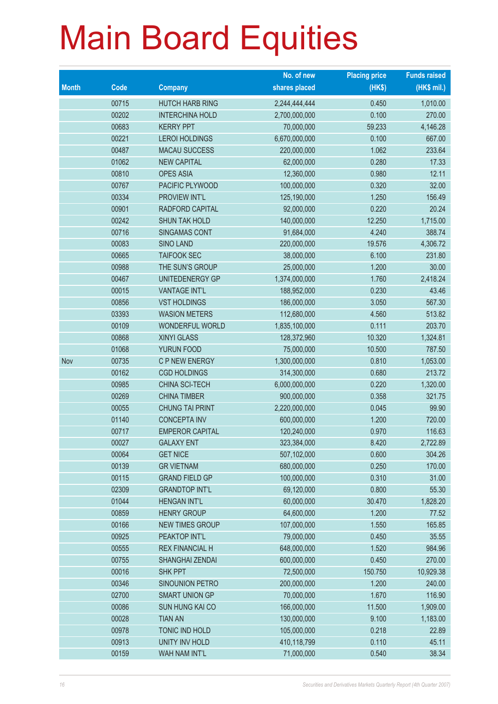|              |       |                        | No. of new    | <b>Placing price</b> | <b>Funds raised</b> |
|--------------|-------|------------------------|---------------|----------------------|---------------------|
| <b>Month</b> | Code  | <b>Company</b>         | shares placed | (HKS)                | $(HK$$ mil.)        |
|              | 00715 | <b>HUTCH HARB RING</b> | 2,244,444,444 | 0.450                | 1,010.00            |
|              | 00202 | <b>INTERCHINA HOLD</b> | 2,700,000,000 | 0.100                | 270.00              |
|              | 00683 | <b>KERRY PPT</b>       | 70,000,000    | 59.233               | 4,146.28            |
|              | 00221 | <b>LEROI HOLDINGS</b>  | 6,670,000,000 | 0.100                | 667.00              |
|              | 00487 | <b>MACAU SUCCESS</b>   | 220,000,000   | 1.062                | 233.64              |
|              | 01062 | <b>NEW CAPITAL</b>     | 62,000,000    | 0.280                | 17.33               |
|              | 00810 | <b>OPES ASIA</b>       | 12,360,000    | 0.980                | 12.11               |
|              | 00767 | PACIFIC PLYWOOD        | 100,000,000   | 0.320                | 32.00               |
|              | 00334 | PROVIEW INT'L          | 125,190,000   | 1.250                | 156.49              |
|              | 00901 | RADFORD CAPITAL        | 92,000,000    | 0.220                | 20.24               |
|              | 00242 | <b>SHUN TAK HOLD</b>   | 140,000,000   | 12.250               | 1,715.00            |
|              | 00716 | SINGAMAS CONT          | 91,684,000    | 4.240                | 388.74              |
|              | 00083 | <b>SINO LAND</b>       | 220,000,000   | 19.576               | 4,306.72            |
|              | 00665 | <b>TAIFOOK SEC</b>     | 38,000,000    | 6.100                | 231.80              |
|              | 00988 | THE SUN'S GROUP        | 25,000,000    | 1.200                | 30.00               |
|              | 00467 | UNITEDENERGY GP        | 1,374,000,000 | 1.760                | 2,418.24            |
|              | 00015 | <b>VANTAGE INT'L</b>   | 188,952,000   | 0.230                | 43.46               |
|              | 00856 | <b>VST HOLDINGS</b>    | 186,000,000   | 3.050                | 567.30              |
|              | 03393 | <b>WASION METERS</b>   | 112,680,000   | 4.560                | 513.82              |
|              | 00109 | WONDERFUL WORLD        | 1,835,100,000 | 0.111                | 203.70              |
|              | 00868 | XINYI GLASS            | 128,372,960   | 10.320               | 1,324.81            |
|              | 01068 | YURUN FOOD             | 75,000,000    | 10.500               | 787.50              |
| Nov          | 00735 | C P NEW ENERGY         | 1,300,000,000 | 0.810                | 1,053.00            |
|              | 00162 | <b>CGD HOLDINGS</b>    | 314,300,000   | 0.680                | 213.72              |
|              | 00985 | CHINA SCI-TECH         | 6,000,000,000 | 0.220                | 1,320.00            |
|              | 00269 | <b>CHINA TIMBER</b>    | 900,000,000   | 0.358                | 321.75              |
|              | 00055 | <b>CHUNG TAI PRINT</b> | 2,220,000,000 | 0.045                | 99.90               |
|              | 01140 | <b>CONCEPTA INV</b>    | 600,000,000   | 1.200                | 720.00              |
|              | 00717 | <b>EMPEROR CAPITAL</b> | 120,240,000   | 0.970                | 116.63              |
|              | 00027 | <b>GALAXY ENT</b>      | 323,384,000   | 8.420                | 2,722.89            |
|              | 00064 | <b>GET NICE</b>        | 507,102,000   | 0.600                | 304.26              |
|              | 00139 | <b>GR VIETNAM</b>      | 680,000,000   | 0.250                | 170.00              |
|              | 00115 | <b>GRAND FIELD GP</b>  | 100,000,000   | 0.310                | 31.00               |
|              | 02309 | <b>GRANDTOP INT'L</b>  | 69,120,000    | 0.800                | 55.30               |
|              | 01044 | <b>HENGAN INT'L</b>    | 60,000,000    | 30.470               | 1,828.20            |
|              | 00859 | <b>HENRY GROUP</b>     | 64,600,000    | 1.200                | 77.52               |
|              | 00166 | <b>NEW TIMES GROUP</b> | 107,000,000   | 1.550                | 165.85              |
|              | 00925 | PEAKTOP INT'L          | 79,000,000    | 0.450                | 35.55               |
|              | 00555 | <b>REX FINANCIAL H</b> | 648,000,000   | 1.520                | 984.96              |
|              | 00755 | <b>SHANGHAI ZENDAI</b> | 600,000,000   | 0.450                | 270.00              |
|              | 00016 | <b>SHK PPT</b>         | 72,500,000    | 150.750              | 10,929.38           |
|              | 00346 | <b>SINOUNION PETRO</b> | 200,000,000   | 1.200                | 240.00              |
|              | 02700 | <b>SMART UNION GP</b>  | 70,000,000    | 1.670                | 116.90              |
|              | 00086 | <b>SUN HUNG KAI CO</b> | 166,000,000   | 11.500               | 1,909.00            |
|              | 00028 | <b>TIAN AN</b>         | 130,000,000   | 9.100                | 1,183.00            |
|              | 00978 | TONIC IND HOLD         | 105,000,000   | 0.218                | 22.89               |
|              | 00913 | UNITY INV HOLD         | 410,118,799   | 0.110                | 45.11               |
|              | 00159 | WAH NAM INT'L          | 71,000,000    | 0.540                | 38.34               |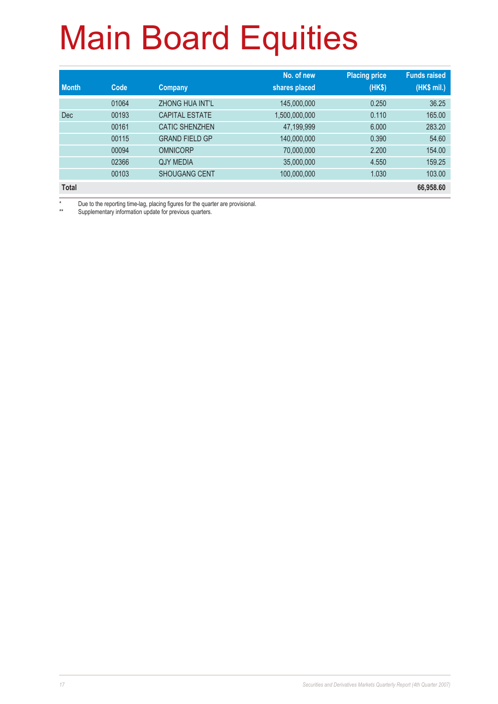|              |       |                       | No. of new    | <b>Placing price</b> | <b>Funds raised</b> |
|--------------|-------|-----------------------|---------------|----------------------|---------------------|
| <b>Month</b> | Code  | Company               | shares placed | (HK\$)               | (HK\$ mil.)         |
|              | 01064 | ZHONG HUA INT'L       | 145,000,000   | 0.250                | 36.25               |
| <b>Dec</b>   | 00193 | <b>CAPITAL ESTATE</b> | 1,500,000,000 | 0.110                | 165.00              |
|              | 00161 | <b>CATIC SHENZHEN</b> | 47,199,999    | 6.000                | 283.20              |
|              | 00115 | <b>GRAND FIELD GP</b> | 140,000,000   | 0.390                | 54.60               |
|              | 00094 | <b>OMNICORP</b>       | 70,000,000    | 2.200                | 154.00              |
|              | 02366 | <b>QJY MEDIA</b>      | 35,000,000    | 4.550                | 159.25              |
|              | 00103 | <b>SHOUGANG CENT</b>  | 100,000,000   | 1.030                | 103.00              |
| <b>Total</b> |       |                       |               |                      | 66,958.60           |

\* Due to the reporting time-lag, placing figures for the quarter are provisional.

Supplementary information update for previous quarters.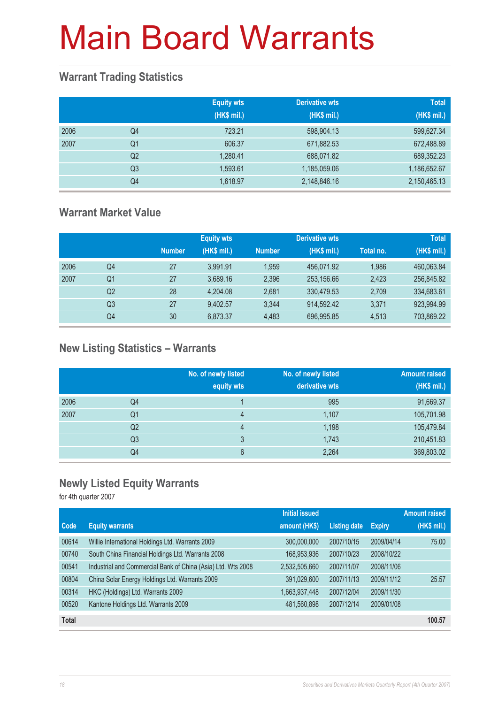### **Warrant Trading Statistics**

|      |                | <b>Equity wts</b><br>(HK\$ mil.) | <b>Derivative wts</b><br>(HK\$ mil.) | <b>Total</b><br>(HK\$ mil.) |
|------|----------------|----------------------------------|--------------------------------------|-----------------------------|
| 2006 | Q4             | 723.21                           | 598,904.13                           | 599,627.34                  |
| 2007 | Q <sub>1</sub> | 606.37                           | 671,882.53                           | 672,488.89                  |
|      | Q <sub>2</sub> | 1.280.41                         | 688,071.82                           | 689,352.23                  |
|      | Q <sub>3</sub> | 1,593.61                         | 1,185,059.06                         | 1,186,652.67                |
|      | Q <sub>4</sub> | 1,618.97                         | 2,148,846.16                         | 2,150,465.13                |

### **Warrant Market Value**

|      |                |               | <b>Equity wts</b> |               | <b>Derivative wts</b> |           | <b>Total</b> |
|------|----------------|---------------|-------------------|---------------|-----------------------|-----------|--------------|
|      |                | <b>Number</b> | (HK\$ mil.)       | <b>Number</b> | (HK\$ mil.)           | Total no. | (HK\$ mil.)  |
| 2006 | Q4             | 27            | 3.991.91          | 1.959         | 456,071.92            | 1,986     | 460,063.84   |
| 2007 | Q1             | 27            | 3.689.16          | 2.396         | 253.156.66            | 2.423     | 256,845.82   |
|      | Q <sub>2</sub> | 28            | 4.204.08          | 2.681         | 330,479.53            | 2,709     | 334,683.61   |
|      | Q <sub>3</sub> | 27            | 9,402.57          | 3.344         | 914,592.42            | 3.371     | 923,994.99   |
|      | Q4             | 30            | 6,873.37          | 4.483         | 696,995.85            | 4.513     | 703,869.22   |

### **New Listing Statistics – Warrants**

|      |                | No. of newly listed<br>equity wts | No. of newly listed<br>derivative wts | <b>Amount raised</b><br>(HK\$ mil.) |
|------|----------------|-----------------------------------|---------------------------------------|-------------------------------------|
| 2006 | Q4             |                                   | 995                                   | 91,669.37                           |
| 2007 | Q1             | 4                                 | 1,107                                 | 105,701.98                          |
|      | Q <sub>2</sub> | 4                                 | 1,198                                 | 105,479.84                          |
|      | Q <sub>3</sub> | 3                                 | 1,743                                 | 210,451.83                          |
|      | Q4             | 6                                 | 2,264                                 | 369,803.02                          |

### **Newly Listed Equity Warrants**

for 4th quarter 2007

|              |                                                              | <b>Initial issued</b> |                     |               | <b>Amount raised</b> |
|--------------|--------------------------------------------------------------|-----------------------|---------------------|---------------|----------------------|
| <b>Code</b>  | <b>Equity warrants</b>                                       | amount (HK\$)         | <b>Listing date</b> | <b>Expiry</b> | (HK\$ mil.)          |
| 00614        | Willie International Holdings Ltd. Warrants 2009             | 300,000,000           | 2007/10/15          | 2009/04/14    | 75.00                |
| 00740        | South China Financial Holdings Ltd. Warrants 2008            | 168,953,936           | 2007/10/23          | 2008/10/22    |                      |
| 00541        | Industrial and Commercial Bank of China (Asia) Ltd. Wts 2008 | 2,532,505,660         | 2007/11/07          | 2008/11/06    |                      |
| 00804        | China Solar Energy Holdings Ltd. Warrants 2009               | 391,029,600           | 2007/11/13          | 2009/11/12    | 25.57                |
| 00314        | HKC (Holdings) Ltd. Warrants 2009                            | 1,663,937,448         | 2007/12/04          | 2009/11/30    |                      |
| 00520        | Kantone Holdings Ltd. Warrants 2009                          | 481,560,898           | 2007/12/14          | 2009/01/08    |                      |
| <b>Total</b> |                                                              |                       |                     |               | 100.57               |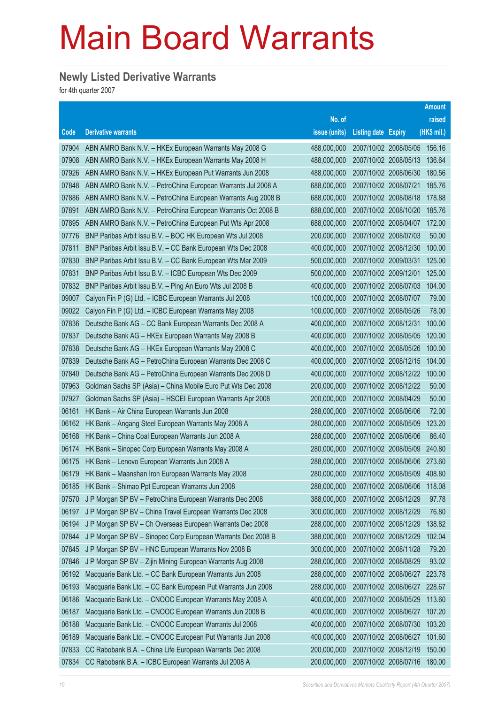#### **Newly Listed Derivative Warrants**

for 4th quarter 2007

|       |                                                              |               |                       |                       | <b>Amount</b> |
|-------|--------------------------------------------------------------|---------------|-----------------------|-----------------------|---------------|
|       |                                                              | No. of        |                       |                       | raised        |
| Code  | <b>Derivative warrants</b>                                   | issue (units) | Listing date Expiry   |                       | $(HK$$ mil.)  |
| 07904 | ABN AMRO Bank N.V. - HKEx European Warrants May 2008 G       | 488,000,000   |                       | 2007/10/02 2008/05/05 | 156.16        |
| 07908 | ABN AMRO Bank N.V. - HKEx European Warrants May 2008 H       | 488,000,000   |                       | 2007/10/02 2008/05/13 | 136.64        |
| 07926 | ABN AMRO Bank N.V. - HKEx European Put Warrants Jun 2008     | 488,000,000   |                       | 2007/10/02 2008/06/30 | 180.56        |
| 07848 | ABN AMRO Bank N.V. - PetroChina European Warrants Jul 2008 A | 688,000,000   | 2007/10/02 2008/07/21 |                       | 185.76        |
| 07886 | ABN AMRO Bank N.V. - PetroChina European Warrants Aug 2008 B | 688,000,000   |                       | 2007/10/02 2008/08/18 | 178.88        |
| 07891 | ABN AMRO Bank N.V. - PetroChina European Warrants Oct 2008 B | 688,000,000   |                       | 2007/10/02 2008/10/20 | 185.76        |
| 07895 | ABN AMRO Bank N.V. - PetroChina European Put Wts Apr 2008    | 688,000,000   |                       | 2007/10/02 2008/04/07 | 172.00        |
| 07776 | BNP Paribas Arbit Issu B.V. - BOC HK European Wts Jul 2008   | 200,000,000   | 2007/10/02 2008/07/03 |                       | 50.00         |
| 07811 | BNP Paribas Arbit Issu B.V. - CC Bank European Wts Dec 2008  | 400,000,000   |                       | 2007/10/02 2008/12/30 | 100.00        |
| 07830 | BNP Paribas Arbit Issu B.V. - CC Bank European Wts Mar 2009  | 500,000,000   | 2007/10/02 2009/03/31 |                       | 125.00        |
| 07831 | BNP Paribas Arbit Issu B.V. - ICBC European Wts Dec 2009     | 500,000,000   | 2007/10/02 2009/12/01 |                       | 125.00        |
| 07832 | BNP Paribas Arbit Issu B.V. - Ping An Euro Wts Jul 2008 B    | 400,000,000   |                       | 2007/10/02 2008/07/03 | 104.00        |
| 09007 | Calyon Fin P (G) Ltd. - ICBC European Warrants Jul 2008      | 100,000,000   |                       | 2007/10/02 2008/07/07 | 79.00         |
| 09022 | Calyon Fin P (G) Ltd. - ICBC European Warrants May 2008      | 100,000,000   | 2007/10/02 2008/05/26 |                       | 78.00         |
| 07836 | Deutsche Bank AG - CC Bank European Warrants Dec 2008 A      | 400,000,000   | 2007/10/02 2008/12/31 |                       | 100.00        |
| 07837 | Deutsche Bank AG - HKEx European Warrants May 2008 B         | 400,000,000   | 2007/10/02 2008/05/05 |                       | 120.00        |
| 07838 | Deutsche Bank AG - HKEx European Warrants May 2008 C         | 400,000,000   |                       | 2007/10/02 2008/05/26 | 100.00        |
| 07839 | Deutsche Bank AG - PetroChina European Warrants Dec 2008 C   | 400,000,000   |                       | 2007/10/02 2008/12/15 | 104.00        |
| 07840 | Deutsche Bank AG - PetroChina European Warrants Dec 2008 D   | 400,000,000   |                       | 2007/10/02 2008/12/22 | 100.00        |
| 07963 | Goldman Sachs SP (Asia) - China Mobile Euro Put Wts Dec 2008 | 200,000,000   | 2007/10/02 2008/12/22 |                       | 50.00         |
| 07927 | Goldman Sachs SP (Asia) - HSCEI European Warrants Apr 2008   | 200,000,000   |                       | 2007/10/02 2008/04/29 | 50.00         |
| 06161 | HK Bank - Air China European Warrants Jun 2008               | 288,000,000   | 2007/10/02 2008/06/06 |                       | 72.00         |
| 06162 | HK Bank - Angang Steel European Warrants May 2008 A          | 280,000,000   |                       | 2007/10/02 2008/05/09 | 123.20        |
| 06168 | HK Bank - China Coal European Warrants Jun 2008 A            | 288,000,000   | 2007/10/02 2008/06/06 |                       | 86.40         |
| 06174 | HK Bank - Sinopec Corp European Warrants May 2008 A          | 280,000,000   |                       | 2007/10/02 2008/05/09 | 240.80        |
| 06175 | HK Bank - Lenovo European Warrants Jun 2008 A                | 288,000,000   |                       | 2007/10/02 2008/06/06 | 273.60        |
| 06179 | HK Bank - Maanshan Iron European Warrants May 2008           | 280,000,000   |                       | 2007/10/02 2008/05/09 | 408.80        |
| 06185 | HK Bank - Shimao Ppt European Warrants Jun 2008              | 288,000,000   |                       | 2007/10/02 2008/06/06 | 118.08        |
| 07570 | J P Morgan SP BV - PetroChina European Warrants Dec 2008     | 388,000,000   |                       | 2007/10/02 2008/12/29 | 97.78         |
| 06197 | J P Morgan SP BV - China Travel European Warrants Dec 2008   | 300,000,000   | 2007/10/02 2008/12/29 |                       | 76.80         |
| 06194 | J P Morgan SP BV - Ch Overseas European Warrants Dec 2008    | 288,000,000   |                       | 2007/10/02 2008/12/29 | 138.82        |
| 07844 | J P Morgan SP BV - Sinopec Corp European Warrants Dec 2008 B | 388,000,000   | 2007/10/02 2008/12/29 |                       | 102.04        |
| 07845 | J P Morgan SP BV - HNC European Warrants Nov 2008 B          | 300,000,000   |                       | 2007/10/02 2008/11/28 | 79.20         |
| 07846 | J P Morgan SP BV - Zijin Mining European Warrants Aug 2008   | 288,000,000   | 2007/10/02 2008/08/29 |                       | 93.02         |
| 06192 | Macquarie Bank Ltd. - CC Bank European Warrants Jun 2008     | 288,000,000   |                       | 2007/10/02 2008/06/27 | 223.78        |
| 06193 | Macquarie Bank Ltd. - CC Bank European Put Warrants Jun 2008 | 288,000,000   |                       | 2007/10/02 2008/06/27 | 228.67        |
| 06186 | Macquarie Bank Ltd. - CNOOC European Warrants May 2008 A     | 400,000,000   |                       | 2007/10/02 2008/05/29 | 113.60        |
| 06187 | Macquarie Bank Ltd. - CNOOC European Warrants Jun 2008 B     | 400,000,000   | 2007/10/02 2008/06/27 |                       | 107.20        |
| 06188 | Macquarie Bank Ltd. - CNOOC European Warrants Jul 2008       | 400,000,000   |                       | 2007/10/02 2008/07/30 | 103.20        |
| 06189 | Macquarie Bank Ltd. - CNOOC European Put Warrants Jun 2008   | 400,000,000   | 2007/10/02 2008/06/27 |                       | 101.60        |
| 07833 | CC Rabobank B.A. - China Life European Warrants Dec 2008     | 200,000,000   |                       | 2007/10/02 2008/12/19 | 150.00        |
| 07834 | CC Rabobank B.A. - ICBC European Warrants Jul 2008 A         | 200,000,000   |                       | 2007/10/02 2008/07/16 | 180.00        |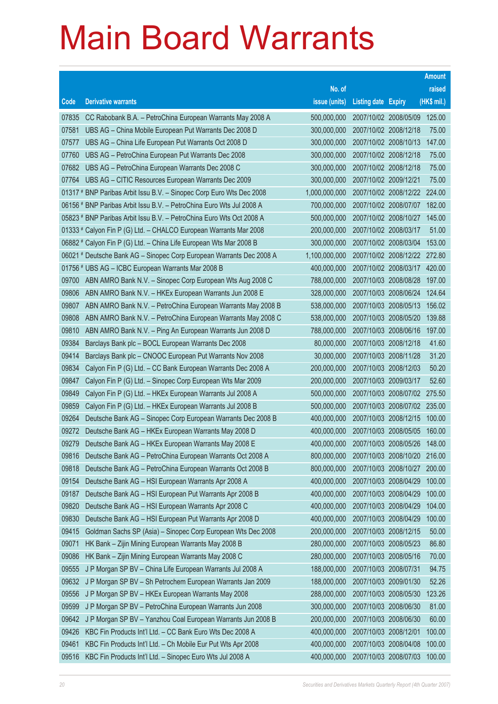|                |                                                                                                                          |                            |                            |                                                       | <b>Amount</b> |
|----------------|--------------------------------------------------------------------------------------------------------------------------|----------------------------|----------------------------|-------------------------------------------------------|---------------|
|                |                                                                                                                          | No. of                     |                            |                                                       | raised        |
| Code           | <b>Derivative warrants</b>                                                                                               | issue (units)              | <b>Listing date Expiry</b> |                                                       | (HK\$ mil.)   |
| 07835          | CC Rabobank B.A. - PetroChina European Warrants May 2008 A                                                               | 500,000,000                |                            | 2007/10/02 2008/05/09                                 | 125.00        |
| 07581          | UBS AG - China Mobile European Put Warrants Dec 2008 D                                                                   | 300,000,000                | 2007/10/02 2008/12/18      |                                                       | 75.00         |
| 07577          | UBS AG - China Life European Put Warrants Oct 2008 D                                                                     | 300,000,000                |                            | 2007/10/02 2008/10/13                                 | 147.00        |
| 07760          | UBS AG - PetroChina European Put Warrants Dec 2008                                                                       | 300,000,000                | 2007/10/02 2008/12/18      |                                                       | 75.00         |
| 07682          | UBS AG - PetroChina European Warrants Dec 2008 C                                                                         | 300,000,000                | 2007/10/02 2008/12/18      |                                                       | 75.00         |
| 07764          | UBS AG - CITIC Resources European Warrants Dec 2009                                                                      | 300,000,000                | 2007/10/02 2009/12/21      |                                                       | 75.00         |
|                | 01317 # BNP Paribas Arbit Issu B.V. - Sinopec Corp Euro Wts Dec 2008                                                     | 1,000,000,000              |                            | 2007/10/02 2008/12/22                                 | 224.00        |
|                | 06156 # BNP Paribas Arbit Issu B.V. - PetroChina Euro Wts Jul 2008 A                                                     | 700,000,000                |                            | 2007/10/02 2008/07/07                                 | 182.00        |
|                | 05823 # BNP Paribas Arbit Issu B.V. - PetroChina Euro Wts Oct 2008 A                                                     | 500,000,000                |                            | 2007/10/02 2008/10/27                                 | 145.00        |
|                | 01333 # Calyon Fin P (G) Ltd. - CHALCO European Warrants Mar 2008                                                        | 200,000,000                | 2007/10/02 2008/03/17      |                                                       | 51.00         |
|                | 06882 # Calyon Fin P (G) Ltd. - China Life European Wts Mar 2008 B                                                       | 300,000,000                |                            | 2007/10/02 2008/03/04                                 | 153.00        |
|                | 06021 # Deutsche Bank AG - Sinopec Corp European Warrants Dec 2008 A                                                     | 1,100,000,000              |                            | 2007/10/02 2008/12/22 272.80                          |               |
|                | 01756 # UBS AG - ICBC European Warrants Mar 2008 B                                                                       | 400,000,000                |                            | 2007/10/02 2008/03/17                                 | 420.00        |
| 09700          | ABN AMRO Bank N.V. - Sinopec Corp European Wts Aug 2008 C                                                                | 788,000,000                |                            | 2007/10/03 2008/08/28                                 | 197.00        |
| 09806          | ABN AMRO Bank N.V. - HKEx European Warrants Jun 2008 E                                                                   | 328,000,000                | 2007/10/03 2008/06/24      |                                                       | 124.64        |
| 09807          | ABN AMRO Bank N.V. - PetroChina European Warrants May 2008 B                                                             | 538,000,000                |                            | 2007/10/03 2008/05/13                                 | 156.02        |
| 09808          | ABN AMRO Bank N.V. - PetroChina European Warrants May 2008 C                                                             | 538,000,000                |                            | 2007/10/03 2008/05/20                                 | 139.88        |
| 09810          | ABN AMRO Bank N.V. - Ping An European Warrants Jun 2008 D                                                                | 788,000,000                |                            | 2007/10/03 2008/06/16                                 | 197.00        |
| 09384          | Barclays Bank plc - BOCL European Warrants Dec 2008                                                                      | 80,000,000                 | 2007/10/03 2008/12/18      |                                                       | 41.60         |
| 09414          | Barclays Bank plc - CNOOC European Put Warrants Nov 2008                                                                 | 30,000,000                 | 2007/10/03 2008/11/28      |                                                       | 31.20         |
| 09834          | Calyon Fin P (G) Ltd. - CC Bank European Warrants Dec 2008 A                                                             | 200,000,000                | 2007/10/03 2008/12/03      |                                                       | 50.20         |
| 09847          | Calyon Fin P (G) Ltd. - Sinopec Corp European Wts Mar 2009                                                               | 200,000,000                | 2007/10/03 2009/03/17      |                                                       | 52.60         |
| 09849          | Calyon Fin P (G) Ltd. - HKEx European Warrants Jul 2008 A                                                                | 500,000,000                |                            | 2007/10/03 2008/07/02                                 | 275.50        |
| 09859          | Calyon Fin P (G) Ltd. - HKEx European Warrants Jul 2008 B                                                                | 500,000,000                |                            | 2007/10/03 2008/07/02 235.00                          |               |
| 09264          | Deutsche Bank AG - Sinopec Corp European Warrants Dec 2008 B                                                             | 400,000,000                |                            | 2007/10/03 2008/12/15                                 | 100.00        |
| 09272          | Deutsche Bank AG - HKEx European Warrants May 2008 D                                                                     | 400,000,000                | 2007/10/03 2008/05/26      | 2007/10/03 2008/05/05                                 | 160.00        |
| 09279          | Deutsche Bank AG - HKEx European Warrants May 2008 E                                                                     | 400,000,000<br>800,000,000 |                            |                                                       | 148.00        |
| 09816<br>09818 | Deutsche Bank AG - PetroChina European Warrants Oct 2008 A<br>Deutsche Bank AG - PetroChina European Warrants Oct 2008 B | 800,000,000                |                            | 2007/10/03 2008/10/20 216.00<br>2007/10/03 2008/10/27 | 200.00        |
| 09154          | Deutsche Bank AG - HSI European Warrants Apr 2008 A                                                                      | 400,000,000                | 2007/10/03 2008/04/29      |                                                       | 100.00        |
| 09187          | Deutsche Bank AG - HSI European Put Warrants Apr 2008 B                                                                  | 400,000,000                | 2007/10/03 2008/04/29      |                                                       | 100.00        |
| 09820          | Deutsche Bank AG - HSI European Warrants Apr 2008 C                                                                      | 400,000,000                | 2007/10/03 2008/04/29      |                                                       | 104.00        |
| 09830          | Deutsche Bank AG - HSI European Put Warrants Apr 2008 D                                                                  | 400,000,000                | 2007/10/03 2008/04/29      |                                                       | 100.00        |
| 09415          | Goldman Sachs SP (Asia) - Sinopec Corp European Wts Dec 2008                                                             | 200,000,000                | 2007/10/03 2008/12/15      |                                                       | 50.00         |
| 09071          | HK Bank - Zijin Mining European Warrants May 2008 B                                                                      | 280,000,000                | 2007/10/03 2008/05/23      |                                                       | 86.80         |
| 09086          | HK Bank - Zijin Mining European Warrants May 2008 C                                                                      | 280,000,000                | 2007/10/03 2008/05/16      |                                                       | 70.00         |
| 09555          | J P Morgan SP BV - China Life European Warrants Jul 2008 A                                                               | 188,000,000                | 2007/10/03 2008/07/31      |                                                       | 94.75         |
| 09632          | J P Morgan SP BV - Sh Petrochem European Warrants Jan 2009                                                               | 188,000,000                | 2007/10/03 2009/01/30      |                                                       | 52.26         |
| 09556          | J P Morgan SP BV - HKEx European Warrants May 2008                                                                       | 288,000,000                |                            | 2007/10/03 2008/05/30                                 | 123.26        |
| 09599          | J P Morgan SP BV - PetroChina European Warrants Jun 2008                                                                 | 300,000,000                | 2007/10/03 2008/06/30      |                                                       | 81.00         |
| 09642          | J P Morgan SP BV - Yanzhou Coal European Warrants Jun 2008 B                                                             | 200,000,000                | 2007/10/03 2008/06/30      |                                                       | 60.00         |
| 09426          | KBC Fin Products Int'l Ltd. - CC Bank Euro Wts Dec 2008 A                                                                | 400,000,000                | 2007/10/03 2008/12/01      |                                                       | 100.00        |
| 09461          | KBC Fin Products Int'l Ltd. - Ch Mobile Eur Put Wts Apr 2008                                                             | 400,000,000                | 2007/10/03 2008/04/08      |                                                       | 100.00        |
| 09516          | KBC Fin Products Int'l Ltd. - Sinopec Euro Wts Jul 2008 A                                                                | 400,000,000                |                            | 2007/10/03 2008/07/03                                 | 100.00        |
|                |                                                                                                                          |                            |                            |                                                       |               |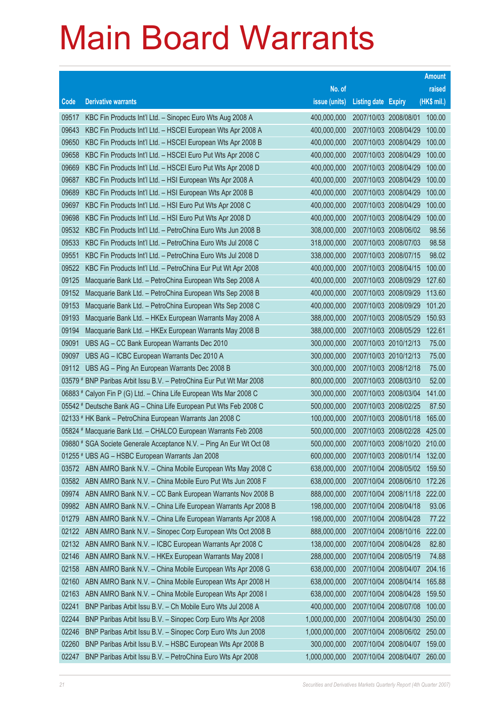|       |                                                                      |               |                            |                       | <b>Amount</b> |
|-------|----------------------------------------------------------------------|---------------|----------------------------|-----------------------|---------------|
|       |                                                                      | No. of        |                            |                       | raised        |
| Code  | <b>Derivative warrants</b>                                           | issue (units) | <b>Listing date Expiry</b> |                       | (HK\$ mil.)   |
| 09517 | KBC Fin Products Int'l Ltd. - Sinopec Euro Wts Aug 2008 A            | 400,000,000   | 2007/10/03 2008/08/01      |                       | 100.00        |
| 09643 | KBC Fin Products Int'l Ltd. - HSCEI European Wts Apr 2008 A          | 400,000,000   | 2007/10/03 2008/04/29      |                       | 100.00        |
| 09650 | KBC Fin Products Int'l Ltd. - HSCEI European Wts Apr 2008 B          | 400,000,000   | 2007/10/03 2008/04/29      |                       | 100.00        |
| 09658 | KBC Fin Products Int'l Ltd. - HSCEI Euro Put Wts Apr 2008 C          | 400,000,000   | 2007/10/03 2008/04/29      |                       | 100.00        |
| 09669 | KBC Fin Products Int'l Ltd. - HSCEI Euro Put Wts Apr 2008 D          | 400,000,000   | 2007/10/03 2008/04/29      |                       | 100.00        |
| 09687 | KBC Fin Products Int'l Ltd. - HSI European Wts Apr 2008 A            | 400,000,000   | 2007/10/03 2008/04/29      |                       | 100.00        |
| 09689 | KBC Fin Products Int'l Ltd. - HSI European Wts Apr 2008 B            | 400,000,000   | 2007/10/03 2008/04/29      |                       | 100.00        |
| 09697 | KBC Fin Products Int'l Ltd. - HSI Euro Put Wts Apr 2008 C            | 400,000,000   | 2007/10/03 2008/04/29      |                       | 100.00        |
| 09698 | KBC Fin Products Int'l Ltd. - HSI Euro Put Wts Apr 2008 D            | 400,000,000   | 2007/10/03 2008/04/29      |                       | 100.00        |
| 09532 | KBC Fin Products Int'l Ltd. - PetroChina Euro Wts Jun 2008 B         | 308,000,000   | 2007/10/03 2008/06/02      |                       | 98.56         |
| 09533 | KBC Fin Products Int'l Ltd. - PetroChina Euro Wts Jul 2008 C         | 318,000,000   | 2007/10/03 2008/07/03      |                       | 98.58         |
| 09551 | KBC Fin Products Int'l Ltd. - PetroChina Euro Wts Jul 2008 D         | 338,000,000   | 2007/10/03 2008/07/15      |                       | 98.02         |
| 09522 | KBC Fin Products Int'l Ltd. - PetroChina Eur Put Wt Apr 2008         | 400,000,000   | 2007/10/03 2008/04/15      |                       | 100.00        |
| 09125 | Macquarie Bank Ltd. - PetroChina European Wts Sep 2008 A             | 400,000,000   | 2007/10/03 2008/09/29      |                       | 127.60        |
| 09152 | Macquarie Bank Ltd. - PetroChina European Wts Sep 2008 B             | 400,000,000   | 2007/10/03 2008/09/29      |                       | 113.60        |
| 09153 | Macquarie Bank Ltd. - PetroChina European Wts Sep 2008 C             | 400,000,000   | 2007/10/03 2008/09/29      |                       | 101.20        |
| 09193 | Macquarie Bank Ltd. - HKEx European Warrants May 2008 A              | 388,000,000   | 2007/10/03 2008/05/29      |                       | 150.93        |
| 09194 | Macquarie Bank Ltd. - HKEx European Warrants May 2008 B              | 388,000,000   | 2007/10/03 2008/05/29      |                       | 122.61        |
| 09091 | UBS AG - CC Bank European Warrants Dec 2010                          | 300,000,000   | 2007/10/03 2010/12/13      |                       | 75.00         |
| 09097 | UBS AG - ICBC European Warrants Dec 2010 A                           | 300,000,000   | 2007/10/03 2010/12/13      |                       | 75.00         |
| 09112 | UBS AG - Ping An European Warrants Dec 2008 B                        | 300,000,000   | 2007/10/03 2008/12/18      |                       | 75.00         |
|       | 03579 # BNP Paribas Arbit Issu B.V. - PetroChina Eur Put Wt Mar 2008 | 800,000,000   | 2007/10/03 2008/03/10      |                       | 52.00         |
|       | 06883 # Calyon Fin P (G) Ltd. - China Life European Wts Mar 2008 C   | 300,000,000   | 2007/10/03 2008/03/04      |                       | 141.00        |
|       | 05542 # Deutsche Bank AG - China Life European Put Wts Feb 2008 C    | 500,000,000   | 2007/10/03 2008/02/25      |                       | 87.50         |
|       | 02133 # HK Bank - PetroChina European Warrants Jan 2008 C            | 100,000,000   | 2007/10/03 2008/01/18      |                       | 165.00        |
|       | 05824 # Macquarie Bank Ltd. - CHALCO European Warrants Feb 2008      | 500,000,000   |                            | 2007/10/03 2008/02/28 | 425.00        |
|       | 09880 # SGA Societe Generale Acceptance N.V. - Ping An Eur Wt Oct 08 | 500,000,000   |                            | 2007/10/03 2008/10/20 | 210.00        |
|       | 01255 # UBS AG - HSBC European Warrants Jan 2008                     | 600,000,000   |                            | 2007/10/03 2008/01/14 | 132.00        |
| 03572 | ABN AMRO Bank N.V. - China Mobile European Wts May 2008 C            | 638,000,000   | 2007/10/04 2008/05/02      |                       | 159.50        |
| 03582 | ABN AMRO Bank N.V. - China Mobile Euro Put Wts Jun 2008 F            | 638,000,000   | 2007/10/04 2008/06/10      |                       | 172.26        |
| 09974 | ABN AMRO Bank N.V. - CC Bank European Warrants Nov 2008 B            | 888,000,000   |                            | 2007/10/04 2008/11/18 | 222.00        |
| 09982 | ABN AMRO Bank N.V. - China Life European Warrants Apr 2008 B         | 198,000,000   | 2007/10/04 2008/04/18      |                       | 93.06         |
| 01279 | ABN AMRO Bank N.V. - China Life European Warrants Apr 2008 A         | 198,000,000   | 2007/10/04 2008/04/28      |                       | 77.22         |
| 02122 | ABN AMRO Bank N.V. - Sinopec Corp European Wts Oct 2008 B            | 888,000,000   | 2007/10/04 2008/10/16      |                       | 222.00        |
| 02132 | ABN AMRO Bank N.V. - ICBC European Warrants Apr 2008 C               | 138,000,000   | 2007/10/04 2008/04/28      |                       | 82.80         |
| 02146 | ABN AMRO Bank N.V. - HKEx European Warrants May 2008 I               | 288,000,000   | 2007/10/04 2008/05/19      |                       | 74.88         |
| 02158 | ABN AMRO Bank N.V. - China Mobile European Wts Apr 2008 G            | 638,000,000   | 2007/10/04 2008/04/07      |                       | 204.16        |
| 02160 | ABN AMRO Bank N.V. - China Mobile European Wts Apr 2008 H            | 638,000,000   | 2007/10/04 2008/04/14      |                       | 165.88        |
| 02163 | ABN AMRO Bank N.V. - China Mobile European Wts Apr 2008 I            | 638,000,000   | 2007/10/04 2008/04/28      |                       | 159.50        |
| 02241 | BNP Paribas Arbit Issu B.V. - Ch Mobile Euro Wts Jul 2008 A          | 400,000,000   | 2007/10/04 2008/07/08      |                       | 100.00        |
| 02244 | BNP Paribas Arbit Issu B.V. - Sinopec Corp Euro Wts Apr 2008         | 1,000,000,000 | 2007/10/04 2008/04/30      |                       | 250.00        |
| 02246 | BNP Paribas Arbit Issu B.V. - Sinopec Corp Euro Wts Jun 2008         | 1,000,000,000 |                            | 2007/10/04 2008/06/02 | 250.00        |
| 02260 | BNP Paribas Arbit Issu B.V. - HSBC European Wts Apr 2008 B           | 300,000,000   | 2007/10/04 2008/04/07      |                       | 159.00        |
| 02247 | BNP Paribas Arbit Issu B.V. - PetroChina Euro Wts Apr 2008           | 1,000,000,000 | 2007/10/04 2008/04/07      |                       | 260.00        |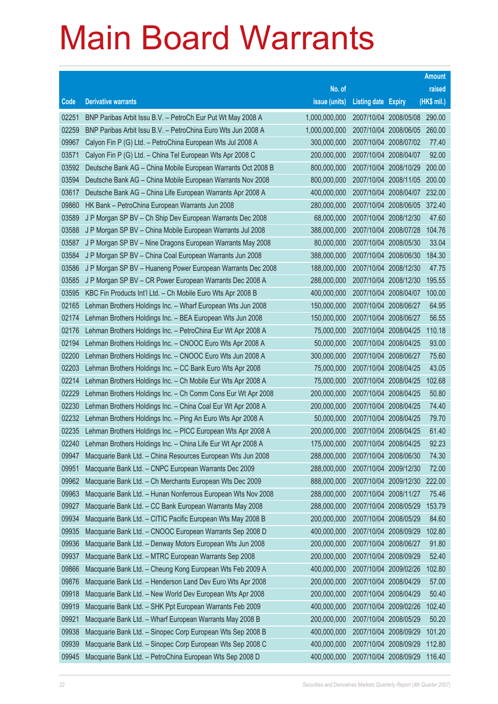|       |                                                              |               |                            |                              | <b>Amount</b> |
|-------|--------------------------------------------------------------|---------------|----------------------------|------------------------------|---------------|
|       |                                                              | No. of        |                            |                              | raised        |
| Code  | <b>Derivative warrants</b>                                   | issue (units) | <b>Listing date Expiry</b> |                              | (HK\$ mil.)   |
| 02251 | BNP Paribas Arbit Issu B.V. - PetroCh Eur Put Wt May 2008 A  | 1,000,000,000 |                            | 2007/10/04 2008/05/08 290.00 |               |
| 02259 | BNP Paribas Arbit Issu B.V. - PetroChina Euro Wts Jun 2008 A | 1,000,000,000 |                            | 2007/10/04 2008/06/05 260.00 |               |
| 09967 | Calyon Fin P (G) Ltd. - PetroChina European Wts Jul 2008 A   | 300,000,000   |                            | 2007/10/04 2008/07/02        | 77.40         |
| 03571 | Calyon Fin P (G) Ltd. - China Tel European Wts Apr 2008 C    | 200,000,000   |                            | 2007/10/04 2008/04/07        | 92.00         |
| 03592 | Deutsche Bank AG - China Mobile European Warrants Oct 2008 B | 800,000,000   |                            | 2007/10/04 2008/10/29        | 200.00        |
| 03594 | Deutsche Bank AG - China Mobile European Warrants Nov 2008   | 800,000,000   |                            | 2007/10/04 2008/11/05        | 200.00        |
| 03617 | Deutsche Bank AG - China Life European Warrants Apr 2008 A   | 400,000,000   |                            | 2007/10/04 2008/04/07        | 232.00        |
| 09860 | HK Bank - PetroChina European Warrants Jun 2008              | 280,000,000   |                            | 2007/10/04 2008/06/05        | 372.40        |
| 03589 | J P Morgan SP BV - Ch Ship Dev European Warrants Dec 2008    | 68,000,000    |                            | 2007/10/04 2008/12/30        | 47.60         |
| 03588 | J P Morgan SP BV - China Mobile European Warrants Jul 2008   | 388,000,000   |                            | 2007/10/04 2008/07/28        | 104.76        |
| 03587 | J P Morgan SP BV - Nine Dragons European Warrants May 2008   | 80,000,000    |                            | 2007/10/04 2008/05/30        | 33.04         |
| 03584 | J P Morgan SP BV - China Coal European Warrants Jun 2008     | 388,000,000   |                            | 2007/10/04 2008/06/30        | 184.30        |
| 03586 | J P Morgan SP BV - Huaneng Power European Warrants Dec 2008  | 188,000,000   |                            | 2007/10/04 2008/12/30        | 47.75         |
| 03585 | J P Morgan SP BV - CR Power European Warrants Dec 2008 A     | 288,000,000   |                            | 2007/10/04 2008/12/30        | 195.55        |
| 03595 | KBC Fin Products Int'l Ltd. - Ch Mobile Euro Wts Apr 2008 B  | 400,000,000   |                            | 2007/10/04 2008/04/07        | 100.00        |
| 02165 | Lehman Brothers Holdings Inc. - Wharf European Wts Jun 2008  | 150,000,000   |                            | 2007/10/04 2008/06/27        | 64.95         |
| 02174 | Lehman Brothers Holdings Inc. - BEA European Wts Jun 2008    | 150,000,000   |                            | 2007/10/04 2008/06/27        | 56.55         |
| 02176 | Lehman Brothers Holdings Inc. - PetroChina Eur Wt Apr 2008 A | 75,000,000    |                            | 2007/10/04 2008/04/25        | 110.18        |
| 02194 | Lehman Brothers Holdings Inc. - CNOOC Euro Wts Apr 2008 A    | 50,000,000    |                            | 2007/10/04 2008/04/25        | 93.00         |
| 02200 | Lehman Brothers Holdings Inc. - CNOOC Euro Wts Jun 2008 A    | 300,000,000   |                            | 2007/10/04 2008/06/27        | 75.60         |
| 02203 | Lehman Brothers Holdings Inc. - CC Bank Euro Wts Apr 2008    | 75,000,000    |                            | 2007/10/04 2008/04/25        | 43.05         |
| 02214 | Lehman Brothers Holdings Inc. - Ch Mobile Eur Wts Apr 2008 A | 75,000,000    |                            | 2007/10/04 2008/04/25        | 102.68        |
| 02229 | Lehman Brothers Holdings Inc. - Ch Comm Cons Eur Wt Apr 2008 | 200,000,000   |                            | 2007/10/04 2008/04/25        | 50.80         |
| 02230 | Lehman Brothers Holdings Inc. - China Coal Eur Wt Apr 2008 A | 200,000,000   |                            | 2007/10/04 2008/04/25        | 74.40         |
| 02232 | Lehman Brothers Holdings Inc. - Ping An Euro Wts Apr 2008 A  | 50,000,000    |                            | 2007/10/04 2008/04/25        | 79.70         |
| 02235 | Lehman Brothers Holdings Inc. - PICC European Wts Apr 2008 A | 200,000,000   |                            | 2007/10/04 2008/04/25        | 61.40         |
| 02240 | Lehman Brothers Holdings Inc. - China Life Eur Wt Apr 2008 A | 175,000,000   |                            | 2007/10/04 2008/04/25        | 92.23         |
| 09947 | Macquarie Bank Ltd. - China Resources European Wts Jun 2008  | 288,000,000   | 2007/10/04 2008/06/30      |                              | 74.30         |
| 09951 | Macquarie Bank Ltd. - CNPC European Warrants Dec 2009        | 288,000,000   |                            | 2007/10/04 2009/12/30        | 72.00         |
| 09962 | Macquarie Bank Ltd. - Ch Merchants European Wts Dec 2009     | 888,000,000   |                            | 2007/10/04 2009/12/30        | 222.00        |
| 09963 | Macquarie Bank Ltd. - Hunan Nonferrous European Wts Nov 2008 | 288,000,000   | 2007/10/04 2008/11/27      |                              | 75.46         |
| 09927 | Macquarie Bank Ltd. - CC Bank European Warrants May 2008     | 288,000,000   |                            | 2007/10/04 2008/05/29        | 153.79        |
| 09934 | Macquarie Bank Ltd. - CITIC Pacific European Wts May 2008 B  | 200,000,000   |                            | 2007/10/04 2008/05/29        | 84.60         |
| 09935 | Macquarie Bank Ltd. - CNOOC European Warrants Sep 2008 D     | 400,000,000   |                            | 2007/10/04 2008/09/29        | 102.80        |
| 09936 | Macquarie Bank Ltd. - Denway Motors European Wts Jun 2008    | 200,000,000   | 2007/10/04 2008/06/27      |                              | 91.80         |
| 09937 | Macquarie Bank Ltd. - MTRC European Warrants Sep 2008        | 200,000,000   |                            | 2007/10/04 2008/09/29        | 52.40         |
| 09866 | Macquarie Bank Ltd. - Cheung Kong European Wts Feb 2009 A    | 400,000,000   |                            | 2007/10/04 2009/02/26        | 102.80        |
| 09876 | Macquarie Bank Ltd. - Henderson Land Dev Euro Wts Apr 2008   | 200,000,000   |                            | 2007/10/04 2008/04/29        | 57.00         |
| 09918 | Macquarie Bank Ltd. - New World Dev European Wts Apr 2008    | 200,000,000   |                            | 2007/10/04 2008/04/29        | 50.40         |
| 09919 | Macquarie Bank Ltd. - SHK Ppt European Warrants Feb 2009     | 400,000,000   |                            | 2007/10/04 2009/02/26        | 102.40        |
| 09921 | Macquarie Bank Ltd. - Wharf European Warrants May 2008 B     | 200,000,000   |                            | 2007/10/04 2008/05/29        | 50.20         |
| 09938 | Macquarie Bank Ltd. - Sinopec Corp European Wts Sep 2008 B   | 400,000,000   |                            | 2007/10/04 2008/09/29        | 101.20        |
| 09939 | Macquarie Bank Ltd. - Sinopec Corp European Wts Sep 2008 C   | 400,000,000   |                            | 2007/10/04 2008/09/29        | 112.80        |
| 09945 | Macquarie Bank Ltd. - PetroChina European Wts Sep 2008 D     | 400,000,000   |                            | 2007/10/04 2008/09/29        | 116.40        |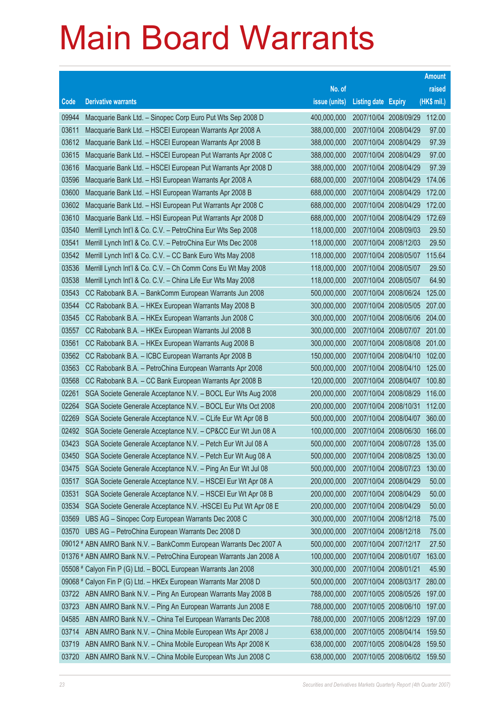|       |                                                                      |               |                            |                       | <b>Amount</b> |
|-------|----------------------------------------------------------------------|---------------|----------------------------|-----------------------|---------------|
|       |                                                                      | No. of        |                            |                       | raised        |
| Code  | <b>Derivative warrants</b>                                           | issue (units) | <b>Listing date Expiry</b> |                       | (HK\$ mil.)   |
| 09944 | Macquarie Bank Ltd. - Sinopec Corp Euro Put Wts Sep 2008 D           | 400,000,000   |                            | 2007/10/04 2008/09/29 | 112.00        |
| 03611 | Macquarie Bank Ltd. - HSCEI European Warrants Apr 2008 A             | 388,000,000   | 2007/10/04 2008/04/29      |                       | 97.00         |
| 03612 | Macquarie Bank Ltd. - HSCEI European Warrants Apr 2008 B             | 388,000,000   | 2007/10/04 2008/04/29      |                       | 97.39         |
| 03615 | Macquarie Bank Ltd. - HSCEI European Put Warrants Apr 2008 C         | 388,000,000   | 2007/10/04 2008/04/29      |                       | 97.00         |
| 03616 | Macquarie Bank Ltd. - HSCEI European Put Warrants Apr 2008 D         | 388,000,000   | 2007/10/04 2008/04/29      |                       | 97.39         |
| 03596 | Macquarie Bank Ltd. - HSI European Warrants Apr 2008 A               | 688,000,000   |                            | 2007/10/04 2008/04/29 | 174.06        |
| 03600 | Macquarie Bank Ltd. - HSI European Warrants Apr 2008 B               | 688,000,000   | 2007/10/04 2008/04/29      |                       | 172.00        |
| 03602 | Macquarie Bank Ltd. - HSI European Put Warrants Apr 2008 C           | 688,000,000   | 2007/10/04 2008/04/29      |                       | 172.00        |
| 03610 | Macquarie Bank Ltd. - HSI European Put Warrants Apr 2008 D           | 688,000,000   |                            | 2007/10/04 2008/04/29 | 172.69        |
| 03540 | Merrill Lynch Int'l & Co. C.V. - PetroChina Eur Wts Sep 2008         | 118,000,000   |                            | 2007/10/04 2008/09/03 | 29.50         |
| 03541 | Merrill Lynch Int'l & Co. C.V. - PetroChina Eur Wts Dec 2008         | 118,000,000   | 2007/10/04 2008/12/03      |                       | 29.50         |
| 03542 | Merrill Lynch Int'l & Co. C.V. - CC Bank Euro Wts May 2008           | 118,000,000   |                            | 2007/10/04 2008/05/07 | 115.64        |
| 03536 | Merrill Lynch Int'l & Co. C.V. - Ch Comm Cons Eu Wt May 2008         | 118,000,000   | 2007/10/04 2008/05/07      |                       | 29.50         |
| 03538 | Merrill Lynch Int'l & Co. C.V. - China Life Eur Wts May 2008         | 118,000,000   | 2007/10/04 2008/05/07      |                       | 64.90         |
| 03543 | CC Rabobank B.A. - BankComm European Warrants Jun 2008               | 500,000,000   | 2007/10/04 2008/06/24      |                       | 125.00        |
| 03544 | CC Rabobank B.A. - HKEx European Warrants May 2008 B                 | 300,000,000   |                            | 2007/10/04 2008/05/05 | 207.00        |
| 03545 | CC Rabobank B.A. - HKEx European Warrants Jun 2008 C                 | 300,000,000   |                            | 2007/10/04 2008/06/06 | 204.00        |
| 03557 | CC Rabobank B.A. - HKEx European Warrants Jul 2008 B                 | 300,000,000   |                            | 2007/10/04 2008/07/07 | 201.00        |
| 03561 | CC Rabobank B.A. - HKEx European Warrants Aug 2008 B                 | 300,000,000   |                            | 2007/10/04 2008/08/08 | 201.00        |
| 03562 | CC Rabobank B.A. - ICBC European Warrants Apr 2008 B                 | 150,000,000   |                            | 2007/10/04 2008/04/10 | 102.00        |
| 03563 | CC Rabobank B.A. - PetroChina European Warrants Apr 2008             | 500,000,000   |                            | 2007/10/04 2008/04/10 | 125.00        |
| 03568 | CC Rabobank B.A. - CC Bank European Warrants Apr 2008 B              | 120,000,000   |                            | 2007/10/04 2008/04/07 | 100.80        |
| 02261 | SGA Societe Generale Acceptance N.V. - BOCL Eur Wts Aug 2008         | 200,000,000   | 2007/10/04 2008/08/29      |                       | 116.00        |
| 02264 | SGA Societe Generale Acceptance N.V. - BOCL Eur Wts Oct 2008         | 200,000,000   | 2007/10/04 2008/10/31      |                       | 112.00        |
| 02269 | SGA Societe Generale Acceptance N.V. - CLife Eur Wt Apr 08 B         | 500,000,000   |                            | 2007/10/04 2008/04/07 | 360.00        |
| 02492 | SGA Societe Generale Acceptance N.V. - CP&CC Eur Wt Jun 08 A         | 100,000,000   |                            | 2007/10/04 2008/06/30 | 166.00        |
| 03423 | SGA Societe Generale Acceptance N.V. - Petch Eur Wt Jul 08 A         | 500,000,000   |                            | 2007/10/04 2008/07/28 | 135.00        |
| 03450 | SGA Societe Generale Acceptance N.V. - Petch Eur Wt Aug 08 A         | 500,000,000   |                            | 2007/10/04 2008/08/25 | 130.00        |
| 03475 | SGA Societe Generale Acceptance N.V. - Ping An Eur Wt Jul 08         | 500,000,000   | 2007/10/04 2008/07/23      |                       | 130.00        |
| 03517 | SGA Societe Generale Acceptance N.V. - HSCEI Eur Wt Apr 08 A         | 200,000,000   | 2007/10/04 2008/04/29      |                       | 50.00         |
| 03531 | SGA Societe Generale Acceptance N.V. - HSCEI Eur Wt Apr 08 B         | 200,000,000   | 2007/10/04 2008/04/29      |                       | 50.00         |
| 03534 | SGA Societe Generale Acceptance N.V. - HSCEI Eu Put Wt Apr 08 E      | 200,000,000   | 2007/10/04 2008/04/29      |                       | 50.00         |
| 03569 | UBS AG - Sinopec Corp European Warrants Dec 2008 C                   | 300,000,000   | 2007/10/04 2008/12/18      |                       | 75.00         |
| 03570 | UBS AG - PetroChina European Warrants Dec 2008 D                     | 300,000,000   | 2007/10/04 2008/12/18      |                       | 75.00         |
|       | 09012 # ABN AMRO Bank N.V. - BankComm European Warrants Dec 2007 A   | 500,000,000   | 2007/10/04 2007/12/17      |                       | 27.50         |
|       | 01376 # ABN AMRO Bank N.V. - PetroChina European Warrants Jan 2008 A | 100,000,000   |                            | 2007/10/04 2008/01/07 | 163.00        |
|       | 05508 # Calyon Fin P (G) Ltd. - BOCL European Warrants Jan 2008      | 300,000,000   | 2007/10/04 2008/01/21      |                       | 45.90         |
|       | 09068 # Calyon Fin P (G) Ltd. - HKEx European Warrants Mar 2008 D    | 500,000,000   |                            | 2007/10/04 2008/03/17 | 280.00        |
| 03722 | ABN AMRO Bank N.V. - Ping An European Warrants May 2008 B            | 788,000,000   |                            | 2007/10/05 2008/05/26 | 197.00        |
| 03723 | ABN AMRO Bank N.V. - Ping An European Warrants Jun 2008 E            | 788,000,000   |                            | 2007/10/05 2008/06/10 | 197.00        |
| 04585 | ABN AMRO Bank N.V. - China Tel European Warrants Dec 2008            | 788,000,000   | 2007/10/05 2008/12/29      |                       | 197.00        |
| 03714 | ABN AMRO Bank N.V. - China Mobile European Wts Apr 2008 J            | 638,000,000   |                            | 2007/10/05 2008/04/14 | 159.50        |
| 03719 | ABN AMRO Bank N.V. - China Mobile European Wts Apr 2008 K            | 638,000,000   |                            | 2007/10/05 2008/04/28 | 159.50        |
| 03720 | ABN AMRO Bank N.V. - China Mobile European Wts Jun 2008 C            | 638,000,000   |                            | 2007/10/05 2008/06/02 | 159.50        |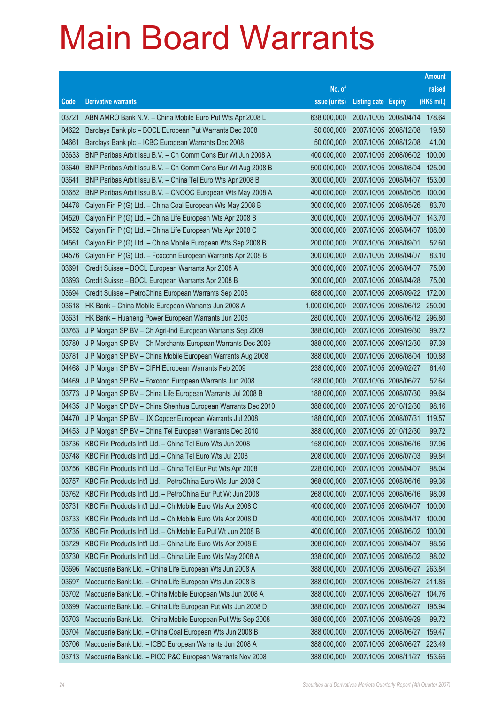|       |                                                              |               |                            |                              | <b>Amount</b> |
|-------|--------------------------------------------------------------|---------------|----------------------------|------------------------------|---------------|
|       |                                                              | No. of        |                            |                              | raised        |
| Code  | <b>Derivative warrants</b>                                   | issue (units) | <b>Listing date Expiry</b> |                              | (HK\$ mil.)   |
| 03721 | ABN AMRO Bank N.V. - China Mobile Euro Put Wts Apr 2008 L    | 638,000,000   | 2007/10/05 2008/04/14      |                              | 178.64        |
| 04622 | Barclays Bank plc - BOCL European Put Warrants Dec 2008      | 50,000,000    | 2007/10/05 2008/12/08      |                              | 19.50         |
| 04661 | Barclays Bank plc - ICBC European Warrants Dec 2008          | 50,000,000    | 2007/10/05 2008/12/08      |                              | 41.00         |
| 03633 | BNP Paribas Arbit Issu B.V. - Ch Comm Cons Eur Wt Jun 2008 A | 400,000,000   | 2007/10/05 2008/06/02      |                              | 100.00        |
| 03640 | BNP Paribas Arbit Issu B.V. - Ch Comm Cons Eur Wt Aug 2008 B | 500,000,000   | 2007/10/05 2008/08/04      |                              | 125.00        |
| 03641 | BNP Paribas Arbit Issu B.V. - China Tel Euro Wts Apr 2008 B  | 300,000,000   | 2007/10/05 2008/04/07      |                              | 153.00        |
| 03652 | BNP Paribas Arbit Issu B.V. - CNOOC European Wts May 2008 A  | 400,000,000   | 2007/10/05 2008/05/05      |                              | 100.00        |
| 04478 | Calyon Fin P (G) Ltd. - China Coal European Wts May 2008 B   | 300,000,000   | 2007/10/05 2008/05/26      |                              | 83.70         |
| 04520 | Calyon Fin P (G) Ltd. - China Life European Wts Apr 2008 B   | 300,000,000   | 2007/10/05 2008/04/07      |                              | 143.70        |
| 04552 | Calyon Fin P (G) Ltd. - China Life European Wts Apr 2008 C   | 300,000,000   | 2007/10/05 2008/04/07      |                              | 108.00        |
| 04561 | Calyon Fin P (G) Ltd. - China Mobile European Wts Sep 2008 B | 200,000,000   | 2007/10/05 2008/09/01      |                              | 52.60         |
| 04576 | Calyon Fin P (G) Ltd. - Foxconn European Warrants Apr 2008 B | 300,000,000   | 2007/10/05 2008/04/07      |                              | 83.10         |
| 03691 | Credit Suisse - BOCL European Warrants Apr 2008 A            | 300,000,000   | 2007/10/05 2008/04/07      |                              | 75.00         |
| 03693 | Credit Suisse - BOCL European Warrants Apr 2008 B            | 300,000,000   | 2007/10/05 2008/04/28      |                              | 75.00         |
| 03694 | Credit Suisse - PetroChina European Warrants Sep 2008        | 688,000,000   | 2007/10/05 2008/09/22      |                              | 172.00        |
| 03618 | HK Bank - China Mobile European Warrants Jun 2008 A          | 1,000,000,000 |                            | 2007/10/05 2008/06/12        | 250.00        |
| 03631 | HK Bank - Huaneng Power European Warrants Jun 2008           | 280,000,000   |                            | 2007/10/05 2008/06/12 296.80 |               |
| 03763 | J P Morgan SP BV - Ch Agri-Ind European Warrants Sep 2009    | 388,000,000   | 2007/10/05 2009/09/30      |                              | 99.72         |
| 03780 | J P Morgan SP BV - Ch Merchants European Warrants Dec 2009   | 388,000,000   | 2007/10/05 2009/12/30      |                              | 97.39         |
| 03781 | J P Morgan SP BV - China Mobile European Warrants Aug 2008   | 388,000,000   | 2007/10/05 2008/08/04      |                              | 100.88        |
| 04468 | J P Morgan SP BV - CIFH European Warrants Feb 2009           | 238,000,000   | 2007/10/05 2009/02/27      |                              | 61.40         |
| 04469 | J P Morgan SP BV - Foxconn European Warrants Jun 2008        | 188,000,000   | 2007/10/05 2008/06/27      |                              | 52.64         |
| 03773 | J P Morgan SP BV - China Life European Warrants Jul 2008 B   | 188,000,000   | 2007/10/05 2008/07/30      |                              | 99.64         |
| 04435 | J P Morgan SP BV - China Shenhua European Warrants Dec 2010  | 388,000,000   | 2007/10/05 2010/12/30      |                              | 98.16         |
| 04470 | J P Morgan SP BV - JX Copper European Warrants Jul 2008      | 188,000,000   | 2007/10/05 2008/07/31      |                              | 119.57        |
| 04453 | J P Morgan SP BV - China Tel European Warrants Dec 2010      | 388,000,000   | 2007/10/05 2010/12/30      |                              | 99.72         |
| 03736 | KBC Fin Products Int'l Ltd. - China Tel Euro Wts Jun 2008    | 158,000,000   | 2007/10/05 2008/06/16      |                              | 97.96         |
| 03748 | KBC Fin Products Int'l Ltd. - China Tel Euro Wts Jul 2008    | 208,000,000   | 2007/10/05 2008/07/03      |                              | 99.84         |
| 03756 | KBC Fin Products Int'l Ltd. - China Tel Eur Put Wts Apr 2008 | 228,000,000   | 2007/10/05 2008/04/07      |                              | 98.04         |
| 03757 | KBC Fin Products Int'l Ltd. - PetroChina Euro Wts Jun 2008 C | 368,000,000   | 2007/10/05 2008/06/16      |                              | 99.36         |
| 03762 | KBC Fin Products Int'l Ltd. - PetroChina Eur Put Wt Jun 2008 | 268,000,000   | 2007/10/05 2008/06/16      |                              | 98.09         |
| 03731 | KBC Fin Products Int'l Ltd. - Ch Mobile Euro Wts Apr 2008 C  | 400,000,000   | 2007/10/05 2008/04/07      |                              | 100.00        |
| 03733 | KBC Fin Products Int'l Ltd. - Ch Mobile Euro Wts Apr 2008 D  | 400,000,000   | 2007/10/05 2008/04/17      |                              | 100.00        |
| 03735 | KBC Fin Products Int'l Ltd. - Ch Mobile Eu Put Wt Jun 2008 B | 400,000,000   | 2007/10/05 2008/06/02      |                              | 100.00        |
| 03729 | KBC Fin Products Int'l Ltd. - China Life Euro Wts Apr 2008 E | 308,000,000   | 2007/10/05 2008/04/07      |                              | 98.56         |
| 03730 | KBC Fin Products Int'l Ltd. - China Life Euro Wts May 2008 A | 338,000,000   | 2007/10/05 2008/05/02      |                              | 98.02         |
| 03696 | Macquarie Bank Ltd. - China Life European Wts Jun 2008 A     | 388,000,000   | 2007/10/05 2008/06/27      |                              | 263.84        |
| 03697 | Macquarie Bank Ltd. - China Life European Wts Jun 2008 B     | 388,000,000   | 2007/10/05 2008/06/27      |                              | 211.85        |
| 03702 | Macquarie Bank Ltd. - China Mobile European Wts Jun 2008 A   | 388,000,000   | 2007/10/05 2008/06/27      |                              | 104.76        |
| 03699 | Macquarie Bank Ltd. - China Life European Put Wts Jun 2008 D | 388,000,000   | 2007/10/05 2008/06/27      |                              | 195.94        |
| 03703 | Macquarie Bank Ltd. - China Mobile European Put Wts Sep 2008 | 388,000,000   | 2007/10/05 2008/09/29      |                              | 99.72         |
| 03704 | Macquarie Bank Ltd. - China Coal European Wts Jun 2008 B     | 388,000,000   | 2007/10/05 2008/06/27      |                              | 159.47        |
| 03706 | Macquarie Bank Ltd. - ICBC European Warrants Jun 2008 A      | 388,000,000   |                            | 2007/10/05 2008/06/27        | 223.49        |
| 03713 | Macquarie Bank Ltd. - PICC P&C European Warrants Nov 2008    | 388,000,000   | 2007/10/05 2008/11/27      |                              | 153.65        |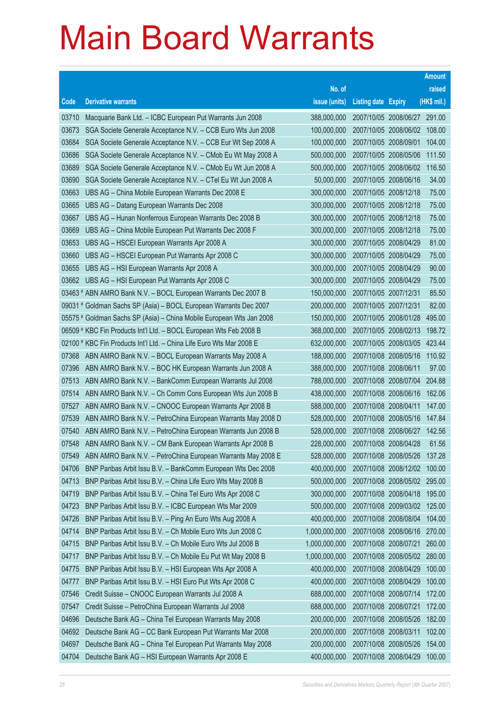|       |                                                                      |               |                            |                              | <b>Amount</b> |
|-------|----------------------------------------------------------------------|---------------|----------------------------|------------------------------|---------------|
|       |                                                                      | No. of        |                            |                              | raised        |
| Code  | <b>Derivative warrants</b>                                           | issue (units) | <b>Listing date Expiry</b> |                              | (HK\$ mil.)   |
| 03710 | Macquarie Bank Ltd. - ICBC European Put Warrants Jun 2008            | 388,000,000   |                            | 2007/10/05 2008/06/27 291.00 |               |
| 03673 | SGA Societe Generale Acceptance N.V. - CCB Euro Wts Jun 2008         | 100,000,000   |                            | 2007/10/05 2008/06/02        | 108.00        |
| 03684 | SGA Societe Generale Acceptance N.V. - CCB Eur Wt Sep 2008 A         | 100,000,000   | 2007/10/05 2008/09/01      |                              | 104.00        |
| 03686 | SGA Societe Generale Acceptance N.V. - CMob Eu Wt May 2008 A         | 500,000,000   | 2007/10/05 2008/05/06      |                              | 111.50        |
| 03689 | SGA Societe Generale Acceptance N.V. - CMob Eu Wt Jun 2008 A         | 500,000,000   |                            | 2007/10/05 2008/06/02        | 116.50        |
| 03690 | SGA Societe Generale Acceptance N.V. - CTel Eu Wt Jun 2008 A         | 50,000,000    | 2007/10/05 2008/06/16      |                              | 34.00         |
| 03663 | UBS AG - China Mobile European Warrants Dec 2008 E                   | 300,000,000   | 2007/10/05 2008/12/18      |                              | 75.00         |
| 03665 | UBS AG - Datang European Warrants Dec 2008                           | 300,000,000   | 2007/10/05 2008/12/18      |                              | 75.00         |
| 03667 | UBS AG - Hunan Nonferrous European Warrants Dec 2008 B               | 300,000,000   | 2007/10/05 2008/12/18      |                              | 75.00         |
| 03669 | UBS AG - China Mobile European Put Warrants Dec 2008 F               | 300,000,000   | 2007/10/05 2008/12/18      |                              | 75.00         |
| 03653 | UBS AG - HSCEI European Warrants Apr 2008 A                          | 300,000,000   | 2007/10/05 2008/04/29      |                              | 81.00         |
| 03660 | UBS AG - HSCEI European Put Warrants Apr 2008 C                      | 300,000,000   | 2007/10/05 2008/04/29      |                              | 75.00         |
| 03655 | UBS AG - HSI European Warrants Apr 2008 A                            | 300,000,000   | 2007/10/05 2008/04/29      |                              | 90.00         |
| 03662 | UBS AG - HSI European Put Warrants Apr 2008 C                        | 300,000,000   | 2007/10/05 2008/04/29      |                              | 75.00         |
|       | 03463 # ABN AMRO Bank N.V. - BOCL European Warrants Dec 2007 B       | 150,000,000   | 2007/10/05 2007/12/31      |                              | 85.50         |
|       | 09031 # Goldman Sachs SP (Asia) - BOCL European Warrants Dec 2007    | 200,000,000   | 2007/10/05 2007/12/31      |                              | 82.00         |
|       | 05575 # Goldman Sachs SP (Asia) - China Mobile European Wts Jan 2008 | 150,000,000   |                            | 2007/10/05 2008/01/28        | 495.00        |
|       | 06509 # KBC Fin Products Int'l Ltd. - BOCL European Wts Feb 2008 B   | 368,000,000   | 2007/10/05 2008/02/13      |                              | 198.72        |
|       | 02100 # KBC Fin Products Int'l Ltd. - China Life Euro Wts Mar 2008 E | 632,000,000   |                            | 2007/10/05 2008/03/05        | 423.44        |
| 07368 | ABN AMRO Bank N.V. - BOCL European Warrants May 2008 A               | 188,000,000   |                            | 2007/10/08 2008/05/16        | 110.92        |
| 07396 | ABN AMRO Bank N.V. - BOC HK European Warrants Jun 2008 A             | 388,000,000   | 2007/10/08 2008/06/11      |                              | 97.00         |
| 07513 | ABN AMRO Bank N.V. - BankComm European Warrants Jul 2008             | 788,000,000   | 2007/10/08 2008/07/04      |                              | 204.88        |
| 07514 | ABN AMRO Bank N.V. - Ch Comm Cons European Wts Jun 2008 B            | 438,000,000   | 2007/10/08 2008/06/16      |                              | 162.06        |
| 07527 | ABN AMRO Bank N.V. - CNOOC European Warrants Apr 2008 B              | 588,000,000   | 2007/10/08 2008/04/11      |                              | 147.00        |
| 07539 | ABN AMRO Bank N.V. - PetroChina European Warrants May 2008 D         | 528,000,000   | 2007/10/08 2008/05/16      |                              | 147.84        |
| 07540 | ABN AMRO Bank N.V. - PetroChina European Warrants Jun 2008 B         | 528,000,000   | 2007/10/08 2008/06/27      |                              | 142.56        |
| 07548 | ABN AMRO Bank N.V. - CM Bank European Warrants Apr 2008 B            | 228,000,000   | 2007/10/08 2008/04/28      |                              | 61.56         |
| 07549 | ABN AMRO Bank N.V. - PetroChina European Warrants May 2008 E         | 528,000,000   | 2007/10/08 2008/05/26      |                              | 137.28        |
| 04706 | BNP Paribas Arbit Issu B.V. - BankComm European Wts Dec 2008         | 400,000,000   |                            | 2007/10/08 2008/12/02        | 100.00        |
| 04713 | BNP Paribas Arbit Issu B.V. - China Life Euro Wts May 2008 B         | 500,000,000   |                            | 2007/10/08 2008/05/02        | 295.00        |
| 04719 | BNP Paribas Arbit Issu B.V. - China Tel Euro Wts Apr 2008 C          | 300,000,000   | 2007/10/08 2008/04/18      |                              | 195.00        |
| 04723 | BNP Paribas Arbit Issu B.V. - ICBC European Wts Mar 2009             | 500,000,000   |                            | 2007/10/08 2009/03/02        | 125.00        |
| 04726 | BNP Paribas Arbit Issu B.V. - Ping An Euro Wts Aug 2008 A            | 400,000,000   | 2007/10/08 2008/08/04      |                              | 104.00        |
| 04714 | BNP Paribas Arbit Issu B.V. - Ch Mobile Euro Wts Jun 2008 C          | 1,000,000,000 | 2007/10/08 2008/06/16      |                              | 270.00        |
| 04715 | BNP Paribas Arbit Issu B.V. - Ch Mobile Euro Wts Jul 2008 B          | 1,000,000,000 | 2007/10/08 2008/07/21      |                              | 260.00        |
| 04717 | BNP Paribas Arbit Issu B.V. - Ch Mobile Eu Put Wt May 2008 B         | 1,000,000,000 |                            | 2007/10/08 2008/05/02        | 280.00        |
| 04775 | BNP Paribas Arbit Issu B.V. - HSI European Wts Apr 2008 A            | 400,000,000   | 2007/10/08 2008/04/29      |                              | 100.00        |
| 04777 | BNP Paribas Arbit Issu B.V. - HSI Euro Put Wts Apr 2008 C            | 400,000,000   | 2007/10/08 2008/04/29      |                              | 100.00        |
| 07546 | Credit Suisse - CNOOC European Warrants Jul 2008 A                   | 688,000,000   | 2007/10/08 2008/07/14      |                              | 172.00        |
| 07547 | Credit Suisse - PetroChina European Warrants Jul 2008                | 688,000,000   | 2007/10/08 2008/07/21      |                              | 172.00        |
| 04696 | Deutsche Bank AG - China Tel European Warrants May 2008              | 200,000,000   | 2007/10/08 2008/05/26      |                              | 182.00        |
| 04692 | Deutsche Bank AG - CC Bank European Put Warrants Mar 2008            | 200,000,000   | 2007/10/08 2008/03/11      |                              | 102.00        |
| 04697 | Deutsche Bank AG - China Tel European Put Warrants May 2008          | 200,000,000   | 2007/10/08 2008/05/26      |                              | 154.00        |
| 04704 | Deutsche Bank AG - HSI European Warrants Apr 2008 E                  | 400,000,000   | 2007/10/08 2008/04/29      |                              | 100.00        |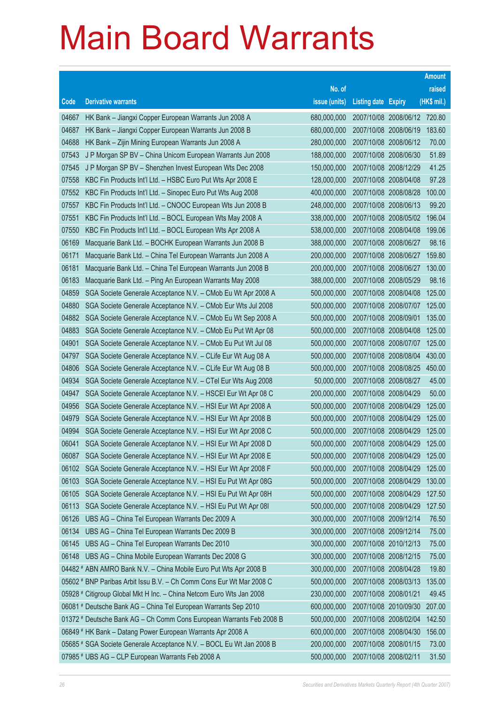|       |                                                                      |               |                              |                       | <b>Amount</b> |
|-------|----------------------------------------------------------------------|---------------|------------------------------|-----------------------|---------------|
|       |                                                                      | No. of        |                              |                       | raised        |
| Code  | <b>Derivative warrants</b>                                           | issue (units) | <b>Listing date Expiry</b>   |                       | (HK\$ mil.)   |
| 04667 | HK Bank - Jiangxi Copper European Warrants Jun 2008 A                | 680,000,000   | 2007/10/08 2008/06/12 720.80 |                       |               |
| 04687 | HK Bank - Jiangxi Copper European Warrants Jun 2008 B                | 680,000,000   |                              | 2007/10/08 2008/06/19 | 183.60        |
| 04688 | HK Bank - Zijin Mining European Warrants Jun 2008 A                  | 280,000,000   |                              | 2007/10/08 2008/06/12 | 70.00         |
| 07543 | J P Morgan SP BV - China Unicom European Warrants Jun 2008           | 188,000,000   | 2007/10/08 2008/06/30        |                       | 51.89         |
| 07545 | J P Morgan SP BV - Shenzhen Invest European Wts Dec 2008             | 150,000,000   |                              | 2007/10/08 2008/12/29 | 41.25         |
| 07558 | KBC Fin Products Int'l Ltd. - HSBC Euro Put Wts Apr 2008 E           | 128,000,000   |                              | 2007/10/08 2008/04/08 | 97.28         |
| 07552 | KBC Fin Products Int'l Ltd. - Sinopec Euro Put Wts Aug 2008          | 400,000,000   |                              | 2007/10/08 2008/08/28 | 100.00        |
| 07557 | KBC Fin Products Int'l Ltd. - CNOOC European Wts Jun 2008 B          | 248,000,000   | 2007/10/08 2008/06/13        |                       | 99.20         |
| 07551 | KBC Fin Products Int'l Ltd. - BOCL European Wts May 2008 A           | 338,000,000   |                              | 2007/10/08 2008/05/02 | 196.04        |
| 07550 | KBC Fin Products Int'l Ltd. - BOCL European Wts Apr 2008 A           | 538,000,000   |                              | 2007/10/08 2008/04/08 | 199.06        |
| 06169 | Macquarie Bank Ltd. - BOCHK European Warrants Jun 2008 B             | 388,000,000   | 2007/10/08 2008/06/27        |                       | 98.16         |
| 06171 | Macquarie Bank Ltd. - China Tel European Warrants Jun 2008 A         | 200,000,000   | 2007/10/08 2008/06/27        |                       | 159.80        |
| 06181 | Macquarie Bank Ltd. - China Tel European Warrants Jun 2008 B         | 200,000,000   |                              | 2007/10/08 2008/06/27 | 130.00        |
| 06183 | Macquarie Bank Ltd. - Ping An European Warrants May 2008             | 388,000,000   |                              | 2007/10/08 2008/05/29 | 98.16         |
| 04859 | SGA Societe Generale Acceptance N.V. - CMob Eu Wt Apr 2008 A         | 500,000,000   |                              | 2007/10/08 2008/04/08 | 125.00        |
| 04880 | SGA Societe Generale Acceptance N.V. - CMob Eur Wts Jul 2008         | 500,000,000   | 2007/10/08 2008/07/07        |                       | 125.00        |
| 04882 | SGA Societe Generale Acceptance N.V. - CMob Eu Wt Sep 2008 A         | 500,000,000   | 2007/10/08 2008/09/01        |                       | 135.00        |
| 04883 | SGA Societe Generale Acceptance N.V. - CMob Eu Put Wt Apr 08         | 500,000,000   |                              | 2007/10/08 2008/04/08 | 125.00        |
| 04901 | SGA Societe Generale Acceptance N.V. - CMob Eu Put Wt Jul 08         | 500,000,000   |                              | 2007/10/08 2008/07/07 | 125.00        |
| 04797 | SGA Societe Generale Acceptance N.V. - CLife Eur Wt Aug 08 A         | 500,000,000   | 2007/10/08 2008/08/04        |                       | 430.00        |
| 04806 | SGA Societe Generale Acceptance N.V. - CLife Eur Wt Aug 08 B         | 500,000,000   |                              | 2007/10/08 2008/08/25 | 450.00        |
| 04934 | SGA Societe Generale Acceptance N.V. - CTel Eur Wts Aug 2008         | 50,000,000    |                              | 2007/10/08 2008/08/27 | 45.00         |
| 04947 | SGA Societe Generale Acceptance N.V. - HSCEI Eur Wt Apr 08 C         | 200,000,000   |                              | 2007/10/08 2008/04/29 | 50.00         |
| 04956 | SGA Societe Generale Acceptance N.V. - HSI Eur Wt Apr 2008 A         | 500,000,000   | 2007/10/08 2008/04/29        |                       | 125.00        |
| 04979 | SGA Societe Generale Acceptance N.V. - HSI Eur Wt Apr 2008 B         | 500,000,000   |                              | 2007/10/08 2008/04/29 | 125.00        |
| 04994 | SGA Societe Generale Acceptance N.V. - HSI Eur Wt Apr 2008 C         | 500,000,000   |                              | 2007/10/08 2008/04/29 | 125.00        |
| 06041 | SGA Societe Generale Acceptance N.V. - HSI Eur Wt Apr 2008 D         | 500,000,000   |                              | 2007/10/08 2008/04/29 | 125.00        |
| 06087 | SGA Societe Generale Acceptance N.V. - HSI Eur Wt Apr 2008 E         | 500,000,000   | 2007/10/08 2008/04/29        |                       | 125.00        |
| 06102 | SGA Societe Generale Acceptance N.V. - HSI Eur Wt Apr 2008 F         | 500,000,000   |                              | 2007/10/08 2008/04/29 | 125.00        |
| 06103 | SGA Societe Generale Acceptance N.V. - HSI Eu Put Wt Apr 08G         | 500,000,000   | 2007/10/08 2008/04/29        |                       | 130.00        |
| 06105 | SGA Societe Generale Acceptance N.V. - HSI Eu Put Wt Apr 08H         | 500,000,000   |                              | 2007/10/08 2008/04/29 | 127.50        |
| 06113 | SGA Societe Generale Acceptance N.V. - HSI Eu Put Wt Apr 081         | 500,000,000   |                              | 2007/10/08 2008/04/29 | 127.50        |
| 06126 | UBS AG - China Tel European Warrants Dec 2009 A                      | 300,000,000   |                              | 2007/10/08 2009/12/14 | 76.50         |
| 06134 | UBS AG - China Tel European Warrants Dec 2009 B                      | 300,000,000   | 2007/10/08 2009/12/14        |                       | 75.00         |
| 06145 | UBS AG - China Tel European Warrants Dec 2010                        | 300,000,000   |                              | 2007/10/08 2010/12/13 | 75.00         |
| 06148 | UBS AG - China Mobile European Warrants Dec 2008 G                   | 300,000,000   |                              | 2007/10/08 2008/12/15 | 75.00         |
|       | 04482 # ABN AMRO Bank N.V. - China Mobile Euro Put Wts Apr 2008 B    | 300,000,000   |                              | 2007/10/08 2008/04/28 | 19.80         |
|       | 05602 # BNP Paribas Arbit Issu B.V. - Ch Comm Cons Eur Wt Mar 2008 C | 500,000,000   |                              | 2007/10/08 2008/03/13 | 135.00        |
|       | 05928 # Citigroup Global Mkt H Inc. - China Netcom Euro Wts Jan 2008 | 230,000,000   | 2007/10/08 2008/01/21        |                       | 49.45         |
|       | 06081 # Deutsche Bank AG - China Tel European Warrants Sep 2010      | 600,000,000   |                              | 2007/10/08 2010/09/30 | 207.00        |
|       | 01372 # Deutsche Bank AG - Ch Comm Cons European Warrants Feb 2008 B | 500,000,000   |                              | 2007/10/08 2008/02/04 | 142.50        |
|       | 06849 # HK Bank - Datang Power European Warrants Apr 2008 A          | 600,000,000   | 2007/10/08 2008/04/30        |                       | 156.00        |
|       | 05685 # SGA Societe Generale Acceptance N.V. - BOCL Eu Wt Jan 2008 B | 200,000,000   |                              | 2007/10/08 2008/01/15 | 73.00         |
|       | 07985 # UBS AG - CLP European Warrants Feb 2008 A                    | 500,000,000   | 2007/10/08 2008/02/11        |                       | 31.50         |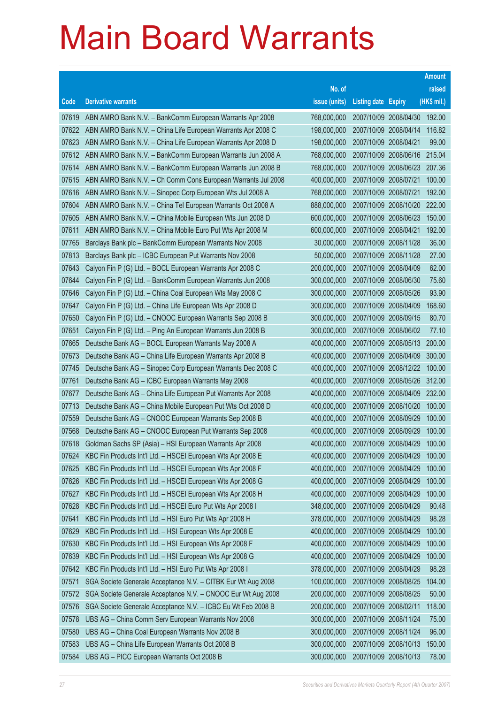|       |                                                              |               |                            |                              | <b>Amount</b> |
|-------|--------------------------------------------------------------|---------------|----------------------------|------------------------------|---------------|
|       |                                                              | No. of        |                            |                              | raised        |
| Code  | <b>Derivative warrants</b>                                   | issue (units) | <b>Listing date Expiry</b> |                              | (HK\$ mil.)   |
| 07619 | ABN AMRO Bank N.V. - BankComm European Warrants Apr 2008     | 768,000,000   |                            | 2007/10/09 2008/04/30 192.00 |               |
| 07622 | ABN AMRO Bank N.V. - China Life European Warrants Apr 2008 C | 198,000,000   |                            | 2007/10/09 2008/04/14        | 116.82        |
| 07623 | ABN AMRO Bank N.V. - China Life European Warrants Apr 2008 D | 198,000,000   | 2007/10/09 2008/04/21      |                              | 99.00         |
| 07612 | ABN AMRO Bank N.V. - BankComm European Warrants Jun 2008 A   | 768,000,000   |                            | 2007/10/09 2008/06/16        | 215.04        |
| 07614 | ABN AMRO Bank N.V. - BankComm European Warrants Jun 2008 B   | 768,000,000   |                            | 2007/10/09 2008/06/23 207.36 |               |
| 07615 | ABN AMRO Bank N.V. - Ch Comm Cons European Warrants Jul 2008 | 400,000,000   | 2007/10/09 2008/07/21      |                              | 100.00        |
| 07616 | ABN AMRO Bank N.V. - Sinopec Corp European Wts Jul 2008 A    | 768,000,000   | 2007/10/09 2008/07/21      |                              | 192.00        |
| 07604 | ABN AMRO Bank N.V. - China Tel European Warrants Oct 2008 A  | 888,000,000   |                            | 2007/10/09 2008/10/20        | 222.00        |
| 07605 | ABN AMRO Bank N.V. - China Mobile European Wts Jun 2008 D    | 600,000,000   |                            | 2007/10/09 2008/06/23        | 150.00        |
| 07611 | ABN AMRO Bank N.V. - China Mobile Euro Put Wts Apr 2008 M    | 600,000,000   | 2007/10/09 2008/04/21      |                              | 192.00        |
| 07765 | Barclays Bank plc - BankComm European Warrants Nov 2008      | 30,000,000    | 2007/10/09 2008/11/28      |                              | 36.00         |
| 07813 | Barclays Bank plc - ICBC European Put Warrants Nov 2008      | 50,000,000    | 2007/10/09 2008/11/28      |                              | 27.00         |
| 07643 | Calyon Fin P (G) Ltd. - BOCL European Warrants Apr 2008 C    | 200,000,000   |                            | 2007/10/09 2008/04/09        | 62.00         |
| 07644 | Calyon Fin P (G) Ltd. - BankComm European Warrants Jun 2008  | 300,000,000   |                            | 2007/10/09 2008/06/30        | 75.60         |
| 07646 | Calyon Fin P (G) Ltd. - China Coal European Wts May 2008 C   | 300,000,000   | 2007/10/09 2008/05/26      |                              | 93.90         |
| 07647 | Calyon Fin P (G) Ltd. - China Life European Wts Apr 2008 D   | 300,000,000   | 2007/10/09 2008/04/09      |                              | 168.60        |
| 07650 | Calyon Fin P (G) Ltd. - CNOOC European Warrants Sep 2008 B   | 300,000,000   |                            | 2007/10/09 2008/09/15        | 80.70         |
| 07651 | Calyon Fin P (G) Ltd. - Ping An European Warrants Jun 2008 B | 300,000,000   |                            | 2007/10/09 2008/06/02        | 77.10         |
| 07665 | Deutsche Bank AG - BOCL European Warrants May 2008 A         | 400,000,000   |                            | 2007/10/09 2008/05/13        | 200.00        |
| 07673 | Deutsche Bank AG - China Life European Warrants Apr 2008 B   | 400,000,000   |                            | 2007/10/09 2008/04/09        | 300.00        |
| 07745 | Deutsche Bank AG - Sinopec Corp European Warrants Dec 2008 C | 400,000,000   |                            | 2007/10/09 2008/12/22        | 100.00        |
| 07761 | Deutsche Bank AG - ICBC European Warrants May 2008           | 400,000,000   |                            | 2007/10/09 2008/05/26        | 312.00        |
| 07677 | Deutsche Bank AG - China Life European Put Warrants Apr 2008 | 400,000,000   |                            | 2007/10/09 2008/04/09        | 232.00        |
| 07713 | Deutsche Bank AG - China Mobile European Put Wts Oct 2008 D  | 400,000,000   |                            | 2007/10/09 2008/10/20        | 100.00        |
| 07559 | Deutsche Bank AG - CNOOC European Warrants Sep 2008 B        | 400,000,000   |                            | 2007/10/09 2008/09/29        | 100.00        |
| 07568 | Deutsche Bank AG - CNOOC European Put Warrants Sep 2008      | 400,000,000   |                            | 2007/10/09 2008/09/29        | 100.00        |
| 07618 | Goldman Sachs SP (Asia) - HSI European Warrants Apr 2008     | 400,000,000   |                            | 2007/10/09 2008/04/29        | 100.00        |
| 07624 | KBC Fin Products Int'l Ltd. - HSCEI European Wts Apr 2008 E  | 400,000,000   | 2007/10/09 2008/04/29      |                              | 100.00        |
| 07625 | KBC Fin Products Int'l Ltd. - HSCEI European Wts Apr 2008 F  | 400,000,000   |                            | 2007/10/09 2008/04/29        | 100.00        |
| 07626 | KBC Fin Products Int'l Ltd. - HSCEI European Wts Apr 2008 G  | 400,000,000   | 2007/10/09 2008/04/29      |                              | 100.00        |
| 07627 | KBC Fin Products Int'l Ltd. - HSCEI European Wts Apr 2008 H  | 400,000,000   | 2007/10/09 2008/04/29      |                              | 100.00        |
| 07628 | KBC Fin Products Int'l Ltd. - HSCEI Euro Put Wts Apr 2008 I  | 348,000,000   |                            | 2007/10/09 2008/04/29        | 90.48         |
| 07641 | KBC Fin Products Int'l Ltd. - HSI Euro Put Wts Apr 2008 H    | 378,000,000   | 2007/10/09 2008/04/29      |                              | 98.28         |
| 07629 | KBC Fin Products Int'l Ltd. - HSI European Wts Apr 2008 E    | 400,000,000   | 2007/10/09 2008/04/29      |                              | 100.00        |
| 07630 | KBC Fin Products Int'l Ltd. - HSI European Wts Apr 2008 F    | 400,000,000   |                            | 2007/10/09 2008/04/29        | 100.00        |
| 07639 | KBC Fin Products Int'l Ltd. - HSI European Wts Apr 2008 G    | 400,000,000   |                            | 2007/10/09 2008/04/29        | 100.00        |
| 07642 | KBC Fin Products Int'l Ltd. - HSI Euro Put Wts Apr 2008 I    | 378,000,000   | 2007/10/09 2008/04/29      |                              | 98.28         |
| 07571 | SGA Societe Generale Acceptance N.V. - CITBK Eur Wt Aug 2008 | 100,000,000   | 2007/10/09 2008/08/25      |                              | 104.00        |
| 07572 | SGA Societe Generale Acceptance N.V. - CNOOC Eur Wt Aug 2008 | 200,000,000   | 2007/10/09 2008/08/25      |                              | 50.00         |
| 07576 | SGA Societe Generale Acceptance N.V. - ICBC Eu Wt Feb 2008 B | 200,000,000   | 2007/10/09 2008/02/11      |                              | 118.00        |
| 07578 | UBS AG - China Comm Serv European Warrants Nov 2008          | 300,000,000   | 2007/10/09 2008/11/24      |                              | 75.00         |
| 07580 | UBS AG - China Coal European Warrants Nov 2008 B             | 300,000,000   | 2007/10/09 2008/11/24      |                              | 96.00         |
| 07583 | UBS AG - China Life European Warrants Oct 2008 B             | 300,000,000   |                            | 2007/10/09 2008/10/13        | 150.00        |
| 07584 | UBS AG - PICC European Warrants Oct 2008 B                   | 300,000,000   | 2007/10/09 2008/10/13      |                              | 78.00         |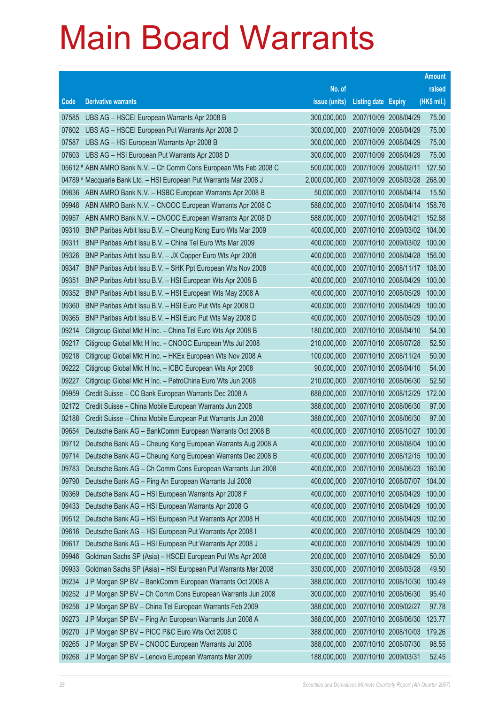|                |                                                                                                                        |                            |                                                | <b>Amount</b>  |
|----------------|------------------------------------------------------------------------------------------------------------------------|----------------------------|------------------------------------------------|----------------|
|                |                                                                                                                        | No. of                     |                                                | raised         |
| Code           | <b>Derivative warrants</b>                                                                                             | issue (units)              | <b>Listing date Expiry</b>                     | (HK\$ mil.)    |
| 07585          | UBS AG - HSCEI European Warrants Apr 2008 B                                                                            | 300,000,000                | 2007/10/09 2008/04/29                          | 75.00          |
| 07602          | UBS AG - HSCEI European Put Warrants Apr 2008 D                                                                        | 300,000,000                | 2007/10/09 2008/04/29                          | 75.00          |
| 07587          | UBS AG - HSI European Warrants Apr 2008 B                                                                              | 300,000,000                | 2007/10/09 2008/04/29                          | 75.00          |
| 07603          | UBS AG - HSI European Put Warrants Apr 2008 D                                                                          | 300,000,000                | 2007/10/09 2008/04/29                          | 75.00          |
|                | 05612 # ABN AMRO Bank N.V. - Ch Comm Cons European Wts Feb 2008 C                                                      | 500,000,000                | 2007/10/09 2008/02/11                          | 127.50         |
|                | 04789 # Macquarie Bank Ltd. - HSI European Put Warrants Mar 2008 J                                                     | 2,000,000,000              | 2007/10/09 2008/03/28                          | 268.00         |
| 09836          | ABN AMRO Bank N.V. - HSBC European Warrants Apr 2008 B                                                                 | 50,000,000                 | 2007/10/10 2008/04/14                          | 15.50          |
| 09948          | ABN AMRO Bank N.V. - CNOOC European Warrants Apr 2008 C                                                                | 588,000,000                | 2007/10/10 2008/04/14                          | 158.76         |
| 09957          | ABN AMRO Bank N.V. - CNOOC European Warrants Apr 2008 D                                                                | 588,000,000                | 2007/10/10 2008/04/21                          | 152.88         |
| 09310          | BNP Paribas Arbit Issu B.V. - Cheung Kong Euro Wts Mar 2009                                                            | 400,000,000                | 2007/10/10 2009/03/02                          | 104.00         |
| 09311          | BNP Paribas Arbit Issu B.V. - China Tel Euro Wts Mar 2009                                                              | 400,000,000                | 2007/10/10 2009/03/02                          | 100.00         |
| 09326          | BNP Paribas Arbit Issu B.V. - JX Copper Euro Wts Apr 2008                                                              | 400,000,000                | 2007/10/10 2008/04/28                          | 156.00         |
| 09347          | BNP Paribas Arbit Issu B.V. - SHK Ppt European Wts Nov 2008                                                            | 400,000,000                | 2007/10/10 2008/11/17                          | 108.00         |
| 09351          | BNP Paribas Arbit Issu B.V. - HSI European Wts Apr 2008 B                                                              | 400,000,000                | 2007/10/10 2008/04/29                          | 100.00         |
| 09352          | BNP Paribas Arbit Issu B.V. - HSI European Wts May 2008 A                                                              | 400,000,000                | 2007/10/10 2008/05/29                          | 100.00         |
| 09360          | BNP Paribas Arbit Issu B.V. - HSI Euro Put Wts Apr 2008 D                                                              | 400,000,000                | 2007/10/10 2008/04/29                          | 100.00         |
| 09365          | BNP Paribas Arbit Issu B.V. - HSI Euro Put Wts May 2008 D                                                              | 400,000,000                | 2007/10/10 2008/05/29                          | 100.00         |
| 09214          | Citigroup Global Mkt H Inc. - China Tel Euro Wts Apr 2008 B                                                            | 180,000,000                | 2007/10/10 2008/04/10                          | 54.00<br>52.50 |
| 09217<br>09218 | Citigroup Global Mkt H Inc. - CNOOC European Wts Jul 2008                                                              | 210,000,000<br>100,000,000 | 2007/10/10 2008/07/28<br>2007/10/10 2008/11/24 | 50.00          |
| 09222          | Citigroup Global Mkt H Inc. - HKEx European Wts Nov 2008 A<br>Citigroup Global Mkt H Inc. - ICBC European Wts Apr 2008 | 90,000,000                 | 2007/10/10 2008/04/10                          | 54.00          |
| 09227          | Citigroup Global Mkt H Inc. - PetroChina Euro Wts Jun 2008                                                             | 210,000,000                | 2007/10/10 2008/06/30                          | 52.50          |
| 09959          | Credit Suisse - CC Bank European Warrants Dec 2008 A                                                                   | 688,000,000                | 2007/10/10 2008/12/29                          | 172.00         |
| 02172          | Credit Suisse - China Mobile European Warrants Jun 2008                                                                | 388,000,000                | 2007/10/10 2008/06/30                          | 97.00          |
| 02188          | Credit Suisse - China Mobile European Put Warrants Jun 2008                                                            | 388,000,000                | 2007/10/10 2008/06/30                          | 97.00          |
| 09654          | Deutsche Bank AG - BankComm European Warrants Oct 2008 B                                                               | 400,000,000                | 2007/10/10 2008/10/27                          | 100.00         |
| 09712          | Deutsche Bank AG - Cheung Kong European Warrants Aug 2008 A                                                            | 400,000,000                | 2007/10/10 2008/08/04                          | 100.00         |
| 09714          | Deutsche Bank AG - Cheung Kong European Warrants Dec 2008 B                                                            | 400,000,000                | 2007/10/10 2008/12/15                          | 100.00         |
| 09783          | Deutsche Bank AG - Ch Comm Cons European Warrants Jun 2008                                                             | 400,000,000                | 2007/10/10 2008/06/23                          | 160.00         |
| 09790          | Deutsche Bank AG - Ping An European Warrants Jul 2008                                                                  | 400,000,000                | 2007/10/10 2008/07/07                          | 104.00         |
| 09369          | Deutsche Bank AG - HSI European Warrants Apr 2008 F                                                                    | 400,000,000                | 2007/10/10 2008/04/29                          | 100.00         |
| 09433          | Deutsche Bank AG - HSI European Warrants Apr 2008 G                                                                    | 400,000,000                | 2007/10/10 2008/04/29                          | 100.00         |
| 09512          | Deutsche Bank AG - HSI European Put Warrants Apr 2008 H                                                                | 400,000,000                | 2007/10/10 2008/04/29                          | 102.00         |
| 09616          | Deutsche Bank AG - HSI European Put Warrants Apr 2008 I                                                                | 400,000,000                | 2007/10/10 2008/04/29                          | 100.00         |
| 09617          | Deutsche Bank AG - HSI European Put Warrants Apr 2008 J                                                                | 400,000,000                | 2007/10/10 2008/04/29                          | 100.00         |
| 09946          | Goldman Sachs SP (Asia) - HSCEI European Put Wts Apr 2008                                                              | 200,000,000                | 2007/10/10 2008/04/29                          | 50.00          |
| 09933          | Goldman Sachs SP (Asia) - HSI European Put Warrants Mar 2008                                                           | 330,000,000                | 2007/10/10 2008/03/28                          | 49.50          |
| 09234          | J P Morgan SP BV - BankComm European Warrants Oct 2008 A                                                               | 388,000,000                | 2007/10/10 2008/10/30                          | 100.49         |
| 09252          | J P Morgan SP BV - Ch Comm Cons European Warrants Jun 2008                                                             | 300,000,000                | 2007/10/10 2008/06/30                          | 95.40          |
| 09258          | J P Morgan SP BV - China Tel European Warrants Feb 2009                                                                | 388,000,000                | 2007/10/10 2009/02/27                          | 97.78          |
| 09273          | J P Morgan SP BV - Ping An European Warrants Jun 2008 A                                                                | 388,000,000                | 2007/10/10 2008/06/30                          | 123.77         |
| 09270          | J P Morgan SP BV - PICC P&C Euro Wts Oct 2008 C                                                                        | 388,000,000                | 2007/10/10 2008/10/03                          | 179.26         |
| 09265          | J P Morgan SP BV - CNOOC European Warrants Jul 2008                                                                    | 388,000,000                | 2007/10/10 2008/07/30                          | 98.55          |
| 09268          | J P Morgan SP BV - Lenovo European Warrants Mar 2009                                                                   | 188,000,000                | 2007/10/10 2009/03/31                          | 52.45          |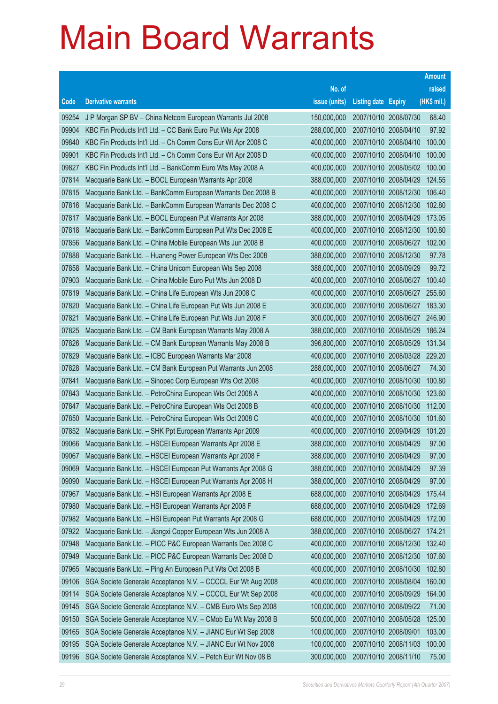|       |                                                              |               |                            |                              | <b>Amount</b> |
|-------|--------------------------------------------------------------|---------------|----------------------------|------------------------------|---------------|
|       |                                                              | No. of        |                            |                              | raised        |
| Code  | <b>Derivative warrants</b>                                   | issue (units) | <b>Listing date Expiry</b> |                              | (HK\$ mil.)   |
| 09254 | J P Morgan SP BV - China Netcom European Warrants Jul 2008   | 150,000,000   |                            | 2007/10/10 2008/07/30        | 68.40         |
| 09904 | KBC Fin Products Int'l Ltd. - CC Bank Euro Put Wts Apr 2008  | 288,000,000   |                            | 2007/10/10 2008/04/10        | 97.92         |
| 09840 | KBC Fin Products Int'l Ltd. - Ch Comm Cons Eur Wt Apr 2008 C | 400,000,000   |                            | 2007/10/10 2008/04/10        | 100.00        |
| 09901 | KBC Fin Products Int'l Ltd. - Ch Comm Cons Eur Wt Apr 2008 D | 400,000,000   |                            | 2007/10/10 2008/04/10        | 100.00        |
| 09827 | KBC Fin Products Int'l Ltd. - BankComm Euro Wts May 2008 A   | 400,000,000   |                            | 2007/10/10 2008/05/02        | 100.00        |
| 07814 | Macquarie Bank Ltd. - BOCL European Warrants Apr 2008        | 388,000,000   |                            | 2007/10/10 2008/04/29        | 124.55        |
| 07815 | Macquarie Bank Ltd. - BankComm European Warrants Dec 2008 B  | 400,000,000   |                            | 2007/10/10 2008/12/30        | 106.40        |
| 07816 | Macquarie Bank Ltd. - BankComm European Warrants Dec 2008 C  | 400,000,000   |                            | 2007/10/10 2008/12/30        | 102.80        |
| 07817 | Macquarie Bank Ltd. - BOCL European Put Warrants Apr 2008    | 388,000,000   |                            | 2007/10/10 2008/04/29        | 173.05        |
| 07818 | Macquarie Bank Ltd. - BankComm European Put Wts Dec 2008 E   | 400,000,000   |                            | 2007/10/10 2008/12/30        | 100.80        |
| 07856 | Macquarie Bank Ltd. - China Mobile European Wts Jun 2008 B   | 400,000,000   |                            | 2007/10/10 2008/06/27        | 102.00        |
| 07888 | Macquarie Bank Ltd. - Huaneng Power European Wts Dec 2008    | 388,000,000   |                            | 2007/10/10 2008/12/30        | 97.78         |
| 07858 | Macquarie Bank Ltd. - China Unicom European Wts Sep 2008     | 388,000,000   |                            | 2007/10/10 2008/09/29        | 99.72         |
| 07903 | Macquarie Bank Ltd. - China Mobile Euro Put Wts Jun 2008 D   | 400,000,000   |                            | 2007/10/10 2008/06/27        | 100.40        |
| 07819 | Macquarie Bank Ltd. - China Life European Wts Jun 2008 C     | 400,000,000   |                            | 2007/10/10 2008/06/27        | 255.60        |
| 07820 | Macquarie Bank Ltd. - China Life European Put Wts Jun 2008 E | 300,000,000   |                            | 2007/10/10 2008/06/27        | 183.30        |
| 07821 | Macquarie Bank Ltd. - China Life European Put Wts Jun 2008 F | 300,000,000   |                            | 2007/10/10 2008/06/27        | 246.90        |
| 07825 | Macquarie Bank Ltd. - CM Bank European Warrants May 2008 A   | 388,000,000   |                            | 2007/10/10 2008/05/29        | 186.24        |
| 07826 | Macquarie Bank Ltd. - CM Bank European Warrants May 2008 B   | 396,800,000   |                            | 2007/10/10 2008/05/29        | 131.34        |
| 07829 | Macquarie Bank Ltd. - ICBC European Warrants Mar 2008        | 400,000,000   |                            | 2007/10/10 2008/03/28 229.20 |               |
| 07828 | Macquarie Bank Ltd. - CM Bank European Put Warrants Jun 2008 | 288,000,000   |                            | 2007/10/10 2008/06/27        | 74.30         |
| 07841 | Macquarie Bank Ltd. - Sinopec Corp European Wts Oct 2008     | 400,000,000   |                            | 2007/10/10 2008/10/30        | 100.80        |
| 07843 | Macquarie Bank Ltd. - PetroChina European Wts Oct 2008 A     | 400,000,000   |                            | 2007/10/10 2008/10/30        | 123.60        |
| 07847 | Macquarie Bank Ltd. - PetroChina European Wts Oct 2008 B     | 400,000,000   |                            | 2007/10/10 2008/10/30        | 112.00        |
| 07850 | Macquarie Bank Ltd. - PetroChina European Wts Oct 2008 C     | 400,000,000   |                            | 2007/10/10 2008/10/30        | 101.60        |
| 07852 | Macquarie Bank Ltd. - SHK Ppt European Warrants Apr 2009     | 400,000,000   |                            | 2007/10/10 2009/04/29        | 101.20        |
| 09066 | Macquarie Bank Ltd. - HSCEI European Warrants Apr 2008 E     | 388,000,000   |                            | 2007/10/10 2008/04/29        | 97.00         |
| 09067 | Macquarie Bank Ltd. - HSCEI European Warrants Apr 2008 F     | 388,000,000   |                            | 2007/10/10 2008/04/29        | 97.00         |
| 09069 | Macquarie Bank Ltd. - HSCEI European Put Warrants Apr 2008 G | 388,000,000   |                            | 2007/10/10 2008/04/29        | 97.39         |
| 09090 | Macquarie Bank Ltd. - HSCEI European Put Warrants Apr 2008 H | 388,000,000   |                            | 2007/10/10 2008/04/29        | 97.00         |
| 07967 | Macquarie Bank Ltd. - HSI European Warrants Apr 2008 E       | 688,000,000   |                            | 2007/10/10 2008/04/29        | 175.44        |
| 07980 | Macquarie Bank Ltd. - HSI European Warrants Apr 2008 F       | 688,000,000   |                            | 2007/10/10 2008/04/29        | 172.69        |
| 07982 | Macquarie Bank Ltd. - HSI European Put Warrants Apr 2008 G   | 688,000,000   |                            | 2007/10/10 2008/04/29        | 172.00        |
| 07922 | Macquarie Bank Ltd. - Jiangxi Copper European Wts Jun 2008 A | 388,000,000   |                            | 2007/10/10 2008/06/27        | 174.21        |
| 07948 | Macquarie Bank Ltd. - PICC P&C European Warrants Dec 2008 C  | 400,000,000   |                            | 2007/10/10 2008/12/30        | 132.40        |
| 07949 | Macquarie Bank Ltd. - PICC P&C European Warrants Dec 2008 D  | 400,000,000   |                            | 2007/10/10 2008/12/30        | 107.60        |
| 07965 | Macquarie Bank Ltd. - Ping An European Put Wts Oct 2008 B    | 400,000,000   |                            | 2007/10/10 2008/10/30        | 102.80        |
| 09106 | SGA Societe Generale Acceptance N.V. - CCCCL Eur Wt Aug 2008 | 400,000,000   |                            | 2007/10/10 2008/08/04        | 160.00        |
| 09114 | SGA Societe Generale Acceptance N.V. - CCCCL Eur Wt Sep 2008 | 400,000,000   |                            | 2007/10/10 2008/09/29        | 164.00        |
| 09145 | SGA Societe Generale Acceptance N.V. - CMB Euro Wts Sep 2008 | 100,000,000   |                            | 2007/10/10 2008/09/22        | 71.00         |
| 09150 | SGA Societe Generale Acceptance N.V. - CMob Eu Wt May 2008 B | 500,000,000   |                            | 2007/10/10 2008/05/28        | 125.00        |
| 09165 | SGA Societe Generale Acceptance N.V. - JIANC Eur Wt Sep 2008 | 100,000,000   | 2007/10/10 2008/09/01      |                              | 103.00        |
| 09195 | SGA Societe Generale Acceptance N.V. - JIANC Eur Wt Nov 2008 | 100,000,000   |                            | 2007/10/10 2008/11/03        | 100.00        |
| 09196 | SGA Societe Generale Acceptance N.V. - Petch Eur Wt Nov 08 B | 300,000,000   |                            | 2007/10/10 2008/11/10        | 75.00         |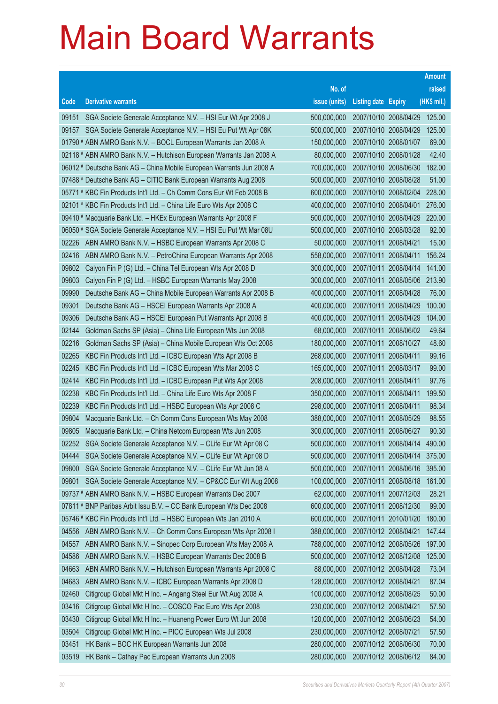|                |                                                                                                                        |                            |                            | <b>Amount</b>    |
|----------------|------------------------------------------------------------------------------------------------------------------------|----------------------------|----------------------------|------------------|
|                |                                                                                                                        | No. of                     |                            | raised           |
| Code           | <b>Derivative warrants</b>                                                                                             | issue (units)              | <b>Listing date Expiry</b> | (HK\$ mil.)      |
| 09151          | SGA Societe Generale Acceptance N.V. - HSI Eur Wt Apr 2008 J                                                           | 500,000,000                | 2007/10/10 2008/04/29      | 125.00           |
| 09157          | SGA Societe Generale Acceptance N.V. - HSI Eu Put Wt Apr 08K                                                           | 500,000,000                | 2007/10/10 2008/04/29      | 125.00           |
|                | 01790 # ABN AMRO Bank N.V. - BOCL European Warrants Jan 2008 A                                                         | 150,000,000                | 2007/10/10 2008/01/07      | 69.00            |
|                | 02118 # ABN AMRO Bank N.V. - Hutchison European Warrants Jan 2008 A                                                    | 80,000,000                 | 2007/10/10 2008/01/28      | 42.40            |
|                | 06012 # Deutsche Bank AG - China Mobile European Warrants Jun 2008 A                                                   | 700,000,000                | 2007/10/10 2008/06/30      | 182.00           |
|                | 07488 # Deutsche Bank AG - CITIC Bank European Warrants Aug 2008                                                       | 500,000,000                | 2007/10/10 2008/08/28      | 51.00            |
|                | 05771 # KBC Fin Products Int'l Ltd. - Ch Comm Cons Eur Wt Feb 2008 B                                                   | 600,000,000                | 2007/10/10 2008/02/04      | 228.00           |
|                | 02101 # KBC Fin Products Int'l Ltd. - China Life Euro Wts Apr 2008 C                                                   | 400,000,000                | 2007/10/10 2008/04/01      | 276.00           |
|                | 09410 # Macquarie Bank Ltd. - HKEx European Warrants Apr 2008 F                                                        | 500,000,000                | 2007/10/10 2008/04/29      | 220.00           |
|                | 06050 # SGA Societe Generale Acceptance N.V. - HSI Eu Put Wt Mar 08U                                                   | 500,000,000                | 2007/10/10 2008/03/28      | 92.00            |
| 02226          | ABN AMRO Bank N.V. - HSBC European Warrants Apr 2008 C                                                                 | 50,000,000                 | 2007/10/11 2008/04/21      | 15.00            |
| 02416          | ABN AMRO Bank N.V. - PetroChina European Warrants Apr 2008                                                             | 558,000,000                | 2007/10/11 2008/04/11      | 156.24           |
| 09802          | Calyon Fin P (G) Ltd. - China Tel European Wts Apr 2008 D                                                              | 300,000,000                | 2007/10/11 2008/04/14      | 141.00           |
| 09803          | Calyon Fin P (G) Ltd. - HSBC European Warrants May 2008                                                                | 300,000,000                | 2007/10/11 2008/05/06      | 213.90           |
| 09990          | Deutsche Bank AG - China Mobile European Warrants Apr 2008 B                                                           | 400,000,000                | 2007/10/11 2008/04/28      | 76.00            |
| 09301          | Deutsche Bank AG - HSCEI European Warrants Apr 2008 A                                                                  | 400,000,000                | 2007/10/11 2008/04/29      | 100.00           |
| 09306          | Deutsche Bank AG - HSCEI European Put Warrants Apr 2008 B                                                              | 400,000,000                | 2007/10/11 2008/04/29      | 104.00           |
| 02144          | Goldman Sachs SP (Asia) - China Life European Wts Jun 2008                                                             | 68,000,000                 | 2007/10/11 2008/06/02      | 49.64            |
| 02216          | Goldman Sachs SP (Asia) - China Mobile European Wts Oct 2008                                                           | 180,000,000                | 2007/10/11 2008/10/27      | 48.60            |
| 02265          | KBC Fin Products Int'l Ltd. - ICBC European Wts Apr 2008 B                                                             | 268,000,000                | 2007/10/11 2008/04/11      | 99.16            |
| 02245          | KBC Fin Products Int'l Ltd. - ICBC European Wts Mar 2008 C                                                             | 165,000,000                | 2007/10/11 2008/03/17      | 99.00            |
| 02414          | KBC Fin Products Int'l Ltd. - ICBC European Put Wts Apr 2008                                                           | 208,000,000                | 2007/10/11 2008/04/11      | 97.76            |
| 02238          | KBC Fin Products Int'l Ltd. - China Life Euro Wts Apr 2008 F                                                           | 350,000,000                | 2007/10/11 2008/04/11      | 199.50           |
| 02239          | KBC Fin Products Int'l Ltd. - HSBC European Wts Apr 2008 C                                                             | 298,000,000                | 2007/10/11 2008/04/11      | 98.34            |
| 09804          | Macquarie Bank Ltd. - Ch Comm Cons European Wts May 2008                                                               | 388,000,000                | 2007/10/11 2008/05/29      | 98.55            |
| 09805          | Macquarie Bank Ltd. - China Netcom European Wts Jun 2008                                                               | 300,000,000                | 2007/10/11 2008/06/27      | 90.30            |
| 02252          | SGA Societe Generale Acceptance N.V. - CLife Eur Wt Apr 08 C                                                           | 500,000,000                | 2007/10/11 2008/04/14      | 490.00           |
| 04444          | SGA Societe Generale Acceptance N.V. - CLife Eur Wt Apr 08 D                                                           | 500,000,000                | 2007/10/11 2008/04/14      | 375.00           |
| 09800          | SGA Societe Generale Acceptance N.V. - CLife Eur Wt Jun 08 A                                                           | 500,000,000                | 2007/10/11 2008/06/16      | 395.00           |
| 09801          | SGA Societe Generale Acceptance N.V. - CP&CC Eur Wt Aug 2008                                                           | 100,000,000                | 2007/10/11 2008/08/18      | 161.00           |
|                | 09737 # ABN AMRO Bank N.V. - HSBC European Warrants Dec 2007                                                           | 62,000,000                 | 2007/10/11 2007/12/03      | 28.21            |
|                | 07811 # BNP Paribas Arbit Issu B.V. - CC Bank European Wts Dec 2008                                                    | 600,000,000                | 2007/10/11 2008/12/30      | 99.00            |
|                | 05746 # KBC Fin Products Int'l Ltd. - HSBC European Wts Jan 2010 A                                                     | 600,000,000                | 2007/10/11 2010/01/20      | 180.00           |
| 04556<br>04557 | ABN AMRO Bank N.V. - Ch Comm Cons European Wts Apr 2008 I<br>ABN AMRO Bank N.V. - Sinopec Corp European Wts May 2008 A | 388,000,000                | 2007/10/12 2008/04/21      | 147.44           |
| 04586          |                                                                                                                        | 788,000,000<br>500,000,000 | 2007/10/12 2008/05/26      | 197.00<br>125.00 |
|                | ABN AMRO Bank N.V. - HSBC European Warrants Dec 2008 B                                                                 |                            | 2007/10/12 2008/12/08      |                  |
| 04663          | ABN AMRO Bank N.V. - Hutchison European Warrants Apr 2008 C                                                            | 88,000,000                 | 2007/10/12 2008/04/28      | 73.04            |
| 04683          | ABN AMRO Bank N.V. - ICBC European Warrants Apr 2008 D                                                                 | 128,000,000                | 2007/10/12 2008/04/21      | 87.04            |
| 02460          | Citigroup Global Mkt H Inc. - Angang Steel Eur Wt Aug 2008 A                                                           | 100,000,000                | 2007/10/12 2008/08/25      | 50.00            |
| 03416          | Citigroup Global Mkt H Inc. - COSCO Pac Euro Wts Apr 2008                                                              | 230,000,000                | 2007/10/12 2008/04/21      | 57.50            |
| 03430          | Citigroup Global Mkt H Inc. - Huaneng Power Euro Wt Jun 2008                                                           | 120,000,000                | 2007/10/12 2008/06/23      | 54.00            |
| 03504          | Citigroup Global Mkt H Inc. - PICC European Wts Jul 2008                                                               | 230,000,000                | 2007/10/12 2008/07/21      | 57.50            |
| 03451          | HK Bank - BOC HK European Warrants Jun 2008                                                                            | 280,000,000                | 2007/10/12 2008/06/30      | 70.00            |
| 03519          | HK Bank - Cathay Pac European Warrants Jun 2008                                                                        | 280,000,000                | 2007/10/12 2008/06/12      | 84.00            |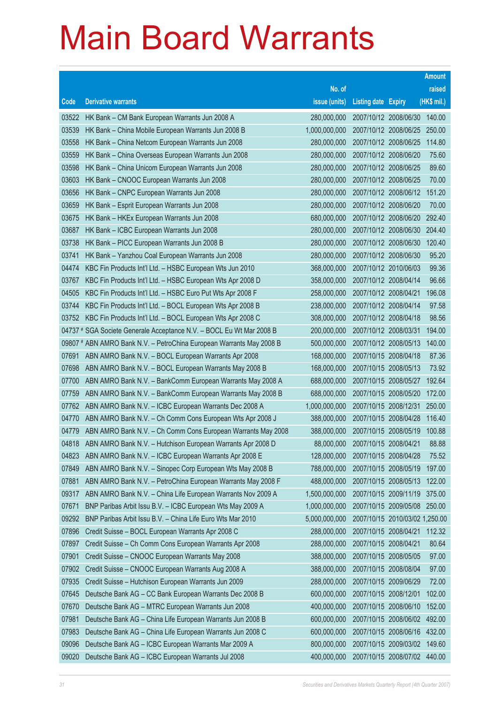|                |                                                                                                                      |                            |                            |                                | <b>Amount</b>    |
|----------------|----------------------------------------------------------------------------------------------------------------------|----------------------------|----------------------------|--------------------------------|------------------|
|                |                                                                                                                      | No. of                     |                            |                                | raised           |
| Code           | <b>Derivative warrants</b>                                                                                           | issue (units)              | <b>Listing date Expiry</b> |                                | (HK\$ mil.)      |
| 03522          | HK Bank - CM Bank European Warrants Jun 2008 A                                                                       | 280,000,000                |                            | 2007/10/12 2008/06/30          | 140.00           |
| 03539          | HK Bank - China Mobile European Warrants Jun 2008 B                                                                  | 1,000,000,000              |                            | 2007/10/12 2008/06/25          | 250.00           |
| 03558          | HK Bank - China Netcom European Warrants Jun 2008                                                                    | 280,000,000                |                            | 2007/10/12 2008/06/25          | 114.80           |
| 03559          | HK Bank - China Overseas European Warrants Jun 2008                                                                  | 280,000,000                | 2007/10/12 2008/06/20      |                                | 75.60            |
| 03598          | HK Bank - China Unicom European Warrants Jun 2008                                                                    | 280,000,000                | 2007/10/12 2008/06/25      |                                | 89.60            |
| 03603          | HK Bank - CNOOC European Warrants Jun 2008                                                                           | 280,000,000                |                            | 2007/10/12 2008/06/25          | 70.00            |
| 03656          | HK Bank - CNPC European Warrants Jun 2008                                                                            | 280,000,000                |                            | 2007/10/12 2008/06/12          | 151.20           |
| 03659          | HK Bank - Esprit European Warrants Jun 2008                                                                          | 280,000,000                | 2007/10/12 2008/06/20      |                                | 70.00            |
| 03675          | HK Bank - HKEx European Warrants Jun 2008                                                                            | 680,000,000                |                            | 2007/10/12 2008/06/20          | 292.40           |
| 03687          | HK Bank - ICBC European Warrants Jun 2008                                                                            | 280,000,000                |                            | 2007/10/12 2008/06/30          | 204.40           |
| 03738          | HK Bank - PICC European Warrants Jun 2008 B                                                                          | 280,000,000                | 2007/10/12 2008/06/30      |                                | 120.40           |
| 03741          | HK Bank - Yanzhou Coal European Warrants Jun 2008                                                                    | 280,000,000                | 2007/10/12 2008/06/30      |                                | 95.20            |
| 04474          | KBC Fin Products Int'l Ltd. - HSBC European Wts Jun 2010                                                             | 368,000,000                | 2007/10/12 2010/06/03      |                                | 99.36            |
| 03767          | KBC Fin Products Int'l Ltd. - HSBC European Wts Apr 2008 D                                                           | 358,000,000                | 2007/10/12 2008/04/14      |                                | 96.66            |
| 04505          | KBC Fin Products Int'l Ltd. - HSBC Euro Put Wts Apr 2008 F                                                           | 258,000,000                | 2007/10/12 2008/04/21      |                                | 196.08           |
| 03744          | KBC Fin Products Int'l Ltd. - BOCL European Wts Apr 2008 B                                                           | 238,000,000                | 2007/10/12 2008/04/14      |                                | 97.58            |
| 03752          | KBC Fin Products Int'l Ltd. - BOCL European Wts Apr 2008 C                                                           | 308,000,000                | 2007/10/12 2008/04/18      |                                | 98.56            |
|                | 04737 # SGA Societe Generale Acceptance N.V. - BOCL Eu Wt Mar 2008 B                                                 | 200,000,000                | 2007/10/12 2008/03/31      |                                | 194.00           |
|                | 09807 # ABN AMRO Bank N.V. - PetroChina European Warrants May 2008 B                                                 | 500,000,000                | 2007/10/12 2008/05/13      |                                | 140.00           |
| 07691          | ABN AMRO Bank N.V. - BOCL European Warrants Apr 2008                                                                 | 168,000,000                | 2007/10/15 2008/04/18      |                                | 87.36            |
| 07698          | ABN AMRO Bank N.V. - BOCL European Warrants May 2008 B                                                               | 168,000,000                | 2007/10/15 2008/05/13      |                                | 73.92            |
| 07700<br>07759 | ABN AMRO Bank N.V. - BankComm European Warrants May 2008 A                                                           | 688,000,000<br>688,000,000 | 2007/10/15 2008/05/20      | 2007/10/15 2008/05/27          | 192.64<br>172.00 |
| 07762          | ABN AMRO Bank N.V. - BankComm European Warrants May 2008 B<br>ABN AMRO Bank N.V. - ICBC European Warrants Dec 2008 A | 1,000,000,000              |                            | 2007/10/15 2008/12/31          | 250.00           |
| 04770          | ABN AMRO Bank N.V. - Ch Comm Cons European Wts Apr 2008 J                                                            | 388,000,000                | 2007/10/15 2008/04/28      |                                | 116.40           |
| 04779          | ABN AMRO Bank N.V. - Ch Comm Cons European Warrants May 2008                                                         | 388,000,000                | 2007/10/15 2008/05/19      |                                | 100.88           |
| 04818          | ABN AMRO Bank N.V. - Hutchison European Warrants Apr 2008 D                                                          | 88,000,000                 | 2007/10/15 2008/04/21      |                                | 88.88            |
| 04823          | ABN AMRO Bank N.V. - ICBC European Warrants Apr 2008 E                                                               | 128,000,000                | 2007/10/15 2008/04/28      |                                | 75.52            |
| 07849          | ABN AMRO Bank N.V. - Sinopec Corp European Wts May 2008 B                                                            | 788,000,000                | 2007/10/15 2008/05/19      |                                | 197.00           |
| 07881          | ABN AMRO Bank N.V. - PetroChina European Warrants May 2008 F                                                         | 488,000,000                |                            | 2007/10/15 2008/05/13          | 122.00           |
| 09317          | ABN AMRO Bank N.V. - China Life European Warrants Nov 2009 A                                                         | 1,500,000,000              |                            | 2007/10/15 2009/11/19          | 375.00           |
| 07671          | BNP Paribas Arbit Issu B.V. - ICBC European Wts May 2009 A                                                           | 1,000,000,000              |                            | 2007/10/15 2009/05/08          | 250.00           |
| 09292          | BNP Paribas Arbit Issu B.V. - China Life Euro Wts Mar 2010                                                           | 5,000,000,000              |                            | 2007/10/15 2010/03/02 1,250.00 |                  |
| 07896          | Credit Suisse - BOCL European Warrants Apr 2008 C                                                                    | 288,000,000                | 2007/10/15 2008/04/21      |                                | 112.32           |
| 07897          | Credit Suisse - Ch Comm Cons European Warrants Apr 2008                                                              | 288,000,000                | 2007/10/15 2008/04/21      |                                | 80.64            |
| 07901          | Credit Suisse - CNOOC European Warrants May 2008                                                                     | 388,000,000                | 2007/10/15 2008/05/05      |                                | 97.00            |
| 07902          | Credit Suisse - CNOOC European Warrants Aug 2008 A                                                                   | 388,000,000                | 2007/10/15 2008/08/04      |                                | 97.00            |
| 07935          | Credit Suisse - Hutchison European Warrants Jun 2009                                                                 | 288,000,000                | 2007/10/15 2009/06/29      |                                | 72.00            |
| 07645          | Deutsche Bank AG - CC Bank European Warrants Dec 2008 B                                                              | 600,000,000                | 2007/10/15 2008/12/01      |                                | 102.00           |
| 07670          | Deutsche Bank AG - MTRC European Warrants Jun 2008                                                                   | 400,000,000                | 2007/10/15 2008/06/10      |                                | 152.00           |
| 07981          | Deutsche Bank AG - China Life European Warrants Jun 2008 B                                                           | 600,000,000                |                            | 2007/10/15 2008/06/02          | 492.00           |
| 07983          | Deutsche Bank AG - China Life European Warrants Jun 2008 C                                                           | 600,000,000                |                            | 2007/10/15 2008/06/16          | 432.00           |
| 09096          | Deutsche Bank AG - ICBC European Warrants Mar 2009 A                                                                 | 800,000,000                |                            | 2007/10/15 2009/03/02          | 149.60           |
| 09020          | Deutsche Bank AG - ICBC European Warrants Jul 2008                                                                   | 400,000,000                |                            | 2007/10/15 2008/07/02          | 440.00           |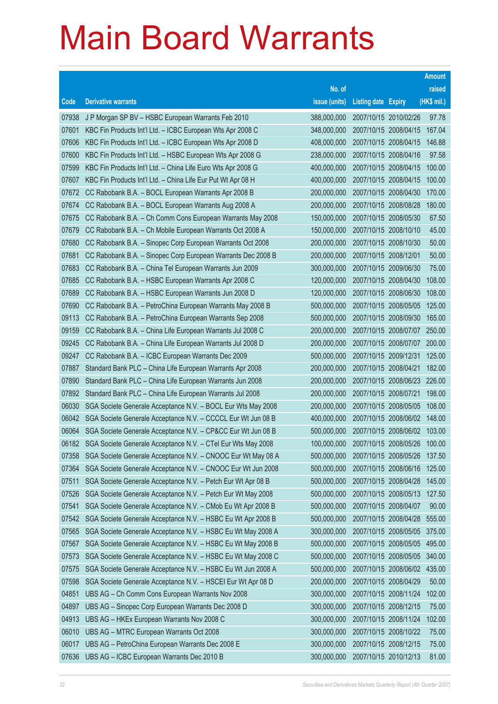|                |                                                                                                                 |                            |                                                |                              | <b>Amount</b>    |
|----------------|-----------------------------------------------------------------------------------------------------------------|----------------------------|------------------------------------------------|------------------------------|------------------|
|                |                                                                                                                 | No. of                     |                                                |                              | raised           |
| Code           | <b>Derivative warrants</b>                                                                                      | issue (units)              | <b>Listing date Expiry</b>                     |                              | (HK\$ mil.)      |
| 07938          | J P Morgan SP BV - HSBC European Warrants Feb 2010                                                              | 388,000,000                | 2007/10/15 2010/02/26                          |                              | 97.78            |
| 07601          | KBC Fin Products Int'l Ltd. - ICBC European Wts Apr 2008 C                                                      | 348,000,000                |                                                | 2007/10/15 2008/04/15        | 167.04           |
| 07606          | KBC Fin Products Int'l Ltd. - ICBC European Wts Apr 2008 D                                                      | 408,000,000                |                                                | 2007/10/15 2008/04/15        | 146.88           |
| 07600          | KBC Fin Products Int'l Ltd. - HSBC European Wts Apr 2008 G                                                      | 238,000,000                | 2007/10/15 2008/04/16                          |                              | 97.58            |
| 07599          | KBC Fin Products Int'l Ltd. - China Life Euro Wts Apr 2008 G                                                    | 400,000,000                | 2007/10/15 2008/04/15                          |                              | 100.00           |
| 07607          | KBC Fin Products Int'l Ltd. - China Life Eur Put Wt Apr 08 H                                                    | 400,000,000                |                                                | 2007/10/15 2008/04/15        | 100.00           |
| 07672          | CC Rabobank B.A. - BOCL European Warrants Apr 2008 B                                                            | 200,000,000                | 2007/10/15 2008/04/30                          |                              | 170.00           |
| 07674          | CC Rabobank B.A. - BOCL European Warrants Aug 2008 A                                                            | 200,000,000                | 2007/10/15 2008/08/28                          |                              | 180.00           |
| 07675          | CC Rabobank B.A. - Ch Comm Cons European Warrants May 2008                                                      | 150,000,000                | 2007/10/15 2008/05/30                          |                              | 67.50            |
| 07679          | CC Rabobank B.A. - Ch Mobile European Warrants Oct 2008 A                                                       | 150,000,000                | 2007/10/15 2008/10/10                          |                              | 45.00            |
| 07680          | CC Rabobank B.A. - Sinopec Corp European Warrants Oct 2008                                                      | 200,000,000                | 2007/10/15 2008/10/30                          |                              | 50.00            |
| 07681          | CC Rabobank B.A. - Sinopec Corp European Warrants Dec 2008 B                                                    | 200,000,000                | 2007/10/15 2008/12/01                          |                              | 50.00            |
| 07683          | CC Rabobank B.A. - China Tel European Warrants Jun 2009                                                         | 300,000,000                | 2007/10/15 2009/06/30                          |                              | 75.00            |
| 07685          | CC Rabobank B.A. - HSBC European Warrants Apr 2008 C                                                            | 120,000,000                | 2007/10/15 2008/04/30                          |                              | 108.00           |
| 07689          | CC Rabobank B.A. - HSBC European Warrants Jun 2008 D                                                            | 120,000,000                | 2007/10/15 2008/06/30                          |                              | 108.00           |
| 07690          | CC Rabobank B.A. - PetroChina European Warrants May 2008 B                                                      | 500,000,000                | 2007/10/15 2008/05/05                          |                              | 125.00           |
| 09113          | CC Rabobank B.A. - PetroChina European Warrants Sep 2008                                                        | 500,000,000                |                                                | 2007/10/15 2008/09/30        | 165.00           |
| 09159          | CC Rabobank B.A. - China Life European Warrants Jul 2008 C                                                      | 200,000,000                |                                                | 2007/10/15 2008/07/07 250.00 |                  |
| 09245          | CC Rabobank B.A. - China Life European Warrants Jul 2008 D                                                      | 200,000,000                |                                                | 2007/10/15 2008/07/07        | 200.00           |
| 09247<br>07887 | CC Rabobank B.A. - ICBC European Warrants Dec 2009<br>Standard Bank PLC - China Life European Warrants Apr 2008 | 500,000,000<br>200,000,000 | 2007/10/15 2009/12/31<br>2007/10/15 2008/04/21 |                              | 125.00<br>182.00 |
| 07890          | Standard Bank PLC - China Life European Warrants Jun 2008                                                       | 200,000,000                |                                                | 2007/10/15 2008/06/23        | 226.00           |
| 07892          | Standard Bank PLC - China Life European Warrants Jul 2008                                                       | 200,000,000                | 2007/10/15 2008/07/21                          |                              | 198.00           |
| 06030          | SGA Societe Generale Acceptance N.V. - BOCL Eur Wts May 2008                                                    | 200,000,000                | 2007/10/15 2008/05/05                          |                              | 108.00           |
| 06042          | SGA Societe Generale Acceptance N.V. - CCCCL Eur Wt Jun 08 B                                                    | 400,000,000                |                                                | 2007/10/15 2008/06/02        | 148.00           |
| 06064          | SGA Societe Generale Acceptance N.V. - CP&CC Eur Wt Jun 08 B                                                    | 500,000,000                |                                                | 2007/10/15 2008/06/02 103.00 |                  |
| 06182          | SGA Societe Generale Acceptance N.V. - CTel Eur Wts May 2008                                                    | 100,000,000                |                                                | 2007/10/15 2008/05/26        | 100.00           |
| 07358          | SGA Societe Generale Acceptance N.V. - CNOOC Eur Wt May 08 A                                                    | 500,000,000                | 2007/10/15 2008/05/26                          |                              | 137.50           |
| 07364          | SGA Societe Generale Acceptance N.V. - CNOOC Eur Wt Jun 2008                                                    | 500,000,000                |                                                | 2007/10/15 2008/06/16        | 125.00           |
| 07511          | SGA Societe Generale Acceptance N.V. - Petch Eur Wt Apr 08 B                                                    | 500,000,000                | 2007/10/15 2008/04/28                          |                              | 145.00           |
| 07526          | SGA Societe Generale Acceptance N.V. - Petch Eur Wt May 2008                                                    | 500,000,000                |                                                | 2007/10/15 2008/05/13        | 127.50           |
| 07541          | SGA Societe Generale Acceptance N.V. - CMob Eu Wt Apr 2008 B                                                    | 500,000,000                | 2007/10/15 2008/04/07                          |                              | 90.00            |
| 07542          | SGA Societe Generale Acceptance N.V. - HSBC Eu Wt Apr 2008 B                                                    | 500,000,000                |                                                | 2007/10/15 2008/04/28        | 555.00           |
| 07565          | SGA Societe Generale Acceptance N.V. - HSBC Eu Wt May 2008 A                                                    | 300,000,000                |                                                | 2007/10/15 2008/05/05        | 375.00           |
| 07567          | SGA Societe Generale Acceptance N.V. - HSBC Eu Wt May 2008 B                                                    | 500,000,000                |                                                | 2007/10/15 2008/05/05        | 495.00           |
| 07573          | SGA Societe Generale Acceptance N.V. - HSBC Eu Wt May 2008 C                                                    | 500,000,000                |                                                | 2007/10/15 2008/05/05        | 340.00           |
| 07575          | SGA Societe Generale Acceptance N.V. - HSBC Eu Wt Jun 2008 A                                                    | 500,000,000                |                                                | 2007/10/15 2008/06/02        | 435.00           |
| 07598          | SGA Societe Generale Acceptance N.V. - HSCEI Eur Wt Apr 08 D                                                    | 200,000,000                | 2007/10/15 2008/04/29                          |                              | 50.00            |
| 04851          | UBS AG - Ch Comm Cons European Warrants Nov 2008                                                                | 300,000,000                |                                                | 2007/10/15 2008/11/24        | 102.00           |
| 04897          | UBS AG - Sinopec Corp European Warrants Dec 2008 D                                                              | 300,000,000                | 2007/10/15 2008/12/15                          |                              | 75.00            |
| 04913          | UBS AG - HKEx European Warrants Nov 2008 C                                                                      | 300,000,000                |                                                | 2007/10/15 2008/11/24        | 102.00           |
| 06010          | UBS AG - MTRC European Warrants Oct 2008                                                                        | 300,000,000                | 2007/10/15 2008/10/22                          |                              | 75.00            |
| 06017          | UBS AG - PetroChina European Warrants Dec 2008 E                                                                | 300,000,000                | 2007/10/15 2008/12/15                          |                              | 75.00            |
| 07636          | UBS AG - ICBC European Warrants Dec 2010 B                                                                      | 300,000,000                | 2007/10/15 2010/12/13                          |                              | 81.00            |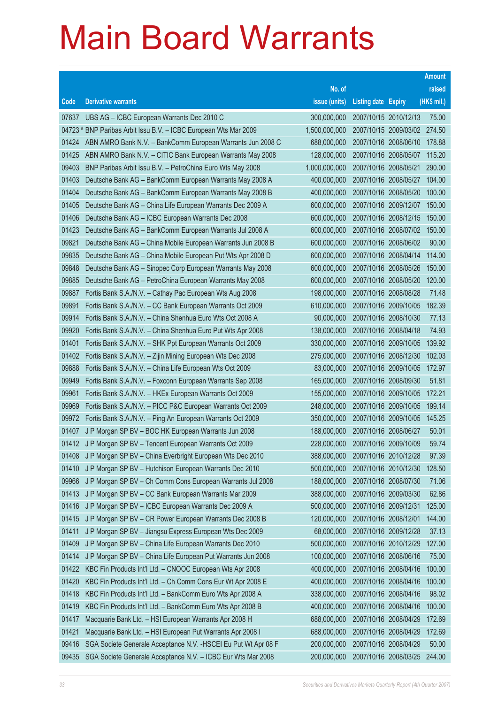|                |                                                                                                                        |                            |                            |                                                | <b>Amount</b>   |
|----------------|------------------------------------------------------------------------------------------------------------------------|----------------------------|----------------------------|------------------------------------------------|-----------------|
|                |                                                                                                                        | No. of                     |                            |                                                | raised          |
| Code           | <b>Derivative warrants</b>                                                                                             | issue (units)              | <b>Listing date Expiry</b> |                                                | (HK\$ mil.)     |
| 07637          | UBS AG - ICBC European Warrants Dec 2010 C                                                                             | 300,000,000                | 2007/10/15 2010/12/13      |                                                | 75.00           |
|                | 04723 # BNP Paribas Arbit Issu B.V. - ICBC European Wts Mar 2009                                                       | 1,500,000,000              |                            | 2007/10/15 2009/03/02 274.50                   |                 |
| 01424          | ABN AMRO Bank N.V. - BankComm European Warrants Jun 2008 C                                                             | 688,000,000                |                            | 2007/10/16 2008/06/10                          | 178.88          |
| 01425          | ABN AMRO Bank N.V. - CITIC Bank European Warrants May 2008                                                             | 128,000,000                | 2007/10/16 2008/05/07      |                                                | 115.20          |
| 09403          | BNP Paribas Arbit Issu B.V. - PetroChina Euro Wts May 2008                                                             | 1,000,000,000              | 2007/10/16 2008/05/21      |                                                | 290.00          |
| 01403          | Deutsche Bank AG - BankComm European Warrants May 2008 A                                                               | 400,000,000                |                            | 2007/10/16 2008/05/27                          | 104.00          |
| 01404          | Deutsche Bank AG - BankComm European Warrants May 2008 B                                                               | 400,000,000                |                            | 2007/10/16 2008/05/20                          | 100.00          |
| 01405          | Deutsche Bank AG - China Life European Warrants Dec 2009 A                                                             | 600,000,000                |                            | 2007/10/16 2009/12/07                          | 150.00          |
| 01406          | Deutsche Bank AG - ICBC European Warrants Dec 2008                                                                     | 600,000,000                |                            | 2007/10/16 2008/12/15                          | 150.00          |
| 01423          | Deutsche Bank AG - BankComm European Warrants Jul 2008 A                                                               | 600,000,000                |                            | 2007/10/16 2008/07/02 150.00                   |                 |
| 09821          | Deutsche Bank AG - China Mobile European Warrants Jun 2008 B                                                           | 600,000,000                |                            | 2007/10/16 2008/06/02                          | 90.00           |
| 09835          | Deutsche Bank AG - China Mobile European Put Wts Apr 2008 D                                                            | 600,000,000                |                            | 2007/10/16 2008/04/14                          | 114.00          |
| 09848          | Deutsche Bank AG - Sinopec Corp European Warrants May 2008                                                             | 600,000,000                | 2007/10/16 2008/05/26      |                                                | 150.00          |
| 09885          | Deutsche Bank AG - PetroChina European Warrants May 2008                                                               | 600,000,000                |                            | 2007/10/16 2008/05/20                          | 120.00          |
| 09887          | Fortis Bank S.A./N.V. - Cathay Pac European Wts Aug 2008                                                               | 198,000,000                | 2007/10/16 2008/08/28      |                                                | 71.48           |
| 09891          | Fortis Bank S.A./N.V. - CC Bank European Warrants Oct 2009                                                             | 610,000,000                |                            | 2007/10/16 2009/10/05                          | 182.39          |
| 09914          | Fortis Bank S.A./N.V. - China Shenhua Euro Wts Oct 2008 A                                                              | 90,000,000                 | 2007/10/16 2008/10/30      |                                                | 77.13           |
| 09920          | Fortis Bank S.A./N.V. - China Shenhua Euro Put Wts Apr 2008                                                            | 138,000,000                | 2007/10/16 2008/04/18      |                                                | 74.93           |
| 01401          | Fortis Bank S.A./N.V. - SHK Ppt European Warrants Oct 2009                                                             | 330,000,000                |                            | 2007/10/16 2009/10/05                          | 139.92          |
| 01402          | Fortis Bank S.A./N.V. - Zijin Mining European Wts Dec 2008                                                             | 275,000,000                |                            | 2007/10/16 2008/12/30                          | 102.03          |
| 09888          | Fortis Bank S.A./N.V. - China Life European Wts Oct 2009                                                               | 83,000,000                 |                            | 2007/10/16 2009/10/05                          | 172.97          |
| 09949          | Fortis Bank S.A./N.V. - Foxconn European Warrants Sep 2008                                                             | 165,000,000                | 2007/10/16 2008/09/30      |                                                | 51.81<br>172.21 |
| 09961<br>09969 | Fortis Bank S.A./N.V. - HKEx European Warrants Oct 2009<br>Fortis Bank S.A./N.V. - PICC P&C European Warrants Oct 2009 | 155,000,000<br>248,000,000 |                            | 2007/10/16 2009/10/05<br>2007/10/16 2009/10/05 | 199.14          |
| 09972          | Fortis Bank S.A./N.V. - Ping An European Warrants Oct 2009                                                             | 350,000,000                |                            | 2007/10/16 2009/10/05                          | 145.25          |
| 01407          | J P Morgan SP BV - BOC HK European Warrants Jun 2008                                                                   | 188,000,000                | 2007/10/16 2008/06/27      |                                                | 50.01           |
| 01412          | J P Morgan SP BV - Tencent European Warrants Oct 2009                                                                  | 228,000,000                | 2007/10/16 2009/10/09      |                                                | 59.74           |
| 01408          | J P Morgan SP BV - China Everbright European Wts Dec 2010                                                              | 388,000,000                | 2007/10/16 2010/12/28      |                                                | 97.39           |
| 01410          | J P Morgan SP BV - Hutchison European Warrants Dec 2010                                                                | 500,000,000                |                            | 2007/10/16 2010/12/30                          | 128.50          |
| 09966          | J P Morgan SP BV - Ch Comm Cons European Warrants Jul 2008                                                             | 188,000,000                |                            | 2007/10/16 2008/07/30                          | 71.06           |
| 01413          | J P Morgan SP BV - CC Bank European Warrants Mar 2009                                                                  | 388,000,000                | 2007/10/16 2009/03/30      |                                                | 62.86           |
| 01416          | J P Morgan SP BV - ICBC European Warrants Dec 2009 A                                                                   | 500,000,000                | 2007/10/16 2009/12/31      |                                                | 125.00          |
| 01415          | J P Morgan SP BV - CR Power European Warrants Dec 2008 B                                                               | 120,000,000                | 2007/10/16 2008/12/01      |                                                | 144.00          |
| 01411          | J P Morgan SP BV - Jiangsu Express European Wts Dec 2009                                                               | 68,000,000                 |                            | 2007/10/16 2009/12/28                          | 37.13           |
| 01409          | J P Morgan SP BV - China Life European Warrants Dec 2010                                                               | 500,000,000                |                            | 2007/10/16 2010/12/29                          | 127.00          |
| 01414          | J P Morgan SP BV - China Life European Put Warrants Jun 2008                                                           | 100,000,000                |                            | 2007/10/16 2008/06/16                          | 75.00           |
| 01422          | KBC Fin Products Int'l Ltd. - CNOOC European Wts Apr 2008                                                              | 400,000,000                |                            | 2007/10/16 2008/04/16                          | 100.00          |
| 01420          | KBC Fin Products Int'l Ltd. - Ch Comm Cons Eur Wt Apr 2008 E                                                           | 400,000,000                |                            | 2007/10/16 2008/04/16                          | 100.00          |
| 01418          | KBC Fin Products Int'l Ltd. - BankComm Euro Wts Apr 2008 A                                                             | 338,000,000                | 2007/10/16 2008/04/16      |                                                | 98.02           |
| 01419          | KBC Fin Products Int'l Ltd. - BankComm Euro Wts Apr 2008 B                                                             | 400,000,000                |                            | 2007/10/16 2008/04/16                          | 100.00          |
| 01417          | Macquarie Bank Ltd. - HSI European Warrants Apr 2008 H                                                                 | 688,000,000                | 2007/10/16 2008/04/29      |                                                | 172.69          |
| 01421          | Macquarie Bank Ltd. - HSI European Put Warrants Apr 2008 I                                                             | 688,000,000                |                            | 2007/10/16 2008/04/29                          | 172.69          |
| 09416          | SGA Societe Generale Acceptance N.V. - HSCEI Eu Put Wt Apr 08 F                                                        | 200,000,000                | 2007/10/16 2008/04/29      |                                                | 50.00           |
| 09435          | SGA Societe Generale Acceptance N.V. - ICBC Eur Wts Mar 2008                                                           | 200,000,000                |                            | 2007/10/16 2008/03/25                          | 244.00          |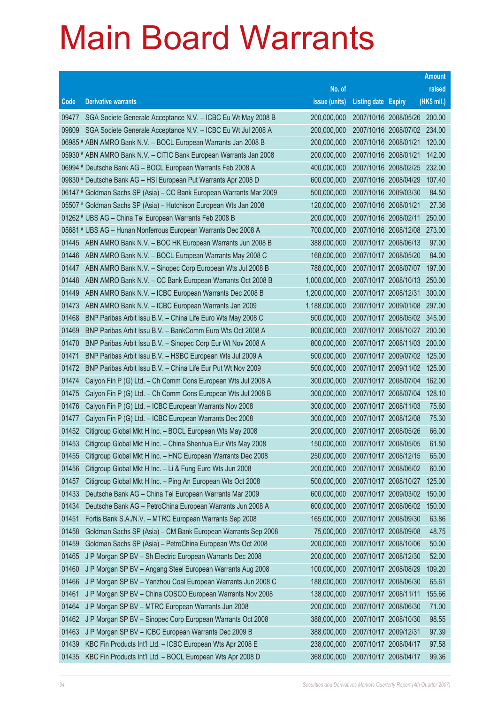|       |                                                                      |               |                              |                              | <b>Amount</b> |
|-------|----------------------------------------------------------------------|---------------|------------------------------|------------------------------|---------------|
|       |                                                                      | No. of        |                              |                              | raised        |
| Code  | <b>Derivative warrants</b>                                           | issue (units) | <b>Listing date Expiry</b>   |                              | (HK\$ mil.)   |
| 09477 | SGA Societe Generale Acceptance N.V. - ICBC Eu Wt May 2008 B         | 200,000,000   | 2007/10/16 2008/05/26 200.00 |                              |               |
| 09809 | SGA Societe Generale Acceptance N.V. - ICBC Eu Wt Jul 2008 A         | 200,000,000   |                              | 2007/10/16 2008/07/02 234.00 |               |
|       | 06985 # ABN AMRO Bank N.V. – BOCL European Warrants Jan 2008 B       | 200,000,000   | 2007/10/16 2008/01/21        |                              | 120.00        |
|       | 05930 # ABN AMRO Bank N.V. - CITIC Bank European Warrants Jan 2008   | 200,000,000   | 2007/10/16 2008/01/21        |                              | 142.00        |
|       | 06994 # Deutsche Bank AG - BOCL European Warrants Feb 2008 A         | 400,000,000   | 2007/10/16 2008/02/25 232.00 |                              |               |
|       | 09830 # Deutsche Bank AG - HSI European Put Warrants Apr 2008 D      | 600,000,000   | 2007/10/16 2008/04/29        |                              | 107.40        |
|       | 06147 # Goldman Sachs SP (Asia) - CC Bank European Warrants Mar 2009 | 500,000,000   | 2007/10/16 2009/03/30        |                              | 84.50         |
|       | 05507 # Goldman Sachs SP (Asia) - Hutchison European Wts Jan 2008    | 120,000,000   | 2007/10/16 2008/01/21        |                              | 27.36         |
|       | 01262 # UBS AG - China Tel European Warrants Feb 2008 B              | 200,000,000   | 2007/10/16 2008/02/11        |                              | 250.00        |
|       | 05681 # UBS AG - Hunan Nonferrous European Warrants Dec 2008 A       | 700,000,000   |                              | 2007/10/16 2008/12/08        | 273.00        |
| 01445 | ABN AMRO Bank N.V. - BOC HK European Warrants Jun 2008 B             | 388,000,000   | 2007/10/17 2008/06/13        |                              | 97.00         |
| 01446 | ABN AMRO Bank N.V. - BOCL European Warrants May 2008 C               | 168,000,000   | 2007/10/17 2008/05/20        |                              | 84.00         |
| 01447 | ABN AMRO Bank N.V. - Sinopec Corp European Wts Jul 2008 B            | 788,000,000   | 2007/10/17 2008/07/07        |                              | 197.00        |
| 01448 | ABN AMRO Bank N.V. - CC Bank European Warrants Oct 2008 B            | 1,000,000,000 |                              | 2007/10/17 2008/10/13        | 250.00        |
| 01449 | ABN AMRO Bank N.V. - ICBC European Warrants Dec 2008 B               | 1,200,000,000 | 2007/10/17 2008/12/31        |                              | 300.00        |
| 01473 | ABN AMRO Bank N.V. - ICBC European Warrants Jan 2009                 | 1,188,000,000 |                              | 2007/10/17 2009/01/08        | 297.00        |
| 01468 | BNP Paribas Arbit Issu B.V. - China Life Euro Wts May 2008 C         | 500,000,000   |                              | 2007/10/17 2008/05/02 345.00 |               |
| 01469 | BNP Paribas Arbit Issu B.V. - BankComm Euro Wts Oct 2008 A           | 800,000,000   |                              | 2007/10/17 2008/10/27 200.00 |               |
| 01470 | BNP Paribas Arbit Issu B.V. - Sinopec Corp Eur Wt Nov 2008 A         | 800,000,000   |                              | 2007/10/17 2008/11/03        | 200.00        |
| 01471 | BNP Paribas Arbit Issu B.V. - HSBC European Wts Jul 2009 A           | 500,000,000   |                              | 2007/10/17 2009/07/02        | 125.00        |
| 01472 | BNP Paribas Arbit Issu B.V. - China Life Eur Put Wt Nov 2009         | 500,000,000   |                              | 2007/10/17 2009/11/02        | 125.00        |
| 01474 | Calyon Fin P (G) Ltd. - Ch Comm Cons European Wts Jul 2008 A         | 300,000,000   | 2007/10/17 2008/07/04        |                              | 162.00        |
| 01475 | Calyon Fin P (G) Ltd. - Ch Comm Cons European Wts Jul 2008 B         | 300,000,000   | 2007/10/17 2008/07/04        |                              | 128.10        |
| 01476 | Calyon Fin P (G) Ltd. - ICBC European Warrants Nov 2008              | 300,000,000   | 2007/10/17 2008/11/03        |                              | 75.60         |
| 01477 | Calyon Fin P (G) Ltd. - ICBC European Warrants Dec 2008              | 300,000,000   | 2007/10/17 2008/12/08        |                              | 75.30         |
| 01452 | Citigroup Global Mkt H Inc. - BOCL European Wts May 2008             | 200,000,000   | 2007/10/17 2008/05/26        |                              | 66.00         |
| 01453 | Citigroup Global Mkt H Inc. - China Shenhua Eur Wts May 2008         | 150,000,000   | 2007/10/17 2008/05/05        |                              | 61.50         |
| 01455 | Citigroup Global Mkt H Inc. - HNC European Warrants Dec 2008         | 250,000,000   | 2007/10/17 2008/12/15        |                              | 65.00         |
| 01456 | Citigroup Global Mkt H Inc. - Li & Fung Euro Wts Jun 2008            | 200,000,000   | 2007/10/17 2008/06/02        |                              | 60.00         |
| 01457 | Citigroup Global Mkt H Inc. - Ping An European Wts Oct 2008          | 500,000,000   | 2007/10/17 2008/10/27        |                              | 125.00        |
| 01433 | Deutsche Bank AG - China Tel European Warrants Mar 2009              | 600,000,000   |                              | 2007/10/17 2009/03/02        | 150.00        |
| 01434 | Deutsche Bank AG - PetroChina European Warrants Jun 2008 A           | 600,000,000   |                              | 2007/10/17 2008/06/02        | 150.00        |
| 01451 | Fortis Bank S.A./N.V. - MTRC European Warrants Sep 2008              | 165,000,000   | 2007/10/17 2008/09/30        |                              | 63.86         |
| 01458 | Goldman Sachs SP (Asia) - CM Bank European Warrants Sep 2008         | 75,000,000    | 2007/10/17 2008/09/08        |                              | 48.75         |
| 01459 | Goldman Sachs SP (Asia) - PetroChina European Wts Oct 2008           | 200,000,000   | 2007/10/17 2008/10/06        |                              | 50.00         |
| 01465 | J P Morgan SP BV - Sh Electric European Warrants Dec 2008            | 200,000,000   | 2007/10/17 2008/12/30        |                              | 52.00         |
| 01460 | J P Morgan SP BV - Angang Steel European Warrants Aug 2008           | 100,000,000   | 2007/10/17 2008/08/29        |                              | 109.20        |
| 01466 | J P Morgan SP BV - Yanzhou Coal European Warrants Jun 2008 C         | 188,000,000   | 2007/10/17 2008/06/30        |                              | 65.61         |
| 01461 | J P Morgan SP BV - China COSCO European Warrants Nov 2008            | 138,000,000   | 2007/10/17 2008/11/11        |                              | 155.66        |
| 01464 | J P Morgan SP BV - MTRC European Warrants Jun 2008                   | 200,000,000   | 2007/10/17 2008/06/30        |                              | 71.00         |
| 01462 | J P Morgan SP BV - Sinopec Corp European Warrants Oct 2008           | 388,000,000   | 2007/10/17 2008/10/30        |                              | 98.55         |
| 01463 | J P Morgan SP BV - ICBC European Warrants Dec 2009 B                 | 388,000,000   | 2007/10/17 2009/12/31        |                              | 97.39         |
| 01439 | KBC Fin Products Int'l Ltd. - ICBC European Wts Apr 2008 E           | 238,000,000   | 2007/10/17 2008/04/17        |                              | 97.58         |
| 01435 | KBC Fin Products Int'l Ltd. - BOCL European Wts Apr 2008 D           | 368,000,000   | 2007/10/17 2008/04/17        |                              | 99.36         |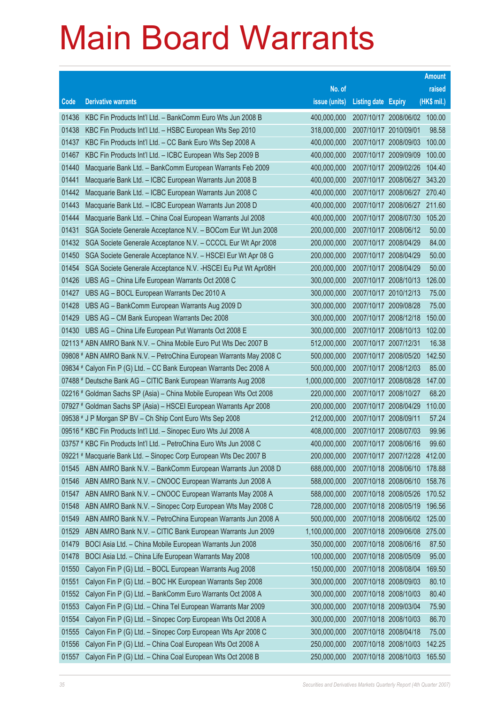|       |                                                                      |               |                            |                              | <b>Amount</b> |
|-------|----------------------------------------------------------------------|---------------|----------------------------|------------------------------|---------------|
|       |                                                                      | No. of        |                            |                              | raised        |
| Code  | <b>Derivative warrants</b>                                           | issue (units) | <b>Listing date Expiry</b> |                              | (HK\$ mil.)   |
| 01436 | KBC Fin Products Int'l Ltd. - BankComm Euro Wts Jun 2008 B           | 400,000,000   | 2007/10/17 2008/06/02      |                              | 100.00        |
| 01438 | KBC Fin Products Int'l Ltd. - HSBC European Wts Sep 2010             | 318,000,000   | 2007/10/17 2010/09/01      |                              | 98.58         |
| 01437 | KBC Fin Products Int'l Ltd. – CC Bank Euro Wts Sep 2008 A            | 400,000,000   | 2007/10/17 2008/09/03      |                              | 100.00        |
| 01467 | KBC Fin Products Int'l Ltd. - ICBC European Wts Sep 2009 B           | 400,000,000   | 2007/10/17 2009/09/09      |                              | 100.00        |
| 01440 | Macquarie Bank Ltd. - BankComm European Warrants Feb 2009            | 400,000,000   | 2007/10/17 2009/02/26      |                              | 104.40        |
| 01441 | Macquarie Bank Ltd. - ICBC European Warrants Jun 2008 B              | 400,000,000   | 2007/10/17 2008/06/27      |                              | 343.20        |
| 01442 | Macquarie Bank Ltd. - ICBC European Warrants Jun 2008 C              | 400,000,000   |                            | 2007/10/17 2008/06/27        | 270.40        |
| 01443 | Macquarie Bank Ltd. - ICBC European Warrants Jun 2008 D              | 400,000,000   |                            | 2007/10/17 2008/06/27 211.60 |               |
| 01444 | Macquarie Bank Ltd. - China Coal European Warrants Jul 2008          | 400,000,000   | 2007/10/17 2008/07/30      |                              | 105.20        |
| 01431 | SGA Societe Generale Acceptance N.V. - BOCom Eur Wt Jun 2008         | 200,000,000   | 2007/10/17 2008/06/12      |                              | 50.00         |
| 01432 | SGA Societe Generale Acceptance N.V. - CCCCL Eur Wt Apr 2008         | 200,000,000   | 2007/10/17 2008/04/29      |                              | 84.00         |
| 01450 | SGA Societe Generale Acceptance N.V. - HSCEI Eur Wt Apr 08 G         | 200,000,000   | 2007/10/17 2008/04/29      |                              | 50.00         |
| 01454 | SGA Societe Generale Acceptance N.V. - HSCEI Eu Put Wt Apr08H        | 200,000,000   | 2007/10/17 2008/04/29      |                              | 50.00         |
| 01426 | UBS AG - China Life European Warrants Oct 2008 C                     | 300,000,000   | 2007/10/17 2008/10/13      |                              | 126.00        |
| 01427 | UBS AG - BOCL European Warrants Dec 2010 A                           | 300,000,000   | 2007/10/17 2010/12/13      |                              | 75.00         |
| 01428 | UBS AG - BankComm European Warrants Aug 2009 D                       | 300,000,000   | 2007/10/17 2009/08/28      |                              | 75.00         |
| 01429 | UBS AG - CM Bank European Warrants Dec 2008                          | 300,000,000   | 2007/10/17 2008/12/18      |                              | 150.00        |
| 01430 | UBS AG – China Life European Put Warrants Oct 2008 E                 | 300,000,000   | 2007/10/17 2008/10/13      |                              | 102.00        |
|       | 02113 # ABN AMRO Bank N.V. - China Mobile Euro Put Wts Dec 2007 B    | 512,000,000   | 2007/10/17 2007/12/31      |                              | 16.38         |
|       | 09808 # ABN AMRO Bank N.V. - PetroChina European Warrants May 2008 C | 500,000,000   | 2007/10/17 2008/05/20      |                              | 142.50        |
|       | 09834 # Calyon Fin P (G) Ltd. – CC Bank European Warrants Dec 2008 A | 500,000,000   | 2007/10/17 2008/12/03      |                              | 85.00         |
|       | 07488 # Deutsche Bank AG - CITIC Bank European Warrants Aug 2008     | 1,000,000,000 | 2007/10/17 2008/08/28      |                              | 147.00        |
|       | 02216 # Goldman Sachs SP (Asia) – China Mobile European Wts Oct 2008 | 220,000,000   | 2007/10/17 2008/10/27      |                              | 68.20         |
|       | 07927 # Goldman Sachs SP (Asia) - HSCEI European Warrants Apr 2008   | 200,000,000   | 2007/10/17 2008/04/29      |                              | 110.00        |
|       | 09538 # J P Morgan SP BV - Ch Ship Cont Euro Wts Sep 2008            | 212,000,000   | 2007/10/17 2008/09/11      |                              | 57.24         |
|       | 09516 # KBC Fin Products Int'l Ltd. - Sinopec Euro Wts Jul 2008 A    | 408,000,000   | 2007/10/17 2008/07/03      |                              | 99.96         |
|       | 03757 # KBC Fin Products Int'l Ltd. – PetroChina Euro Wts Jun 2008 C | 400,000,000   | 2007/10/17 2008/06/16      |                              | 99.60         |
|       | 09221 # Macquarie Bank Ltd. - Sinopec Corp European Wts Dec 2007 B   | 200.000.000   | 2007/10/17 2007/12/28      |                              | 412.00        |
| 01545 | ABN AMRO Bank N.V. - BankComm European Warrants Jun 2008 D           | 688,000,000   | 2007/10/18 2008/06/10      |                              | 178.88        |
| 01546 | ABN AMRO Bank N.V. - CNOOC European Warrants Jun 2008 A              | 588,000,000   | 2007/10/18 2008/06/10      |                              | 158.76        |
| 01547 | ABN AMRO Bank N.V. - CNOOC European Warrants May 2008 A              | 588,000,000   | 2007/10/18 2008/05/26      |                              | 170.52        |
| 01548 | ABN AMRO Bank N.V. - Sinopec Corp European Wts May 2008 C            | 728,000,000   | 2007/10/18 2008/05/19      |                              | 196.56        |
| 01549 | ABN AMRO Bank N.V. - PetroChina European Warrants Jun 2008 A         | 500,000,000   | 2007/10/18 2008/06/02      |                              | 125.00        |
| 01529 | ABN AMRO Bank N.V. - CITIC Bank European Warrants Jun 2009           | 1,100,000,000 | 2007/10/18 2009/06/08      |                              | 275.00        |
| 01479 | BOCI Asia Ltd. - China Mobile European Warrants Jun 2008             | 350,000,000   | 2007/10/18 2008/06/16      |                              | 87.50         |
| 01478 | BOCI Asia Ltd. - China Life European Warrants May 2008               | 100,000,000   | 2007/10/18 2008/05/09      |                              | 95.00         |
| 01550 | Calyon Fin P (G) Ltd. - BOCL European Warrants Aug 2008              | 150,000,000   | 2007/10/18 2008/08/04      |                              | 169.50        |
| 01551 | Calyon Fin P (G) Ltd. - BOC HK European Warrants Sep 2008            | 300,000,000   | 2007/10/18 2008/09/03      |                              | 80.10         |
| 01552 | Calyon Fin P (G) Ltd. - BankComm Euro Warrants Oct 2008 A            | 300,000,000   | 2007/10/18 2008/10/03      |                              | 80.40         |
| 01553 | Calyon Fin P (G) Ltd. - China Tel European Warrants Mar 2009         | 300,000,000   | 2007/10/18 2009/03/04      |                              | 75.90         |
| 01554 | Calyon Fin P (G) Ltd. - Sinopec Corp European Wts Oct 2008 A         | 300,000,000   | 2007/10/18 2008/10/03      |                              | 86.70         |
| 01555 | Calyon Fin P (G) Ltd. - Sinopec Corp European Wts Apr 2008 C         | 300,000,000   | 2007/10/18 2008/04/18      |                              | 75.00         |
| 01556 | Calyon Fin P (G) Ltd. - China Coal European Wts Oct 2008 A           | 250,000,000   | 2007/10/18 2008/10/03      |                              | 142.25        |
| 01557 | Calyon Fin P (G) Ltd. - China Coal European Wts Oct 2008 B           | 250,000,000   | 2007/10/18 2008/10/03      |                              | 165.50        |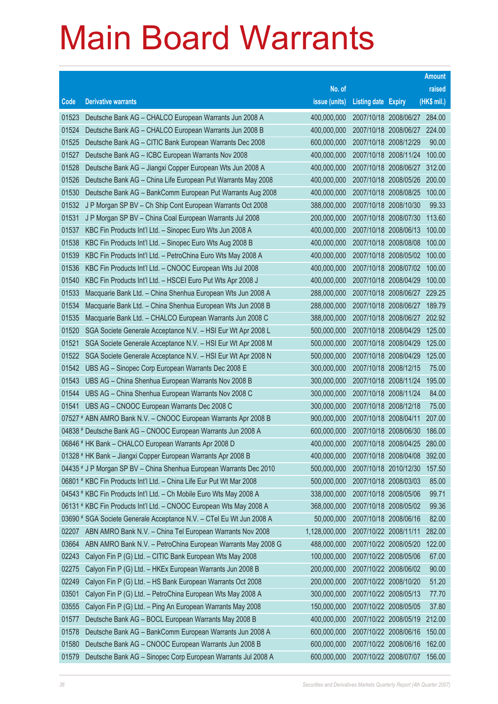|       |                                                                      |               |                            |                              | <b>Amount</b> |
|-------|----------------------------------------------------------------------|---------------|----------------------------|------------------------------|---------------|
|       |                                                                      | No. of        |                            |                              | raised        |
| Code  | <b>Derivative warrants</b>                                           | issue (units) | <b>Listing date Expiry</b> |                              | (HK\$ mil.)   |
| 01523 | Deutsche Bank AG - CHALCO European Warrants Jun 2008 A               | 400,000,000   |                            | 2007/10/18 2008/06/27 284.00 |               |
| 01524 | Deutsche Bank AG - CHALCO European Warrants Jun 2008 B               | 400,000,000   |                            | 2007/10/18 2008/06/27 224.00 |               |
| 01525 | Deutsche Bank AG - CITIC Bank European Warrants Dec 2008             | 600,000,000   | 2007/10/18 2008/12/29      |                              | 90.00         |
| 01527 | Deutsche Bank AG - ICBC European Warrants Nov 2008                   | 400,000,000   |                            | 2007/10/18 2008/11/24        | 100.00        |
| 01528 | Deutsche Bank AG - Jiangxi Copper European Wts Jun 2008 A            | 400,000,000   |                            | 2007/10/18 2008/06/27 312.00 |               |
| 01526 | Deutsche Bank AG - China Life European Put Warrants May 2008         | 400,000,000   |                            | 2007/10/18 2008/05/26        | 200.00        |
| 01530 | Deutsche Bank AG - BankComm European Put Warrants Aug 2008           | 400,000,000   |                            | 2007/10/18 2008/08/25        | 100.00        |
| 01532 | J P Morgan SP BV - Ch Ship Cont European Warrants Oct 2008           | 388,000,000   | 2007/10/18 2008/10/30      |                              | 99.33         |
| 01531 | J P Morgan SP BV - China Coal European Warrants Jul 2008             | 200,000,000   | 2007/10/18 2008/07/30      |                              | 113.60        |
| 01537 | KBC Fin Products Int'l Ltd. - Sinopec Euro Wts Jun 2008 A            | 400,000,000   |                            | 2007/10/18 2008/06/13        | 100.00        |
| 01538 | KBC Fin Products Int'l Ltd. - Sinopec Euro Wts Aug 2008 B            | 400,000,000   |                            | 2007/10/18 2008/08/08        | 100.00        |
| 01539 | KBC Fin Products Int'l Ltd. - PetroChina Euro Wts May 2008 A         | 400,000,000   |                            | 2007/10/18 2008/05/02 100.00 |               |
| 01536 | KBC Fin Products Int'l Ltd. - CNOOC European Wts Jul 2008            | 400,000,000   |                            | 2007/10/18 2008/07/02        | 100.00        |
| 01540 | KBC Fin Products Int'l Ltd. - HSCEI Euro Put Wts Apr 2008 J          | 400,000,000   |                            | 2007/10/18 2008/04/29        | 100.00        |
| 01533 | Macquarie Bank Ltd. - China Shenhua European Wts Jun 2008 A          | 288,000,000   |                            | 2007/10/18 2008/06/27        | 229.25        |
| 01534 | Macquarie Bank Ltd. - China Shenhua European Wts Jun 2008 B          | 288,000,000   |                            | 2007/10/18 2008/06/27        | 189.79        |
| 01535 | Macquarie Bank Ltd. - CHALCO European Warrants Jun 2008 C            | 388,000,000   |                            | 2007/10/18 2008/06/27 202.92 |               |
| 01520 | SGA Societe Generale Acceptance N.V. - HSI Eur Wt Apr 2008 L         | 500,000,000   |                            | 2007/10/18 2008/04/29        | 125.00        |
| 01521 | SGA Societe Generale Acceptance N.V. - HSI Eur Wt Apr 2008 M         | 500,000,000   |                            | 2007/10/18 2008/04/29        | 125.00        |
| 01522 | SGA Societe Generale Acceptance N.V. - HSI Eur Wt Apr 2008 N         | 500,000,000   |                            | 2007/10/18 2008/04/29        | 125.00        |
| 01542 | UBS AG - Sinopec Corp European Warrants Dec 2008 E                   | 300,000,000   | 2007/10/18 2008/12/15      |                              | 75.00         |
| 01543 | UBS AG - China Shenhua European Warrants Nov 2008 B                  | 300,000,000   |                            | 2007/10/18 2008/11/24        | 195.00        |
| 01544 | UBS AG - China Shenhua European Warrants Nov 2008 C                  | 300,000,000   | 2007/10/18 2008/11/24      |                              | 84.00         |
| 01541 | UBS AG - CNOOC European Warrants Dec 2008 C                          | 300,000,000   | 2007/10/18 2008/12/18      |                              | 75.00         |
|       | 07527 # ABN AMRO Bank N.V. - CNOOC European Warrants Apr 2008 B      | 900,000,000   |                            | 2007/10/18 2008/04/11        | 207.00        |
|       | 04838 # Deutsche Bank AG - CNOOC European Warrants Jun 2008 A        | 600,000,000   | 2007/10/18 2008/06/30      |                              | 186.00        |
|       | 06846 # HK Bank - CHALCO European Warrants Apr 2008 D                | 400,000,000   |                            | 2007/10/18 2008/04/25        | 280.00        |
|       | 01328 # HK Bank - Jiangxi Copper European Warrants Apr 2008 B        | 400,000,000   | 2007/10/18 2008/04/08      |                              | 392.00        |
|       | 04435 # J P Morgan SP BV - China Shenhua European Warrants Dec 2010  | 500,000,000   |                            | 2007/10/18 2010/12/30        | 157.50        |
|       | 06801 # KBC Fin Products Int'l Ltd. - China Life Eur Put Wt Mar 2008 | 500,000,000   | 2007/10/18 2008/03/03      |                              | 85.00         |
|       | 04543 # KBC Fin Products Int'l Ltd. - Ch Mobile Euro Wts May 2008 A  | 338,000,000   | 2007/10/18 2008/05/06      |                              | 99.71         |
|       | 06131 # KBC Fin Products Int'l Ltd. - CNOOC European Wts May 2008 A  | 368,000,000   |                            | 2007/10/18 2008/05/02        | 99.36         |
|       | 03690 # SGA Societe Generale Acceptance N.V. - CTel Eu Wt Jun 2008 A | 50,000,000    | 2007/10/18 2008/06/16      |                              | 82.00         |
| 02207 | ABN AMRO Bank N.V. - China Tel European Warrants Nov 2008            | 1,128,000,000 | 2007/10/22 2008/11/11      |                              | 282.00        |
| 03664 | ABN AMRO Bank N.V. - PetroChina European Warrants May 2008 G         | 488,000,000   |                            | 2007/10/22 2008/05/20        | 122.00        |
| 02243 | Calyon Fin P (G) Ltd. - CITIC Bank European Wts May 2008             | 100,000,000   |                            | 2007/10/22 2008/05/06        | 67.00         |
| 02275 | Calyon Fin P (G) Ltd. - HKEx European Warrants Jun 2008 B            | 200,000,000   |                            | 2007/10/22 2008/06/02        | 90.00         |
| 02249 | Calyon Fin P (G) Ltd. - HS Bank European Warrants Oct 2008           | 200,000,000   | 2007/10/22 2008/10/20      |                              | 51.20         |
| 03501 | Calyon Fin P (G) Ltd. - PetroChina European Wts May 2008 A           | 300,000,000   | 2007/10/22 2008/05/13      |                              | 77.70         |
| 03555 | Calyon Fin P (G) Ltd. - Ping An European Warrants May 2008           | 150,000,000   |                            | 2007/10/22 2008/05/05        | 37.80         |
| 01577 | Deutsche Bank AG - BOCL European Warrants May 2008 B                 | 400,000,000   |                            | 2007/10/22 2008/05/19        | 212.00        |
| 01578 | Deutsche Bank AG - BankComm European Warrants Jun 2008 A             | 600,000,000   |                            | 2007/10/22 2008/06/16        | 150.00        |
| 01580 | Deutsche Bank AG - CNOOC European Warrants Jun 2008 B                | 600,000,000   |                            | 2007/10/22 2008/06/16        | 162.00        |
| 01579 | Deutsche Bank AG - Sinopec Corp European Warrants Jul 2008 A         | 600,000,000   |                            | 2007/10/22 2008/07/07        | 156.00        |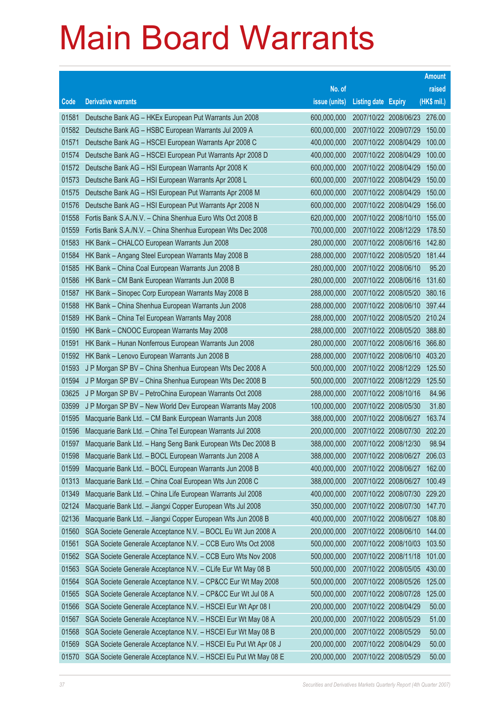|       |                                                                 |               |                            |                              | <b>Amount</b> |
|-------|-----------------------------------------------------------------|---------------|----------------------------|------------------------------|---------------|
|       |                                                                 | No. of        |                            |                              | raised        |
| Code  | <b>Derivative warrants</b>                                      | issue (units) | <b>Listing date Expiry</b> |                              | (HK\$ mil.)   |
| 01581 | Deutsche Bank AG - HKEx European Put Warrants Jun 2008          | 600,000,000   |                            | 2007/10/22 2008/06/23 276.00 |               |
| 01582 | Deutsche Bank AG - HSBC European Warrants Jul 2009 A            | 600,000,000   |                            | 2007/10/22 2009/07/29        | 150.00        |
| 01571 | Deutsche Bank AG - HSCEI European Warrants Apr 2008 C           | 400,000,000   |                            | 2007/10/22 2008/04/29        | 100.00        |
| 01574 | Deutsche Bank AG - HSCEI European Put Warrants Apr 2008 D       | 400,000,000   |                            | 2007/10/22 2008/04/29        | 100.00        |
| 01572 | Deutsche Bank AG - HSI European Warrants Apr 2008 K             | 600,000,000   |                            | 2007/10/22 2008/04/29        | 150.00        |
| 01573 | Deutsche Bank AG - HSI European Warrants Apr 2008 L             | 600,000,000   |                            | 2007/10/22 2008/04/29        | 150.00        |
| 01575 | Deutsche Bank AG - HSI European Put Warrants Apr 2008 M         | 600,000,000   |                            | 2007/10/22 2008/04/29        | 150.00        |
| 01576 | Deutsche Bank AG - HSI European Put Warrants Apr 2008 N         | 600,000,000   |                            | 2007/10/22 2008/04/29        | 156.00        |
| 01558 | Fortis Bank S.A./N.V. - China Shenhua Euro Wts Oct 2008 B       | 620,000,000   |                            | 2007/10/22 2008/10/10        | 155.00        |
| 01559 | Fortis Bank S.A./N.V. - China Shenhua European Wts Dec 2008     | 700,000,000   |                            | 2007/10/22 2008/12/29        | 178.50        |
| 01583 | HK Bank - CHALCO European Warrants Jun 2008                     | 280,000,000   |                            | 2007/10/22 2008/06/16        | 142.80        |
| 01584 | HK Bank - Angang Steel European Warrants May 2008 B             | 288,000,000   |                            | 2007/10/22 2008/05/20        | 181.44        |
| 01585 | HK Bank - China Coal European Warrants Jun 2008 B               | 280,000,000   |                            | 2007/10/22 2008/06/10        | 95.20         |
| 01586 | HK Bank - CM Bank European Warrants Jun 2008 B                  | 280,000,000   |                            | 2007/10/22 2008/06/16        | 131.60        |
| 01587 | HK Bank - Sinopec Corp European Warrants May 2008 B             | 288,000,000   |                            | 2007/10/22 2008/05/20        | 380.16        |
| 01588 | HK Bank - China Shenhua European Warrants Jun 2008              | 288,000,000   |                            | 2007/10/22 2008/06/10        | 397.44        |
| 01589 | HK Bank - China Tel European Warrants May 2008                  | 288,000,000   |                            | 2007/10/22 2008/05/20 210.24 |               |
| 01590 | HK Bank - CNOOC European Warrants May 2008                      | 288,000,000   |                            | 2007/10/22 2008/05/20        | 388.80        |
| 01591 | HK Bank - Hunan Nonferrous European Warrants Jun 2008           | 280,000,000   |                            | 2007/10/22 2008/06/16        | 366.80        |
| 01592 | HK Bank - Lenovo European Warrants Jun 2008 B                   | 288,000,000   |                            | 2007/10/22 2008/06/10 403.20 |               |
| 01593 | J P Morgan SP BV - China Shenhua European Wts Dec 2008 A        | 500,000,000   |                            | 2007/10/22 2008/12/29        | 125.50        |
| 01594 | J P Morgan SP BV - China Shenhua European Wts Dec 2008 B        | 500,000,000   |                            | 2007/10/22 2008/12/29        | 125.50        |
| 03625 | J P Morgan SP BV - PetroChina European Warrants Oct 2008        | 288,000,000   |                            | 2007/10/22 2008/10/16        | 84.96         |
| 03599 | J P Morgan SP BV - New World Dev European Warrants May 2008     | 100,000,000   |                            | 2007/10/22 2008/05/30        | 31.80         |
| 01595 | Macquarie Bank Ltd. - CM Bank European Warrants Jun 2008        | 388,000,000   |                            | 2007/10/22 2008/06/27        | 163.74        |
| 01596 | Macquarie Bank Ltd. - China Tel European Warrants Jul 2008      | 200,000,000   |                            | 2007/10/22 2008/07/30        | 202.20        |
| 01597 | Macquarie Bank Ltd. - Hang Seng Bank European Wts Dec 2008 B    | 388,000,000   |                            | 2007/10/22 2008/12/30        | 98.94         |
| 01598 | Macquarie Bank Ltd. - BOCL European Warrants Jun 2008 A         | 388,000,000   |                            | 2007/10/22 2008/06/27 206.03 |               |
| 01599 | Macquarie Bank Ltd. - BOCL European Warrants Jun 2008 B         | 400,000,000   |                            | 2007/10/22 2008/06/27        | 162.00        |
| 01313 | Macquarie Bank Ltd. - China Coal European Wts Jun 2008 C        | 388,000,000   |                            | 2007/10/22 2008/06/27        | 100.49        |
| 01349 | Macquarie Bank Ltd. - China Life European Warrants Jul 2008     | 400,000,000   |                            | 2007/10/22 2008/07/30        | 229.20        |
| 02124 | Macquarie Bank Ltd. - Jiangxi Copper European Wts Jul 2008      | 350,000,000   |                            | 2007/10/22 2008/07/30        | 147.70        |
| 02136 | Macquarie Bank Ltd. - Jiangxi Copper European Wts Jun 2008 B    | 400,000,000   |                            | 2007/10/22 2008/06/27        | 108.80        |
| 01560 | SGA Societe Generale Acceptance N.V. - BOCL Eu Wt Jun 2008 A    | 200,000,000   |                            | 2007/10/22 2008/06/10        | 144.00        |
| 01561 | SGA Societe Generale Acceptance N.V. - CCB Euro Wts Oct 2008    | 500,000,000   |                            | 2007/10/22 2008/10/03        | 103.50        |
| 01562 | SGA Societe Generale Acceptance N.V. - CCB Euro Wts Nov 2008    | 500,000,000   |                            | 2007/10/22 2008/11/18        | 101.00        |
| 01563 | SGA Societe Generale Acceptance N.V. - CLife Eur Wt May 08 B    | 500,000,000   |                            | 2007/10/22 2008/05/05        | 430.00        |
| 01564 | SGA Societe Generale Acceptance N.V. - CP&CC Eur Wt May 2008    | 500,000,000   |                            | 2007/10/22 2008/05/26        | 125.00        |
| 01565 | SGA Societe Generale Acceptance N.V. - CP&CC Eur Wt Jul 08 A    | 500,000,000   |                            | 2007/10/22 2008/07/28        | 125.00        |
| 01566 | SGA Societe Generale Acceptance N.V. - HSCEI Eur Wt Apr 08 I    | 200,000,000   |                            | 2007/10/22 2008/04/29        | 50.00         |
| 01567 | SGA Societe Generale Acceptance N.V. - HSCEI Eur Wt May 08 A    | 200,000,000   |                            | 2007/10/22 2008/05/29        | 51.00         |
| 01568 | SGA Societe Generale Acceptance N.V. - HSCEI Eur Wt May 08 B    | 200,000,000   |                            | 2007/10/22 2008/05/29        | 50.00         |
| 01569 | SGA Societe Generale Acceptance N.V. - HSCEI Eu Put Wt Apr 08 J | 200,000,000   |                            | 2007/10/22 2008/04/29        | 50.00         |
| 01570 | SGA Societe Generale Acceptance N.V. - HSCEI Eu Put Wt May 08 E | 200,000,000   |                            | 2007/10/22 2008/05/29        | 50.00         |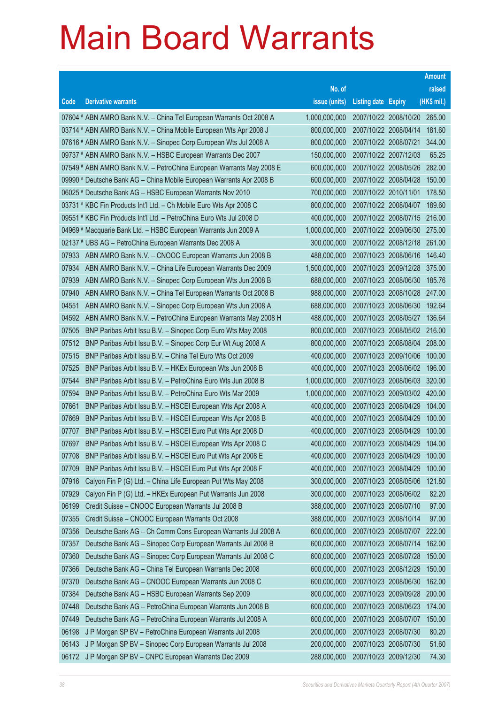|       |                                                                      |               |                            |                              | <b>Amount</b> |
|-------|----------------------------------------------------------------------|---------------|----------------------------|------------------------------|---------------|
|       |                                                                      | No. of        |                            |                              | raised        |
| Code  | <b>Derivative warrants</b>                                           | issue (units) | <b>Listing date Expiry</b> |                              | (HK\$ mil.)   |
|       | 07604 # ABN AMRO Bank N.V. - China Tel European Warrants Oct 2008 A  | 1,000,000,000 |                            | 2007/10/22 2008/10/20 265.00 |               |
|       | 03714 # ABN AMRO Bank N.V. - China Mobile European Wts Apr 2008 J    | 800,000,000   |                            | 2007/10/22 2008/04/14        | 181.60        |
|       | 07616 # ABN AMRO Bank N.V. - Sinopec Corp European Wts Jul 2008 A    | 800,000,000   |                            | 2007/10/22 2008/07/21        | 344.00        |
|       | 09737 # ABN AMRO Bank N.V. - HSBC European Warrants Dec 2007         | 150,000,000   |                            | 2007/10/22 2007/12/03        | 65.25         |
|       | 07549 # ABN AMRO Bank N.V. - PetroChina European Warrants May 2008 E | 600,000,000   |                            | 2007/10/22 2008/05/26        | 282.00        |
|       | 09990 # Deutsche Bank AG - China Mobile European Warrants Apr 2008 B | 600,000,000   |                            | 2007/10/22 2008/04/28        | 150.00        |
|       | 06025 # Deutsche Bank AG - HSBC European Warrants Nov 2010           | 700,000,000   | 2007/10/22 2010/11/01      |                              | 178.50        |
|       | 03731 # KBC Fin Products Int'l Ltd. - Ch Mobile Euro Wts Apr 2008 C  | 800,000,000   |                            | 2007/10/22 2008/04/07        | 189.60        |
|       | 09551 # KBC Fin Products Int'l Ltd. - PetroChina Euro Wts Jul 2008 D | 400,000,000   |                            | 2007/10/22 2008/07/15 216.00 |               |
|       | 04969 # Macquarie Bank Ltd. - HSBC European Warrants Jun 2009 A      | 1,000,000,000 |                            | 2007/10/22 2009/06/30 275.00 |               |
|       | 02137 # UBS AG - PetroChina European Warrants Dec 2008 A             | 300,000,000   |                            | 2007/10/22 2008/12/18        | 261.00        |
| 07933 | ABN AMRO Bank N.V. - CNOOC European Warrants Jun 2008 B              | 488,000,000   |                            | 2007/10/23 2008/06/16        | 146.40        |
| 07934 | ABN AMRO Bank N.V. - China Life European Warrants Dec 2009           | 1,500,000,000 |                            | 2007/10/23 2009/12/28        | 375.00        |
| 07939 | ABN AMRO Bank N.V. - Sinopec Corp European Wts Jun 2008 B            | 688,000,000   |                            | 2007/10/23 2008/06/30        | 185.76        |
| 07940 | ABN AMRO Bank N.V. - China Tel European Warrants Oct 2008 B          | 988,000,000   |                            | 2007/10/23 2008/10/28        | 247.00        |
| 04551 | ABN AMRO Bank N.V. - Sinopec Corp European Wts Jun 2008 A            | 688,000,000   |                            | 2007/10/23 2008/06/30        | 192.64        |
| 04592 | ABN AMRO Bank N.V. - PetroChina European Warrants May 2008 H         | 488,000,000   |                            | 2007/10/23 2008/05/27        | 136.64        |
| 07505 | BNP Paribas Arbit Issu B.V. - Sinopec Corp Euro Wts May 2008         | 800,000,000   |                            | 2007/10/23 2008/05/02 216.00 |               |
| 07512 | BNP Paribas Arbit Issu B.V. - Sinopec Corp Eur Wt Aug 2008 A         | 800,000,000   |                            | 2007/10/23 2008/08/04        | 208.00        |
| 07515 | BNP Paribas Arbit Issu B.V. - China Tel Euro Wts Oct 2009            | 400,000,000   |                            | 2007/10/23 2009/10/06        | 100.00        |
| 07525 | BNP Paribas Arbit Issu B.V. - HKEx European Wts Jun 2008 B           | 400,000,000   |                            | 2007/10/23 2008/06/02        | 196.00        |
| 07544 | BNP Paribas Arbit Issu B.V. - PetroChina Euro Wts Jun 2008 B         | 1,000,000,000 |                            | 2007/10/23 2008/06/03        | 320.00        |
| 07594 | BNP Paribas Arbit Issu B.V. - PetroChina Euro Wts Mar 2009           | 1,000,000,000 |                            | 2007/10/23 2009/03/02        | 420.00        |
| 07661 | BNP Paribas Arbit Issu B.V. - HSCEI European Wts Apr 2008 A          | 400,000,000   |                            | 2007/10/23 2008/04/29        | 104.00        |
| 07669 | BNP Paribas Arbit Issu B.V. - HSCEI European Wts Apr 2008 B          | 400,000,000   |                            | 2007/10/23 2008/04/29        | 100.00        |
| 07707 | BNP Paribas Arbit Issu B.V. - HSCEI Euro Put Wts Apr 2008 D          | 400,000,000   |                            | 2007/10/23 2008/04/29        | 100.00        |
| 07697 | BNP Paribas Arbit Issu B.V. - HSCEI European Wts Apr 2008 C          | 400,000,000   |                            | 2007/10/23 2008/04/29        | 104.00        |
| 07708 | BNP Paribas Arbit Issu B.V. - HSCEI Euro Put Wts Apr 2008 E          | 400,000,000   | 2007/10/23 2008/04/29      |                              | 100.00        |
| 07709 | BNP Paribas Arbit Issu B.V. - HSCEI Euro Put Wts Apr 2008 F          | 400,000,000   |                            | 2007/10/23 2008/04/29        | 100.00        |
| 07916 | Calyon Fin P (G) Ltd. - China Life European Put Wts May 2008         | 300,000,000   |                            | 2007/10/23 2008/05/06        | 121.80        |
| 07929 | Calyon Fin P (G) Ltd. - HKEx European Put Warrants Jun 2008          | 300,000,000   |                            | 2007/10/23 2008/06/02        | 82.20         |
| 06199 | Credit Suisse - CNOOC European Warrants Jul 2008 B                   | 388,000,000   |                            | 2007/10/23 2008/07/10        | 97.00         |
| 07355 | Credit Suisse - CNOOC European Warrants Oct 2008                     | 388,000,000   |                            | 2007/10/23 2008/10/14        | 97.00         |
| 07356 | Deutsche Bank AG - Ch Comm Cons European Warrants Jul 2008 A         | 600,000,000   |                            | 2007/10/23 2008/07/07        | 222.00        |
| 07357 | Deutsche Bank AG - Sinopec Corp European Warrants Jul 2008 B         | 600,000,000   |                            | 2007/10/23 2008/07/14        | 162.00        |
| 07360 | Deutsche Bank AG - Sinopec Corp European Warrants Jul 2008 C         | 600,000,000   |                            | 2007/10/23 2008/07/28        | 150.00        |
| 07366 | Deutsche Bank AG - China Tel European Warrants Dec 2008              | 600,000,000   |                            | 2007/10/23 2008/12/29        | 150.00        |
| 07370 | Deutsche Bank AG - CNOOC European Warrants Jun 2008 C                | 600,000,000   |                            | 2007/10/23 2008/06/30        | 162.00        |
| 07384 | Deutsche Bank AG - HSBC European Warrants Sep 2009                   | 800,000,000   |                            | 2007/10/23 2009/09/28        | 200.00        |
| 07448 | Deutsche Bank AG - PetroChina European Warrants Jun 2008 B           | 600,000,000   |                            | 2007/10/23 2008/06/23        | 174.00        |
| 07449 | Deutsche Bank AG - PetroChina European Warrants Jul 2008 A           | 600,000,000   | 2007/10/23 2008/07/07      |                              | 150.00        |
| 06198 | J P Morgan SP BV - PetroChina European Warrants Jul 2008             | 200,000,000   |                            | 2007/10/23 2008/07/30        | 80.20         |
| 06143 | J P Morgan SP BV - Sinopec Corp European Warrants Jul 2008           | 200,000,000   |                            | 2007/10/23 2008/07/30        | 51.60         |
| 06172 | J P Morgan SP BV - CNPC European Warrants Dec 2009                   | 288,000,000   |                            | 2007/10/23 2009/12/30        | 74.30         |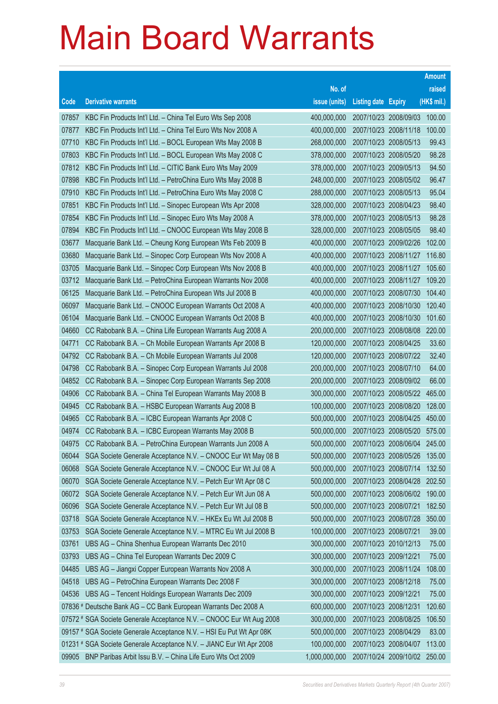|                |                                                                                                                              |                            |                                                | <b>Amount</b>    |
|----------------|------------------------------------------------------------------------------------------------------------------------------|----------------------------|------------------------------------------------|------------------|
|                |                                                                                                                              | No. of                     |                                                | raised           |
| Code           | <b>Derivative warrants</b>                                                                                                   | issue (units)              | <b>Listing date Expiry</b>                     | (HK\$ mil.)      |
| 07857          | KBC Fin Products Int'l Ltd. - China Tel Euro Wts Sep 2008                                                                    | 400,000,000                | 2007/10/23 2008/09/03                          | 100.00           |
| 07877          | KBC Fin Products Int'l Ltd. - China Tel Euro Wts Nov 2008 A                                                                  | 400,000,000                | 2007/10/23 2008/11/18                          | 100.00           |
| 07710          | KBC Fin Products Int'l Ltd. - BOCL European Wts May 2008 B                                                                   | 268,000,000                | 2007/10/23 2008/05/13                          | 99.43            |
| 07803          | KBC Fin Products Int'l Ltd. - BOCL European Wts May 2008 C                                                                   | 378,000,000                | 2007/10/23 2008/05/20                          | 98.28            |
| 07812          | KBC Fin Products Int'l Ltd. - CITIC Bank Euro Wts May 2009                                                                   | 378,000,000                | 2007/10/23 2009/05/13                          | 94.50            |
| 07898          | KBC Fin Products Int'l Ltd. - PetroChina Euro Wts May 2008 B                                                                 | 248,000,000                | 2007/10/23 2008/05/02                          | 96.47            |
| 07910          | KBC Fin Products Int'l Ltd. - PetroChina Euro Wts May 2008 C                                                                 | 288,000,000                | 2007/10/23 2008/05/13                          | 95.04            |
| 07851          | KBC Fin Products Int'l Ltd. - Sinopec European Wts Apr 2008                                                                  | 328,000,000                | 2007/10/23 2008/04/23                          | 98.40            |
| 07854          | KBC Fin Products Int'l Ltd. - Sinopec Euro Wts May 2008 A                                                                    | 378,000,000                | 2007/10/23 2008/05/13                          | 98.28            |
| 07894          | KBC Fin Products Int'l Ltd. - CNOOC European Wts May 2008 B                                                                  | 328,000,000                | 2007/10/23 2008/05/05                          | 98.40            |
| 03677          | Macquarie Bank Ltd. - Cheung Kong European Wts Feb 2009 B                                                                    | 400,000,000                | 2007/10/23 2009/02/26                          | 102.00           |
| 03680          | Macquarie Bank Ltd. - Sinopec Corp European Wts Nov 2008 A                                                                   | 400,000,000                | 2007/10/23 2008/11/27                          | 116.80           |
| 03705          | Macquarie Bank Ltd. - Sinopec Corp European Wts Nov 2008 B                                                                   | 400,000,000                | 2007/10/23 2008/11/27                          | 105.60           |
| 03712          | Macquarie Bank Ltd. - PetroChina European Warrants Nov 2008                                                                  | 400,000,000                | 2007/10/23 2008/11/27                          | 109.20           |
| 06125          | Macquarie Bank Ltd. - PetroChina European Wts Jul 2008 B                                                                     | 400,000,000                | 2007/10/23 2008/07/30                          | 104.40           |
| 06097          | Macquarie Bank Ltd. - CNOOC European Warrants Oct 2008 A                                                                     | 400,000,000                | 2007/10/23 2008/10/30                          | 120.40           |
| 06104          | Macquarie Bank Ltd. - CNOOC European Warrants Oct 2008 B                                                                     | 400,000,000                | 2007/10/23 2008/10/30                          | 101.60           |
| 04660          | CC Rabobank B.A. - China Life European Warrants Aug 2008 A                                                                   | 200,000,000                | 2007/10/23 2008/08/08                          | 220.00           |
| 04771          | CC Rabobank B.A. - Ch Mobile European Warrants Apr 2008 B                                                                    | 120,000,000                | 2007/10/23 2008/04/25                          | 33.60            |
| 04792          | CC Rabobank B.A. - Ch Mobile European Warrants Jul 2008                                                                      | 120,000,000                | 2007/10/23 2008/07/22                          | 32.40            |
| 04798          | CC Rabobank B.A. - Sinopec Corp European Warrants Jul 2008                                                                   | 200,000,000                | 2007/10/23 2008/07/10                          | 64.00            |
| 04852          | CC Rabobank B.A. - Sinopec Corp European Warrants Sep 2008                                                                   | 200,000,000                | 2007/10/23 2008/09/02                          | 66.00            |
| 04906          | CC Rabobank B.A. - China Tel European Warrants May 2008 B                                                                    | 300,000,000                | 2007/10/23 2008/05/22                          | 465.00           |
| 04945          | CC Rabobank B.A. - HSBC European Warrants Aug 2008 B                                                                         | 100,000,000                | 2007/10/23 2008/08/20                          | 128.00           |
| 04965          | CC Rabobank B.A. - ICBC European Warrants Apr 2008 C                                                                         | 500,000,000                | 2007/10/23 2008/04/25                          | 450.00           |
| 04974          | CC Rabobank B.A. - ICBC European Warrants May 2008 B                                                                         | 500,000,000                | 2007/10/23 2008/05/20                          | 575.00           |
| 04975<br>06044 | CC Rabobank B.A. - PetroChina European Warrants Jun 2008 A                                                                   | 500,000,000                | 2007/10/23 2008/06/04                          | 245.00<br>135.00 |
| 06068          | SGA Societe Generale Acceptance N.V. - CNOOC Eur Wt May 08 B<br>SGA Societe Generale Acceptance N.V. - CNOOC Eur Wt Jul 08 A | 500,000,000<br>500,000,000 | 2007/10/23 2008/05/26<br>2007/10/23 2008/07/14 | 132.50           |
| 06070          | SGA Societe Generale Acceptance N.V. - Petch Eur Wt Apr 08 C                                                                 | 500,000,000                | 2007/10/23 2008/04/28                          | 202.50           |
| 06072          | SGA Societe Generale Acceptance N.V. - Petch Eur Wt Jun 08 A                                                                 | 500,000,000                | 2007/10/23 2008/06/02                          | 190.00           |
| 06096          | SGA Societe Generale Acceptance N.V. - Petch Eur Wt Jul 08 B                                                                 | 500,000,000                | 2007/10/23 2008/07/21                          | 182.50           |
| 03718          | SGA Societe Generale Acceptance N.V. - HKEx Eu Wt Jul 2008 B                                                                 | 500,000,000                | 2007/10/23 2008/07/28                          | 350.00           |
| 03753          | SGA Societe Generale Acceptance N.V. - MTRC Eu Wt Jul 2008 B                                                                 | 100,000,000                | 2007/10/23 2008/07/21                          | 39.00            |
| 03761          | UBS AG - China Shenhua European Warrants Dec 2010                                                                            | 300,000,000                | 2007/10/23 2010/12/13                          | 75.00            |
| 03793          | UBS AG - China Tel European Warrants Dec 2009 C                                                                              | 300,000,000                | 2007/10/23 2009/12/21                          | 75.00            |
| 04485          | UBS AG - Jiangxi Copper European Warrants Nov 2008 A                                                                         | 300,000,000                | 2007/10/23 2008/11/24                          | 108.00           |
| 04518          | UBS AG - PetroChina European Warrants Dec 2008 F                                                                             | 300,000,000                | 2007/10/23 2008/12/18                          | 75.00            |
| 04536          | UBS AG - Tencent Holdings European Warrants Dec 2009                                                                         | 300,000,000                | 2007/10/23 2009/12/21                          | 75.00            |
|                | 07836 # Deutsche Bank AG - CC Bank European Warrants Dec 2008 A                                                              | 600,000,000                | 2007/10/23 2008/12/31                          | 120.60           |
|                | 07572 # SGA Societe Generale Acceptance N.V. - CNOOC Eur Wt Aug 2008                                                         | 300,000,000                | 2007/10/23 2008/08/25                          | 106.50           |
|                | 09157 # SGA Societe Generale Acceptance N.V. - HSI Eu Put Wt Apr 08K                                                         | 500,000,000                | 2007/10/23 2008/04/29                          | 83.00            |
|                | 01231 # SGA Societe Generale Acceptance N.V. - JIANC Eur Wt Apr 2008                                                         | 100,000,000                | 2007/10/23 2008/04/07                          | 113.00           |
| 09905          | BNP Paribas Arbit Issu B.V. - China Life Euro Wts Oct 2009                                                                   | 1,000,000,000              | 2007/10/24 2009/10/02 250.00                   |                  |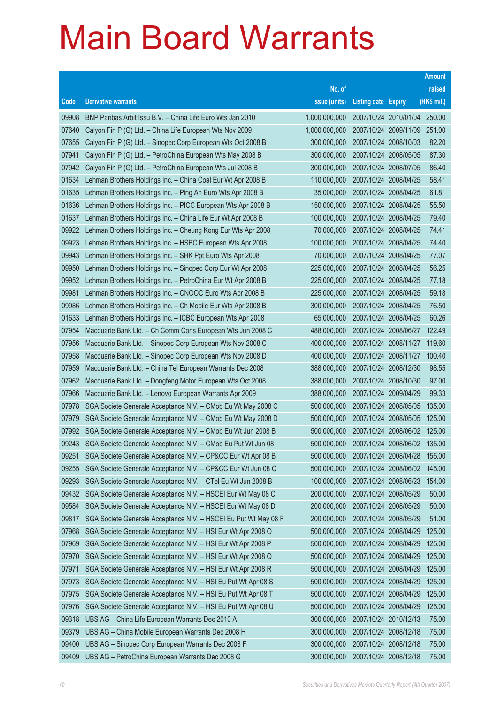|       |                                                                 |               |                            |                              | <b>Amount</b> |
|-------|-----------------------------------------------------------------|---------------|----------------------------|------------------------------|---------------|
|       |                                                                 | No. of        |                            |                              | raised        |
| Code  | <b>Derivative warrants</b>                                      | issue (units) | <b>Listing date Expiry</b> |                              | (HK\$ mil.)   |
| 09908 | BNP Paribas Arbit Issu B.V. - China Life Euro Wts Jan 2010      | 1,000,000,000 |                            | 2007/10/24 2010/01/04 250.00 |               |
| 07640 | Calyon Fin P (G) Ltd. - China Life European Wts Nov 2009        | 1,000,000,000 |                            | 2007/10/24 2009/11/09        | 251.00        |
| 07655 | Calyon Fin P (G) Ltd. - Sinopec Corp European Wts Oct 2008 B    | 300,000,000   |                            | 2007/10/24 2008/10/03        | 82.20         |
| 07941 | Calyon Fin P (G) Ltd. - PetroChina European Wts May 2008 B      | 300,000,000   |                            | 2007/10/24 2008/05/05        | 87.30         |
| 07942 | Calyon Fin P (G) Ltd. - PetroChina European Wts Jul 2008 B      | 300,000,000   |                            | 2007/10/24 2008/07/05        | 86.40         |
| 01634 | Lehman Brothers Holdings Inc. - China Coal Eur Wt Apr 2008 B    | 110,000,000   |                            | 2007/10/24 2008/04/25        | 58.41         |
| 01635 | Lehman Brothers Holdings Inc. - Ping An Euro Wts Apr 2008 B     | 35,000,000    |                            | 2007/10/24 2008/04/25        | 61.81         |
| 01636 | Lehman Brothers Holdings Inc. - PICC European Wts Apr 2008 B    | 150,000,000   |                            | 2007/10/24 2008/04/25        | 55.50         |
| 01637 | Lehman Brothers Holdings Inc. - China Life Eur Wt Apr 2008 B    | 100,000,000   |                            | 2007/10/24 2008/04/25        | 79.40         |
| 09922 | Lehman Brothers Holdings Inc. - Cheung Kong Eur Wts Apr 2008    | 70,000,000    |                            | 2007/10/24 2008/04/25        | 74.41         |
| 09923 | Lehman Brothers Holdings Inc. - HSBC European Wts Apr 2008      | 100,000,000   |                            | 2007/10/24 2008/04/25        | 74.40         |
| 09943 | Lehman Brothers Holdings Inc. - SHK Ppt Euro Wts Apr 2008       | 70,000,000    |                            | 2007/10/24 2008/04/25        | 77.07         |
| 09950 | Lehman Brothers Holdings Inc. - Sinopec Corp Eur Wt Apr 2008    | 225,000,000   |                            | 2007/10/24 2008/04/25        | 56.25         |
| 09952 | Lehman Brothers Holdings Inc. - PetroChina Eur Wt Apr 2008 B    | 225,000,000   |                            | 2007/10/24 2008/04/25        | 77.18         |
| 09981 | Lehman Brothers Holdings Inc. - CNOOC Euro Wts Apr 2008 B       | 225,000,000   |                            | 2007/10/24 2008/04/25        | 59.18         |
| 09986 | Lehman Brothers Holdings Inc. - Ch Mobile Eur Wts Apr 2008 B    | 300,000,000   |                            | 2007/10/24 2008/04/25        | 76.50         |
| 01633 | Lehman Brothers Holdings Inc. - ICBC European Wts Apr 2008      | 65,000,000    |                            | 2007/10/24 2008/04/25        | 60.26         |
| 07954 | Macquarie Bank Ltd. - Ch Comm Cons European Wts Jun 2008 C      | 488,000,000   |                            | 2007/10/24 2008/06/27        | 122.49        |
| 07956 | Macquarie Bank Ltd. - Sinopec Corp European Wts Nov 2008 C      | 400,000,000   |                            | 2007/10/24 2008/11/27        | 119.60        |
| 07958 | Macquarie Bank Ltd. - Sinopec Corp European Wts Nov 2008 D      | 400,000,000   |                            | 2007/10/24 2008/11/27        | 100.40        |
| 07959 | Macquarie Bank Ltd. - China Tel European Warrants Dec 2008      | 388,000,000   |                            | 2007/10/24 2008/12/30        | 98.55         |
| 07962 | Macquarie Bank Ltd. - Dongfeng Motor European Wts Oct 2008      | 388,000,000   |                            | 2007/10/24 2008/10/30        | 97.00         |
| 07966 | Macquarie Bank Ltd. - Lenovo European Warrants Apr 2009         | 388,000,000   |                            | 2007/10/24 2009/04/29        | 99.33         |
| 07978 | SGA Societe Generale Acceptance N.V. - CMob Eu Wt May 2008 C    | 500,000,000   |                            | 2007/10/24 2008/05/05        | 135.00        |
| 07979 | SGA Societe Generale Acceptance N.V. - CMob Eu Wt May 2008 D    | 500,000,000   |                            | 2007/10/24 2008/05/05        | 125.00        |
| 07992 | SGA Societe Generale Acceptance N.V. - CMob Eu Wt Jun 2008 B    | 500,000,000   |                            | 2007/10/24 2008/06/02 125.00 |               |
| 09243 | SGA Societe Generale Acceptance N.V. - CMob Eu Put Wt Jun 08    | 500,000,000   |                            | 2007/10/24 2008/06/02        | 135.00        |
| 09251 | SGA Societe Generale Acceptance N.V. - CP&CC Eur Wt Apr 08 B    | 500,000,000   |                            | 2007/10/24 2008/04/28        | 155.00        |
| 09255 | SGA Societe Generale Acceptance N.V. - CP&CC Eur Wt Jun 08 C    | 500,000,000   |                            | 2007/10/24 2008/06/02        | 145.00        |
| 09293 | SGA Societe Generale Acceptance N.V. - CTel Eu Wt Jun 2008 B    | 100,000,000   |                            | 2007/10/24 2008/06/23        | 154.00        |
| 09432 | SGA Societe Generale Acceptance N.V. - HSCEI Eur Wt May 08 C    | 200,000,000   |                            | 2007/10/24 2008/05/29        | 50.00         |
| 09584 | SGA Societe Generale Acceptance N.V. - HSCEI Eur Wt May 08 D    | 200,000,000   |                            | 2007/10/24 2008/05/29        | 50.00         |
| 09817 | SGA Societe Generale Acceptance N.V. - HSCEI Eu Put Wt May 08 F | 200,000,000   |                            | 2007/10/24 2008/05/29        | 51.00         |
| 07968 | SGA Societe Generale Acceptance N.V. - HSI Eur Wt Apr 2008 O    | 500,000,000   |                            | 2007/10/24 2008/04/29        | 125.00        |
| 07969 | SGA Societe Generale Acceptance N.V. - HSI Eur Wt Apr 2008 P    | 500,000,000   |                            | 2007/10/24 2008/04/29        | 125.00        |
| 07970 | SGA Societe Generale Acceptance N.V. - HSI Eur Wt Apr 2008 Q    | 500,000,000   |                            | 2007/10/24 2008/04/29        | 125.00        |
| 07971 | SGA Societe Generale Acceptance N.V. - HSI Eur Wt Apr 2008 R    | 500,000,000   |                            | 2007/10/24 2008/04/29        | 125.00        |
| 07973 | SGA Societe Generale Acceptance N.V. - HSI Eu Put Wt Apr 08 S   | 500,000,000   |                            | 2007/10/24 2008/04/29        | 125.00        |
| 07975 | SGA Societe Generale Acceptance N.V. - HSI Eu Put Wt Apr 08 T   | 500,000,000   |                            | 2007/10/24 2008/04/29        | 125.00        |
| 07976 | SGA Societe Generale Acceptance N.V. - HSI Eu Put Wt Apr 08 U   | 500,000,000   |                            | 2007/10/24 2008/04/29        | 125.00        |
| 09318 | UBS AG - China Life European Warrants Dec 2010 A                | 300,000,000   |                            | 2007/10/24 2010/12/13        | 75.00         |
| 09379 | UBS AG - China Mobile European Warrants Dec 2008 H              | 300,000,000   |                            | 2007/10/24 2008/12/18        | 75.00         |
| 09400 | UBS AG - Sinopec Corp European Warrants Dec 2008 F              | 300,000,000   |                            | 2007/10/24 2008/12/18        | 75.00         |
| 09409 | UBS AG - PetroChina European Warrants Dec 2008 G                | 300,000,000   | 2007/10/24 2008/12/18      |                              | 75.00         |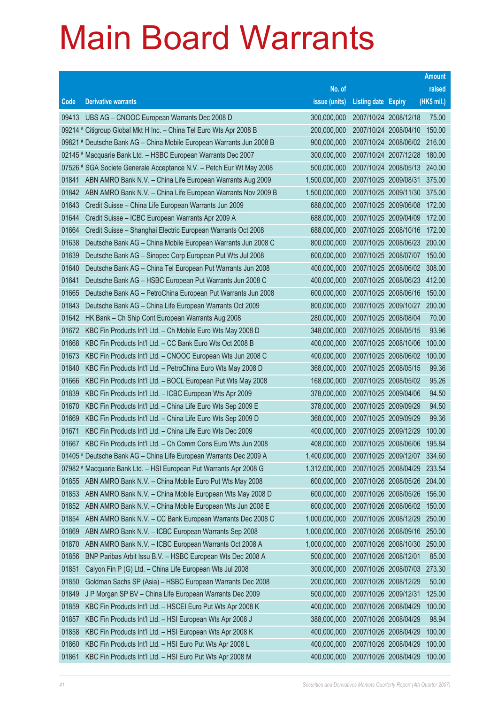|       |                                                                      |               |                            |                              | <b>Amount</b> |
|-------|----------------------------------------------------------------------|---------------|----------------------------|------------------------------|---------------|
|       |                                                                      | No. of        |                            |                              | raised        |
| Code  | <b>Derivative warrants</b>                                           | issue (units) | <b>Listing date Expiry</b> |                              | (HK\$ mil.)   |
| 09413 | UBS AG - CNOOC European Warrants Dec 2008 D                          | 300,000,000   |                            | 2007/10/24 2008/12/18        | 75.00         |
|       | 09214 # Citigroup Global Mkt H Inc. - China Tel Euro Wts Apr 2008 B  | 200,000,000   |                            | 2007/10/24 2008/04/10        | 150.00        |
|       | 09821 # Deutsche Bank AG – China Mobile European Warrants Jun 2008 B | 900,000,000   |                            | 2007/10/24 2008/06/02        | 216.00        |
|       | 02145 # Macquarie Bank Ltd. - HSBC European Warrants Dec 2007        | 300,000,000   |                            | 2007/10/24 2007/12/28        | 180.00        |
|       | 07526 # SGA Societe Generale Acceptance N.V. - Petch Eur Wt May 2008 | 500,000,000   |                            | 2007/10/24 2008/05/13        | 240.00        |
| 01841 | ABN AMRO Bank N.V. - China Life European Warrants Aug 2009           | 1,500,000,000 |                            | 2007/10/25 2009/08/31        | 375.00        |
| 01842 | ABN AMRO Bank N.V. - China Life European Warrants Nov 2009 B         | 1,500,000,000 |                            | 2007/10/25 2009/11/30        | 375.00        |
| 01643 | Credit Suisse - China Life European Warrants Jun 2009                | 688,000,000   |                            | 2007/10/25 2009/06/08        | 172.00        |
| 01644 | Credit Suisse - ICBC European Warrants Apr 2009 A                    | 688,000,000   |                            | 2007/10/25 2009/04/09        | 172.00        |
| 01664 | Credit Suisse - Shanghai Electric European Warrants Oct 2008         | 688,000,000   |                            | 2007/10/25 2008/10/16        | 172.00        |
| 01638 | Deutsche Bank AG - China Mobile European Warrants Jun 2008 C         | 800,000,000   |                            | 2007/10/25 2008/06/23        | 200.00        |
| 01639 | Deutsche Bank AG - Sinopec Corp European Put Wts Jul 2008            | 600,000,000   |                            | 2007/10/25 2008/07/07        | 150.00        |
| 01640 | Deutsche Bank AG - China Tel European Put Warrants Jun 2008          | 400,000,000   |                            | 2007/10/25 2008/06/02 308.00 |               |
| 01641 | Deutsche Bank AG - HSBC European Put Warrants Jun 2008 C             | 400,000,000   |                            | 2007/10/25 2008/06/23        | 412.00        |
| 01665 | Deutsche Bank AG - PetroChina European Put Warrants Jun 2008         | 600,000,000   |                            | 2007/10/25 2008/06/16        | 150.00        |
| 01843 | Deutsche Bank AG - China Life European Warrants Oct 2009             | 800,000,000   |                            | 2007/10/25 2009/10/27        | 200.00        |
| 01642 | HK Bank - Ch Ship Cont European Warrants Aug 2008                    | 280,000,000   | 2007/10/25 2008/08/04      |                              | 70.00         |
| 01672 | KBC Fin Products Int'l Ltd. - Ch Mobile Euro Wts May 2008 D          | 348,000,000   |                            | 2007/10/25 2008/05/15        | 93.96         |
| 01668 | KBC Fin Products Int'l Ltd. - CC Bank Euro Wts Oct 2008 B            | 400,000,000   |                            | 2007/10/25 2008/10/06        | 100.00        |
| 01673 | KBC Fin Products Int'l Ltd. - CNOOC European Wts Jun 2008 C          | 400,000,000   |                            | 2007/10/25 2008/06/02        | 100.00        |
| 01840 | KBC Fin Products Int'l Ltd. - PetroChina Euro Wts May 2008 D         | 368,000,000   |                            | 2007/10/25 2008/05/15        | 99.36         |
| 01666 | KBC Fin Products Int'l Ltd. - BOCL European Put Wts May 2008         | 168,000,000   |                            | 2007/10/25 2008/05/02        | 95.26         |
| 01839 | KBC Fin Products Int'l Ltd. - ICBC European Wts Apr 2009             | 378,000,000   | 2007/10/25 2009/04/06      |                              | 94.50         |
| 01670 | KBC Fin Products Int'l Ltd. - China Life Euro Wts Sep 2009 E         | 378,000,000   | 2007/10/25 2009/09/29      |                              | 94.50         |
| 01669 | KBC Fin Products Int'l Ltd. - China Life Euro Wts Sep 2009 D         | 368,000,000   | 2007/10/25 2009/09/29      |                              | 99.36         |
| 01671 | KBC Fin Products Int'l Ltd. - China Life Euro Wts Dec 2009           | 400,000,000   |                            | 2007/10/25 2009/12/29        | 100.00        |
| 01667 | KBC Fin Products Int'l Ltd. - Ch Comm Cons Euro Wts Jun 2008         | 408,000,000   |                            | 2007/10/25 2008/06/06        | 195.84        |
|       | 01405 # Deutsche Bank AG - China Life European Warrants Dec 2009 A   | 1,400,000,000 |                            | 2007/10/25 2009/12/07        | 334.60        |
|       | 07982 # Macquarie Bank Ltd. - HSI European Put Warrants Apr 2008 G   | 1,312,000,000 |                            | 2007/10/25 2008/04/29        | 233.54        |
| 01855 | ABN AMRO Bank N.V. - China Mobile Euro Put Wts May 2008              | 600,000,000   |                            | 2007/10/26 2008/05/26        | 204.00        |
| 01853 | ABN AMRO Bank N.V. - China Mobile European Wts May 2008 D            | 600,000,000   |                            | 2007/10/26 2008/05/26        | 156.00        |
| 01852 | ABN AMRO Bank N.V. - China Mobile European Wts Jun 2008 E            | 600,000,000   |                            | 2007/10/26 2008/06/02        | 150.00        |
| 01854 | ABN AMRO Bank N.V. - CC Bank European Warrants Dec 2008 C            | 1,000,000,000 |                            | 2007/10/26 2008/12/29        | 250.00        |
| 01869 | ABN AMRO Bank N.V. - ICBC European Warrants Sep 2008                 | 1,000,000,000 |                            | 2007/10/26 2008/09/16        | 250.00        |
| 01870 | ABN AMRO Bank N.V. - ICBC European Warrants Oct 2008 A               | 1,000,000,000 |                            | 2007/10/26 2008/10/30        | 250.00        |
| 01856 | BNP Paribas Arbit Issu B.V. - HSBC European Wts Dec 2008 A           | 500,000,000   | 2007/10/26 2008/12/01      |                              | 85.00         |
| 01851 | Calyon Fin P (G) Ltd. - China Life European Wts Jul 2008             | 300,000,000   |                            | 2007/10/26 2008/07/03        | 273.30        |
| 01850 | Goldman Sachs SP (Asia) - HSBC European Warrants Dec 2008            | 200,000,000   |                            | 2007/10/26 2008/12/29        | 50.00         |
| 01849 | J P Morgan SP BV - China Life European Warrants Dec 2009             | 500,000,000   | 2007/10/26 2009/12/31      |                              | 125.00        |
| 01859 | KBC Fin Products Int'l Ltd. - HSCEI Euro Put Wts Apr 2008 K          | 400,000,000   |                            | 2007/10/26 2008/04/29        | 100.00        |
| 01857 | KBC Fin Products Int'l Ltd. - HSI European Wts Apr 2008 J            | 388,000,000   | 2007/10/26 2008/04/29      |                              | 98.94         |
| 01858 | KBC Fin Products Int'l Ltd. - HSI European Wts Apr 2008 K            | 400,000,000   |                            | 2007/10/26 2008/04/29        | 100.00        |
| 01860 | KBC Fin Products Int'l Ltd. - HSI Euro Put Wts Apr 2008 L            | 400,000,000   |                            | 2007/10/26 2008/04/29        | 100.00        |
| 01861 | KBC Fin Products Int'l Ltd. - HSI Euro Put Wts Apr 2008 M            | 400,000,000   |                            | 2007/10/26 2008/04/29        | 100.00        |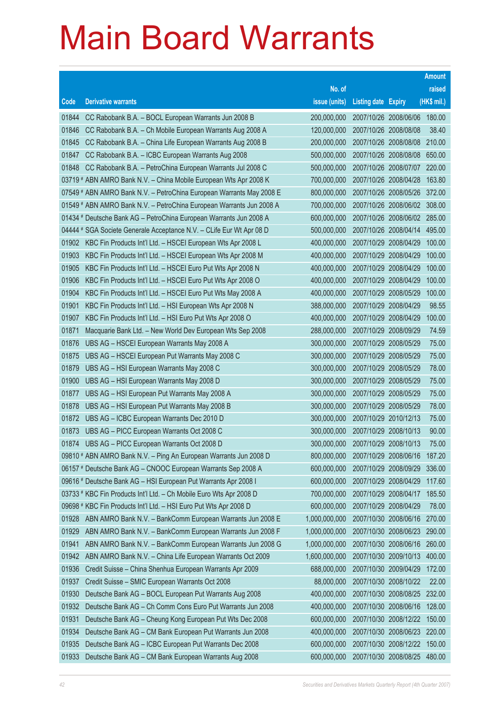|       |                                                                      |               |                            |                              | <b>Amount</b> |
|-------|----------------------------------------------------------------------|---------------|----------------------------|------------------------------|---------------|
|       |                                                                      | No. of        |                            |                              | raised        |
| Code  | <b>Derivative warrants</b>                                           | issue (units) | <b>Listing date Expiry</b> |                              | (HK\$ mil.)   |
| 01844 | CC Rabobank B.A. - BOCL European Warrants Jun 2008 B                 | 200,000,000   |                            | 2007/10/26 2008/06/06        | 180.00        |
| 01846 | CC Rabobank B.A. - Ch Mobile European Warrants Aug 2008 A            | 120,000,000   |                            | 2007/10/26 2008/08/08        | 38.40         |
| 01845 | CC Rabobank B.A. - China Life European Warrants Aug 2008 B           | 200,000,000   |                            | 2007/10/26 2008/08/08        | 210.00        |
| 01847 | CC Rabobank B.A. - ICBC European Warrants Aug 2008                   | 500,000,000   |                            | 2007/10/26 2008/08/08        | 650.00        |
| 01848 | CC Rabobank B.A. - PetroChina European Warrants Jul 2008 C           | 500,000,000   |                            | 2007/10/26 2008/07/07 220.00 |               |
|       | 03719 # ABN AMRO Bank N.V. - China Mobile European Wts Apr 2008 K    | 700,000,000   |                            | 2007/10/26 2008/04/28        | 163.80        |
|       | 07549 # ABN AMRO Bank N.V. - PetroChina European Warrants May 2008 E | 800,000,000   |                            | 2007/10/26 2008/05/26        | 372.00        |
|       | 01549 # ABN AMRO Bank N.V. - PetroChina European Warrants Jun 2008 A | 700,000,000   |                            | 2007/10/26 2008/06/02 308.00 |               |
|       | 01434 # Deutsche Bank AG - PetroChina European Warrants Jun 2008 A   | 600,000,000   |                            | 2007/10/26 2008/06/02 285.00 |               |
|       | 04444 # SGA Societe Generale Acceptance N.V. - CLife Eur Wt Apr 08 D | 500,000,000   |                            | 2007/10/26 2008/04/14        | 495.00        |
| 01902 | KBC Fin Products Int'l Ltd. - HSCEI European Wts Apr 2008 L          | 400,000,000   |                            | 2007/10/29 2008/04/29        | 100.00        |
| 01903 | KBC Fin Products Int'l Ltd. - HSCEI European Wts Apr 2008 M          | 400,000,000   |                            | 2007/10/29 2008/04/29        | 100.00        |
| 01905 | KBC Fin Products Int'l Ltd. - HSCEI Euro Put Wts Apr 2008 N          | 400,000,000   |                            | 2007/10/29 2008/04/29        | 100.00        |
| 01906 | KBC Fin Products Int'l Ltd. - HSCEI Euro Put Wts Apr 2008 O          | 400,000,000   |                            | 2007/10/29 2008/04/29        | 100.00        |
| 01904 | KBC Fin Products Int'l Ltd. - HSCEI Euro Put Wts May 2008 A          | 400,000,000   |                            | 2007/10/29 2008/05/29        | 100.00        |
| 01901 | KBC Fin Products Int'l Ltd. - HSI European Wts Apr 2008 N            | 388,000,000   |                            | 2007/10/29 2008/04/29        | 98.55         |
| 01907 | KBC Fin Products Int'l Ltd. - HSI Euro Put Wts Apr 2008 O            | 400,000,000   |                            | 2007/10/29 2008/04/29        | 100.00        |
| 01871 | Macquarie Bank Ltd. - New World Dev European Wts Sep 2008            | 288,000,000   |                            | 2007/10/29 2008/09/29        | 74.59         |
| 01876 | UBS AG - HSCEI European Warrants May 2008 A                          | 300,000,000   |                            | 2007/10/29 2008/05/29        | 75.00         |
| 01875 | UBS AG - HSCEI European Put Warrants May 2008 C                      | 300,000,000   |                            | 2007/10/29 2008/05/29        | 75.00         |
| 01879 | UBS AG - HSI European Warrants May 2008 C                            | 300,000,000   |                            | 2007/10/29 2008/05/29        | 78.00         |
| 01900 | UBS AG - HSI European Warrants May 2008 D                            | 300,000,000   |                            | 2007/10/29 2008/05/29        | 75.00         |
| 01877 | UBS AG - HSI European Put Warrants May 2008 A                        | 300,000,000   |                            | 2007/10/29 2008/05/29        | 75.00         |
| 01878 | UBS AG - HSI European Put Warrants May 2008 B                        | 300,000,000   |                            | 2007/10/29 2008/05/29        | 78.00         |
| 01872 | UBS AG - ICBC European Warrants Dec 2010 D                           | 300,000,000   |                            | 2007/10/29 2010/12/13        | 75.00         |
| 01873 | UBS AG - PICC European Warrants Oct 2008 C                           | 300,000,000   |                            | 2007/10/29 2008/10/13        | 90.00         |
| 01874 | UBS AG - PICC European Warrants Oct 2008 D                           | 300,000,000   |                            | 2007/10/29 2008/10/13        | 75.00         |
|       | 09810 # ABN AMRO Bank N.V. - Ping An European Warrants Jun 2008 D    | 800,000,000   |                            | 2007/10/29 2008/06/16        | 187.20        |
|       | 06157 # Deutsche Bank AG - CNOOC European Warrants Sep 2008 A        | 600,000,000   |                            | 2007/10/29 2008/09/29        | 336.00        |
|       | 09616 # Deutsche Bank AG - HSI European Put Warrants Apr 2008 I      | 600,000,000   |                            | 2007/10/29 2008/04/29        | 117.60        |
|       | 03733 # KBC Fin Products Int'l Ltd. - Ch Mobile Euro Wts Apr 2008 D  | 700,000,000   |                            | 2007/10/29 2008/04/17        | 185.50        |
|       | 09698 # KBC Fin Products Int'l Ltd. - HSI Euro Put Wts Apr 2008 D    | 600,000,000   |                            | 2007/10/29 2008/04/29        | 78.00         |
| 01928 | ABN AMRO Bank N.V. - BankComm European Warrants Jun 2008 E           | 1,000,000,000 |                            | 2007/10/30 2008/06/16        | 270.00        |
| 01929 | ABN AMRO Bank N.V. - BankComm European Warrants Jun 2008 F           | 1,000,000,000 |                            | 2007/10/30 2008/06/23        | 290.00        |
| 01941 | ABN AMRO Bank N.V. - BankComm European Warrants Jun 2008 G           | 1,000,000,000 |                            | 2007/10/30 2008/06/16        | 260.00        |
| 01942 | ABN AMRO Bank N.V. - China Life European Warrants Oct 2009           | 1,600,000,000 |                            | 2007/10/30 2009/10/13        | 400.00        |
| 01936 | Credit Suisse - China Shenhua European Warrants Apr 2009             | 688,000,000   |                            | 2007/10/30 2009/04/29        | 172.00        |
| 01937 | Credit Suisse - SMIC European Warrants Oct 2008                      | 88,000,000    |                            | 2007/10/30 2008/10/22        | 22.00         |
| 01930 | Deutsche Bank AG - BOCL European Put Warrants Aug 2008               | 400,000,000   |                            | 2007/10/30 2008/08/25        | 232.00        |
| 01932 | Deutsche Bank AG - Ch Comm Cons Euro Put Warrants Jun 2008           | 400,000,000   |                            | 2007/10/30 2008/06/16        | 128.00        |
| 01931 | Deutsche Bank AG - Cheung Kong European Put Wts Dec 2008             | 600,000,000   |                            | 2007/10/30 2008/12/22        | 150.00        |
| 01934 | Deutsche Bank AG - CM Bank European Put Warrants Jun 2008            | 400,000,000   |                            | 2007/10/30 2008/06/23        | 220.00        |
| 01935 | Deutsche Bank AG - ICBC European Put Warrants Dec 2008               | 600,000,000   |                            | 2007/10/30 2008/12/22        | 150.00        |
| 01933 | Deutsche Bank AG - CM Bank European Warrants Aug 2008                | 600,000,000   |                            | 2007/10/30 2008/08/25        | 480.00        |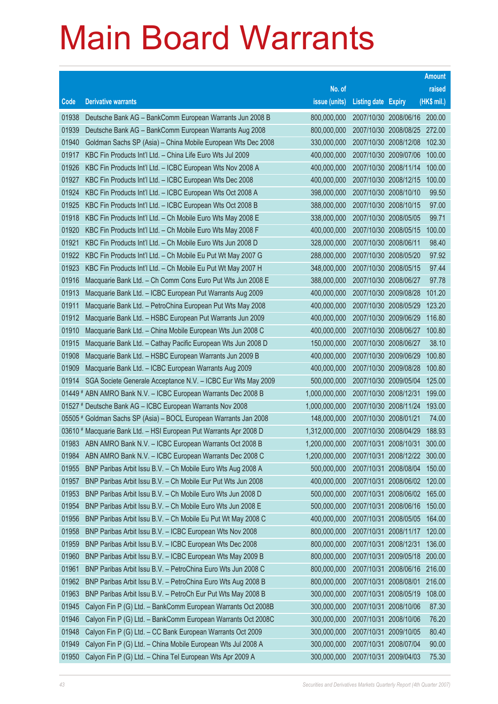|       |                                                                    |               |                            |                       | <b>Amount</b> |
|-------|--------------------------------------------------------------------|---------------|----------------------------|-----------------------|---------------|
|       |                                                                    | No. of        |                            |                       | raised        |
| Code  | <b>Derivative warrants</b>                                         | issue (units) | <b>Listing date Expiry</b> |                       | (HK\$ mil.)   |
| 01938 | Deutsche Bank AG - BankComm European Warrants Jun 2008 B           | 800,000,000   | 2007/10/30 2008/06/16      |                       | 200.00        |
| 01939 | Deutsche Bank AG - BankComm European Warrants Aug 2008             | 800,000,000   |                            | 2007/10/30 2008/08/25 | 272.00        |
| 01940 | Goldman Sachs SP (Asia) – China Mobile European Wts Dec 2008       | 330,000,000   | 2007/10/30 2008/12/08      |                       | 102.30        |
| 01917 | KBC Fin Products Int'l Ltd. - China Life Euro Wts Jul 2009         | 400,000,000   | 2007/10/30 2009/07/06      |                       | 100.00        |
| 01926 | KBC Fin Products Int'l Ltd. - ICBC European Wts Nov 2008 A         | 400,000,000   | 2007/10/30 2008/11/14      |                       | 100.00        |
| 01927 | KBC Fin Products Int'l Ltd. - ICBC European Wts Dec 2008           | 400,000,000   | 2007/10/30 2008/12/15      |                       | 100.00        |
| 01924 | KBC Fin Products Int'l Ltd. - ICBC European Wts Oct 2008 A         | 398,000,000   | 2007/10/30 2008/10/10      |                       | 99.50         |
| 01925 | KBC Fin Products Int'l Ltd. - ICBC European Wts Oct 2008 B         | 388,000,000   | 2007/10/30 2008/10/15      |                       | 97.00         |
| 01918 | KBC Fin Products Int'l Ltd. - Ch Mobile Euro Wts May 2008 E        | 338,000,000   | 2007/10/30 2008/05/05      |                       | 99.71         |
| 01920 | KBC Fin Products Int'l Ltd. - Ch Mobile Euro Wts May 2008 F        | 400,000,000   | 2007/10/30 2008/05/15      |                       | 100.00        |
| 01921 | KBC Fin Products Int'l Ltd. - Ch Mobile Euro Wts Jun 2008 D        | 328,000,000   | 2007/10/30 2008/06/11      |                       | 98.40         |
| 01922 | KBC Fin Products Int'l Ltd. - Ch Mobile Eu Put Wt May 2007 G       | 288,000,000   | 2007/10/30 2008/05/20      |                       | 97.92         |
| 01923 | KBC Fin Products Int'l Ltd. - Ch Mobile Eu Put Wt May 2007 H       | 348,000,000   | 2007/10/30 2008/05/15      |                       | 97.44         |
| 01916 | Macquarie Bank Ltd. - Ch Comm Cons Euro Put Wts Jun 2008 E         | 388,000,000   | 2007/10/30 2008/06/27      |                       | 97.78         |
| 01913 | Macquarie Bank Ltd. - ICBC European Put Warrants Aug 2009          | 400,000,000   | 2007/10/30 2009/08/28      |                       | 101.20        |
| 01911 | Macquarie Bank Ltd. - PetroChina European Put Wts May 2008         | 400,000,000   | 2007/10/30 2008/05/29      |                       | 123.20        |
| 01912 | Macquarie Bank Ltd. - HSBC European Put Warrants Jun 2009          | 400,000,000   | 2007/10/30 2009/06/29      |                       | 116.80        |
| 01910 | Macquarie Bank Ltd. - China Mobile European Wts Jun 2008 C         | 400,000,000   | 2007/10/30 2008/06/27      |                       | 100.80        |
| 01915 | Macquarie Bank Ltd. - Cathay Pacific European Wts Jun 2008 D       | 150,000,000   | 2007/10/30 2008/06/27      |                       | 38.10         |
| 01908 | Macquarie Bank Ltd. - HSBC European Warrants Jun 2009 B            | 400,000,000   | 2007/10/30 2009/06/29      |                       | 100.80        |
| 01909 | Macquarie Bank Ltd. - ICBC European Warrants Aug 2009              | 400,000,000   | 2007/10/30 2009/08/28      |                       | 100.80        |
| 01914 | SGA Societe Generale Acceptance N.V. - ICBC Eur Wts May 2009       | 500,000,000   | 2007/10/30 2009/05/04      |                       | 125.00        |
|       | 01449 # ABN AMRO Bank N.V. - ICBC European Warrants Dec 2008 B     | 1,000,000,000 | 2007/10/30 2008/12/31      |                       | 199.00        |
|       | 01527 # Deutsche Bank AG - ICBC European Warrants Nov 2008         | 1,000,000,000 | 2007/10/30 2008/11/24      |                       | 193.00        |
|       | 05505 # Goldman Sachs SP (Asia) – BOCL European Warrants Jan 2008  | 148,000,000   | 2007/10/30 2008/01/21      |                       | 74.00         |
|       | 03610 # Macquarie Bank Ltd. - HSI European Put Warrants Apr 2008 D | 1,312,000,000 | 2007/10/30 2008/04/29      |                       | 188.93        |
|       | 01983 ABN AMRO Bank N.V. - ICBC European Warrants Oct 2008 B       | 1,200,000,000 | 2007/10/31 2008/10/31      |                       | 300.00        |
| 01984 | ABN AMRO Bank N.V. - ICBC European Warrants Dec 2008 C             | 1,200,000,000 | 2007/10/31 2008/12/22      |                       | 300.00        |
| 01955 | BNP Paribas Arbit Issu B.V. - Ch Mobile Euro Wts Aug 2008 A        | 500,000,000   | 2007/10/31 2008/08/04      |                       | 150.00        |
| 01957 | BNP Paribas Arbit Issu B.V. - Ch Mobile Eur Put Wts Jun 2008       | 400,000,000   | 2007/10/31 2008/06/02      |                       | 120.00        |
| 01953 | BNP Paribas Arbit Issu B.V. - Ch Mobile Euro Wts Jun 2008 D        | 500,000,000   | 2007/10/31 2008/06/02      |                       | 165.00        |
| 01954 | BNP Paribas Arbit Issu B.V. - Ch Mobile Euro Wts Jun 2008 E        | 500,000,000   | 2007/10/31                 | 2008/06/16            | 150.00        |
| 01956 | BNP Paribas Arbit Issu B.V. - Ch Mobile Eu Put Wt May 2008 C       | 400,000,000   | 2007/10/31 2008/05/05      |                       | 164.00        |
| 01958 | BNP Paribas Arbit Issu B.V. - ICBC European Wts Nov 2008           | 800,000,000   | 2007/10/31 2008/11/17      |                       | 120.00        |
| 01959 | BNP Paribas Arbit Issu B.V. - ICBC European Wts Dec 2008           | 800,000,000   | 2007/10/31 2008/12/31      |                       | 136.00        |
| 01960 | BNP Paribas Arbit Issu B.V. - ICBC European Wts May 2009 B         | 800,000,000   | 2007/10/31 2009/05/18      |                       | 200.00        |
| 01961 | BNP Paribas Arbit Issu B.V. - PetroChina Euro Wts Jun 2008 C       | 800,000,000   | 2007/10/31 2008/06/16      |                       | 216.00        |
| 01962 | BNP Paribas Arbit Issu B.V. - PetroChina Euro Wts Aug 2008 B       | 800,000,000   | 2007/10/31                 | 2008/08/01            | 216.00        |
| 01963 | BNP Paribas Arbit Issu B.V. - PetroCh Eur Put Wts May 2008 B       | 300,000,000   | 2007/10/31 2008/05/19      |                       | 108.00        |
| 01945 | Calyon Fin P (G) Ltd. - BankComm European Warrants Oct 2008B       | 300,000,000   | 2007/10/31 2008/10/06      |                       | 87.30         |
| 01946 | Calyon Fin P (G) Ltd. - BankComm European Warrants Oct 2008C       | 300,000,000   | 2007/10/31 2008/10/06      |                       | 76.20         |
| 01948 | Calyon Fin P (G) Ltd. - CC Bank European Warrants Oct 2009         | 300,000,000   | 2007/10/31 2009/10/05      |                       | 80.40         |
| 01949 | Calyon Fin P (G) Ltd. - China Mobile European Wts Jul 2008 A       | 300,000,000   | 2007/10/31 2008/07/04      |                       | 90.00         |
| 01950 | Calyon Fin P (G) Ltd. - China Tel European Wts Apr 2009 A          | 300,000,000   | 2007/10/31 2009/04/03      |                       | 75.30         |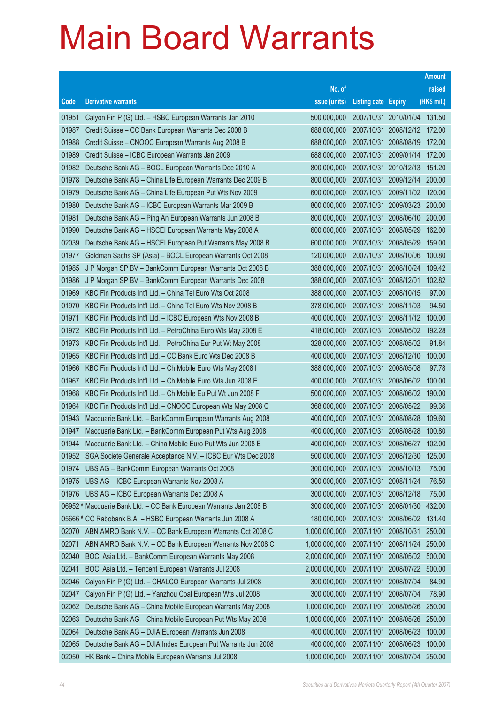|       |                                                                    |               |                            |                              | <b>Amount</b> |
|-------|--------------------------------------------------------------------|---------------|----------------------------|------------------------------|---------------|
|       |                                                                    | No. of        |                            |                              | raised        |
| Code  | <b>Derivative warrants</b>                                         | issue (units) | <b>Listing date Expiry</b> |                              | $(HK$$ mil.)  |
| 01951 | Calyon Fin P (G) Ltd. - HSBC European Warrants Jan 2010            | 500,000,000   |                            | 2007/10/31 2010/01/04 131.50 |               |
| 01987 | Credit Suisse - CC Bank European Warrants Dec 2008 B               | 688,000,000   |                            | 2007/10/31 2008/12/12 172.00 |               |
| 01988 | Credit Suisse – CNOOC European Warrants Aug 2008 B                 | 688,000,000   |                            | 2007/10/31 2008/08/19        | 172.00        |
| 01989 | Credit Suisse - ICBC European Warrants Jan 2009                    | 688,000,000   |                            | 2007/10/31 2009/01/14        | 172.00        |
| 01982 | Deutsche Bank AG - BOCL European Warrants Dec 2010 A               | 800,000,000   |                            | 2007/10/31 2010/12/13        | 151.20        |
| 01978 | Deutsche Bank AG - China Life European Warrants Dec 2009 B         | 800,000,000   |                            | 2007/10/31 2009/12/14        | 200.00        |
| 01979 | Deutsche Bank AG - China Life European Put Wts Nov 2009            | 600,000,000   |                            | 2007/10/31 2009/11/02        | 120.00        |
| 01980 | Deutsche Bank AG - ICBC European Warrants Mar 2009 B               | 800,000,000   |                            | 2007/10/31 2009/03/23        | 200.00        |
| 01981 | Deutsche Bank AG - Ping An European Warrants Jun 2008 B            | 800,000,000   |                            | 2007/10/31 2008/06/10        | 200.00        |
| 01990 | Deutsche Bank AG - HSCEI European Warrants May 2008 A              | 600,000,000   |                            | 2007/10/31 2008/05/29        | 162.00        |
| 02039 | Deutsche Bank AG - HSCEI European Put Warrants May 2008 B          | 600,000,000   |                            | 2007/10/31 2008/05/29        | 159.00        |
| 01977 | Goldman Sachs SP (Asia) - BOCL European Warrants Oct 2008          | 120,000,000   |                            | 2007/10/31 2008/10/06        | 100.80        |
| 01985 | J P Morgan SP BV - BankComm European Warrants Oct 2008 B           | 388,000,000   |                            | 2007/10/31 2008/10/24        | 109.42        |
| 01986 | J P Morgan SP BV - BankComm European Warrants Dec 2008             | 388,000,000   |                            | 2007/10/31 2008/12/01        | 102.82        |
| 01969 | KBC Fin Products Int'l Ltd. - China Tel Euro Wts Oct 2008          | 388,000,000   |                            | 2007/10/31 2008/10/15        | 97.00         |
| 01970 | KBC Fin Products Int'l Ltd. - China Tel Euro Wts Nov 2008 B        | 378,000,000   |                            | 2007/10/31 2008/11/03        | 94.50         |
| 01971 | KBC Fin Products Int'l Ltd. - ICBC European Wts Nov 2008 B         | 400,000,000   |                            | 2007/10/31 2008/11/12        | 100.00        |
| 01972 | KBC Fin Products Int'l Ltd. - PetroChina Euro Wts May 2008 E       | 418,000,000   |                            | 2007/10/31 2008/05/02        | 192.28        |
| 01973 | KBC Fin Products Int'l Ltd. - PetroChina Eur Put Wt May 2008       | 328,000,000   |                            | 2007/10/31 2008/05/02        | 91.84         |
| 01965 | KBC Fin Products Int'l Ltd. - CC Bank Euro Wts Dec 2008 B          | 400,000,000   |                            | 2007/10/31 2008/12/10        | 100.00        |
| 01966 | KBC Fin Products Int'l Ltd. - Ch Mobile Euro Wts May 2008 I        | 388,000,000   |                            | 2007/10/31 2008/05/08        | 97.78         |
| 01967 | KBC Fin Products Int'l Ltd. - Ch Mobile Euro Wts Jun 2008 E        | 400,000,000   |                            | 2007/10/31 2008/06/02        | 100.00        |
| 01968 | KBC Fin Products Int'l Ltd. - Ch Mobile Eu Put Wt Jun 2008 F       | 500,000,000   |                            | 2007/10/31 2008/06/02        | 190.00        |
| 01964 | KBC Fin Products Int'l Ltd. - CNOOC European Wts May 2008 C        | 368,000,000   |                            | 2007/10/31 2008/05/22        | 99.36         |
| 01943 | Macquarie Bank Ltd. - BankComm European Warrants Aug 2008          | 400,000,000   |                            | 2007/10/31 2008/08/28        | 109.60        |
| 01947 | Macquarie Bank Ltd. - BankComm European Put Wts Aug 2008           | 400,000,000   |                            | 2007/10/31 2008/08/28        | 100.80        |
| 01944 | Macquarie Bank Ltd. - China Mobile Euro Put Wts Jun 2008 E         | 400,000,000   |                            | 2007/10/31 2008/06/27        | 102.00        |
|       | 01952 SGA Societe Generale Acceptance N.V. - ICBC Eur Wts Dec 2008 | 500,000,000   |                            | 2007/10/31 2008/12/30        | 125.00        |
| 01974 | UBS AG - BankComm European Warrants Oct 2008                       | 300,000,000   |                            | 2007/10/31 2008/10/13        | 75.00         |
| 01975 | UBS AG - ICBC European Warrants Nov 2008 A                         | 300,000,000   |                            | 2007/10/31 2008/11/24        | 76.50         |
| 01976 | UBS AG - ICBC European Warrants Dec 2008 A                         | 300,000,000   |                            | 2007/10/31 2008/12/18        | 75.00         |
|       | 06952 # Macquarie Bank Ltd. - CC Bank European Warrants Jan 2008 B | 300,000,000   |                            | 2007/10/31 2008/01/30        | 432.00        |
|       | 05666 # CC Rabobank B.A. - HSBC European Warrants Jun 2008 A       | 180,000,000   |                            | 2007/10/31 2008/06/02        | 131.40        |
| 02070 | ABN AMRO Bank N.V. - CC Bank European Warrants Oct 2008 C          | 1,000,000,000 |                            | 2007/11/01 2008/10/31        | 250.00        |
| 02071 | ABN AMRO Bank N.V. - CC Bank European Warrants Nov 2008 C          | 1,000,000,000 |                            | 2007/11/01 2008/11/24        | 250.00        |
| 02040 | BOCI Asia Ltd. - BankComm European Warrants May 2008               | 2,000,000,000 |                            | 2007/11/01 2008/05/02        | 500.00        |
| 02041 | BOCI Asia Ltd. - Tencent European Warrants Jul 2008                | 2,000,000,000 |                            | 2007/11/01 2008/07/22        | 500.00        |
| 02046 | Calyon Fin P (G) Ltd. - CHALCO European Warrants Jul 2008          | 300,000,000   |                            | 2007/11/01 2008/07/04        | 84.90         |
| 02047 | Calyon Fin P (G) Ltd. - Yanzhou Coal European Wts Jul 2008         | 300,000,000   |                            | 2007/11/01 2008/07/04        | 78.90         |
| 02062 | Deutsche Bank AG - China Mobile European Warrants May 2008         | 1,000,000,000 |                            | 2007/11/01 2008/05/26        | 250.00        |
| 02063 | Deutsche Bank AG - China Mobile European Put Wts May 2008          | 1,000,000,000 |                            | 2007/11/01 2008/05/26        | 250.00        |
| 02064 | Deutsche Bank AG - DJIA European Warrants Jun 2008                 | 400,000,000   |                            | 2007/11/01 2008/06/23        | 100.00        |
| 02065 | Deutsche Bank AG - DJIA Index European Put Warrants Jun 2008       | 400,000,000   |                            | 2007/11/01 2008/06/23        | 100.00        |
| 02050 | HK Bank - China Mobile European Warrants Jul 2008                  | 1,000,000,000 |                            | 2007/11/01 2008/07/04        | 250.00        |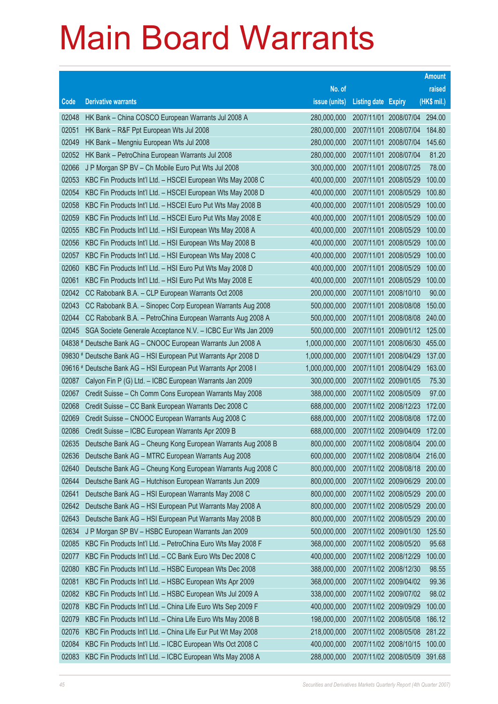|       |                                                                 |               |                            |                              | <b>Amount</b> |
|-------|-----------------------------------------------------------------|---------------|----------------------------|------------------------------|---------------|
|       |                                                                 | No. of        |                            |                              | raised        |
| Code  | <b>Derivative warrants</b>                                      | issue (units) | <b>Listing date Expiry</b> |                              | (HK\$ mil.)   |
| 02048 | HK Bank - China COSCO European Warrants Jul 2008 A              | 280,000,000   |                            | 2007/11/01 2008/07/04 294.00 |               |
| 02051 | HK Bank - R&F Ppt European Wts Jul 2008                         | 280,000,000   |                            | 2007/11/01 2008/07/04        | 184.80        |
| 02049 | HK Bank - Mengniu European Wts Jul 2008                         | 280,000,000   |                            | 2007/11/01 2008/07/04        | 145.60        |
| 02052 | HK Bank - PetroChina European Warrants Jul 2008                 | 280,000,000   | 2007/11/01 2008/07/04      |                              | 81.20         |
| 02066 | J P Morgan SP BV - Ch Mobile Euro Put Wts Jul 2008              | 300,000,000   |                            | 2007/11/01 2008/07/25        | 78.00         |
| 02053 | KBC Fin Products Int'l Ltd. - HSCEI European Wts May 2008 C     | 400,000,000   |                            | 2007/11/01 2008/05/29        | 100.00        |
| 02054 | KBC Fin Products Int'l Ltd. - HSCEI European Wts May 2008 D     | 400,000,000   |                            | 2007/11/01 2008/05/29        | 100.80        |
| 02058 | KBC Fin Products Int'l Ltd. - HSCEI Euro Put Wts May 2008 B     | 400,000,000   |                            | 2007/11/01 2008/05/29        | 100.00        |
| 02059 | KBC Fin Products Int'l Ltd. - HSCEI Euro Put Wts May 2008 E     | 400,000,000   |                            | 2007/11/01 2008/05/29        | 100.00        |
| 02055 | KBC Fin Products Int'l Ltd. - HSI European Wts May 2008 A       | 400,000,000   |                            | 2007/11/01 2008/05/29        | 100.00        |
| 02056 | KBC Fin Products Int'l Ltd. - HSI European Wts May 2008 B       | 400,000,000   |                            | 2007/11/01 2008/05/29        | 100.00        |
| 02057 | KBC Fin Products Int'l Ltd. - HSI European Wts May 2008 C       | 400,000,000   |                            | 2007/11/01 2008/05/29        | 100.00        |
| 02060 | KBC Fin Products Int'l Ltd. - HSI Euro Put Wts May 2008 D       | 400,000,000   |                            | 2007/11/01 2008/05/29        | 100.00        |
| 02061 | KBC Fin Products Int'l Ltd. - HSI Euro Put Wts May 2008 E       | 400,000,000   |                            | 2007/11/01 2008/05/29        | 100.00        |
| 02042 | CC Rabobank B.A. - CLP European Warrants Oct 2008               | 200,000,000   | 2007/11/01 2008/10/10      |                              | 90.00         |
| 02043 | CC Rabobank B.A. - Sinopec Corp European Warrants Aug 2008      | 500,000,000   |                            | 2007/11/01 2008/08/08        | 150.00        |
| 02044 | CC Rabobank B.A. - PetroChina European Warrants Aug 2008 A      | 500,000,000   |                            | 2007/11/01 2008/08/08        | 240.00        |
| 02045 | SGA Societe Generale Acceptance N.V. - ICBC Eur Wts Jan 2009    | 500,000,000   |                            | 2007/11/01 2009/01/12 125.00 |               |
|       | 04838 # Deutsche Bank AG - CNOOC European Warrants Jun 2008 A   | 1,000,000,000 |                            | 2007/11/01 2008/06/30        | 455.00        |
|       | 09830 # Deutsche Bank AG - HSI European Put Warrants Apr 2008 D | 1,000,000,000 |                            | 2007/11/01 2008/04/29        | 137.00        |
|       | 09616 # Deutsche Bank AG - HSI European Put Warrants Apr 2008 I | 1,000,000,000 |                            | 2007/11/01 2008/04/29        | 163.00        |
| 02087 | Calyon Fin P (G) Ltd. - ICBC European Warrants Jan 2009         | 300,000,000   |                            | 2007/11/02 2009/01/05        | 75.30         |
| 02067 | Credit Suisse - Ch Comm Cons European Warrants May 2008         | 388,000,000   | 2007/11/02 2008/05/09      |                              | 97.00         |
| 02068 | Credit Suisse - CC Bank European Warrants Dec 2008 C            | 688,000,000   |                            | 2007/11/02 2008/12/23        | 172.00        |
| 02069 | Credit Suisse - CNOOC European Warrants Aug 2008 C              | 688,000,000   |                            | 2007/11/02 2008/08/08        | 172.00        |
| 02086 | Credit Suisse - ICBC European Warrants Apr 2009 B               | 688,000,000   |                            | 2007/11/02 2009/04/09        | 172.00        |
| 02635 | Deutsche Bank AG - Cheung Kong European Warrants Aug 2008 B     | 800,000,000   |                            | 2007/11/02 2008/08/04        | 200.00        |
| 02636 | Deutsche Bank AG - MTRC European Warrants Aug 2008              | 600,000,000   |                            | 2007/11/02 2008/08/04        | 216.00        |
| 02640 | Deutsche Bank AG - Cheung Kong European Warrants Aug 2008 C     | 800,000,000   |                            | 2007/11/02 2008/08/18        | 200.00        |
| 02644 | Deutsche Bank AG - Hutchison European Warrants Jun 2009         | 800,000,000   |                            | 2007/11/02 2009/06/29        | 200.00        |
| 02641 | Deutsche Bank AG - HSI European Warrants May 2008 C             | 800,000,000   |                            | 2007/11/02 2008/05/29        | 200.00        |
| 02642 | Deutsche Bank AG - HSI European Put Warrants May 2008 A         | 800,000,000   |                            | 2007/11/02 2008/05/29        | 200.00        |
| 02643 | Deutsche Bank AG - HSI European Put Warrants May 2008 B         | 800,000,000   |                            | 2007/11/02 2008/05/29        | 200.00        |
| 02634 | J P Morgan SP BV - HSBC European Warrants Jan 2009              | 500,000,000   |                            | 2007/11/02 2009/01/30        | 125.50        |
| 02085 | KBC Fin Products Int'l Ltd. - PetroChina Euro Wts May 2008 F    | 368,000,000   | 2007/11/02 2008/05/20      |                              | 95.68         |
| 02077 | KBC Fin Products Int'l Ltd. - CC Bank Euro Wts Dec 2008 C       | 400,000,000   |                            | 2007/11/02 2008/12/29        | 100.00        |
| 02080 | KBC Fin Products Int'l Ltd. - HSBC European Wts Dec 2008        | 388,000,000   |                            | 2007/11/02 2008/12/30        | 98.55         |
| 02081 | KBC Fin Products Int'l Ltd. - HSBC European Wts Apr 2009        | 368,000,000   |                            | 2007/11/02 2009/04/02        | 99.36         |
| 02082 | KBC Fin Products Int'l Ltd. - HSBC European Wts Jul 2009 A      | 338,000,000   |                            | 2007/11/02 2009/07/02        | 98.02         |
| 02078 | KBC Fin Products Int'l Ltd. - China Life Euro Wts Sep 2009 F    | 400,000,000   |                            | 2007/11/02 2009/09/29        | 100.00        |
| 02079 | KBC Fin Products Int'l Ltd. - China Life Euro Wts May 2008 B    | 198,000,000   |                            | 2007/11/02 2008/05/08        | 186.12        |
| 02076 | KBC Fin Products Int'l Ltd. - China Life Eur Put Wt May 2008    | 218,000,000   |                            | 2007/11/02 2008/05/08        | 281.22        |
| 02084 | KBC Fin Products Int'l Ltd. - ICBC European Wts Oct 2008 C      | 400,000,000   |                            | 2007/11/02 2008/10/15        | 100.00        |
| 02083 | KBC Fin Products Int'l Ltd. - ICBC European Wts May 2008 A      | 288,000,000   |                            | 2007/11/02 2008/05/09        | 391.68        |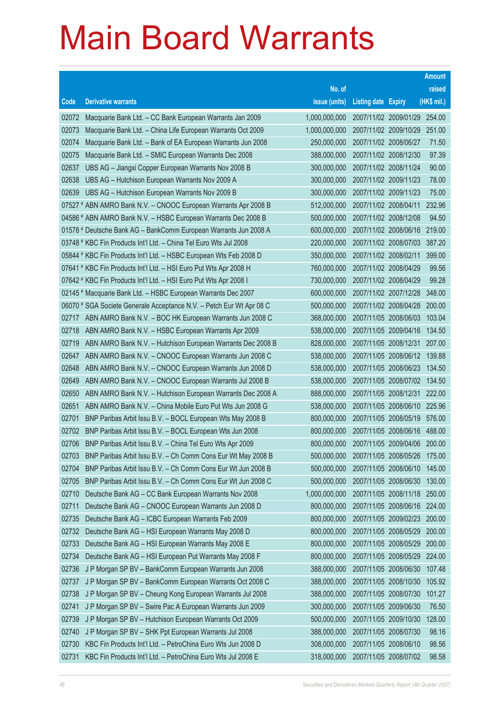|       |                                                                      |               |                            |                              | <b>Amount</b> |
|-------|----------------------------------------------------------------------|---------------|----------------------------|------------------------------|---------------|
|       |                                                                      | No. of        |                            |                              | raised        |
| Code  | <b>Derivative warrants</b>                                           | issue (units) | <b>Listing date Expiry</b> |                              | (HK\$ mil.)   |
| 02072 | Macquarie Bank Ltd. - CC Bank European Warrants Jan 2009             | 1,000,000,000 |                            | 2007/11/02 2009/01/29 254.00 |               |
| 02073 | Macquarie Bank Ltd. - China Life European Warrants Oct 2009          | 1,000,000,000 |                            | 2007/11/02 2009/10/29 251.00 |               |
| 02074 | Macquarie Bank Ltd. - Bank of EA European Warrants Jun 2008          | 250,000,000   | 2007/11/02 2008/06/27      |                              | 71.50         |
| 02075 | Macquarie Bank Ltd. - SMIC European Warrants Dec 2008                | 388,000,000   | 2007/11/02 2008/12/30      |                              | 97.39         |
| 02637 | UBS AG - Jiangxi Copper European Warrants Nov 2008 B                 | 300,000,000   | 2007/11/02 2008/11/24      |                              | 90.00         |
| 02638 | UBS AG - Hutchison European Warrants Nov 2009 A                      | 300,000,000   | 2007/11/02 2009/11/23      |                              | 78.00         |
| 02639 | UBS AG - Hutchison European Warrants Nov 2009 B                      | 300,000,000   | 2007/11/02 2009/11/23      |                              | 75.00         |
|       | 07527 # ABN AMRO Bank N.V. - CNOOC European Warrants Apr 2008 B      | 512,000,000   | 2007/11/02 2008/04/11      |                              | 232.96        |
|       | 04586 # ABN AMRO Bank N.V. - HSBC European Warrants Dec 2008 B       | 500,000,000   | 2007/11/02 2008/12/08      |                              | 94.50         |
|       | 01578 # Deutsche Bank AG - BankComm European Warrants Jun 2008 A     | 600,000,000   | 2007/11/02 2008/06/16      |                              | 219.00        |
|       | 03748 # KBC Fin Products Int'l Ltd. - China Tel Euro Wts Jul 2008    | 220,000,000   | 2007/11/02 2008/07/03      |                              | 387.20        |
|       | 05844 # KBC Fin Products Int'l Ltd. - HSBC European Wts Feb 2008 D   | 350,000,000   | 2007/11/02 2008/02/11      |                              | 399.00        |
|       | 07641 # KBC Fin Products Int'l Ltd. - HSI Euro Put Wts Apr 2008 H    | 760,000,000   | 2007/11/02 2008/04/29      |                              | 99.56         |
|       | 07642 # KBC Fin Products Int'l Ltd. - HSI Euro Put Wts Apr 2008 I    | 730,000,000   | 2007/11/02 2008/04/29      |                              | 99.28         |
|       | 02145 # Macquarie Bank Ltd. - HSBC European Warrants Dec 2007        | 600,000,000   | 2007/11/02 2007/12/28      |                              | 348.00        |
|       | 06070 # SGA Societe Generale Acceptance N.V. - Petch Eur Wt Apr 08 C | 500,000,000   | 2007/11/02 2008/04/28      |                              | 200.00        |
| 02717 | ABN AMRO Bank N.V. - BOC HK European Warrants Jun 2008 C             | 368,000,000   | 2007/11/05 2008/06/03      |                              | 103.04        |
| 02718 | ABN AMRO Bank N.V. - HSBC European Warrants Apr 2009                 | 538,000,000   | 2007/11/05 2009/04/16      |                              | 134.50        |
| 02719 | ABN AMRO Bank N.V. - Hutchison European Warrants Dec 2008 B          | 828,000,000   | 2007/11/05 2008/12/31      |                              | 207.00        |
| 02647 | ABN AMRO Bank N.V. - CNOOC European Warrants Jun 2008 C              | 538,000,000   | 2007/11/05 2008/06/12      |                              | 139.88        |
| 02648 | ABN AMRO Bank N.V. - CNOOC European Warrants Jun 2008 D              | 538,000,000   | 2007/11/05 2008/06/23      |                              | 134.50        |
| 02649 | ABN AMRO Bank N.V. - CNOOC European Warrants Jul 2008 B              | 538,000,000   | 2007/11/05 2008/07/02      |                              | 134.50        |
| 02650 | ABN AMRO Bank N.V. - Hutchison European Warrants Dec 2008 A          | 888,000,000   | 2007/11/05 2008/12/31      |                              | 222.00        |
| 02651 | ABN AMRO Bank N.V. - China Mobile Euro Put Wts Jun 2008 G            | 538,000,000   |                            | 2007/11/05 2008/06/10        | 225.96        |
| 02701 | BNP Paribas Arbit Issu B.V. - BOCL European Wts May 2008 B           | 800,000,000   |                            | 2007/11/05 2008/05/19        | 576.00        |
| 02702 | BNP Paribas Arbit Issu B.V. - BOCL European Wts Jun 2008             | 800,000,000   |                            | 2007/11/05 2008/06/16        | 488.00        |
| 02706 | BNP Paribas Arbit Issu B.V. - China Tel Euro Wts Apr 2009            | 800,000,000   | 2007/11/05 2009/04/06      |                              | 200.00        |
| 02703 | BNP Paribas Arbit Issu B.V. - Ch Comm Cons Eur Wt May 2008 B         | 500,000,000   | 2007/11/05 2008/05/26      |                              | 175.00        |
| 02704 | BNP Paribas Arbit Issu B.V. - Ch Comm Cons Eur Wt Jun 2008 B         | 500,000,000   | 2007/11/05 2008/06/10      |                              | 145.00        |
| 02705 | BNP Paribas Arbit Issu B.V. - Ch Comm Cons Eur Wt Jun 2008 C         | 500,000,000   | 2007/11/05 2008/06/30      |                              | 130.00        |
| 02710 | Deutsche Bank AG - CC Bank European Warrants Nov 2008                | 1,000,000,000 | 2007/11/05 2008/11/18      |                              | 250.00        |
| 02711 | Deutsche Bank AG - CNOOC European Warrants Jun 2008 D                | 800,000,000   |                            | 2007/11/05 2008/06/16        | 224.00        |
| 02735 | Deutsche Bank AG - ICBC European Warrants Feb 2009                   | 800,000,000   | 2007/11/05 2009/02/23      |                              | 200.00        |
| 02732 | Deutsche Bank AG - HSI European Warrants May 2008 D                  | 800,000,000   | 2007/11/05 2008/05/29      |                              | 200.00        |
| 02733 | Deutsche Bank AG - HSI European Warrants May 2008 E                  | 800,000,000   | 2007/11/05 2008/05/29      |                              | 200.00        |
| 02734 | Deutsche Bank AG - HSI European Put Warrants May 2008 F              | 800,000,000   |                            | 2007/11/05 2008/05/29        | 224.00        |
| 02736 | J P Morgan SP BV - BankComm European Warrants Jun 2008               | 388,000,000   | 2007/11/05 2008/06/30      |                              | 107.48        |
| 02737 | J P Morgan SP BV - BankComm European Warrants Oct 2008 C             | 388,000,000   | 2007/11/05 2008/10/30      |                              | 105.92        |
| 02738 | J P Morgan SP BV - Cheung Kong European Warrants Jul 2008            | 388,000,000   | 2007/11/05 2008/07/30      |                              | 101.27        |
| 02741 | J P Morgan SP BV - Swire Pac A European Warrants Jun 2009            | 300,000,000   | 2007/11/05 2009/06/30      |                              | 76.50         |
| 02739 | J P Morgan SP BV - Hutchison European Warrants Oct 2009              | 500,000,000   | 2007/11/05 2009/10/30      |                              | 128.00        |
| 02740 | J P Morgan SP BV - SHK Ppt European Warrants Jul 2008                | 388,000,000   | 2007/11/05 2008/07/30      |                              | 98.16         |
| 02730 | KBC Fin Products Int'l Ltd. - PetroChina Euro Wts Jun 2008 D         | 308,000,000   | 2007/11/05 2008/06/10      |                              | 98.56         |
| 02731 | KBC Fin Products Int'l Ltd. - PetroChina Euro Wts Jul 2008 E         | 318,000,000   | 2007/11/05 2008/07/02      |                              | 98.58         |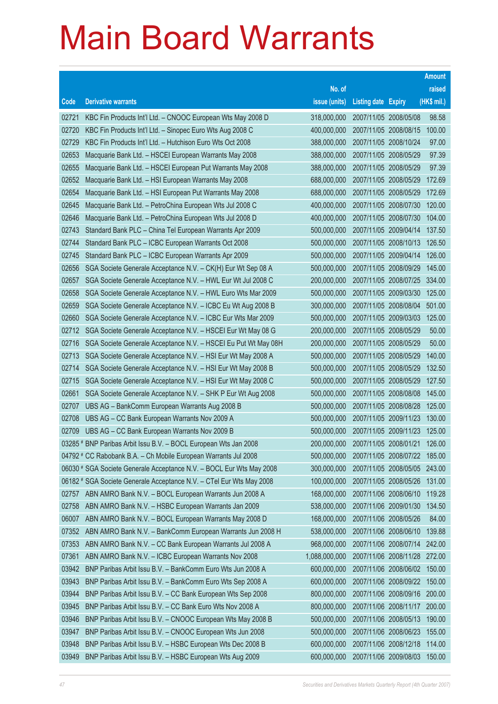| No. of<br>raised<br>(HK\$ mil.)<br><b>Derivative warrants</b><br>issue (units)<br>Code<br><b>Listing date Expiry</b><br>98.58<br>KBC Fin Products Int'l Ltd. - CNOOC European Wts May 2008 D<br>318,000,000<br>2007/11/05 2008/05/08<br>02721<br>100.00<br>02720<br>KBC Fin Products Int'l Ltd. - Sinopec Euro Wts Aug 2008 C<br>400,000,000<br>2007/11/05 2008/08/15<br>02729<br>KBC Fin Products Int'l Ltd. - Hutchison Euro Wts Oct 2008<br>388,000,000<br>2007/11/05 2008/10/24<br>97.00<br>97.39<br>02653<br>Macquarie Bank Ltd. - HSCEI European Warrants May 2008<br>388,000,000<br>2007/11/05 2008/05/29<br>02655<br>Macquarie Bank Ltd. - HSCEI European Put Warrants May 2008<br>388,000,000<br>2007/11/05 2008/05/29<br>97.39<br>02652<br>Macquarie Bank Ltd. - HSI European Warrants May 2008<br>688,000,000<br>2007/11/05 2008/05/29<br>172.69<br>02654<br>Macquarie Bank Ltd. - HSI European Put Warrants May 2008<br>688,000,000<br>2007/11/05 2008/05/29<br>172.69<br>120.00<br>02645<br>Macquarie Bank Ltd. - PetroChina European Wts Jul 2008 C<br>400,000,000<br>2007/11/05 2008/07/30<br>104.00<br>02646<br>Macquarie Bank Ltd. - PetroChina European Wts Jul 2008 D<br>400,000,000<br>2007/11/05 2008/07/30<br>02743<br>Standard Bank PLC - China Tel European Warrants Apr 2009<br>500,000,000<br>2007/11/05 2009/04/14<br>137.50<br>Standard Bank PLC - ICBC European Warrants Oct 2008<br>500,000,000<br>2007/11/05 2008/10/13<br>126.50<br>02744<br>Standard Bank PLC - ICBC European Warrants Apr 2009<br>500,000,000<br>2007/11/05 2009/04/14<br>126.00<br>02745<br>145.00<br>02656<br>SGA Societe Generale Acceptance N.V. - CK(H) Eur Wt Sep 08 A<br>500,000,000<br>2007/11/05 2008/09/29<br>02657<br>SGA Societe Generale Acceptance N.V. - HWL Eur Wt Jul 2008 C<br>200,000,000<br>2007/11/05 2008/07/25<br>334.00<br>500,000,000<br>2007/11/05 2009/03/30<br>125.00<br>02658<br>SGA Societe Generale Acceptance N.V. - HWL Euro Wts Mar 2009<br>501.00<br>02659<br>SGA Societe Generale Acceptance N.V. - ICBC Eu Wt Aug 2008 B<br>300,000,000<br>2007/11/05 2008/08/04<br>SGA Societe Generale Acceptance N.V. - ICBC Eur Wts Mar 2009<br>500,000,000<br>2007/11/05 2009/03/03<br>125.00<br>02660<br>50.00<br>SGA Societe Generale Acceptance N.V. - HSCEI Eur Wt May 08 G<br>200,000,000<br>2007/11/05 2008/05/29<br>02712<br>50.00<br>200,000,000<br>2007/11/05 2008/05/29<br>02716<br>SGA Societe Generale Acceptance N.V. - HSCEI Eu Put Wt May 08H<br>02713<br>SGA Societe Generale Acceptance N.V. - HSI Eur Wt May 2008 A<br>500,000,000<br>2007/11/05 2008/05/29<br>140.00<br>02714<br>SGA Societe Generale Acceptance N.V. - HSI Eur Wt May 2008 B<br>500,000,000<br>2007/11/05 2008/05/29<br>132.50<br>SGA Societe Generale Acceptance N.V. - HSI Eur Wt May 2008 C<br>500,000,000<br>2007/11/05 2008/05/29<br>127.50<br>02715 |
|---------------------------------------------------------------------------------------------------------------------------------------------------------------------------------------------------------------------------------------------------------------------------------------------------------------------------------------------------------------------------------------------------------------------------------------------------------------------------------------------------------------------------------------------------------------------------------------------------------------------------------------------------------------------------------------------------------------------------------------------------------------------------------------------------------------------------------------------------------------------------------------------------------------------------------------------------------------------------------------------------------------------------------------------------------------------------------------------------------------------------------------------------------------------------------------------------------------------------------------------------------------------------------------------------------------------------------------------------------------------------------------------------------------------------------------------------------------------------------------------------------------------------------------------------------------------------------------------------------------------------------------------------------------------------------------------------------------------------------------------------------------------------------------------------------------------------------------------------------------------------------------------------------------------------------------------------------------------------------------------------------------------------------------------------------------------------------------------------------------------------------------------------------------------------------------------------------------------------------------------------------------------------------------------------------------------------------------------------------------------------------------------------------------------------------------------------------------------------------------------------------------------------------------------------------------------------------------------------------------------------------------------------------------------------------------------------------------------------------------------------------------------------------------------------------------------------------------------------------------------------|
|                                                                                                                                                                                                                                                                                                                                                                                                                                                                                                                                                                                                                                                                                                                                                                                                                                                                                                                                                                                                                                                                                                                                                                                                                                                                                                                                                                                                                                                                                                                                                                                                                                                                                                                                                                                                                                                                                                                                                                                                                                                                                                                                                                                                                                                                                                                                                                                                                                                                                                                                                                                                                                                                                                                                                                                                                                                                           |
|                                                                                                                                                                                                                                                                                                                                                                                                                                                                                                                                                                                                                                                                                                                                                                                                                                                                                                                                                                                                                                                                                                                                                                                                                                                                                                                                                                                                                                                                                                                                                                                                                                                                                                                                                                                                                                                                                                                                                                                                                                                                                                                                                                                                                                                                                                                                                                                                                                                                                                                                                                                                                                                                                                                                                                                                                                                                           |
|                                                                                                                                                                                                                                                                                                                                                                                                                                                                                                                                                                                                                                                                                                                                                                                                                                                                                                                                                                                                                                                                                                                                                                                                                                                                                                                                                                                                                                                                                                                                                                                                                                                                                                                                                                                                                                                                                                                                                                                                                                                                                                                                                                                                                                                                                                                                                                                                                                                                                                                                                                                                                                                                                                                                                                                                                                                                           |
|                                                                                                                                                                                                                                                                                                                                                                                                                                                                                                                                                                                                                                                                                                                                                                                                                                                                                                                                                                                                                                                                                                                                                                                                                                                                                                                                                                                                                                                                                                                                                                                                                                                                                                                                                                                                                                                                                                                                                                                                                                                                                                                                                                                                                                                                                                                                                                                                                                                                                                                                                                                                                                                                                                                                                                                                                                                                           |
|                                                                                                                                                                                                                                                                                                                                                                                                                                                                                                                                                                                                                                                                                                                                                                                                                                                                                                                                                                                                                                                                                                                                                                                                                                                                                                                                                                                                                                                                                                                                                                                                                                                                                                                                                                                                                                                                                                                                                                                                                                                                                                                                                                                                                                                                                                                                                                                                                                                                                                                                                                                                                                                                                                                                                                                                                                                                           |
|                                                                                                                                                                                                                                                                                                                                                                                                                                                                                                                                                                                                                                                                                                                                                                                                                                                                                                                                                                                                                                                                                                                                                                                                                                                                                                                                                                                                                                                                                                                                                                                                                                                                                                                                                                                                                                                                                                                                                                                                                                                                                                                                                                                                                                                                                                                                                                                                                                                                                                                                                                                                                                                                                                                                                                                                                                                                           |
|                                                                                                                                                                                                                                                                                                                                                                                                                                                                                                                                                                                                                                                                                                                                                                                                                                                                                                                                                                                                                                                                                                                                                                                                                                                                                                                                                                                                                                                                                                                                                                                                                                                                                                                                                                                                                                                                                                                                                                                                                                                                                                                                                                                                                                                                                                                                                                                                                                                                                                                                                                                                                                                                                                                                                                                                                                                                           |
|                                                                                                                                                                                                                                                                                                                                                                                                                                                                                                                                                                                                                                                                                                                                                                                                                                                                                                                                                                                                                                                                                                                                                                                                                                                                                                                                                                                                                                                                                                                                                                                                                                                                                                                                                                                                                                                                                                                                                                                                                                                                                                                                                                                                                                                                                                                                                                                                                                                                                                                                                                                                                                                                                                                                                                                                                                                                           |
|                                                                                                                                                                                                                                                                                                                                                                                                                                                                                                                                                                                                                                                                                                                                                                                                                                                                                                                                                                                                                                                                                                                                                                                                                                                                                                                                                                                                                                                                                                                                                                                                                                                                                                                                                                                                                                                                                                                                                                                                                                                                                                                                                                                                                                                                                                                                                                                                                                                                                                                                                                                                                                                                                                                                                                                                                                                                           |
|                                                                                                                                                                                                                                                                                                                                                                                                                                                                                                                                                                                                                                                                                                                                                                                                                                                                                                                                                                                                                                                                                                                                                                                                                                                                                                                                                                                                                                                                                                                                                                                                                                                                                                                                                                                                                                                                                                                                                                                                                                                                                                                                                                                                                                                                                                                                                                                                                                                                                                                                                                                                                                                                                                                                                                                                                                                                           |
|                                                                                                                                                                                                                                                                                                                                                                                                                                                                                                                                                                                                                                                                                                                                                                                                                                                                                                                                                                                                                                                                                                                                                                                                                                                                                                                                                                                                                                                                                                                                                                                                                                                                                                                                                                                                                                                                                                                                                                                                                                                                                                                                                                                                                                                                                                                                                                                                                                                                                                                                                                                                                                                                                                                                                                                                                                                                           |
|                                                                                                                                                                                                                                                                                                                                                                                                                                                                                                                                                                                                                                                                                                                                                                                                                                                                                                                                                                                                                                                                                                                                                                                                                                                                                                                                                                                                                                                                                                                                                                                                                                                                                                                                                                                                                                                                                                                                                                                                                                                                                                                                                                                                                                                                                                                                                                                                                                                                                                                                                                                                                                                                                                                                                                                                                                                                           |
|                                                                                                                                                                                                                                                                                                                                                                                                                                                                                                                                                                                                                                                                                                                                                                                                                                                                                                                                                                                                                                                                                                                                                                                                                                                                                                                                                                                                                                                                                                                                                                                                                                                                                                                                                                                                                                                                                                                                                                                                                                                                                                                                                                                                                                                                                                                                                                                                                                                                                                                                                                                                                                                                                                                                                                                                                                                                           |
|                                                                                                                                                                                                                                                                                                                                                                                                                                                                                                                                                                                                                                                                                                                                                                                                                                                                                                                                                                                                                                                                                                                                                                                                                                                                                                                                                                                                                                                                                                                                                                                                                                                                                                                                                                                                                                                                                                                                                                                                                                                                                                                                                                                                                                                                                                                                                                                                                                                                                                                                                                                                                                                                                                                                                                                                                                                                           |
|                                                                                                                                                                                                                                                                                                                                                                                                                                                                                                                                                                                                                                                                                                                                                                                                                                                                                                                                                                                                                                                                                                                                                                                                                                                                                                                                                                                                                                                                                                                                                                                                                                                                                                                                                                                                                                                                                                                                                                                                                                                                                                                                                                                                                                                                                                                                                                                                                                                                                                                                                                                                                                                                                                                                                                                                                                                                           |
|                                                                                                                                                                                                                                                                                                                                                                                                                                                                                                                                                                                                                                                                                                                                                                                                                                                                                                                                                                                                                                                                                                                                                                                                                                                                                                                                                                                                                                                                                                                                                                                                                                                                                                                                                                                                                                                                                                                                                                                                                                                                                                                                                                                                                                                                                                                                                                                                                                                                                                                                                                                                                                                                                                                                                                                                                                                                           |
|                                                                                                                                                                                                                                                                                                                                                                                                                                                                                                                                                                                                                                                                                                                                                                                                                                                                                                                                                                                                                                                                                                                                                                                                                                                                                                                                                                                                                                                                                                                                                                                                                                                                                                                                                                                                                                                                                                                                                                                                                                                                                                                                                                                                                                                                                                                                                                                                                                                                                                                                                                                                                                                                                                                                                                                                                                                                           |
|                                                                                                                                                                                                                                                                                                                                                                                                                                                                                                                                                                                                                                                                                                                                                                                                                                                                                                                                                                                                                                                                                                                                                                                                                                                                                                                                                                                                                                                                                                                                                                                                                                                                                                                                                                                                                                                                                                                                                                                                                                                                                                                                                                                                                                                                                                                                                                                                                                                                                                                                                                                                                                                                                                                                                                                                                                                                           |
|                                                                                                                                                                                                                                                                                                                                                                                                                                                                                                                                                                                                                                                                                                                                                                                                                                                                                                                                                                                                                                                                                                                                                                                                                                                                                                                                                                                                                                                                                                                                                                                                                                                                                                                                                                                                                                                                                                                                                                                                                                                                                                                                                                                                                                                                                                                                                                                                                                                                                                                                                                                                                                                                                                                                                                                                                                                                           |
|                                                                                                                                                                                                                                                                                                                                                                                                                                                                                                                                                                                                                                                                                                                                                                                                                                                                                                                                                                                                                                                                                                                                                                                                                                                                                                                                                                                                                                                                                                                                                                                                                                                                                                                                                                                                                                                                                                                                                                                                                                                                                                                                                                                                                                                                                                                                                                                                                                                                                                                                                                                                                                                                                                                                                                                                                                                                           |
|                                                                                                                                                                                                                                                                                                                                                                                                                                                                                                                                                                                                                                                                                                                                                                                                                                                                                                                                                                                                                                                                                                                                                                                                                                                                                                                                                                                                                                                                                                                                                                                                                                                                                                                                                                                                                                                                                                                                                                                                                                                                                                                                                                                                                                                                                                                                                                                                                                                                                                                                                                                                                                                                                                                                                                                                                                                                           |
|                                                                                                                                                                                                                                                                                                                                                                                                                                                                                                                                                                                                                                                                                                                                                                                                                                                                                                                                                                                                                                                                                                                                                                                                                                                                                                                                                                                                                                                                                                                                                                                                                                                                                                                                                                                                                                                                                                                                                                                                                                                                                                                                                                                                                                                                                                                                                                                                                                                                                                                                                                                                                                                                                                                                                                                                                                                                           |
|                                                                                                                                                                                                                                                                                                                                                                                                                                                                                                                                                                                                                                                                                                                                                                                                                                                                                                                                                                                                                                                                                                                                                                                                                                                                                                                                                                                                                                                                                                                                                                                                                                                                                                                                                                                                                                                                                                                                                                                                                                                                                                                                                                                                                                                                                                                                                                                                                                                                                                                                                                                                                                                                                                                                                                                                                                                                           |
|                                                                                                                                                                                                                                                                                                                                                                                                                                                                                                                                                                                                                                                                                                                                                                                                                                                                                                                                                                                                                                                                                                                                                                                                                                                                                                                                                                                                                                                                                                                                                                                                                                                                                                                                                                                                                                                                                                                                                                                                                                                                                                                                                                                                                                                                                                                                                                                                                                                                                                                                                                                                                                                                                                                                                                                                                                                                           |
| SGA Societe Generale Acceptance N.V. - SHK P Eur Wt Aug 2008<br>500,000,000<br>2007/11/05 2008/08/08<br>145.00<br>02661                                                                                                                                                                                                                                                                                                                                                                                                                                                                                                                                                                                                                                                                                                                                                                                                                                                                                                                                                                                                                                                                                                                                                                                                                                                                                                                                                                                                                                                                                                                                                                                                                                                                                                                                                                                                                                                                                                                                                                                                                                                                                                                                                                                                                                                                                                                                                                                                                                                                                                                                                                                                                                                                                                                                                   |
| 02707<br>UBS AG - BankComm European Warrants Aug 2008 B<br>500,000,000<br>2007/11/05 2008/08/28<br>125.00                                                                                                                                                                                                                                                                                                                                                                                                                                                                                                                                                                                                                                                                                                                                                                                                                                                                                                                                                                                                                                                                                                                                                                                                                                                                                                                                                                                                                                                                                                                                                                                                                                                                                                                                                                                                                                                                                                                                                                                                                                                                                                                                                                                                                                                                                                                                                                                                                                                                                                                                                                                                                                                                                                                                                                 |
| UBS AG - CC Bank European Warrants Nov 2009 A<br>500,000,000<br>2007/11/05 2009/11/23<br>130.00<br>02708                                                                                                                                                                                                                                                                                                                                                                                                                                                                                                                                                                                                                                                                                                                                                                                                                                                                                                                                                                                                                                                                                                                                                                                                                                                                                                                                                                                                                                                                                                                                                                                                                                                                                                                                                                                                                                                                                                                                                                                                                                                                                                                                                                                                                                                                                                                                                                                                                                                                                                                                                                                                                                                                                                                                                                  |
| 2007/11/05 2009/11/23<br>UBS AG - CC Bank European Warrants Nov 2009 B<br>500,000,000<br>125.00<br>02709                                                                                                                                                                                                                                                                                                                                                                                                                                                                                                                                                                                                                                                                                                                                                                                                                                                                                                                                                                                                                                                                                                                                                                                                                                                                                                                                                                                                                                                                                                                                                                                                                                                                                                                                                                                                                                                                                                                                                                                                                                                                                                                                                                                                                                                                                                                                                                                                                                                                                                                                                                                                                                                                                                                                                                  |
| 03285 # BNP Paribas Arbit Issu B.V. - BOCL European Wts Jan 2008<br>200,000,000<br>2007/11/05 2008/01/21<br>126.00                                                                                                                                                                                                                                                                                                                                                                                                                                                                                                                                                                                                                                                                                                                                                                                                                                                                                                                                                                                                                                                                                                                                                                                                                                                                                                                                                                                                                                                                                                                                                                                                                                                                                                                                                                                                                                                                                                                                                                                                                                                                                                                                                                                                                                                                                                                                                                                                                                                                                                                                                                                                                                                                                                                                                        |
| 04792 # CC Rabobank B.A. - Ch Mobile European Warrants Jul 2008<br>2007/11/05 2008/07/22<br>500,000,000<br>185.00<br>06030 # SGA Societe Generale Acceptance N.V. - BOCL Eur Wts May 2008<br>300,000,000<br>2007/11/05 2008/05/05                                                                                                                                                                                                                                                                                                                                                                                                                                                                                                                                                                                                                                                                                                                                                                                                                                                                                                                                                                                                                                                                                                                                                                                                                                                                                                                                                                                                                                                                                                                                                                                                                                                                                                                                                                                                                                                                                                                                                                                                                                                                                                                                                                                                                                                                                                                                                                                                                                                                                                                                                                                                                                         |
| 243.00<br>06182 # SGA Societe Generale Acceptance N.V. - CTel Eur Wts May 2008<br>100,000,000<br>2007/11/05 2008/05/26<br>131.00                                                                                                                                                                                                                                                                                                                                                                                                                                                                                                                                                                                                                                                                                                                                                                                                                                                                                                                                                                                                                                                                                                                                                                                                                                                                                                                                                                                                                                                                                                                                                                                                                                                                                                                                                                                                                                                                                                                                                                                                                                                                                                                                                                                                                                                                                                                                                                                                                                                                                                                                                                                                                                                                                                                                          |
| ABN AMRO Bank N.V. - BOCL European Warrants Jun 2008 A<br>168,000,000<br>2007/11/06 2008/06/10<br>119.28<br>02757                                                                                                                                                                                                                                                                                                                                                                                                                                                                                                                                                                                                                                                                                                                                                                                                                                                                                                                                                                                                                                                                                                                                                                                                                                                                                                                                                                                                                                                                                                                                                                                                                                                                                                                                                                                                                                                                                                                                                                                                                                                                                                                                                                                                                                                                                                                                                                                                                                                                                                                                                                                                                                                                                                                                                         |
| ABN AMRO Bank N.V. - HSBC European Warrants Jan 2009<br>538,000,000<br>2007/11/06 2009/01/30<br>134.50<br>02758                                                                                                                                                                                                                                                                                                                                                                                                                                                                                                                                                                                                                                                                                                                                                                                                                                                                                                                                                                                                                                                                                                                                                                                                                                                                                                                                                                                                                                                                                                                                                                                                                                                                                                                                                                                                                                                                                                                                                                                                                                                                                                                                                                                                                                                                                                                                                                                                                                                                                                                                                                                                                                                                                                                                                           |
| 84.00<br>06007<br>ABN AMRO Bank N.V. - BOCL European Warrants May 2008 D<br>168,000,000<br>2007/11/06 2008/05/26                                                                                                                                                                                                                                                                                                                                                                                                                                                                                                                                                                                                                                                                                                                                                                                                                                                                                                                                                                                                                                                                                                                                                                                                                                                                                                                                                                                                                                                                                                                                                                                                                                                                                                                                                                                                                                                                                                                                                                                                                                                                                                                                                                                                                                                                                                                                                                                                                                                                                                                                                                                                                                                                                                                                                          |
| ABN AMRO Bank N.V. - BankComm European Warrants Jun 2008 H<br>07352<br>538,000,000<br>2007/11/06 2008/06/10<br>139.88                                                                                                                                                                                                                                                                                                                                                                                                                                                                                                                                                                                                                                                                                                                                                                                                                                                                                                                                                                                                                                                                                                                                                                                                                                                                                                                                                                                                                                                                                                                                                                                                                                                                                                                                                                                                                                                                                                                                                                                                                                                                                                                                                                                                                                                                                                                                                                                                                                                                                                                                                                                                                                                                                                                                                     |
| 07353<br>ABN AMRO Bank N.V. - CC Bank European Warrants Jul 2008 A<br>968,000,000<br>2007/11/06 2008/07/14<br>242.00                                                                                                                                                                                                                                                                                                                                                                                                                                                                                                                                                                                                                                                                                                                                                                                                                                                                                                                                                                                                                                                                                                                                                                                                                                                                                                                                                                                                                                                                                                                                                                                                                                                                                                                                                                                                                                                                                                                                                                                                                                                                                                                                                                                                                                                                                                                                                                                                                                                                                                                                                                                                                                                                                                                                                      |
| 07361<br>ABN AMRO Bank N.V. - ICBC European Warrants Nov 2008<br>1,088,000,000<br>2007/11/06 2008/11/28<br>272.00                                                                                                                                                                                                                                                                                                                                                                                                                                                                                                                                                                                                                                                                                                                                                                                                                                                                                                                                                                                                                                                                                                                                                                                                                                                                                                                                                                                                                                                                                                                                                                                                                                                                                                                                                                                                                                                                                                                                                                                                                                                                                                                                                                                                                                                                                                                                                                                                                                                                                                                                                                                                                                                                                                                                                         |
| BNP Paribas Arbit Issu B.V. - BankComm Euro Wts Jun 2008 A<br>600,000,000<br>2007/11/06 2008/06/02<br>150.00<br>03942                                                                                                                                                                                                                                                                                                                                                                                                                                                                                                                                                                                                                                                                                                                                                                                                                                                                                                                                                                                                                                                                                                                                                                                                                                                                                                                                                                                                                                                                                                                                                                                                                                                                                                                                                                                                                                                                                                                                                                                                                                                                                                                                                                                                                                                                                                                                                                                                                                                                                                                                                                                                                                                                                                                                                     |
| 03943<br>BNP Paribas Arbit Issu B.V. - BankComm Euro Wts Sep 2008 A<br>600,000,000<br>2007/11/06 2008/09/22<br>150.00                                                                                                                                                                                                                                                                                                                                                                                                                                                                                                                                                                                                                                                                                                                                                                                                                                                                                                                                                                                                                                                                                                                                                                                                                                                                                                                                                                                                                                                                                                                                                                                                                                                                                                                                                                                                                                                                                                                                                                                                                                                                                                                                                                                                                                                                                                                                                                                                                                                                                                                                                                                                                                                                                                                                                     |
| 03944<br>BNP Paribas Arbit Issu B.V. - CC Bank European Wts Sep 2008<br>800,000,000<br>2007/11/06 2008/09/16<br>200.00                                                                                                                                                                                                                                                                                                                                                                                                                                                                                                                                                                                                                                                                                                                                                                                                                                                                                                                                                                                                                                                                                                                                                                                                                                                                                                                                                                                                                                                                                                                                                                                                                                                                                                                                                                                                                                                                                                                                                                                                                                                                                                                                                                                                                                                                                                                                                                                                                                                                                                                                                                                                                                                                                                                                                    |
| 03945<br>BNP Paribas Arbit Issu B.V. - CC Bank Euro Wts Nov 2008 A<br>800,000,000<br>2007/11/06 2008/11/17<br>200.00                                                                                                                                                                                                                                                                                                                                                                                                                                                                                                                                                                                                                                                                                                                                                                                                                                                                                                                                                                                                                                                                                                                                                                                                                                                                                                                                                                                                                                                                                                                                                                                                                                                                                                                                                                                                                                                                                                                                                                                                                                                                                                                                                                                                                                                                                                                                                                                                                                                                                                                                                                                                                                                                                                                                                      |
| BNP Paribas Arbit Issu B.V. - CNOOC European Wts May 2008 B<br>500,000,000<br>2007/11/06 2008/05/13<br>190.00<br>03946                                                                                                                                                                                                                                                                                                                                                                                                                                                                                                                                                                                                                                                                                                                                                                                                                                                                                                                                                                                                                                                                                                                                                                                                                                                                                                                                                                                                                                                                                                                                                                                                                                                                                                                                                                                                                                                                                                                                                                                                                                                                                                                                                                                                                                                                                                                                                                                                                                                                                                                                                                                                                                                                                                                                                    |
| 500,000,000<br>2007/11/06 2008/06/23<br>03947<br>BNP Paribas Arbit Issu B.V. - CNOOC European Wts Jun 2008<br>155.00                                                                                                                                                                                                                                                                                                                                                                                                                                                                                                                                                                                                                                                                                                                                                                                                                                                                                                                                                                                                                                                                                                                                                                                                                                                                                                                                                                                                                                                                                                                                                                                                                                                                                                                                                                                                                                                                                                                                                                                                                                                                                                                                                                                                                                                                                                                                                                                                                                                                                                                                                                                                                                                                                                                                                      |
| 03948<br>BNP Paribas Arbit Issu B.V. - HSBC European Wts Dec 2008 B<br>600,000,000<br>2007/11/06 2008/12/18<br>114.00                                                                                                                                                                                                                                                                                                                                                                                                                                                                                                                                                                                                                                                                                                                                                                                                                                                                                                                                                                                                                                                                                                                                                                                                                                                                                                                                                                                                                                                                                                                                                                                                                                                                                                                                                                                                                                                                                                                                                                                                                                                                                                                                                                                                                                                                                                                                                                                                                                                                                                                                                                                                                                                                                                                                                     |
| BNP Paribas Arbit Issu B.V. - HSBC European Wts Aug 2009<br>03949<br>600,000,000<br>2007/11/06 2009/08/03<br>150.00                                                                                                                                                                                                                                                                                                                                                                                                                                                                                                                                                                                                                                                                                                                                                                                                                                                                                                                                                                                                                                                                                                                                                                                                                                                                                                                                                                                                                                                                                                                                                                                                                                                                                                                                                                                                                                                                                                                                                                                                                                                                                                                                                                                                                                                                                                                                                                                                                                                                                                                                                                                                                                                                                                                                                       |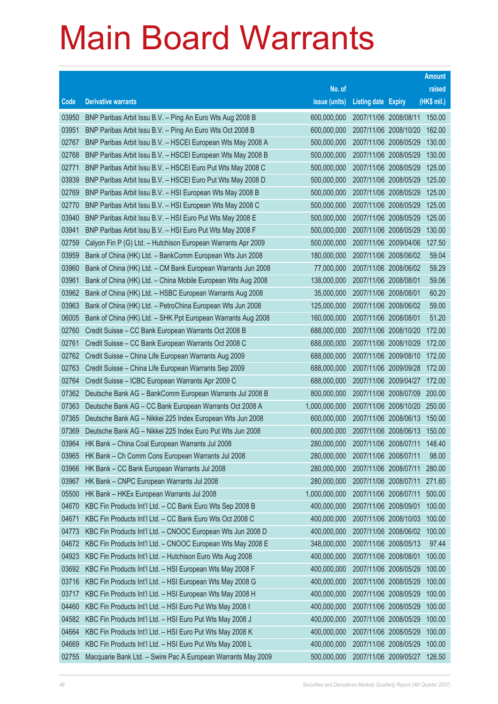|       |                                                              |               |                            | <b>Amount</b> |
|-------|--------------------------------------------------------------|---------------|----------------------------|---------------|
|       |                                                              | No. of        |                            | raised        |
| Code  | <b>Derivative warrants</b>                                   | issue (units) | <b>Listing date Expiry</b> | (HK\$ mil.)   |
| 03950 | BNP Paribas Arbit Issu B.V. - Ping An Euro Wts Aug 2008 B    | 600,000,000   | 2007/11/06 2008/08/11      | 150.00        |
| 03951 | BNP Paribas Arbit Issu B.V. - Ping An Euro Wts Oct 2008 B    | 600,000,000   | 2007/11/06 2008/10/20      | 162.00        |
| 02767 | BNP Paribas Arbit Issu B.V. - HSCEI European Wts May 2008 A  | 500,000,000   | 2007/11/06 2008/05/29      | 130.00        |
| 02768 | BNP Paribas Arbit Issu B.V. - HSCEI European Wts May 2008 B  | 500,000,000   | 2007/11/06 2008/05/29      | 130.00        |
| 02771 | BNP Paribas Arbit Issu B.V. - HSCEI Euro Put Wts May 2008 C  | 500,000,000   | 2007/11/06 2008/05/29      | 125.00        |
| 03939 | BNP Paribas Arbit Issu B.V. - HSCEI Euro Put Wts May 2008 D  | 500,000,000   | 2007/11/06 2008/05/29      | 125.00        |
| 02769 | BNP Paribas Arbit Issu B.V. - HSI European Wts May 2008 B    | 500,000,000   | 2007/11/06 2008/05/29      | 125.00        |
| 02770 | BNP Paribas Arbit Issu B.V. - HSI European Wts May 2008 C    | 500,000,000   | 2007/11/06 2008/05/29      | 125.00        |
| 03940 | BNP Paribas Arbit Issu B.V. - HSI Euro Put Wts May 2008 E    | 500,000,000   | 2007/11/06 2008/05/29      | 125.00        |
| 03941 | BNP Paribas Arbit Issu B.V. - HSI Euro Put Wts May 2008 F    | 500,000,000   | 2007/11/06 2008/05/29      | 130.00        |
| 02759 | Calyon Fin P (G) Ltd. - Hutchison European Warrants Apr 2009 | 500,000,000   | 2007/11/06 2009/04/06      | 127.50        |
| 03959 | Bank of China (HK) Ltd. - BankComm European Wts Jun 2008     | 180,000,000   | 2007/11/06 2008/06/02      | 59.04         |
| 03960 | Bank of China (HK) Ltd. - CM Bank European Warrants Jun 2008 | 77,000,000    | 2007/11/06 2008/06/02      | 59.29         |
| 03961 | Bank of China (HK) Ltd. - China Mobile European Wts Aug 2008 | 138,000,000   | 2007/11/06 2008/08/01      | 59.06         |
| 03962 | Bank of China (HK) Ltd. - HSBC European Warrants Aug 2008    | 35,000,000    | 2007/11/06 2008/08/01      | 60.20         |
| 03963 | Bank of China (HK) Ltd. - PetroChina European Wts Jun 2008   | 125,000,000   | 2007/11/06 2008/06/02      | 59.00         |
| 06005 | Bank of China (HK) Ltd. - SHK Ppt European Warrants Aug 2008 | 160,000,000   | 2007/11/06 2008/08/01      | 51.20         |
| 02760 | Credit Suisse - CC Bank European Warrants Oct 2008 B         | 688,000,000   | 2007/11/06 2008/10/20      | 172.00        |
| 02761 | Credit Suisse - CC Bank European Warrants Oct 2008 C         | 688,000,000   | 2007/11/06 2008/10/29      | 172.00        |
| 02762 | Credit Suisse - China Life European Warrants Aug 2009        | 688,000,000   | 2007/11/06 2009/08/10      | 172.00        |
| 02763 | Credit Suisse - China Life European Warrants Sep 2009        | 688,000,000   | 2007/11/06 2009/09/28      | 172.00        |
| 02764 | Credit Suisse - ICBC European Warrants Apr 2009 C            | 688,000,000   | 2007/11/06 2009/04/27      | 172.00        |
| 07362 | Deutsche Bank AG - BankComm European Warrants Jul 2008 B     | 800,000,000   | 2007/11/06 2008/07/09      | 200.00        |
| 07363 | Deutsche Bank AG - CC Bank European Warrants Oct 2008 A      | 1,000,000,000 | 2007/11/06 2008/10/20      | 250.00        |
| 07365 | Deutsche Bank AG - Nikkei 225 Index European Wts Jun 2008    | 600,000,000   | 2007/11/06 2008/06/13      | 150.00        |
| 07369 | Deutsche Bank AG - Nikkei 225 Index Euro Put Wts Jun 2008    | 600,000,000   | 2007/11/06 2008/06/13      | 150.00        |
| 03964 | HK Bank - China Coal European Warrants Jul 2008              | 280,000,000   | 2007/11/06 2008/07/11      | 148.40        |
| 03965 | HK Bank - Ch Comm Cons European Warrants Jul 2008            | 280,000,000   | 2007/11/06 2008/07/11      | 98.00         |
| 03966 | HK Bank - CC Bank European Warrants Jul 2008                 | 280,000,000   | 2007/11/06 2008/07/11      | 280.00        |
| 03967 | HK Bank - CNPC European Warrants Jul 2008                    | 280,000,000   | 2007/11/06 2008/07/11      | 271.60        |
| 05500 | HK Bank - HKEx European Warrants Jul 2008                    | 1,000,000,000 | 2007/11/06 2008/07/11      | 500.00        |
| 04670 | KBC Fin Products Int'l Ltd. - CC Bank Euro Wts Sep 2008 B    | 400,000,000   | 2007/11/06 2008/09/01      | 100.00        |
| 04671 | KBC Fin Products Int'l Ltd. - CC Bank Euro Wts Oct 2008 C    | 400,000,000   | 2007/11/06 2008/10/03      | 100.00        |
| 04773 | KBC Fin Products Int'l Ltd. - CNOOC European Wts Jun 2008 D  | 400,000,000   | 2007/11/06 2008/06/02      | 100.00        |
| 04672 | KBC Fin Products Int'l Ltd. - CNOOC European Wts May 2008 E  | 348,000,000   | 2007/11/06 2008/05/13      | 97.44         |
| 04923 | KBC Fin Products Int'l Ltd. - Hutchison Euro Wts Aug 2008    | 400,000,000   | 2007/11/06 2008/08/01      | 100.00        |
| 03692 | KBC Fin Products Int'l Ltd. - HSI European Wts May 2008 F    | 400,000,000   | 2007/11/06 2008/05/29      | 100.00        |
| 03716 | KBC Fin Products Int'l Ltd. - HSI European Wts May 2008 G    | 400,000,000   | 2007/11/06 2008/05/29      | 100.00        |
| 03717 | KBC Fin Products Int'l Ltd. - HSI European Wts May 2008 H    | 400,000,000   | 2007/11/06 2008/05/29      | 100.00        |
| 04460 | KBC Fin Products Int'l Ltd. - HSI Euro Put Wts May 2008 I    | 400,000,000   | 2007/11/06 2008/05/29      | 100.00        |
| 04582 | KBC Fin Products Int'l Ltd. - HSI Euro Put Wts May 2008 J    | 400,000,000   | 2007/11/06 2008/05/29      | 100.00        |
| 04664 | KBC Fin Products Int'l Ltd. - HSI Euro Put Wts May 2008 K    | 400,000,000   | 2007/11/06 2008/05/29      | 100.00        |
| 04669 | KBC Fin Products Int'l Ltd. - HSI Euro Put Wts May 2008 L    | 400,000,000   | 2007/11/06 2008/05/29      | 100.00        |
| 02755 | Macquarie Bank Ltd. - Swire Pac A European Warrants May 2009 | 500,000,000   | 2007/11/06 2009/05/27      | 126.50        |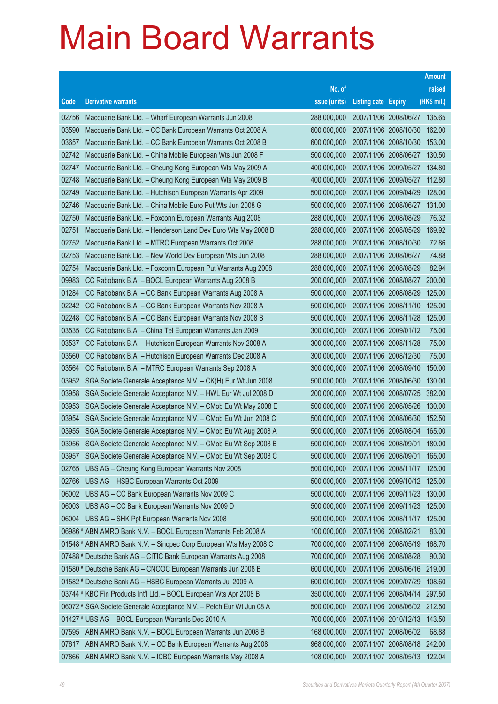|       |                                                                      |               |                            |                              | <b>Amount</b> |
|-------|----------------------------------------------------------------------|---------------|----------------------------|------------------------------|---------------|
|       |                                                                      | No. of        |                            |                              | raised        |
| Code  | <b>Derivative warrants</b>                                           | issue (units) | <b>Listing date Expiry</b> |                              | (HK\$ mil.)   |
| 02756 | Macquarie Bank Ltd. - Wharf European Warrants Jun 2008               | 288,000,000   |                            | 2007/11/06 2008/06/27 135.65 |               |
| 03590 | Macquarie Bank Ltd. - CC Bank European Warrants Oct 2008 A           | 600,000,000   |                            | 2007/11/06 2008/10/30        | 162.00        |
| 03657 | Macquarie Bank Ltd. - CC Bank European Warrants Oct 2008 B           | 600,000,000   |                            | 2007/11/06 2008/10/30        | 153.00        |
| 02742 | Macquarie Bank Ltd. - China Mobile European Wts Jun 2008 F           | 500,000,000   |                            | 2007/11/06 2008/06/27        | 130.50        |
| 02747 | Macquarie Bank Ltd. - Cheung Kong European Wts May 2009 A            | 400,000,000   |                            | 2007/11/06 2009/05/27        | 134.80        |
| 02748 | Macquarie Bank Ltd. - Cheung Kong European Wts May 2009 B            | 400,000,000   |                            | 2007/11/06 2009/05/27        | 112.80        |
| 02749 | Macquarie Bank Ltd. - Hutchison European Warrants Apr 2009           | 500,000,000   |                            | 2007/11/06 2009/04/29        | 128.00        |
| 02746 | Macquarie Bank Ltd. - China Mobile Euro Put Wts Jun 2008 G           | 500,000,000   |                            | 2007/11/06 2008/06/27        | 131.00        |
| 02750 | Macquarie Bank Ltd. - Foxconn European Warrants Aug 2008             | 288,000,000   | 2007/11/06 2008/08/29      |                              | 76.32         |
| 02751 | Macquarie Bank Ltd. - Henderson Land Dev Euro Wts May 2008 B         | 288,000,000   |                            | 2007/11/06 2008/05/29        | 169.92        |
| 02752 | Macquarie Bank Ltd. - MTRC European Warrants Oct 2008                | 288,000,000   | 2007/11/06 2008/10/30      |                              | 72.86         |
| 02753 | Macquarie Bank Ltd. - New World Dev European Wts Jun 2008            | 288,000,000   | 2007/11/06 2008/06/27      |                              | 74.88         |
| 02754 | Macquarie Bank Ltd. - Foxconn European Put Warrants Aug 2008         | 288,000,000   |                            | 2007/11/06 2008/08/29        | 82.94         |
| 09983 | CC Rabobank B.A. - BOCL European Warrants Aug 2008 B                 | 200,000,000   |                            | 2007/11/06 2008/08/27        | 200.00        |
| 01284 | CC Rabobank B.A. - CC Bank European Warrants Aug 2008 A              | 500,000,000   |                            | 2007/11/06 2008/08/29        | 125.00        |
| 02242 | CC Rabobank B.A. - CC Bank European Warrants Nov 2008 A              | 500,000,000   |                            | 2007/11/06 2008/11/10        | 125.00        |
| 02248 | CC Rabobank B.A. - CC Bank European Warrants Nov 2008 B              | 500,000,000   |                            | 2007/11/06 2008/11/28        | 125.00        |
| 03535 | CC Rabobank B.A. - China Tel European Warrants Jan 2009              | 300,000,000   |                            | 2007/11/06 2009/01/12        | 75.00         |
| 03537 | CC Rabobank B.A. - Hutchison European Warrants Nov 2008 A            | 300,000,000   | 2007/11/06 2008/11/28      |                              | 75.00         |
| 03560 | CC Rabobank B.A. - Hutchison European Warrants Dec 2008 A            | 300,000,000   | 2007/11/06 2008/12/30      |                              | 75.00         |
| 03564 | CC Rabobank B.A. - MTRC European Warrants Sep 2008 A                 | 300,000,000   |                            | 2007/11/06 2008/09/10        | 150.00        |
| 03952 | SGA Societe Generale Acceptance N.V. - CK(H) Eur Wt Jun 2008         | 500,000,000   |                            | 2007/11/06 2008/06/30        | 130.00        |
| 03958 | SGA Societe Generale Acceptance N.V. - HWL Eur Wt Jul 2008 D         | 200,000,000   |                            | 2007/11/06 2008/07/25        | 382.00        |
| 03953 | SGA Societe Generale Acceptance N.V. - CMob Eu Wt May 2008 E         | 500,000,000   |                            | 2007/11/06 2008/05/26        | 130.00        |
| 03954 | SGA Societe Generale Acceptance N.V. - CMob Eu Wt Jun 2008 C         | 500,000,000   |                            | 2007/11/06 2008/06/30        | 152.50        |
| 03955 | SGA Societe Generale Acceptance N.V. - CMob Eu Wt Aug 2008 A         | 500,000,000   |                            | 2007/11/06 2008/08/04        | 165.00        |
| 03956 | SGA Societe Generale Acceptance N.V. - CMob Eu Wt Sep 2008 B         | 500,000,000   | 2007/11/06 2008/09/01      |                              | 180.00        |
| 03957 | SGA Societe Generale Acceptance N.V. - CMob Eu Wt Sep 2008 C         | 500,000,000   | 2007/11/06 2008/09/01      |                              | 165.00        |
| 02765 | UBS AG - Cheung Kong European Warrants Nov 2008                      | 500,000,000   |                            | 2007/11/06 2008/11/17        | 125.00        |
| 02766 | UBS AG - HSBC European Warrants Oct 2009                             | 500,000,000   |                            | 2007/11/06 2009/10/12 125.00 |               |
| 06002 | UBS AG - CC Bank European Warrants Nov 2009 C                        | 500,000,000   |                            | 2007/11/06 2009/11/23        | 130.00        |
| 06003 | UBS AG - CC Bank European Warrants Nov 2009 D                        | 500,000,000   |                            | 2007/11/06 2009/11/23        | 125.00        |
| 06004 | UBS AG - SHK Ppt European Warrants Nov 2008                          | 500,000,000   |                            | 2007/11/06 2008/11/17        | 125.00        |
|       | 06986 # ABN AMRO Bank N.V. - BOCL European Warrants Feb 2008 A       | 100,000,000   | 2007/11/06 2008/02/21      |                              | 83.00         |
|       | 01548 # ABN AMRO Bank N.V. - Sinopec Corp European Wts May 2008 C    | 700,000,000   |                            | 2007/11/06 2008/05/19        | 168.70        |
|       | 07488 # Deutsche Bank AG - CITIC Bank European Warrants Aug 2008     | 700,000,000   |                            | 2007/11/06 2008/08/28        | 90.30         |
|       | 01580 # Deutsche Bank AG - CNOOC European Warrants Jun 2008 B        | 600,000,000   |                            | 2007/11/06 2008/06/16        | 219.00        |
|       | 01582 # Deutsche Bank AG - HSBC European Warrants Jul 2009 A         | 600,000,000   | 2007/11/06 2009/07/29      |                              | 108.60        |
|       | 03744 # KBC Fin Products Int'l Ltd. - BOCL European Wts Apr 2008 B   | 350,000,000   |                            | 2007/11/06 2008/04/14        | 297.50        |
|       | 06072 # SGA Societe Generale Acceptance N.V. - Petch Eur Wt Jun 08 A | 500,000,000   |                            | 2007/11/06 2008/06/02 212.50 |               |
|       | 01427 # UBS AG - BOCL European Warrants Dec 2010 A                   | 700,000,000   |                            | 2007/11/06 2010/12/13        | 143.50        |
| 07595 | ABN AMRO Bank N.V. - BOCL European Warrants Jun 2008 B               | 168,000,000   | 2007/11/07 2008/06/02      |                              | 68.88         |
| 07617 | ABN AMRO Bank N.V. - CC Bank European Warrants Aug 2008              | 968,000,000   |                            | 2007/11/07 2008/08/18        | 242.00        |
| 07866 | ABN AMRO Bank N.V. - ICBC European Warrants May 2008 A               | 108,000,000   |                            | 2007/11/07 2008/05/13        | 122.04        |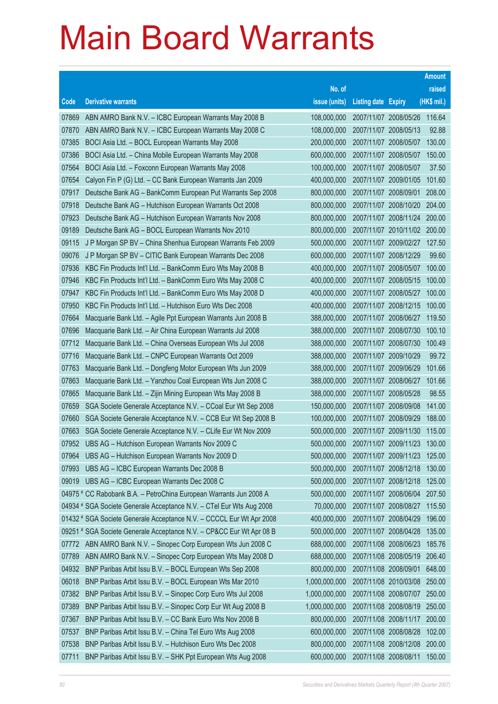|       |                                                                      |               |                            |                              | <b>Amount</b> |
|-------|----------------------------------------------------------------------|---------------|----------------------------|------------------------------|---------------|
|       |                                                                      | No. of        |                            |                              | raised        |
| Code  | <b>Derivative warrants</b>                                           | issue (units) | <b>Listing date Expiry</b> |                              | (HK\$ mil.)   |
| 07869 | ABN AMRO Bank N.V. - ICBC European Warrants May 2008 B               | 108,000,000   |                            | 2007/11/07 2008/05/26        | 116.64        |
| 07870 | ABN AMRO Bank N.V. - ICBC European Warrants May 2008 C               | 108,000,000   |                            | 2007/11/07 2008/05/13        | 92.88         |
| 07385 | BOCI Asia Ltd. - BOCL European Warrants May 2008                     | 200,000,000   |                            | 2007/11/07 2008/05/07        | 130.00        |
| 07386 | BOCI Asia Ltd. - China Mobile European Warrants May 2008             | 600,000,000   |                            | 2007/11/07 2008/05/07        | 150.00        |
| 07564 | BOCI Asia Ltd. - Foxconn European Warrants May 2008                  | 100,000,000   |                            | 2007/11/07 2008/05/07        | 37.50         |
| 07654 | Calyon Fin P (G) Ltd. - CC Bank European Warrants Jan 2009           | 400,000,000   |                            | 2007/11/07 2009/01/05        | 101.60        |
| 07917 | Deutsche Bank AG - BankComm European Put Warrants Sep 2008           | 800,000,000   | 2007/11/07 2008/09/01      |                              | 208.00        |
| 07918 | Deutsche Bank AG - Hutchison European Warrants Oct 2008              | 800,000,000   |                            | 2007/11/07 2008/10/20        | 204.00        |
| 07923 | Deutsche Bank AG - Hutchison European Warrants Nov 2008              | 800,000,000   |                            | 2007/11/07 2008/11/24 200.00 |               |
| 09189 | Deutsche Bank AG - BOCL European Warrants Nov 2010                   | 800,000,000   |                            | 2007/11/07 2010/11/02 200.00 |               |
| 09115 | J P Morgan SP BV - China Shenhua European Warrants Feb 2009          | 500,000,000   |                            | 2007/11/07 2009/02/27        | 127.50        |
| 09076 | J P Morgan SP BV - CITIC Bank European Warrants Dec 2008             | 600,000,000   |                            | 2007/11/07 2008/12/29        | 99.60         |
| 07936 | KBC Fin Products Int'l Ltd. - BankComm Euro Wts May 2008 B           | 400,000,000   |                            | 2007/11/07 2008/05/07        | 100.00        |
| 07946 | KBC Fin Products Int'l Ltd. - BankComm Euro Wts May 2008 C           | 400,000,000   |                            | 2007/11/07 2008/05/15        | 100.00        |
| 07947 | KBC Fin Products Int'l Ltd. - BankComm Euro Wts May 2008 D           | 400,000,000   |                            | 2007/11/07 2008/05/27        | 100.00        |
| 07950 | KBC Fin Products Int'l Ltd. - Hutchison Euro Wts Dec 2008            | 400,000,000   |                            | 2007/11/07 2008/12/15        | 100.00        |
| 07664 | Macquarie Bank Ltd. - Agile Ppt European Warrants Jun 2008 B         | 388,000,000   |                            | 2007/11/07 2008/06/27        | 119.50        |
| 07696 | Macquarie Bank Ltd. - Air China European Warrants Jul 2008           | 388,000,000   |                            | 2007/11/07 2008/07/30        | 100.10        |
| 07712 | Macquarie Bank Ltd. - China Overseas European Wts Jul 2008           | 388,000,000   |                            | 2007/11/07 2008/07/30        | 100.49        |
| 07716 | Macquarie Bank Ltd. - CNPC European Warrants Oct 2009                | 388,000,000   |                            | 2007/11/07 2009/10/29        | 99.72         |
| 07763 | Macquarie Bank Ltd. - Dongfeng Motor European Wts Jun 2009           | 388,000,000   |                            | 2007/11/07 2009/06/29        | 101.66        |
| 07863 | Macquarie Bank Ltd. - Yanzhou Coal European Wts Jun 2008 C           | 388,000,000   |                            | 2007/11/07 2008/06/27        | 101.66        |
| 07865 | Macquarie Bank Ltd. - Zijin Mining European Wts May 2008 B           | 388,000,000   |                            | 2007/11/07 2008/05/28        | 98.55         |
| 07659 | SGA Societe Generale Acceptance N.V. - CCoal Eur Wt Sep 2008         | 150,000,000   |                            | 2007/11/07 2008/09/08        | 141.00        |
| 07660 | SGA Societe Generale Acceptance N.V. - CCB Eur Wt Sep 2008 B         | 100,000,000   |                            | 2007/11/07 2008/09/29        | 188.00        |
| 07663 | SGA Societe Generale Acceptance N.V. - CLife Eur Wt Nov 2009         | 500,000,000   |                            | 2007/11/07 2009/11/30        | 115.00        |
| 07952 | UBS AG - Hutchison European Warrants Nov 2009 C                      | 500,000,000   |                            | 2007/11/07 2009/11/23        | 130.00        |
| 07964 | UBS AG - Hutchison European Warrants Nov 2009 D                      | 500,000,000   | 2007/11/07 2009/11/23      |                              | 125.00        |
| 07993 | UBS AG - ICBC European Warrants Dec 2008 B                           | 500,000,000   |                            | 2007/11/07 2008/12/18        | 130.00        |
| 09019 | UBS AG - ICBC European Warrants Dec 2008 C                           | 500,000,000   |                            | 2007/11/07 2008/12/18        | 125.00        |
|       | 04975 # CC Rabobank B.A. - PetroChina European Warrants Jun 2008 A   | 500,000,000   |                            | 2007/11/07 2008/06/04        | 207.50        |
|       | 04934 # SGA Societe Generale Acceptance N.V. - CTel Eur Wts Aug 2008 | 70,000,000    |                            | 2007/11/07 2008/08/27        | 115.50        |
|       | 01432 # SGA Societe Generale Acceptance N.V. - CCCCL Eur Wt Apr 2008 | 400,000,000   |                            | 2007/11/07 2008/04/29        | 196.00        |
|       | 09251 # SGA Societe Generale Acceptance N.V. - CP&CC Eur Wt Apr 08 B | 500,000,000   |                            | 2007/11/07 2008/04/28        | 135.00        |
| 07772 | ABN AMRO Bank N.V. - Sinopec Corp European Wts Jun 2008 C            | 688,000,000   |                            | 2007/11/08 2008/06/23        | 185.76        |
| 07789 | ABN AMRO Bank N.V. - Sinopec Corp European Wts May 2008 D            | 688,000,000   |                            | 2007/11/08 2008/05/19        | 206.40        |
| 04932 | BNP Paribas Arbit Issu B.V. - BOCL European Wts Sep 2008             | 800,000,000   | 2007/11/08 2008/09/01      |                              | 648.00        |
| 06018 | BNP Paribas Arbit Issu B.V. - BOCL European Wts Mar 2010             | 1,000,000,000 |                            | 2007/11/08 2010/03/08        | 250.00        |
| 07382 | BNP Paribas Arbit Issu B.V. - Sinopec Corp Euro Wts Jul 2008         | 1,000,000,000 |                            | 2007/11/08 2008/07/07        | 250.00        |
| 07389 | BNP Paribas Arbit Issu B.V. - Sinopec Corp Eur Wt Aug 2008 B         | 1,000,000,000 |                            | 2007/11/08 2008/08/19        | 250.00        |
| 07367 | BNP Paribas Arbit Issu B.V. - CC Bank Euro Wts Nov 2008 B            | 800,000,000   |                            | 2007/11/08 2008/11/17        | 200.00        |
| 07537 | BNP Paribas Arbit Issu B.V. - China Tel Euro Wts Aug 2008            | 600,000,000   |                            | 2007/11/08 2008/08/28        | 102.00        |
| 07538 | BNP Paribas Arbit Issu B.V. - Hutchison Euro Wts Dec 2008            | 800,000,000   |                            | 2007/11/08 2008/12/08        | 200.00        |
| 07711 | BNP Paribas Arbit Issu B.V. - SHK Ppt European Wts Aug 2008          | 600,000,000   | 2007/11/08 2008/08/11      |                              | 150.00        |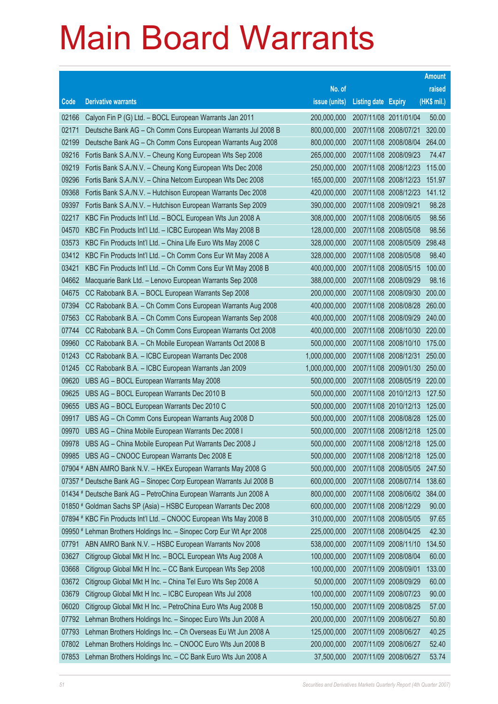|       |                                                                                                                                             |                            |                            |                                                | <b>Amount</b>  |
|-------|---------------------------------------------------------------------------------------------------------------------------------------------|----------------------------|----------------------------|------------------------------------------------|----------------|
|       |                                                                                                                                             | No. of                     |                            |                                                | raised         |
| Code  | <b>Derivative warrants</b>                                                                                                                  | issue (units)              | <b>Listing date Expiry</b> |                                                | (HK\$ mil.)    |
| 02166 | Calyon Fin P (G) Ltd. - BOCL European Warrants Jan 2011                                                                                     | 200,000,000                | 2007/11/08 2011/01/04      |                                                | 50.00          |
| 02171 | Deutsche Bank AG - Ch Comm Cons European Warrants Jul 2008 B                                                                                | 800,000,000                |                            | 2007/11/08 2008/07/21                          | 320.00         |
| 02199 | Deutsche Bank AG - Ch Comm Cons European Warrants Aug 2008                                                                                  | 800,000,000                |                            | 2007/11/08 2008/08/04                          | 264.00         |
| 09216 | Fortis Bank S.A./N.V. - Cheung Kong European Wts Sep 2008                                                                                   | 265,000,000                |                            | 2007/11/08 2008/09/23                          | 74.47          |
| 09219 | Fortis Bank S.A./N.V. - Cheung Kong European Wts Dec 2008                                                                                   | 250,000,000                |                            | 2007/11/08 2008/12/23                          | 115.00         |
| 09296 | Fortis Bank S.A./N.V. - China Netcom European Wts Dec 2008                                                                                  | 165,000,000                |                            | 2007/11/08 2008/12/23                          | 151.97         |
| 09368 | Fortis Bank S.A./N.V. - Hutchison European Warrants Dec 2008                                                                                | 420,000,000                |                            | 2007/11/08 2008/12/23                          | 141.12         |
| 09397 | Fortis Bank S.A./N.V. - Hutchison European Warrants Sep 2009                                                                                | 390,000,000                | 2007/11/08 2009/09/21      |                                                | 98.28          |
| 02217 | KBC Fin Products Int'l Ltd. - BOCL European Wts Jun 2008 A                                                                                  | 308,000,000                |                            | 2007/11/08 2008/06/05                          | 98.56          |
| 04570 | KBC Fin Products Int'l Ltd. - ICBC European Wts May 2008 B                                                                                  | 128,000,000                |                            | 2007/11/08 2008/05/08                          | 98.56          |
| 03573 | KBC Fin Products Int'l Ltd. - China Life Euro Wts May 2008 C                                                                                | 328,000,000                |                            | 2007/11/08 2008/05/09                          | 298.48         |
| 03412 | KBC Fin Products Int'l Ltd. - Ch Comm Cons Eur Wt May 2008 A                                                                                | 328,000,000                |                            | 2007/11/08 2008/05/08                          | 98.40          |
| 03421 | KBC Fin Products Int'l Ltd. - Ch Comm Cons Eur Wt May 2008 B                                                                                | 400,000,000                |                            | 2007/11/08 2008/05/15                          | 100.00         |
| 04662 | Macquarie Bank Ltd. - Lenovo European Warrants Sep 2008                                                                                     | 388,000,000                |                            | 2007/11/08 2008/09/29                          | 98.16          |
| 04675 | CC Rabobank B.A. - BOCL European Warrants Sep 2008                                                                                          | 200,000,000                |                            | 2007/11/08 2008/09/30                          | 200.00         |
| 07394 | CC Rabobank B.A. - Ch Comm Cons European Warrants Aug 2008                                                                                  | 400,000,000                |                            | 2007/11/08 2008/08/28                          | 260.00         |
| 07563 | CC Rabobank B.A. - Ch Comm Cons European Warrants Sep 2008                                                                                  | 400,000,000                |                            | 2007/11/08 2008/09/29                          | 240.00         |
| 07744 | CC Rabobank B.A. - Ch Comm Cons European Warrants Oct 2008                                                                                  | 400,000,000                |                            | 2007/11/08 2008/10/30                          | 220.00         |
| 09960 | CC Rabobank B.A. - Ch Mobile European Warrants Oct 2008 B                                                                                   | 500,000,000                |                            | 2007/11/08 2008/10/10                          | 175.00         |
| 01243 | CC Rabobank B.A. - ICBC European Warrants Dec 2008                                                                                          | 1,000,000,000              |                            | 2007/11/08 2008/12/31                          | 250.00         |
| 01245 | CC Rabobank B.A. - ICBC European Warrants Jan 2009                                                                                          | 1,000,000,000              |                            | 2007/11/08 2009/01/30                          | 250.00         |
| 09620 | UBS AG - BOCL European Warrants May 2008                                                                                                    | 500,000,000                |                            | 2007/11/08 2008/05/19 220.00                   |                |
| 09625 | UBS AG - BOCL European Warrants Dec 2010 B                                                                                                  | 500,000,000                |                            | 2007/11/08 2010/12/13                          | 127.50         |
| 09655 | UBS AG - BOCL European Warrants Dec 2010 C                                                                                                  | 500,000,000                |                            | 2007/11/08 2010/12/13                          | 125.00         |
| 09917 | UBS AG - Ch Comm Cons European Warrants Aug 2008 D                                                                                          | 500,000,000                |                            | 2007/11/08 2008/08/28                          | 125.00         |
| 09970 | UBS AG - China Mobile European Warrants Dec 2008 I                                                                                          | 500,000,000                |                            | 2007/11/08 2008/12/18                          | 125.00         |
| 09978 | UBS AG - China Mobile European Put Warrants Dec 2008 J                                                                                      | 500,000,000                |                            | 2007/11/08 2008/12/18                          | 125.00         |
|       | 09985 UBS AG - CNOOC European Warrants Dec 2008 E                                                                                           | 500,000,000                |                            | 2007/11/08 2008/12/18                          | 125.00         |
|       | 07904 # ABN AMRO Bank N.V. - HKEx European Warrants May 2008 G                                                                              | 500,000,000                |                            | 2007/11/08 2008/05/05                          | 247.50         |
|       | 07357 # Deutsche Bank AG - Sinopec Corp European Warrants Jul 2008 B                                                                        | 600,000,000                |                            | 2007/11/08 2008/07/14                          | 138.60         |
|       | 01434 # Deutsche Bank AG - PetroChina European Warrants Jun 2008 A                                                                          | 800,000,000                |                            | 2007/11/08 2008/06/02<br>2007/11/08 2008/12/29 | 384.00         |
|       | 01850 # Goldman Sachs SP (Asia) - HSBC European Warrants Dec 2008                                                                           | 600,000,000<br>310,000,000 |                            |                                                | 90.00<br>97.65 |
|       | 07894 # KBC Fin Products Int'l Ltd. - CNOOC European Wts May 2008 B<br>09950 # Lehman Brothers Holdings Inc. - Sinopec Corp Eur Wt Apr 2008 | 225,000,000                |                            | 2007/11/08 2008/05/05<br>2007/11/08 2008/04/25 | 42.30          |
| 07791 | ABN AMRO Bank N.V. - HSBC European Warrants Nov 2008                                                                                        | 538,000,000                |                            | 2007/11/09 2008/11/10                          | 134.50         |
| 03627 | Citigroup Global Mkt H Inc. - BOCL European Wts Aug 2008 A                                                                                  | 100,000,000                |                            | 2007/11/09 2008/08/04                          | 60.00          |
| 03668 | Citigroup Global Mkt H Inc. - CC Bank European Wts Sep 2008                                                                                 | 100,000,000                | 2007/11/09 2008/09/01      |                                                | 133.00         |
| 03672 | Citigroup Global Mkt H Inc. - China Tel Euro Wts Sep 2008 A                                                                                 | 50,000,000                 |                            | 2007/11/09 2008/09/29                          | 60.00          |
| 03679 | Citigroup Global Mkt H Inc. - ICBC European Wts Jul 2008                                                                                    | 100,000,000                | 2007/11/09 2008/07/23      |                                                | 90.00          |
| 06020 | Citigroup Global Mkt H Inc. - PetroChina Euro Wts Aug 2008 B                                                                                | 150,000,000                |                            | 2007/11/09 2008/08/25                          | 57.00          |
| 07792 | Lehman Brothers Holdings Inc. - Sinopec Euro Wts Jun 2008 A                                                                                 | 200,000,000                | 2007/11/09 2008/06/27      |                                                | 50.80          |
| 07793 | Lehman Brothers Holdings Inc. - Ch Overseas Eu Wt Jun 2008 A                                                                                | 125,000,000                | 2007/11/09 2008/06/27      |                                                | 40.25          |
| 07802 | Lehman Brothers Holdings Inc. - CNOOC Euro Wts Jun 2008 B                                                                                   | 200,000,000                | 2007/11/09 2008/06/27      |                                                | 52.40          |
| 07853 | Lehman Brothers Holdings Inc. - CC Bank Euro Wts Jun 2008 A                                                                                 | 37,500,000                 |                            | 2007/11/09 2008/06/27                          | 53.74          |
|       |                                                                                                                                             |                            |                            |                                                |                |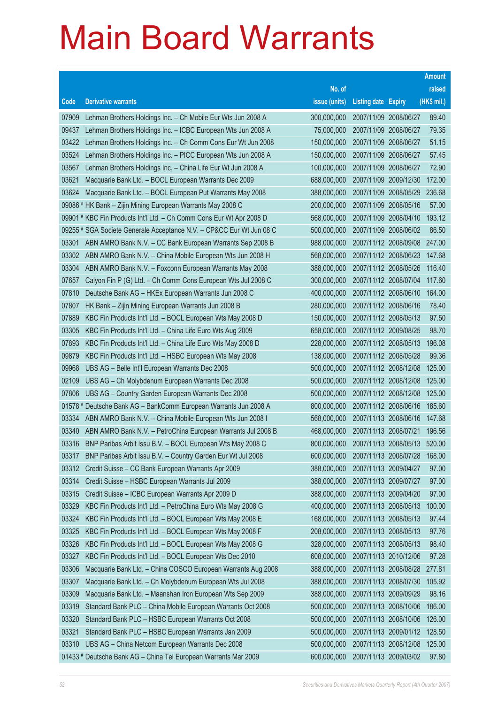|       |                                                                      |               |                            |                       | <b>Amount</b> |
|-------|----------------------------------------------------------------------|---------------|----------------------------|-----------------------|---------------|
|       |                                                                      | No. of        |                            |                       | raised        |
| Code  | <b>Derivative warrants</b>                                           | issue (units) | <b>Listing date Expiry</b> |                       | (HK\$ mil.)   |
| 07909 | Lehman Brothers Holdings Inc. - Ch Mobile Eur Wts Jun 2008 A         | 300,000,000   | 2007/11/09 2008/06/27      |                       | 89.40         |
| 09437 | Lehman Brothers Holdings Inc. - ICBC European Wts Jun 2008 A         | 75,000,000    | 2007/11/09 2008/06/27      |                       | 79.35         |
| 03422 | Lehman Brothers Holdings Inc. - Ch Comm Cons Eur Wt Jun 2008         | 150,000,000   | 2007/11/09 2008/06/27      |                       | 51.15         |
| 03524 | Lehman Brothers Holdings Inc. - PICC European Wts Jun 2008 A         | 150,000,000   | 2007/11/09 2008/06/27      |                       | 57.45         |
| 03567 | Lehman Brothers Holdings Inc. - China Life Eur Wt Jun 2008 A         | 100,000,000   | 2007/11/09 2008/06/27      |                       | 72.90         |
| 03621 | Macquarie Bank Ltd. - BOCL European Warrants Dec 2009                | 688,000,000   |                            | 2007/11/09 2009/12/30 | 172.00        |
| 03624 | Macquarie Bank Ltd. - BOCL European Put Warrants May 2008            | 388,000,000   |                            | 2007/11/09 2008/05/29 | 236.68        |
|       | 09086 # HK Bank - Zijin Mining European Warrants May 2008 C          | 200,000,000   |                            | 2007/11/09 2008/05/16 | 57.00         |
|       | 09901 # KBC Fin Products Int'l Ltd. - Ch Comm Cons Eur Wt Apr 2008 D | 568,000,000   | 2007/11/09 2008/04/10      |                       | 193.12        |
|       | 09255 # SGA Societe Generale Acceptance N.V. - CP&CC Eur Wt Jun 08 C | 500,000,000   |                            | 2007/11/09 2008/06/02 | 86.50         |
| 03301 | ABN AMRO Bank N.V. - CC Bank European Warrants Sep 2008 B            | 988,000,000   |                            | 2007/11/12 2008/09/08 | 247.00        |
| 03302 | ABN AMRO Bank N.V. - China Mobile European Wts Jun 2008 H            | 568,000,000   |                            | 2007/11/12 2008/06/23 | 147.68        |
| 03304 | ABN AMRO Bank N.V. - Foxconn European Warrants May 2008              | 388,000,000   | 2007/11/12 2008/05/26      |                       | 116.40        |
| 07657 | Calyon Fin P (G) Ltd. - Ch Comm Cons European Wts Jul 2008 C         | 300,000,000   |                            | 2007/11/12 2008/07/04 | 117.60        |
| 07810 | Deutsche Bank AG - HKEx European Warrants Jun 2008 C                 | 400,000,000   |                            | 2007/11/12 2008/06/10 | 164.00        |
| 07807 | HK Bank - Zijin Mining European Warrants Jun 2008 B                  | 280,000,000   | 2007/11/12 2008/06/16      |                       | 78.40         |
| 07889 | KBC Fin Products Int'l Ltd. - BOCL European Wts May 2008 D           | 150,000,000   | 2007/11/12 2008/05/13      |                       | 97.50         |
| 03305 | KBC Fin Products Int'l Ltd. - China Life Euro Wts Aug 2009           | 658,000,000   | 2007/11/12 2009/08/25      |                       | 98.70         |
| 07893 | KBC Fin Products Int'l Ltd. - China Life Euro Wts May 2008 D         | 228,000,000   |                            | 2007/11/12 2008/05/13 | 196.08        |
| 09879 | KBC Fin Products Int'l Ltd. - HSBC European Wts May 2008             | 138,000,000   | 2007/11/12 2008/05/28      |                       | 99.36         |
| 09968 | UBS AG - Belle Int'l European Warrants Dec 2008                      | 500,000,000   | 2007/11/12 2008/12/08      |                       | 125.00        |
| 02109 | UBS AG - Ch Molybdenum European Warrants Dec 2008                    | 500,000,000   | 2007/11/12 2008/12/08      |                       | 125.00        |
| 07806 | UBS AG - Country Garden European Warrants Dec 2008                   | 500,000,000   |                            | 2007/11/12 2008/12/08 | 125.00        |
|       | 01578 # Deutsche Bank AG - BankComm European Warrants Jun 2008 A     | 800,000,000   | 2007/11/12 2008/06/16      |                       | 185.60        |
| 03334 | ABN AMRO Bank N.V. - China Mobile European Wts Jun 2008 I            | 568,000,000   | 2007/11/13 2008/06/16      |                       | 147.68        |
| 03340 | ABN AMRO Bank N.V. - PetroChina European Warrants Jul 2008 B         | 468,000,000   | 2007/11/13 2008/07/21      |                       | 196.56        |
| 03316 | BNP Paribas Arbit Issu B.V. - BOCL European Wts May 2008 C           | 800,000,000   |                            | 2007/11/13 2008/05/13 | 520.00        |
| 03317 | BNP Paribas Arbit Issu B.V. - Country Garden Eur Wt Jul 2008         | 600,000,000   | 2007/11/13 2008/07/28      |                       | 168.00        |
| 03312 | Credit Suisse - CC Bank European Warrants Apr 2009                   | 388,000,000   | 2007/11/13 2009/04/27      |                       | 97.00         |
| 03314 | Credit Suisse - HSBC European Warrants Jul 2009                      | 388,000,000   | 2007/11/13 2009/07/27      |                       | 97.00         |
| 03315 | Credit Suisse - ICBC European Warrants Apr 2009 D                    | 388,000,000   | 2007/11/13 2009/04/20      |                       | 97.00         |
| 03329 | KBC Fin Products Int'l Ltd. - PetroChina Euro Wts May 2008 G         | 400,000,000   |                            | 2007/11/13 2008/05/13 | 100.00        |
| 03324 | KBC Fin Products Int'l Ltd. - BOCL European Wts May 2008 E           | 168,000,000   | 2007/11/13 2008/05/13      |                       | 97.44         |
| 03325 | KBC Fin Products Int'l Ltd. - BOCL European Wts May 2008 F           | 208,000,000   |                            | 2007/11/13 2008/05/13 | 97.76         |
| 03326 | KBC Fin Products Int'l Ltd. - BOCL European Wts May 2008 G           | 328,000,000   | 2007/11/13 2008/05/13      |                       | 98.40         |
| 03327 | KBC Fin Products Int'l Ltd. - BOCL European Wts Dec 2010             | 608,000,000   |                            | 2007/11/13 2010/12/06 | 97.28         |
| 03306 | Macquarie Bank Ltd. - China COSCO European Warrants Aug 2008         | 388,000,000   |                            | 2007/11/13 2008/08/28 | 277.81        |
| 03307 | Macquarie Bank Ltd. - Ch Molybdenum European Wts Jul 2008            | 388,000,000   |                            | 2007/11/13 2008/07/30 | 105.92        |
| 03309 | Macquarie Bank Ltd. - Maanshan Iron European Wts Sep 2009            | 388,000,000   | 2007/11/13 2009/09/29      |                       | 98.16         |
| 03319 | Standard Bank PLC - China Mobile European Warrants Oct 2008          | 500,000,000   |                            | 2007/11/13 2008/10/06 | 186.00        |
| 03320 | Standard Bank PLC - HSBC European Warrants Oct 2008                  | 500,000,000   |                            | 2007/11/13 2008/10/06 | 126.00        |
| 03321 | Standard Bank PLC - HSBC European Warrants Jan 2009                  | 500,000,000   |                            | 2007/11/13 2009/01/12 | 128.50        |
| 03310 | UBS AG - China Netcom European Warrants Dec 2008                     | 500,000,000   |                            | 2007/11/13 2008/12/08 | 125.00        |
|       | 01433 # Deutsche Bank AG - China Tel European Warrants Mar 2009      | 600,000,000   |                            | 2007/11/13 2009/03/02 | 97.80         |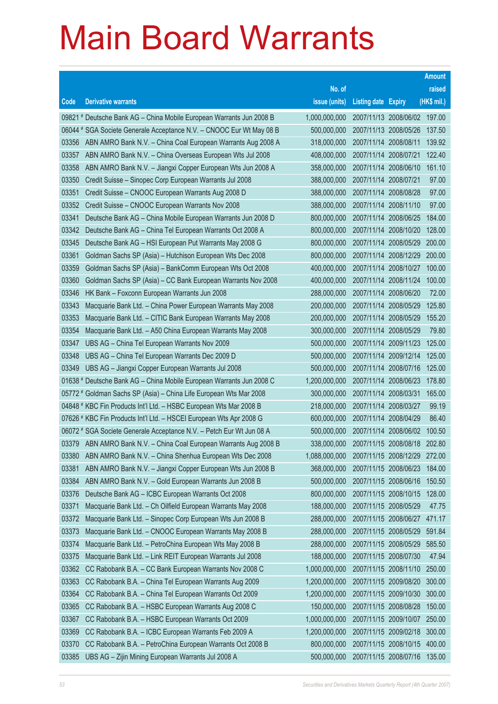|       |                                                                                                                                            |                            |                                                |                              | <b>Amount</b>    |
|-------|--------------------------------------------------------------------------------------------------------------------------------------------|----------------------------|------------------------------------------------|------------------------------|------------------|
|       |                                                                                                                                            | No. of                     |                                                |                              | raised           |
| Code  | <b>Derivative warrants</b>                                                                                                                 | issue (units)              | <b>Listing date Expiry</b>                     |                              | (HK\$ mil.)      |
|       | 09821 # Deutsche Bank AG - China Mobile European Warrants Jun 2008 B                                                                       | 1,000,000,000              |                                                | 2007/11/13 2008/06/02 197.00 |                  |
|       | 06044 # SGA Societe Generale Acceptance N.V. - CNOOC Eur Wt May 08 B                                                                       | 500,000,000                |                                                | 2007/11/13 2008/05/26        | 137.50           |
| 03356 | ABN AMRO Bank N.V. - China Coal European Warrants Aug 2008 A                                                                               | 318,000,000                | 2007/11/14 2008/08/11                          |                              | 139.92           |
| 03357 | ABN AMRO Bank N.V. - China Overseas European Wts Jul 2008                                                                                  | 408,000,000                | 2007/11/14 2008/07/21                          |                              | 122.40           |
| 03358 | ABN AMRO Bank N.V. - Jiangxi Copper European Wts Jun 2008 A                                                                                | 358,000,000                | 2007/11/14 2008/06/10                          |                              | 161.10           |
| 03350 | Credit Suisse - Sinopec Corp European Warrants Jul 2008                                                                                    | 388,000,000                | 2007/11/14 2008/07/21                          |                              | 97.00            |
| 03351 | Credit Suisse – CNOOC European Warrants Aug 2008 D                                                                                         | 388,000,000                | 2007/11/14 2008/08/28                          |                              | 97.00            |
| 03352 | Credit Suisse - CNOOC European Warrants Nov 2008                                                                                           | 388,000,000                | 2007/11/14 2008/11/10                          |                              | 97.00            |
| 03341 | Deutsche Bank AG - China Mobile European Warrants Jun 2008 D                                                                               | 800,000,000                | 2007/11/14 2008/06/25                          |                              | 184.00           |
| 03342 | Deutsche Bank AG - China Tel European Warrants Oct 2008 A                                                                                  | 800,000,000                |                                                | 2007/11/14 2008/10/20        | 128.00           |
| 03345 | Deutsche Bank AG - HSI European Put Warrants May 2008 G                                                                                    | 800,000,000                |                                                | 2007/11/14 2008/05/29        | 200.00           |
| 03361 | Goldman Sachs SP (Asia) - Hutchison European Wts Dec 2008                                                                                  | 800,000,000                |                                                | 2007/11/14 2008/12/29        | 200.00           |
| 03359 | Goldman Sachs SP (Asia) - BankComm European Wts Oct 2008                                                                                   | 400,000,000                | 2007/11/14 2008/10/27                          |                              | 100.00           |
| 03360 | Goldman Sachs SP (Asia) - CC Bank European Warrants Nov 2008                                                                               | 400,000,000                | 2007/11/14 2008/11/24                          |                              | 100.00           |
| 03346 | HK Bank – Foxconn European Warrants Jun 2008                                                                                               | 288,000,000                | 2007/11/14 2008/06/20                          |                              | 72.00            |
| 03343 | Macquarie Bank Ltd. - China Power European Warrants May 2008                                                                               | 200,000,000                | 2007/11/14 2008/05/29                          |                              | 125.80           |
| 03353 | Macquarie Bank Ltd. - CITIC Bank European Warrants May 2008                                                                                | 200,000,000                | 2007/11/14 2008/05/29                          |                              | 155.20           |
| 03354 | Macquarie Bank Ltd. - A50 China European Warrants May 2008                                                                                 | 300,000,000                | 2007/11/14 2008/05/29                          |                              | 79.80            |
| 03347 | UBS AG - China Tel European Warrants Nov 2009                                                                                              | 500,000,000                | 2007/11/14 2009/11/23                          |                              | 125.00           |
| 03348 | UBS AG - China Tel European Warrants Dec 2009 D                                                                                            | 500,000,000                | 2007/11/14 2009/12/14                          |                              | 125.00           |
| 03349 | UBS AG - Jiangxi Copper European Warrants Jul 2008                                                                                         | 500,000,000                | 2007/11/14 2008/07/16                          |                              | 125.00           |
|       | 01638 # Deutsche Bank AG - China Mobile European Warrants Jun 2008 C<br>05772 # Goldman Sachs SP (Asia) - China Life European Wts Mar 2008 | 1,200,000,000              | 2007/11/14 2008/06/23<br>2007/11/14 2008/03/31 |                              | 178.80<br>165.00 |
|       | 04848 # KBC Fin Products Int'l Ltd. - HSBC European Wts Mar 2008 B                                                                         | 300,000,000<br>218,000,000 | 2007/11/14 2008/03/27                          |                              | 99.19            |
|       | 07626 # KBC Fin Products Int'l Ltd. - HSCEI European Wts Apr 2008 G                                                                        | 600,000,000                | 2007/11/14 2008/04/29                          |                              | 86.40            |
|       | 06072 # SGA Societe Generale Acceptance N.V. - Petch Eur Wt Jun 08 A                                                                       | 500,000,000                | 2007/11/14 2008/06/02                          |                              | 100.50           |
| 03379 | ABN AMRO Bank N.V. - China Coal European Warrants Aug 2008 B                                                                               | 338,000,000                |                                                | 2007/11/15 2008/08/18        | 202.80           |
| 03380 | ABN AMRO Bank N.V. - China Shenhua European Wts Dec 2008                                                                                   | 1,088,000,000              |                                                | 2007/11/15 2008/12/29        | 272.00           |
| 03381 | ABN AMRO Bank N.V. - Jiangxi Copper European Wts Jun 2008 B                                                                                | 368,000,000                | 2007/11/15 2008/06/23                          |                              | 184.00           |
| 03384 | ABN AMRO Bank N.V. - Gold European Warrants Jun 2008 B                                                                                     | 500,000,000                |                                                | 2007/11/15 2008/06/16        | 150.50           |
| 03376 | Deutsche Bank AG - ICBC European Warrants Oct 2008                                                                                         | 800,000,000                | 2007/11/15 2008/10/15                          |                              | 128.00           |
| 03371 | Macquarie Bank Ltd. - Ch Oilfield European Warrants May 2008                                                                               | 188,000,000                | 2007/11/15 2008/05/29                          |                              | 47.75            |
| 03372 | Macquarie Bank Ltd. - Sinopec Corp European Wts Jun 2008 B                                                                                 | 288,000,000                |                                                | 2007/11/15 2008/06/27        | 471.17           |
| 03373 | Macquarie Bank Ltd. - CNOOC European Warrants May 2008 B                                                                                   | 288,000,000                |                                                | 2007/11/15 2008/05/29        | 591.84           |
| 03374 | Macquarie Bank Ltd. - PetroChina European Wts May 2008 B                                                                                   | 288,000,000                |                                                | 2007/11/15 2008/05/29        | 585.50           |
| 03375 | Macquarie Bank Ltd. - Link REIT European Warrants Jul 2008                                                                                 | 188,000,000                | 2007/11/15 2008/07/30                          |                              | 47.94            |
| 03362 | CC Rabobank B.A. - CC Bank European Warrants Nov 2008 C                                                                                    | 1,000,000,000              |                                                | 2007/11/15 2008/11/10        | 250.00           |
| 03363 | CC Rabobank B.A. - China Tel European Warrants Aug 2009                                                                                    | 1,200,000,000              |                                                | 2007/11/15 2009/08/20        | 300.00           |
| 03364 | CC Rabobank B.A. - China Tel European Warrants Oct 2009                                                                                    | 1,200,000,000              |                                                | 2007/11/15 2009/10/30        | 300.00           |
| 03365 | CC Rabobank B.A. - HSBC European Warrants Aug 2008 C                                                                                       | 150,000,000                | 2007/11/15 2008/08/28                          |                              | 150.00           |
| 03367 | CC Rabobank B.A. - HSBC European Warrants Oct 2009                                                                                         | 1,000,000,000              | 2007/11/15 2009/10/07                          |                              | 250.00           |
| 03369 | CC Rabobank B.A. - ICBC European Warrants Feb 2009 A                                                                                       | 1,200,000,000              |                                                | 2007/11/15 2009/02/18        | 300.00           |
| 03370 | CC Rabobank B.A. - PetroChina European Warrants Oct 2008 B                                                                                 | 800,000,000                |                                                | 2007/11/15 2008/10/15        | 400.00           |
| 03385 | UBS AG - Zijin Mining European Warrants Jul 2008 A                                                                                         | 500,000,000                |                                                | 2007/11/15 2008/07/16        | 135.00           |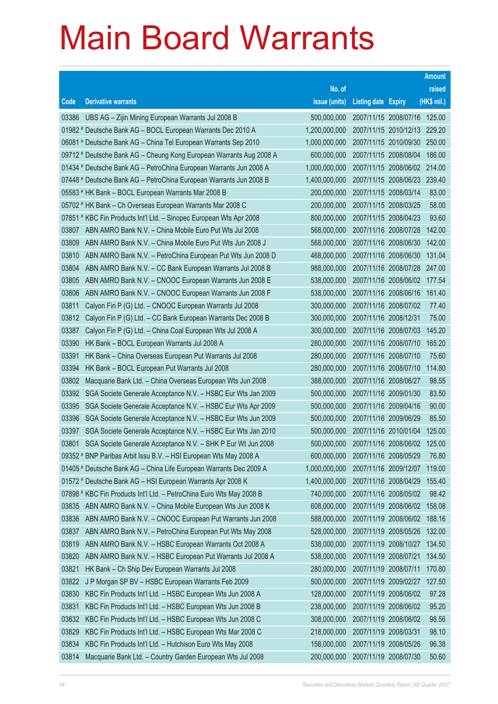|       |                                                                      |               |                            |                              | <b>Amount</b> |
|-------|----------------------------------------------------------------------|---------------|----------------------------|------------------------------|---------------|
|       |                                                                      | No. of        |                            |                              | raised        |
| Code  | <b>Derivative warrants</b>                                           | issue (units) | <b>Listing date Expiry</b> |                              | (HK\$ mil.)   |
| 03386 | UBS AG - Zijin Mining European Warrants Jul 2008 B                   | 500,000,000   |                            | 2007/11/15 2008/07/16        | 125.00        |
|       | 01982 # Deutsche Bank AG - BOCL European Warrants Dec 2010 A         | 1,200,000,000 |                            | 2007/11/15 2010/12/13 229.20 |               |
|       | 06081 # Deutsche Bank AG - China Tel European Warrants Sep 2010      | 1,000,000,000 |                            | 2007/11/15 2010/09/30        | 250.00        |
|       | 09712 # Deutsche Bank AG - Cheung Kong European Warrants Aug 2008 A  | 600,000,000   |                            | 2007/11/15 2008/08/04        | 186.00        |
|       | 01434 # Deutsche Bank AG - PetroChina European Warrants Jun 2008 A   | 1,000,000,000 |                            | 2007/11/15 2008/06/02 214.00 |               |
|       | 07448 # Deutsche Bank AG - PetroChina European Warrants Jun 2008 B   | 1,400,000,000 |                            | 2007/11/15 2008/06/23 239.40 |               |
|       | 05583 # HK Bank - BOCL European Warrants Mar 2008 B                  | 200,000,000   |                            | 2007/11/15 2008/03/14        | 83.00         |
|       | 05702 # HK Bank - Ch Overseas European Warrants Mar 2008 C           | 200,000,000   |                            | 2007/11/15 2008/03/25        | 58.00         |
|       | 07851 # KBC Fin Products Int'l Ltd. - Sinopec European Wts Apr 2008  | 800,000,000   |                            | 2007/11/15 2008/04/23        | 93.60         |
| 03807 | ABN AMRO Bank N.V. - China Mobile Euro Put Wts Jul 2008              | 568,000,000   |                            | 2007/11/16 2008/07/28        | 142.00        |
| 03809 | ABN AMRO Bank N.V. - China Mobile Euro Put Wts Jun 2008 J            | 568,000,000   |                            | 2007/11/16 2008/06/30        | 142.00        |
| 03810 | ABN AMRO Bank N.V. - PetroChina European Put Wts Jun 2008 D          | 468,000,000   |                            | 2007/11/16 2008/06/30        | 131.04        |
| 03804 | ABN AMRO Bank N.V. - CC Bank European Warrants Jul 2008 B            | 988,000,000   |                            | 2007/11/16 2008/07/28        | 247.00        |
| 03805 | ABN AMRO Bank N.V. - CNOOC European Warrants Jun 2008 E              | 538,000,000   |                            | 2007/11/16 2008/06/02 177.54 |               |
| 03806 | ABN AMRO Bank N.V. - CNOOC European Warrants Jun 2008 F              | 538,000,000   |                            | 2007/11/16 2008/06/16        | 161.40        |
| 03811 | Calyon Fin P (G) Ltd. - CNOOC European Warrants Jul 2008             | 300,000,000   |                            | 2007/11/16 2008/07/02        | 77.40         |
| 03812 | Calyon Fin P (G) Ltd. - CC Bank European Warrants Dec 2008 B         | 300,000,000   | 2007/11/16 2008/12/31      |                              | 75.00         |
| 03387 | Calyon Fin P (G) Ltd. - China Coal European Wts Jul 2008 A           | 300,000,000   |                            | 2007/11/16 2008/07/03        | 145.20        |
| 03390 | HK Bank - BOCL European Warrants Jul 2008 A                          | 280,000,000   |                            | 2007/11/16 2008/07/10        | 165.20        |
| 03391 | HK Bank - China Overseas European Put Warrants Jul 2008              | 280,000,000   |                            | 2007/11/16 2008/07/10        | 75.60         |
| 03394 | HK Bank - BOCL European Put Warrants Jul 2008                        | 280,000,000   |                            | 2007/11/16 2008/07/10        | 114.80        |
| 03802 | Macquarie Bank Ltd. - China Overseas European Wts Jun 2008           | 388,000,000   |                            | 2007/11/16 2008/06/27        | 98.55         |
| 03392 | SGA Societe Generale Acceptance N.V. - HSBC Eur Wts Jan 2009         | 500,000,000   |                            | 2007/11/16 2009/01/30        | 83.50         |
| 03395 | SGA Societe Generale Acceptance N.V. - HSBC Eur Wts Apr 2009         | 500,000,000   |                            | 2007/11/16 2009/04/16        | 90.00         |
| 03396 | SGA Societe Generale Acceptance N.V. - HSBC Eur Wts Jun 2009         | 500,000,000   |                            | 2007/11/16 2009/06/29        | 85.50         |
| 03397 | SGA Societe Generale Acceptance N.V. - HSBC Eur Wts Jan 2010         | 500,000,000   |                            | 2007/11/16 2010/01/04        | 125.00        |
| 03801 | SGA Societe Generale Acceptance N.V. - SHK P Eur Wt Jun 2008         | 500,000,000   |                            | 2007/11/16 2008/06/02        | 125.00        |
|       | 09352 # BNP Paribas Arbit Issu B.V. - HSI European Wts May 2008 A    | 600,000,000   | 2007/11/16 2008/05/29      |                              | 76.80         |
|       | 01405 # Deutsche Bank AG - China Life European Warrants Dec 2009 A   | 1,000,000,000 |                            | 2007/11/16 2009/12/07        | 119.00        |
|       | 01572 # Deutsche Bank AG - HSI European Warrants Apr 2008 K          | 1,400,000,000 |                            | 2007/11/16 2008/04/29        | 155.40        |
|       | 07898 # KBC Fin Products Int'l Ltd. - PetroChina Euro Wts May 2008 B | 740,000,000   |                            | 2007/11/16 2008/05/02        | 98.42         |
| 03835 | ABN AMRO Bank N.V. - China Mobile European Wts Jun 2008 K            | 608,000,000   |                            | 2007/11/19 2008/06/02        | 158.08        |
| 03836 | ABN AMRO Bank N.V. - CNOOC European Put Warrants Jun 2008            | 588,000,000   |                            | 2007/11/19 2008/06/02        | 188.16        |
| 03837 | ABN AMRO Bank N.V. - PetroChina European Put Wts May 2008            | 528,000,000   |                            | 2007/11/19 2008/05/26        | 132.00        |
| 03819 | ABN AMRO Bank N.V. - HSBC European Warrants Oct 2008 A               | 538,000,000   |                            | 2007/11/19 2008/10/27        | 134.50        |
| 03820 | ABN AMRO Bank N.V. - HSBC European Put Warrants Jul 2008 A           | 538,000,000   | 2007/11/19 2008/07/21      |                              | 134.50        |
| 03821 | HK Bank - Ch Ship Dev European Warrants Jul 2008                     | 280,000,000   | 2007/11/19 2008/07/11      |                              | 170.80        |
| 03822 | J P Morgan SP BV - HSBC European Warrants Feb 2009                   | 500,000,000   |                            | 2007/11/19 2009/02/27        | 127.50        |
| 03830 | KBC Fin Products Int'l Ltd. - HSBC European Wts Jun 2008 A           | 128,000,000   |                            | 2007/11/19 2008/06/02        | 97.28         |
| 03831 | KBC Fin Products Int'l Ltd. - HSBC European Wts Jun 2008 B           | 238,000,000   |                            | 2007/11/19 2008/06/02        | 95.20         |
| 03832 | KBC Fin Products Int'l Ltd. - HSBC European Wts Jun 2008 C           | 308,000,000   |                            | 2007/11/19 2008/06/02        | 98.56         |
| 03829 | KBC Fin Products Int'l Ltd. - HSBC European Wts Mar 2008 C           | 218,000,000   | 2007/11/19 2008/03/31      |                              | 98.10         |
| 03834 | KBC Fin Products Int'l Ltd. - Hutchison Euro Wts May 2008            | 158,000,000   |                            | 2007/11/19 2008/05/26        | 96.38         |
| 03814 | Macquarie Bank Ltd. - Country Garden European Wts Jul 2008           | 200,000,000   |                            | 2007/11/19 2008/07/30        | 50.60         |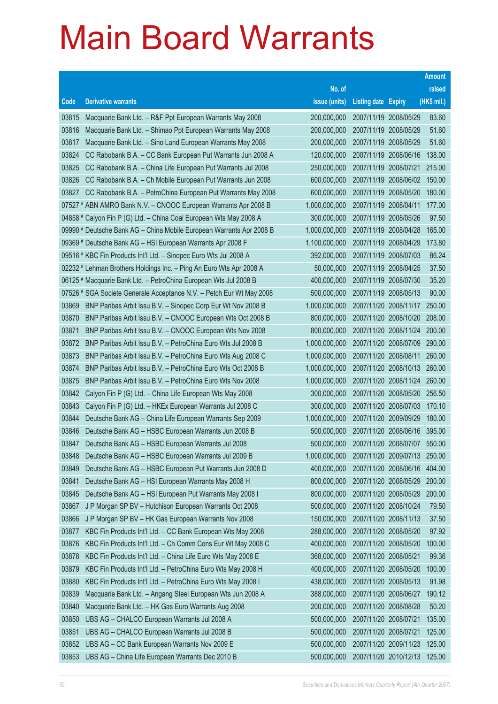|       |                                                                      |               |                            | <b>Amount</b> |
|-------|----------------------------------------------------------------------|---------------|----------------------------|---------------|
|       |                                                                      | No. of        |                            | raised        |
| Code  | <b>Derivative warrants</b>                                           | issue (units) | <b>Listing date Expiry</b> | (HK\$ mil.)   |
| 03815 | Macquarie Bank Ltd. - R&F Ppt European Warrants May 2008             | 200,000,000   | 2007/11/19 2008/05/29      | 83.60         |
| 03816 | Macquarie Bank Ltd. - Shimao Ppt European Warrants May 2008          | 200,000,000   | 2007/11/19 2008/05/29      | 51.60         |
| 03817 | Macquarie Bank Ltd. - Sino Land European Warrants May 2008           | 200,000,000   | 2007/11/19 2008/05/29      | 51.60         |
| 03824 | CC Rabobank B.A. - CC Bank European Put Warrants Jun 2008 A          | 120,000,000   | 2007/11/19 2008/06/16      | 138.00        |
| 03825 | CC Rabobank B.A. - China Life European Put Warrants Jul 2008         | 250,000,000   | 2007/11/19 2008/07/21      | 215.00        |
| 03826 | CC Rabobank B.A. - Ch Mobile European Put Warrants Jun 2008          | 600,000,000   | 2007/11/19 2008/06/02      | 150.00        |
| 03827 | CC Rabobank B.A. - PetroChina European Put Warrants May 2008         | 600,000,000   | 2007/11/19 2008/05/20      | 180.00        |
|       | 07527 # ABN AMRO Bank N.V. - CNOOC European Warrants Apr 2008 B      | 1,000,000,000 | 2007/11/19 2008/04/11      | 177.00        |
|       | 04858 # Calyon Fin P (G) Ltd. - China Coal European Wts May 2008 A   | 300,000,000   | 2007/11/19 2008/05/26      | 97.50         |
|       | 09990 # Deutsche Bank AG - China Mobile European Warrants Apr 2008 B | 1,000,000,000 | 2007/11/19 2008/04/28      | 165.00        |
|       | 09369 # Deutsche Bank AG - HSI European Warrants Apr 2008 F          | 1,100,000,000 | 2007/11/19 2008/04/29      | 173.80        |
|       | 09516 # KBC Fin Products Int'l Ltd. - Sinopec Euro Wts Jul 2008 A    | 392,000,000   | 2007/11/19 2008/07/03      | 86.24         |
|       | 02232 # Lehman Brothers Holdings Inc. - Ping An Euro Wts Apr 2008 A  | 50,000,000    | 2007/11/19 2008/04/25      | 37.50         |
|       | 06125 # Macquarie Bank Ltd. - PetroChina European Wts Jul 2008 B     | 400,000,000   | 2007/11/19 2008/07/30      | 35.20         |
|       | 07526 # SGA Societe Generale Acceptance N.V. - Petch Eur Wt May 2008 | 500,000,000   | 2007/11/19 2008/05/13      | 90.00         |
| 03869 | BNP Paribas Arbit Issu B.V. - Sinopec Corp Eur Wt Nov 2008 B         | 1,000,000,000 | 2007/11/20 2008/11/17      | 250.00        |
| 03870 | BNP Paribas Arbit Issu B.V. - CNOOC European Wts Oct 2008 B          | 800,000,000   | 2007/11/20 2008/10/20      | 208.00        |
| 03871 | BNP Paribas Arbit Issu B.V. - CNOOC European Wts Nov 2008            | 800,000,000   | 2007/11/20 2008/11/24      | 200.00        |
| 03872 | BNP Paribas Arbit Issu B.V. - PetroChina Euro Wts Jul 2008 B         | 1,000,000,000 | 2007/11/20 2008/07/09      | 290.00        |
| 03873 | BNP Paribas Arbit Issu B.V. - PetroChina Euro Wts Aug 2008 C         | 1,000,000,000 | 2007/11/20 2008/08/11      | 260.00        |
| 03874 | BNP Paribas Arbit Issu B.V. - PetroChina Euro Wts Oct 2008 B         | 1,000,000,000 | 2007/11/20 2008/10/13      | 260.00        |
| 03875 | BNP Paribas Arbit Issu B.V. - PetroChina Euro Wts Nov 2008           | 1,000,000,000 | 2007/11/20 2008/11/24      | 260.00        |
| 03842 | Calyon Fin P (G) Ltd. - China Life European Wts May 2008             | 300,000,000   | 2007/11/20 2008/05/20      | 256.50        |
| 03843 | Calyon Fin P (G) Ltd. - HKEx European Warrants Jul 2008 C            | 300,000,000   | 2007/11/20 2008/07/03      | 170.10        |
| 03844 | Deutsche Bank AG - China Life European Warrants Sep 2009             | 1,000,000,000 | 2007/11/20 2009/09/29      | 180.00        |
| 03846 | Deutsche Bank AG - HSBC European Warrants Jun 2008 B                 | 500,000,000   | 2007/11/20 2008/06/16      | 395.00        |
| 03847 | Deutsche Bank AG - HSBC European Warrants Jul 2008                   | 500,000,000   | 2007/11/20 2008/07/07      | 550.00        |
| 03848 | Deutsche Bank AG - HSBC European Warrants Jul 2009 B                 | 1,000,000,000 | 2007/11/20 2009/07/13      | 250.00        |
| 03849 | Deutsche Bank AG - HSBC European Put Warrants Jun 2008 D             | 400,000,000   | 2007/11/20 2008/06/16      | 404.00        |
| 03841 | Deutsche Bank AG - HSI European Warrants May 2008 H                  | 800,000,000   | 2007/11/20 2008/05/29      | 200.00        |
| 03845 | Deutsche Bank AG - HSI European Put Warrants May 2008 I              | 800,000,000   | 2007/11/20 2008/05/29      | 200.00        |
| 03867 | J P Morgan SP BV - Hutchison European Warrants Oct 2008              | 500,000,000   | 2007/11/20 2008/10/24      | 79.50         |
| 03866 | J P Morgan SP BV - HK Gas European Warrants Nov 2008                 | 150,000,000   | 2007/11/20 2008/11/13      | 37.50         |
| 03877 | KBC Fin Products Int'l Ltd. - CC Bank European Wts May 2008          | 288,000,000   | 2007/11/20 2008/05/20      | 97.92         |
| 03876 | KBC Fin Products Int'l Ltd. - Ch Comm Cons Eur Wt May 2008 C         | 400,000,000   | 2007/11/20 2008/05/20      | 100.00        |
| 03878 | KBC Fin Products Int'l Ltd. - China Life Euro Wts May 2008 E         | 368,000,000   | 2007/11/20 2008/05/21      | 99.36         |
| 03879 | KBC Fin Products Int'l Ltd. - PetroChina Euro Wts May 2008 H         | 400,000,000   | 2007/11/20 2008/05/20      | 100.00        |
| 03880 | KBC Fin Products Int'l Ltd. - PetroChina Euro Wts May 2008 I         | 438,000,000   | 2007/11/20 2008/05/13      | 91.98         |
| 03839 | Macquarie Bank Ltd. - Angang Steel European Wts Jun 2008 A           | 388,000,000   | 2007/11/20 2008/06/27      | 190.12        |
| 03840 | Macquarie Bank Ltd. - HK Gas Euro Warrants Aug 2008                  | 200,000,000   | 2007/11/20 2008/08/28      | 50.20         |
| 03850 | UBS AG - CHALCO European Warrants Jul 2008 A                         | 500,000,000   | 2007/11/20 2008/07/21      | 135.00        |
| 03851 | UBS AG - CHALCO European Warrants Jul 2008 B                         | 500,000,000   | 2007/11/20 2008/07/21      | 125.00        |
| 03852 | UBS AG - CC Bank European Warrants Nov 2009 E                        | 500,000,000   | 2007/11/20 2009/11/23      | 125.00        |
| 03853 | UBS AG - China Life European Warrants Dec 2010 B                     | 500,000,000   | 2007/11/20 2010/12/13      | 125.00        |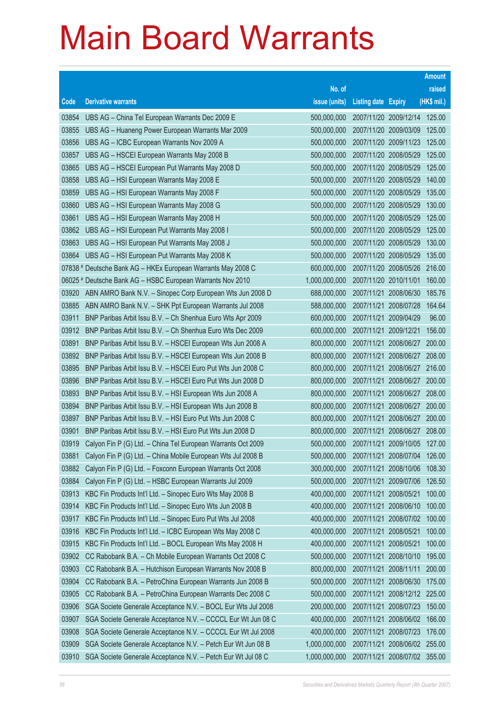|                |                                                                                                                        |                            |                            |                                                | <b>Amount</b>    |
|----------------|------------------------------------------------------------------------------------------------------------------------|----------------------------|----------------------------|------------------------------------------------|------------------|
|                |                                                                                                                        | No. of                     |                            |                                                | raised           |
| Code           | <b>Derivative warrants</b>                                                                                             | issue (units)              | <b>Listing date Expiry</b> |                                                | (HK\$ mil.)      |
| 03854          | UBS AG - China Tel European Warrants Dec 2009 E                                                                        | 500,000,000                |                            | 2007/11/20 2009/12/14                          | 125.00           |
| 03855          | UBS AG - Huaneng Power European Warrants Mar 2009                                                                      | 500,000,000                |                            | 2007/11/20 2009/03/09                          | 125.00           |
| 03856          | UBS AG - ICBC European Warrants Nov 2009 A                                                                             | 500,000,000                |                            | 2007/11/20 2009/11/23                          | 125.00           |
| 03857          | UBS AG - HSCEI European Warrants May 2008 B                                                                            | 500,000,000                |                            | 2007/11/20 2008/05/29                          | 125.00           |
| 03865          | UBS AG - HSCEI European Put Warrants May 2008 D                                                                        | 500,000,000                |                            | 2007/11/20 2008/05/29                          | 125.00           |
| 03858          | UBS AG - HSI European Warrants May 2008 E                                                                              | 500,000,000                |                            | 2007/11/20 2008/05/29                          | 140.00           |
| 03859          | UBS AG - HSI European Warrants May 2008 F                                                                              | 500,000,000                |                            | 2007/11/20 2008/05/29                          | 135.00           |
| 03860          | UBS AG - HSI European Warrants May 2008 G                                                                              | 500,000,000                |                            | 2007/11/20 2008/05/29                          | 130.00           |
| 03861          | UBS AG - HSI European Warrants May 2008 H                                                                              | 500,000,000                |                            | 2007/11/20 2008/05/29                          | 125.00           |
| 03862          | UBS AG - HSI European Put Warrants May 2008 I                                                                          | 500,000,000                |                            | 2007/11/20 2008/05/29                          | 125.00           |
| 03863          | UBS AG - HSI European Put Warrants May 2008 J                                                                          | 500,000,000                |                            | 2007/11/20 2008/05/29                          | 130.00           |
| 03864          | UBS AG - HSI European Put Warrants May 2008 K                                                                          | 500,000,000                |                            | 2007/11/20 2008/05/29                          | 135.00           |
|                | 07838 # Deutsche Bank AG - HKEx European Warrants May 2008 C                                                           | 600,000,000                |                            | 2007/11/20 2008/05/26                          | 216.00           |
|                | 06025 # Deutsche Bank AG - HSBC European Warrants Nov 2010                                                             | 1,000,000,000              | 2007/11/20 2010/11/01      |                                                | 160.00           |
| 03920          | ABN AMRO Bank N.V. - Sinopec Corp European Wts Jun 2008 D                                                              | 688,000,000                | 2007/11/21 2008/06/30      |                                                | 185.76           |
| 03885          | ABN AMRO Bank N.V. - SHK Ppt European Warrants Jul 2008                                                                | 588,000,000                |                            | 2007/11/21 2008/07/28                          | 164.64           |
| 03911          | BNP Paribas Arbit Issu B.V. - Ch Shenhua Euro Wts Apr 2009                                                             | 600,000,000                | 2007/11/21 2009/04/29      |                                                | 96.00            |
| 03912          | BNP Paribas Arbit Issu B.V. - Ch Shenhua Euro Wts Dec 2009                                                             | 600,000,000                | 2007/11/21 2009/12/21      |                                                | 156.00           |
| 03891          | BNP Paribas Arbit Issu B.V. - HSCEI European Wts Jun 2008 A                                                            | 800,000,000                |                            | 2007/11/21 2008/06/27                          | 200.00           |
| 03892          | BNP Paribas Arbit Issu B.V. - HSCEI European Wts Jun 2008 B                                                            | 800,000,000                |                            | 2007/11/21 2008/06/27                          | 208.00           |
| 03895          | BNP Paribas Arbit Issu B.V. - HSCEI Euro Put Wts Jun 2008 C                                                            | 800,000,000                |                            | 2007/11/21 2008/06/27 216.00                   |                  |
| 03896          | BNP Paribas Arbit Issu B.V. - HSCEI Euro Put Wts Jun 2008 D                                                            | 800,000,000                |                            | 2007/11/21 2008/06/27                          | 200.00           |
| 03893<br>03894 | BNP Paribas Arbit Issu B.V. - HSI European Wts Jun 2008 A                                                              | 800,000,000<br>800,000,000 |                            | 2007/11/21 2008/06/27<br>2007/11/21 2008/06/27 | 208.00<br>200.00 |
| 03897          | BNP Paribas Arbit Issu B.V. - HSI European Wts Jun 2008 B<br>BNP Paribas Arbit Issu B.V. - HSI Euro Put Wts Jun 2008 C | 800,000,000                |                            | 2007/11/21 2008/06/27 200.00                   |                  |
| 03901          | BNP Paribas Arbit Issu B.V. - HSI Euro Put Wts Jun 2008 D                                                              | 800,000,000                |                            | 2007/11/21 2008/06/27                          | 208.00           |
| 03919          | Calyon Fin P (G) Ltd. - China Tel European Warrants Oct 2009                                                           | 500,000,000                |                            | 2007/11/21 2009/10/05                          | 127.00           |
| 03881          | Calyon Fin P (G) Ltd. - China Mobile European Wts Jul 2008 B                                                           | 500,000,000                | 2007/11/21 2008/07/04      |                                                | 126.00           |
| 03882          | Calyon Fin P (G) Ltd. - Foxconn European Warrants Oct 2008                                                             | 300,000,000                | 2007/11/21 2008/10/06      |                                                | 108.30           |
| 03884          | Calyon Fin P (G) Ltd. - HSBC European Warrants Jul 2009                                                                | 500,000,000                | 2007/11/21 2009/07/06      |                                                | 126.50           |
| 03913          | KBC Fin Products Int'l Ltd. - Sinopec Euro Wts May 2008 B                                                              | 400,000,000                | 2007/11/21 2008/05/21      |                                                | 100.00           |
| 03914          | KBC Fin Products Int'l Ltd. - Sinopec Euro Wts Jun 2008 B                                                              | 400,000,000                | 2007/11/21 2008/06/10      |                                                | 100.00           |
| 03917          | KBC Fin Products Int'l Ltd. - Sinopec Euro Put Wts Jul 2008                                                            | 400,000,000                |                            | 2007/11/21 2008/07/02                          | 100.00           |
| 03916          | KBC Fin Products Int'l Ltd. - ICBC European Wts May 2008 C                                                             | 400,000,000                | 2007/11/21 2008/05/21      |                                                | 100.00           |
| 03915          | KBC Fin Products Int'l Ltd. - BOCL European Wts May 2008 H                                                             | 400,000,000                | 2007/11/21 2008/05/21      |                                                | 100.00           |
| 03902          | CC Rabobank B.A. - Ch Mobile European Warrants Oct 2008 C                                                              | 500,000,000                |                            | 2007/11/21 2008/10/10                          | 195.00           |
| 03903          | CC Rabobank B.A. - Hutchison European Warrants Nov 2008 B                                                              | 800,000,000                | 2007/11/21 2008/11/11      |                                                | 200.00           |
| 03904          | CC Rabobank B.A. - PetroChina European Warrants Jun 2008 B                                                             | 500,000,000                | 2007/11/21 2008/06/30      |                                                | 175.00           |
| 03905          | CC Rabobank B.A. - PetroChina European Warrants Dec 2008 C                                                             | 500,000,000                |                            | 2007/11/21 2008/12/12                          | 225.00           |
| 03906          | SGA Societe Generale Acceptance N.V. - BOCL Eur Wts Jul 2008                                                           | 200,000,000                |                            | 2007/11/21 2008/07/23                          | 150.00           |
| 03907          | SGA Societe Generale Acceptance N.V. - CCCCL Eur Wt Jun 08 C                                                           | 400,000,000                |                            | 2007/11/21 2008/06/02                          | 166.00           |
| 03908          | SGA Societe Generale Acceptance N.V. - CCCCL Eur Wt Jul 2008                                                           | 400,000,000                | 2007/11/21 2008/07/23      |                                                | 176.00           |
| 03909          | SGA Societe Generale Acceptance N.V. - Petch Eur Wt Jun 08 B                                                           | 1,000,000,000              |                            | 2007/11/21 2008/06/02                          | 255.00           |
| 03910          | SGA Societe Generale Acceptance N.V. - Petch Eur Wt Jul 08 C                                                           | 1,000,000,000              |                            | 2007/11/21 2008/07/02 355.00                   |                  |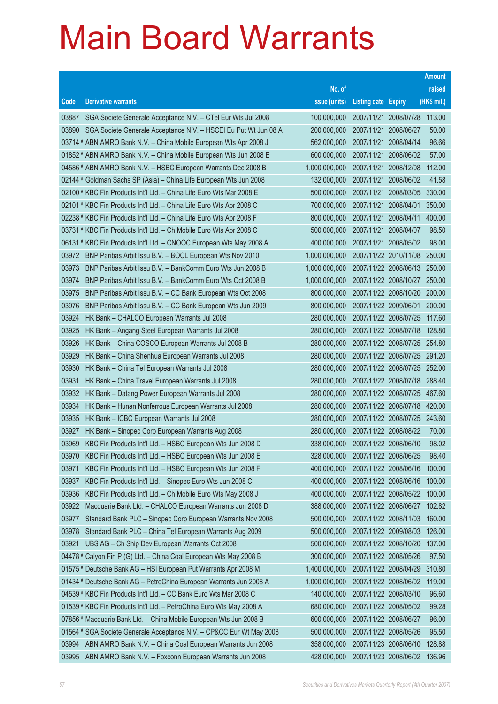|       |                                                                      |               |                            |                              | <b>Amount</b> |
|-------|----------------------------------------------------------------------|---------------|----------------------------|------------------------------|---------------|
|       |                                                                      | No. of        |                            |                              | raised        |
| Code  | <b>Derivative warrants</b>                                           | issue (units) | <b>Listing date Expiry</b> |                              | $(HK$$ mil.)  |
| 03887 | SGA Societe Generale Acceptance N.V. - CTel Eur Wts Jul 2008         | 100,000,000   |                            | 2007/11/21 2008/07/28 113.00 |               |
| 03890 | SGA Societe Generale Acceptance N.V. - HSCEI Eu Put Wt Jun 08 A      | 200,000,000   |                            | 2007/11/21 2008/06/27        | 50.00         |
|       | 03714 # ABN AMRO Bank N.V. - China Mobile European Wts Apr 2008 J    | 562,000,000   |                            | 2007/11/21 2008/04/14        | 96.66         |
|       | 01852 # ABN AMRO Bank N.V. - China Mobile European Wts Jun 2008 E    | 600,000,000   |                            | 2007/11/21 2008/06/02        | 57.00         |
|       | 04586 # ABN AMRO Bank N.V. - HSBC European Warrants Dec 2008 B       | 1,000,000,000 |                            | 2007/11/21 2008/12/08        | 112.00        |
|       | 02144 # Goldman Sachs SP (Asia) - China Life European Wts Jun 2008   | 132,000,000   |                            | 2007/11/21 2008/06/02        | 41.58         |
|       | 02100 # KBC Fin Products Int'l Ltd. - China Life Euro Wts Mar 2008 E | 500,000,000   |                            | 2007/11/21 2008/03/05        | 330.00        |
|       | 02101 # KBC Fin Products Int'l Ltd. - China Life Euro Wts Apr 2008 C | 700,000,000   |                            | 2007/11/21 2008/04/01        | 350.00        |
|       | 02238 # KBC Fin Products Int'l Ltd. - China Life Euro Wts Apr 2008 F | 800,000,000   |                            | 2007/11/21 2008/04/11        | 400.00        |
|       | 03731 # KBC Fin Products Int'l Ltd. - Ch Mobile Euro Wts Apr 2008 C  | 500,000,000   |                            | 2007/11/21 2008/04/07        | 98.50         |
|       | 06131 # KBC Fin Products Int'l Ltd. - CNOOC European Wts May 2008 A  | 400,000,000   |                            | 2007/11/21 2008/05/02        | 98.00         |
| 03972 | BNP Paribas Arbit Issu B.V. - BOCL European Wts Nov 2010             | 1,000,000,000 |                            | 2007/11/22 2010/11/08        | 250.00        |
| 03973 | BNP Paribas Arbit Issu B.V. - BankComm Euro Wts Jun 2008 B           | 1,000,000,000 |                            | 2007/11/22 2008/06/13 250.00 |               |
| 03974 | BNP Paribas Arbit Issu B.V. - BankComm Euro Wts Oct 2008 B           | 1,000,000,000 |                            | 2007/11/22 2008/10/27 250.00 |               |
| 03975 | BNP Paribas Arbit Issu B.V. - CC Bank European Wts Oct 2008          | 800,000,000   |                            | 2007/11/22 2008/10/20        | 200.00        |
| 03976 | BNP Paribas Arbit Issu B.V. - CC Bank European Wts Jun 2009          | 800,000,000   |                            | 2007/11/22 2009/06/01        | 200.00        |
| 03924 | HK Bank - CHALCO European Warrants Jul 2008                          | 280,000,000   |                            | 2007/11/22 2008/07/25        | 117.60        |
| 03925 | HK Bank - Angang Steel European Warrants Jul 2008                    | 280,000,000   |                            | 2007/11/22 2008/07/18        | 128.80        |
| 03926 | HK Bank - China COSCO European Warrants Jul 2008 B                   | 280,000,000   |                            | 2007/11/22 2008/07/25        | 254.80        |
| 03929 | HK Bank - China Shenhua European Warrants Jul 2008                   | 280,000,000   |                            | 2007/11/22 2008/07/25 291.20 |               |
| 03930 | HK Bank - China Tel European Warrants Jul 2008                       | 280,000,000   |                            | 2007/11/22 2008/07/25 252.00 |               |
| 03931 | HK Bank - China Travel European Warrants Jul 2008                    | 280,000,000   |                            | 2007/11/22 2008/07/18        | 288.40        |
| 03932 | HK Bank - Datang Power European Warrants Jul 2008                    | 280,000,000   |                            | 2007/11/22 2008/07/25        | 467.60        |
| 03934 | HK Bank - Hunan Nonferrous European Warrants Jul 2008                | 280,000,000   |                            | 2007/11/22 2008/07/18 420.00 |               |
| 03935 | HK Bank - ICBC European Warrants Jul 2008                            | 280,000,000   |                            | 2007/11/22 2008/07/25 243.60 |               |
| 03927 | HK Bank - Sinopec Corp European Warrants Aug 2008                    | 280,000,000   |                            | 2007/11/22 2008/08/22        | 70.00         |
| 03969 | KBC Fin Products Int'l Ltd. - HSBC European Wts Jun 2008 D           | 338,000,000   |                            | 2007/11/22 2008/06/10        | 98.02         |
| 03970 | KBC Fin Products Int'l Ltd. - HSBC European Wts Jun 2008 E           | 328,000,000   |                            | 2007/11/22 2008/06/25        | 98.40         |
| 03971 | KBC Fin Products Int'l Ltd. - HSBC European Wts Jun 2008 F           | 400,000,000   |                            | 2007/11/22 2008/06/16        | 100.00        |
| 03937 | KBC Fin Products Int'l Ltd. - Sinopec Euro Wts Jun 2008 C            | 400,000,000   |                            | 2007/11/22 2008/06/16        | 100.00        |
| 03936 | KBC Fin Products Int'l Ltd. - Ch Mobile Euro Wts May 2008 J          | 400,000,000   |                            | 2007/11/22 2008/05/22        | 100.00        |
| 03922 | Macquarie Bank Ltd. - CHALCO European Warrants Jun 2008 D            | 388,000,000   |                            | 2007/11/22 2008/06/27        | 102.82        |
| 03977 | Standard Bank PLC - Sinopec Corp European Warrants Nov 2008          | 500,000,000   |                            | 2007/11/22 2008/11/03        | 160.00        |
| 03978 | Standard Bank PLC - China Tel European Warrants Aug 2009             | 500,000,000   |                            | 2007/11/22 2009/08/03        | 126.00        |
| 03921 | UBS AG - Ch Ship Dev European Warrants Oct 2008                      | 500,000,000   |                            | 2007/11/22 2008/10/20        | 137.00        |
|       | 04478 # Calyon Fin P (G) Ltd. - China Coal European Wts May 2008 B   | 300,000,000   |                            | 2007/11/22 2008/05/26        | 97.50         |
|       | 01575 # Deutsche Bank AG - HSI European Put Warrants Apr 2008 M      | 1,400,000,000 |                            | 2007/11/22 2008/04/29        | 310.80        |
|       | 01434 # Deutsche Bank AG - PetroChina European Warrants Jun 2008 A   | 1,000,000,000 |                            | 2007/11/22 2008/06/02        | 119.00        |
|       | 04539 # KBC Fin Products Int'l Ltd. - CC Bank Euro Wts Mar 2008 C    | 140,000,000   |                            | 2007/11/22 2008/03/10        | 96.60         |
|       | 01539 # KBC Fin Products Int'l Ltd. - PetroChina Euro Wts May 2008 A | 680,000,000   |                            | 2007/11/22 2008/05/02        | 99.28         |
|       | 07856 # Macquarie Bank Ltd. - China Mobile European Wts Jun 2008 B   | 600,000,000   |                            | 2007/11/22 2008/06/27        | 96.00         |
|       | 01564 # SGA Societe Generale Acceptance N.V. - CP&CC Eur Wt May 2008 | 500,000,000   |                            | 2007/11/22 2008/05/26        | 95.50         |
| 03994 | ABN AMRO Bank N.V. - China Coal European Warrants Jun 2008           | 358,000,000   |                            | 2007/11/23 2008/06/10        | 128.88        |
| 03995 | ABN AMRO Bank N.V. - Foxconn European Warrants Jun 2008              | 428,000,000   |                            | 2007/11/23 2008/06/02        | 136.96        |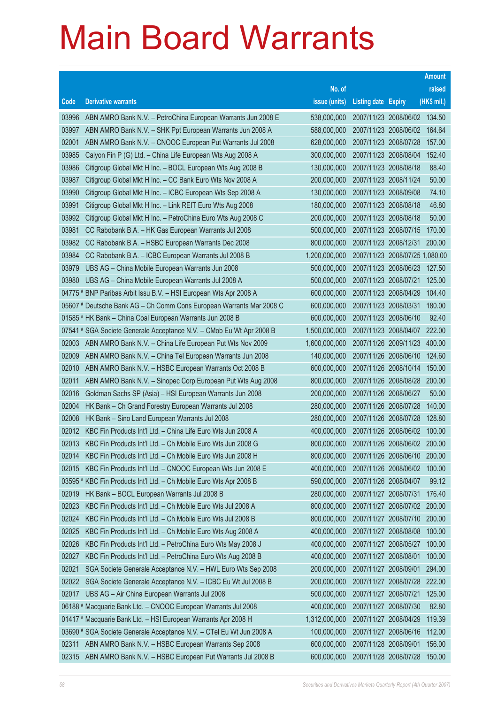|       |                                                                                                                    |                            |                                                |                       | <b>Amount</b>   |
|-------|--------------------------------------------------------------------------------------------------------------------|----------------------------|------------------------------------------------|-----------------------|-----------------|
|       |                                                                                                                    | No. of                     |                                                |                       | raised          |
| Code  | <b>Derivative warrants</b>                                                                                         | issue (units)              | <b>Listing date Expiry</b>                     |                       | (HK\$ mil.)     |
| 03996 | ABN AMRO Bank N.V. - PetroChina European Warrants Jun 2008 E                                                       | 538,000,000                | 2007/11/23 2008/06/02 134.50                   |                       |                 |
| 03997 | ABN AMRO Bank N.V. - SHK Ppt European Warrants Jun 2008 A                                                          | 588,000,000                | 2007/11/23 2008/06/02                          |                       | 164.64          |
| 02001 | ABN AMRO Bank N.V. - CNOOC European Put Warrants Jul 2008                                                          | 628,000,000                | 2007/11/23 2008/07/28                          |                       | 157.00          |
| 03985 | Calyon Fin P (G) Ltd. - China Life European Wts Aug 2008 A                                                         | 300,000,000                |                                                | 2007/11/23 2008/08/04 | 152.40          |
| 03986 | Citigroup Global Mkt H Inc. - BOCL European Wts Aug 2008 B                                                         | 130,000,000                | 2007/11/23 2008/08/18                          |                       | 88.40           |
| 03987 | Citigroup Global Mkt H Inc. - CC Bank Euro Wts Nov 2008 A                                                          | 200,000,000                | 2007/11/23 2008/11/24                          |                       | 50.00           |
| 03990 | Citigroup Global Mkt H Inc. - ICBC European Wts Sep 2008 A                                                         | 130,000,000                | 2007/11/23 2008/09/08                          |                       | 74.10           |
| 03991 | Citigroup Global Mkt H Inc. - Link REIT Euro Wts Aug 2008                                                          | 180,000,000                | 2007/11/23 2008/08/18                          |                       | 46.80           |
| 03992 | Citigroup Global Mkt H Inc. - PetroChina Euro Wts Aug 2008 C                                                       | 200,000,000                | 2007/11/23 2008/08/18                          |                       | 50.00           |
| 03981 | CC Rabobank B.A. - HK Gas European Warrants Jul 2008                                                               | 500,000,000                | 2007/11/23 2008/07/15                          |                       | 170.00          |
| 03982 | CC Rabobank B.A. - HSBC European Warrants Dec 2008                                                                 | 800,000,000                | 2007/11/23 2008/12/31                          |                       | 200.00          |
| 03984 | CC Rabobank B.A. - ICBC European Warrants Jul 2008 B                                                               | 1,200,000,000              | 2007/11/23 2008/07/25 1,080.00                 |                       |                 |
| 03979 | UBS AG - China Mobile European Warrants Jun 2008                                                                   | 500,000,000                | 2007/11/23 2008/06/23                          |                       | 127.50          |
| 03980 | UBS AG - China Mobile European Warrants Jul 2008 A                                                                 | 500,000,000                | 2007/11/23 2008/07/21                          |                       | 125.00          |
|       | 04775 # BNP Paribas Arbit Issu B.V. - HSI European Wts Apr 2008 A                                                  | 600,000,000                | 2007/11/23 2008/04/29                          |                       | 104.40          |
|       | 05607 # Deutsche Bank AG - Ch Comm Cons European Warrants Mar 2008 C                                               | 600,000,000                | 2007/11/23 2008/03/31                          |                       | 180.00          |
|       | 01585 # HK Bank - China Coal European Warrants Jun 2008 B                                                          | 600,000,000                | 2007/11/23 2008/06/10                          |                       | 92.40           |
|       | 07541 # SGA Societe Generale Acceptance N.V. - CMob Eu Wt Apr 2008 B                                               | 1,500,000,000              | 2007/11/23 2008/04/07 222.00                   |                       |                 |
| 02003 | ABN AMRO Bank N.V. - China Life European Put Wts Nov 2009                                                          | 1,600,000,000              | 2007/11/26 2009/11/23                          |                       | 400.00          |
| 02009 | ABN AMRO Bank N.V. - China Tel European Warrants Jun 2008                                                          | 140,000,000                | 2007/11/26 2008/06/10                          |                       | 124.60          |
| 02010 | ABN AMRO Bank N.V. - HSBC European Warrants Oct 2008 B                                                             | 600,000,000                | 2007/11/26 2008/10/14                          |                       | 150.00          |
| 02011 | ABN AMRO Bank N.V. - Sinopec Corp European Put Wts Aug 2008                                                        | 800,000,000                | 2007/11/26 2008/08/28 200.00                   |                       |                 |
| 02016 | Goldman Sachs SP (Asia) - HSI European Warrants Jun 2008                                                           | 200,000,000                | 2007/11/26 2008/06/27                          |                       | 50.00           |
| 02004 | HK Bank - Ch Grand Forestry European Warrants Jul 2008                                                             | 280,000,000                | 2007/11/26 2008/07/28                          |                       | 140.00          |
| 02008 | HK Bank - Sino Land European Warrants Jul 2008                                                                     | 280,000,000                | 2007/11/26 2008/07/28                          |                       | 128.80          |
| 02012 | KBC Fin Products Int'l Ltd. - China Life Euro Wts Jun 2008 A                                                       | 400,000,000                | 2007/11/26 2008/06/02                          |                       | 100.00          |
| 02013 | KBC Fin Products Int'l Ltd. - Ch Mobile Euro Wts Jun 2008 G                                                        | 800,000,000                | 2007/11/26 2008/06/02                          |                       | 200.00          |
| 02014 | KBC Fin Products Int'l Ltd. - Ch Mobile Euro Wts Jun 2008 H                                                        | 800,000,000                | 2007/11/26 2008/06/10                          |                       | 200.00          |
| 02015 | KBC Fin Products Int'l Ltd. - CNOOC European Wts Jun 2008 E                                                        | 400,000,000                | 2007/11/26 2008/06/02                          |                       | 100.00          |
| 02019 | 03595 # KBC Fin Products Int'l Ltd. - Ch Mobile Euro Wts Apr 2008 B<br>HK Bank - BOCL European Warrants Jul 2008 B | 590,000,000<br>280,000,000 | 2007/11/26 2008/04/07<br>2007/11/27 2008/07/31 |                       | 99.12<br>176.40 |
| 02023 | KBC Fin Products Int'l Ltd. - Ch Mobile Euro Wts Jul 2008 A                                                        | 800,000,000                |                                                | 2007/11/27 2008/07/02 | 200.00          |
| 02024 | KBC Fin Products Int'l Ltd. - Ch Mobile Euro Wts Jul 2008 B                                                        | 800,000,000                | 2007/11/27 2008/07/10                          |                       | 200.00          |
| 02025 | KBC Fin Products Int'l Ltd. - Ch Mobile Euro Wts Aug 2008 A                                                        | 400,000,000                |                                                | 2007/11/27 2008/08/08 | 100.00          |
| 02026 | KBC Fin Products Int'l Ltd. - PetroChina Euro Wts May 2008 J                                                       | 400,000,000                | 2007/11/27 2008/05/27                          |                       | 100.00          |
| 02027 | KBC Fin Products Int'l Ltd. - PetroChina Euro Wts Aug 2008 B                                                       | 400,000,000                | 2007/11/27 2008/08/01                          |                       | 100.00          |
| 02021 | SGA Societe Generale Acceptance N.V. - HWL Euro Wts Sep 2008                                                       | 200,000,000                | 2007/11/27 2008/09/01                          |                       | 294.00          |
| 02022 | SGA Societe Generale Acceptance N.V. - ICBC Eu Wt Jul 2008 B                                                       | 200,000,000                |                                                | 2007/11/27 2008/07/28 | 222.00          |
| 02017 | UBS AG - Air China European Warrants Jul 2008                                                                      | 500,000,000                | 2007/11/27 2008/07/21                          |                       | 125.00          |
|       | 06188 # Macquarie Bank Ltd. - CNOOC European Warrants Jul 2008                                                     | 400,000,000                | 2007/11/27 2008/07/30                          |                       | 82.80           |
|       | 01417 # Macquarie Bank Ltd. - HSI European Warrants Apr 2008 H                                                     | 1,312,000,000              | 2007/11/27 2008/04/29                          |                       | 119.39          |
|       | 03690 # SGA Societe Generale Acceptance N.V. - CTel Eu Wt Jun 2008 A                                               | 100,000,000                | 2007/11/27 2008/06/16                          |                       | 112.00          |
| 02311 | ABN AMRO Bank N.V. - HSBC European Warrants Sep 2008                                                               | 600,000,000                | 2007/11/28 2008/09/01                          |                       | 156.00          |
| 02315 | ABN AMRO Bank N.V. - HSBC European Put Warrants Jul 2008 B                                                         | 600,000,000                | 2007/11/28 2008/07/28                          |                       | 150.00          |
|       |                                                                                                                    |                            |                                                |                       |                 |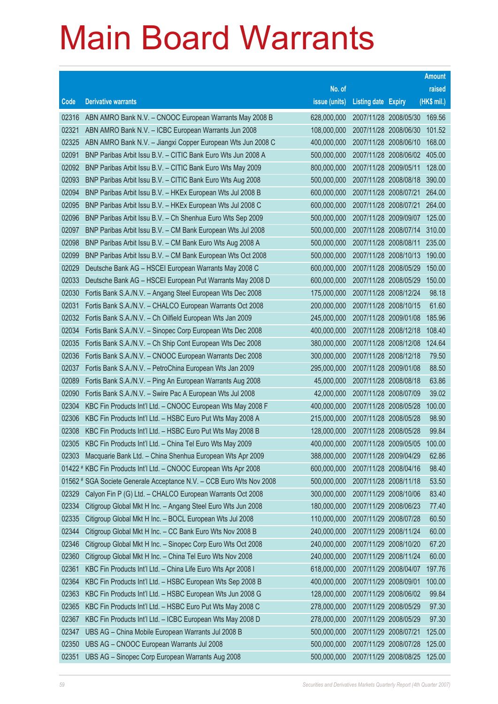|                |                                                                                                                                   |                            |                            |                                                | <b>Amount</b>  |
|----------------|-----------------------------------------------------------------------------------------------------------------------------------|----------------------------|----------------------------|------------------------------------------------|----------------|
|                |                                                                                                                                   | No. of                     |                            |                                                | raised         |
| Code           | <b>Derivative warrants</b>                                                                                                        | issue (units)              | <b>Listing date Expiry</b> |                                                | (HK\$ mil.)    |
| 02316          | ABN AMRO Bank N.V. - CNOOC European Warrants May 2008 B                                                                           | 628,000,000                | 2007/11/28 2008/05/30      |                                                | 169.56         |
| 02321          | ABN AMRO Bank N.V. - ICBC European Warrants Jun 2008                                                                              | 108,000,000                |                            | 2007/11/28 2008/06/30                          | 101.52         |
| 02325          | ABN AMRO Bank N.V. - Jiangxi Copper European Wts Jun 2008 C                                                                       | 400,000,000                |                            | 2007/11/28 2008/06/10                          | 168.00         |
| 02091          | BNP Paribas Arbit Issu B.V. - CITIC Bank Euro Wts Jun 2008 A                                                                      | 500,000,000                |                            | 2007/11/28 2008/06/02                          | 405.00         |
| 02092          | BNP Paribas Arbit Issu B.V. - CITIC Bank Euro Wts May 2009                                                                        | 800,000,000                | 2007/11/28 2009/05/11      |                                                | 128.00         |
| 02093          | BNP Paribas Arbit Issu B.V. - CITIC Bank Euro Wts Aug 2008                                                                        | 500,000,000                |                            | 2007/11/28 2008/08/18                          | 390.00         |
| 02094          | BNP Paribas Arbit Issu B.V. - HKEx European Wts Jul 2008 B                                                                        | 600,000,000                |                            | 2007/11/28 2008/07/21                          | 264.00         |
| 02095          | BNP Paribas Arbit Issu B.V. - HKEx European Wts Jul 2008 C                                                                        | 600,000,000                |                            | 2007/11/28 2008/07/21                          | 264.00         |
| 02096          | BNP Paribas Arbit Issu B.V. - Ch Shenhua Euro Wts Sep 2009                                                                        | 500,000,000                | 2007/11/28 2009/09/07      |                                                | 125.00         |
| 02097          | BNP Paribas Arbit Issu B.V. - CM Bank European Wts Jul 2008                                                                       | 500,000,000                |                            | 2007/11/28 2008/07/14                          | 310.00         |
| 02098          | BNP Paribas Arbit Issu B.V. - CM Bank Euro Wts Aug 2008 A                                                                         | 500,000,000                |                            | 2007/11/28 2008/08/11                          | 235.00         |
| 02099          | BNP Paribas Arbit Issu B.V. - CM Bank European Wts Oct 2008                                                                       | 500,000,000                |                            | 2007/11/28 2008/10/13                          | 190.00         |
| 02029          | Deutsche Bank AG - HSCEI European Warrants May 2008 C                                                                             | 600,000,000                | 2007/11/28 2008/05/29      |                                                | 150.00         |
| 02033          | Deutsche Bank AG - HSCEI European Put Warrants May 2008 D                                                                         | 600,000,000                |                            | 2007/11/28 2008/05/29                          | 150.00         |
| 02030          | Fortis Bank S.A./N.V. - Angang Steel European Wts Dec 2008                                                                        | 175,000,000                |                            | 2007/11/28 2008/12/24                          | 98.18          |
| 02031          | Fortis Bank S.A./N.V. - CHALCO European Warrants Oct 2008                                                                         | 200,000,000                |                            | 2007/11/28 2008/10/15                          | 61.60          |
| 02032          | Fortis Bank S.A./N.V. - Ch Oilfield European Wts Jan 2009                                                                         | 245,000,000                | 2007/11/28 2009/01/08      |                                                | 185.96         |
| 02034          | Fortis Bank S.A./N.V. - Sinopec Corp European Wts Dec 2008                                                                        | 400,000,000                |                            | 2007/11/28 2008/12/18                          | 108.40         |
| 02035          | Fortis Bank S.A./N.V. - Ch Ship Cont European Wts Dec 2008                                                                        | 380,000,000                |                            | 2007/11/28 2008/12/08                          | 124.64         |
| 02036          | Fortis Bank S.A./N.V. - CNOOC European Warrants Dec 2008                                                                          | 300,000,000                |                            | 2007/11/28 2008/12/18                          | 79.50          |
| 02037          | Fortis Bank S.A./N.V. - PetroChina European Wts Jan 2009                                                                          | 295,000,000                | 2007/11/28 2009/01/08      |                                                | 88.50          |
| 02089          | Fortis Bank S.A./N.V. - Ping An European Warrants Aug 2008                                                                        | 45,000,000                 |                            | 2007/11/28 2008/08/18                          | 63.86          |
| 02090          | Fortis Bank S.A./N.V. - Swire Pac A European Wts Jul 2008                                                                         | 42,000,000                 | 2007/11/28 2008/07/09      |                                                | 39.02          |
| 02304          | KBC Fin Products Int'l Ltd. - CNOOC European Wts May 2008 F                                                                       | 400,000,000                |                            | 2007/11/28 2008/05/28                          | 100.00         |
| 02306          | KBC Fin Products Int'l Ltd. - HSBC Euro Put Wts May 2008 A                                                                        | 215,000,000                | 2007/11/28 2008/05/28      |                                                | 98.90          |
| 02308          | KBC Fin Products Int'l Ltd. - HSBC Euro Put Wts May 2008 B                                                                        | 128,000,000                |                            | 2007/11/28 2008/05/28                          | 99.84          |
| 02305          | KBC Fin Products Int'l Ltd. - China Tel Euro Wts May 2009                                                                         | 400,000,000                |                            | 2007/11/28 2009/05/05                          | 100.00         |
| 02303          | Macquarie Bank Ltd. - China Shenhua European Wts Apr 2009                                                                         | 388,000,000                |                            | 2007/11/28 2009/04/29                          | 62.86          |
|                | 01422 # KBC Fin Products Int'l Ltd. - CNOOC European Wts Apr 2008                                                                 | 600,000,000                |                            | 2007/11/28 2008/04/16                          | 98.40          |
|                | 01562 # SGA Societe Generale Acceptance N.V. - CCB Euro Wts Nov 2008<br>Calyon Fin P (G) Ltd. - CHALCO European Warrants Oct 2008 | 500,000,000                |                            | 2007/11/28 2008/11/18                          | 53.50          |
| 02329<br>02334 |                                                                                                                                   | 300,000,000                |                            | 2007/11/29 2008/10/06<br>2007/11/29 2008/06/23 | 83.40          |
| 02335          | Citigroup Global Mkt H Inc. - Angang Steel Euro Wts Jun 2008<br>Citigroup Global Mkt H Inc. - BOCL European Wts Jul 2008          | 180,000,000<br>110,000,000 |                            | 2007/11/29 2008/07/28                          | 77.40<br>60.50 |
| 02344          | Citigroup Global Mkt H Inc. - CC Bank Euro Wts Nov 2008 B                                                                         | 240,000,000                |                            | 2007/11/29 2008/11/24                          | 60.00          |
| 02346          | Citigroup Global Mkt H Inc. - Sinopec Corp Euro Wts Oct 2008                                                                      | 240,000,000                |                            | 2007/11/29 2008/10/20                          | 67.20          |
| 02360          | Citigroup Global Mkt H Inc. - China Tel Euro Wts Nov 2008                                                                         | 240,000,000                |                            | 2007/11/29 2008/11/24                          | 60.00          |
| 02361          | KBC Fin Products Int'l Ltd. - China Life Euro Wts Apr 2008 I                                                                      | 618,000,000                | 2007/11/29 2008/04/07      |                                                | 197.76         |
| 02364          |                                                                                                                                   | 400,000,000                | 2007/11/29 2008/09/01      |                                                | 100.00         |
| 02363          | KBC Fin Products Int'l Ltd. - HSBC European Wts Sep 2008 B<br>KBC Fin Products Int'l Ltd. - HSBC European Wts Jun 2008 G          | 128,000,000                |                            | 2007/11/29 2008/06/02                          | 99.84          |
|                |                                                                                                                                   |                            |                            |                                                |                |
| 02365<br>02367 | KBC Fin Products Int'l Ltd. - HSBC Euro Put Wts May 2008 C                                                                        | 278,000,000<br>278,000,000 |                            | 2007/11/29 2008/05/29                          | 97.30<br>97.30 |
|                | KBC Fin Products Int'l Ltd. - ICBC European Wts May 2008 D                                                                        | 500,000,000                |                            | 2007/11/29 2008/05/29                          |                |
| 02347          | UBS AG - China Mobile European Warrants Jul 2008 B                                                                                |                            | 2007/11/29 2008/07/21      |                                                | 125.00         |
| 02350          | UBS AG - CNOOC European Warrants Jul 2008                                                                                         | 500,000,000                |                            | 2007/11/29 2008/07/28                          | 125.00         |
| 02351          | UBS AG - Sinopec Corp European Warrants Aug 2008                                                                                  | 500,000,000                |                            | 2007/11/29 2008/08/25                          | 125.00         |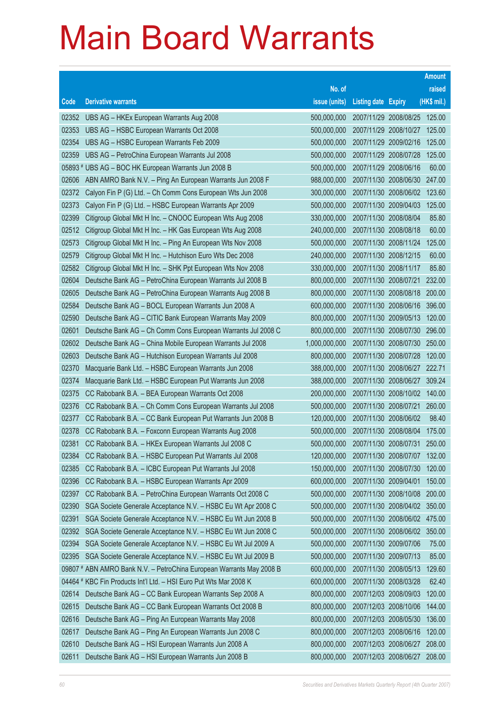|                |                                                                                                                 |                            |                                                |                              | <b>Amount</b>    |
|----------------|-----------------------------------------------------------------------------------------------------------------|----------------------------|------------------------------------------------|------------------------------|------------------|
|                |                                                                                                                 | No. of                     |                                                |                              | raised           |
| Code           | <b>Derivative warrants</b>                                                                                      | issue (units)              | <b>Listing date Expiry</b>                     |                              | (HK\$ mil.)      |
| 02352          | UBS AG - HKEx European Warrants Aug 2008                                                                        | 500,000,000                |                                                | 2007/11/29 2008/08/25 125.00 |                  |
| 02353          | UBS AG - HSBC European Warrants Oct 2008                                                                        | 500,000,000                | 2007/11/29 2008/10/27                          |                              | 125.00           |
| 02354          | UBS AG - HSBC European Warrants Feb 2009                                                                        | 500,000,000                | 2007/11/29 2009/02/16                          |                              | 125.00           |
| 02359          | UBS AG - PetroChina European Warrants Jul 2008                                                                  | 500,000,000                | 2007/11/29 2008/07/28                          |                              | 125.00           |
|                | 05893 # UBS AG - BOC HK European Warrants Jun 2008 B                                                            | 500,000,000                | 2007/11/29 2008/06/16                          |                              | 60.00            |
| 02606          | ABN AMRO Bank N.V. - Ping An European Warrants Jun 2008 F                                                       | 988,000,000                | 2007/11/30 2008/06/30                          |                              | 247.00           |
| 02372          | Calyon Fin P (G) Ltd. - Ch Comm Cons European Wts Jun 2008                                                      | 300,000,000                | 2007/11/30 2008/06/02                          |                              | 123.60           |
| 02373          | Calyon Fin P (G) Ltd. - HSBC European Warrants Apr 2009                                                         | 500,000,000                | 2007/11/30 2009/04/03                          |                              | 125.00           |
| 02399          | Citigroup Global Mkt H Inc. - CNOOC European Wts Aug 2008                                                       | 330,000,000                | 2007/11/30 2008/08/04                          |                              | 85.80            |
| 02512          | Citigroup Global Mkt H Inc. - HK Gas European Wts Aug 2008                                                      | 240,000,000                | 2007/11/30 2008/08/18                          |                              | 60.00            |
| 02573          | Citigroup Global Mkt H Inc. - Ping An European Wts Nov 2008                                                     | 500,000,000                | 2007/11/30 2008/11/24                          |                              | 125.00           |
| 02579          | Citigroup Global Mkt H Inc. - Hutchison Euro Wts Dec 2008                                                       | 240,000,000                | 2007/11/30 2008/12/15                          |                              | 60.00            |
| 02582          | Citigroup Global Mkt H Inc. - SHK Ppt European Wts Nov 2008                                                     | 330,000,000                | 2007/11/30 2008/11/17                          |                              | 85.80            |
| 02604          | Deutsche Bank AG - PetroChina European Warrants Jul 2008 B                                                      | 800,000,000                | 2007/11/30 2008/07/21                          |                              | 232.00           |
| 02605          | Deutsche Bank AG - PetroChina European Warrants Aug 2008 B                                                      | 800,000,000                | 2007/11/30 2008/08/18                          |                              | 200.00           |
| 02584          | Deutsche Bank AG - BOCL European Warrants Jun 2008 A                                                            | 600,000,000                | 2007/11/30 2008/06/16                          |                              | 396.00           |
| 02590          | Deutsche Bank AG - CITIC Bank European Warrants May 2009                                                        | 800,000,000                | 2007/11/30 2009/05/13                          |                              | 120.00           |
| 02601          | Deutsche Bank AG - Ch Comm Cons European Warrants Jul 2008 C                                                    | 800,000,000                | 2007/11/30 2008/07/30                          |                              | 296.00           |
| 02602          | Deutsche Bank AG - China Mobile European Warrants Jul 2008                                                      | 1,000,000,000              | 2007/11/30 2008/07/30                          |                              | 250.00           |
| 02603          | Deutsche Bank AG - Hutchison European Warrants Jul 2008                                                         | 800,000,000                | 2007/11/30 2008/07/28                          |                              | 120.00           |
| 02370          | Macquarie Bank Ltd. - HSBC European Warrants Jun 2008                                                           | 388,000,000                |                                                | 2007/11/30 2008/06/27        | 222.71<br>309.24 |
| 02374<br>02375 | Macquarie Bank Ltd. - HSBC European Put Warrants Jun 2008                                                       | 388,000,000<br>200,000,000 | 2007/11/30 2008/06/27<br>2007/11/30 2008/10/02 |                              | 140.00           |
| 02376          | CC Rabobank B.A. - BEA European Warrants Oct 2008<br>CC Rabobank B.A. - Ch Comm Cons European Warrants Jul 2008 | 500,000,000                | 2007/11/30 2008/07/21                          |                              | 260.00           |
| 02377          | CC Rabobank B.A. - CC Bank European Put Warrants Jun 2008 B                                                     | 120,000,000                | 2007/11/30 2008/06/02                          |                              | 98.40            |
| 02378          | CC Rabobank B.A. - Foxconn European Warrants Aug 2008                                                           | 500,000,000                | 2007/11/30 2008/08/04                          |                              | 175.00           |
| 02381          | CC Rabobank B.A. - HKEx European Warrants Jul 2008 C                                                            | 500,000,000                | 2007/11/30 2008/07/31                          |                              | 250.00           |
| 02384          | CC Rabobank B.A. - HSBC European Put Warrants Jul 2008                                                          | 120,000,000                | 2007/11/30 2008/07/07                          |                              | 132.00           |
| 02385          | CC Rabobank B.A. - ICBC European Put Warrants Jul 2008                                                          | 150,000,000                | 2007/11/30 2008/07/30                          |                              | 120.00           |
| 02396          | CC Rabobank B.A. - HSBC European Warrants Apr 2009                                                              | 600,000,000                | 2007/11/30 2009/04/01                          |                              | 150.00           |
| 02397          | CC Rabobank B.A. - PetroChina European Warrants Oct 2008 C                                                      | 500,000,000                | 2007/11/30 2008/10/08                          |                              | 200.00           |
| 02390          | SGA Societe Generale Acceptance N.V. - HSBC Eu Wt Apr 2008 C                                                    | 500,000,000                | 2007/11/30 2008/04/02                          |                              | 350.00           |
| 02391          | SGA Societe Generale Acceptance N.V. - HSBC Eu Wt Jun 2008 B                                                    | 500,000,000                | 2007/11/30 2008/06/02                          |                              | 475.00           |
| 02392          | SGA Societe Generale Acceptance N.V. - HSBC Eu Wt Jun 2008 C                                                    | 500,000,000                |                                                | 2007/11/30 2008/06/02        | 350.00           |
| 02394          | SGA Societe Generale Acceptance N.V. - HSBC Eu Wt Jul 2009 A                                                    | 500,000,000                | 2007/11/30 2009/07/06                          |                              | 75.00            |
| 02395          | SGA Societe Generale Acceptance N.V. - HSBC Eu Wt Jul 2009 B                                                    | 500,000,000                | 2007/11/30 2009/07/13                          |                              | 85.00            |
|                | 09807 # ABN AMRO Bank N.V. - PetroChina European Warrants May 2008 B                                            | 600,000,000                | 2007/11/30 2008/05/13                          |                              | 129.60           |
|                | 04464 # KBC Fin Products Int'l Ltd. - HSI Euro Put Wts Mar 2008 K                                               | 600,000,000                | 2007/11/30 2008/03/28                          |                              | 62.40            |
| 02614          | Deutsche Bank AG - CC Bank European Warrants Sep 2008 A                                                         | 800,000,000                | 2007/12/03 2008/09/03                          |                              | 120.00           |
| 02615          | Deutsche Bank AG - CC Bank European Warrants Oct 2008 B                                                         | 800,000,000                | 2007/12/03 2008/10/06                          |                              | 144.00           |
| 02616          | Deutsche Bank AG - Ping An European Warrants May 2008                                                           | 800,000,000                | 2007/12/03 2008/05/30                          |                              | 136.00           |
| 02617          | Deutsche Bank AG - Ping An European Warrants Jun 2008 C                                                         | 800,000,000                | 2007/12/03 2008/06/16                          |                              | 120.00           |
| 02610          | Deutsche Bank AG - HSI European Warrants Jun 2008 A                                                             | 800,000,000                | 2007/12/03 2008/06/27                          |                              | 208.00           |
| 02611          | Deutsche Bank AG - HSI European Warrants Jun 2008 B                                                             | 800,000,000                | 2007/12/03 2008/06/27                          |                              | 208.00           |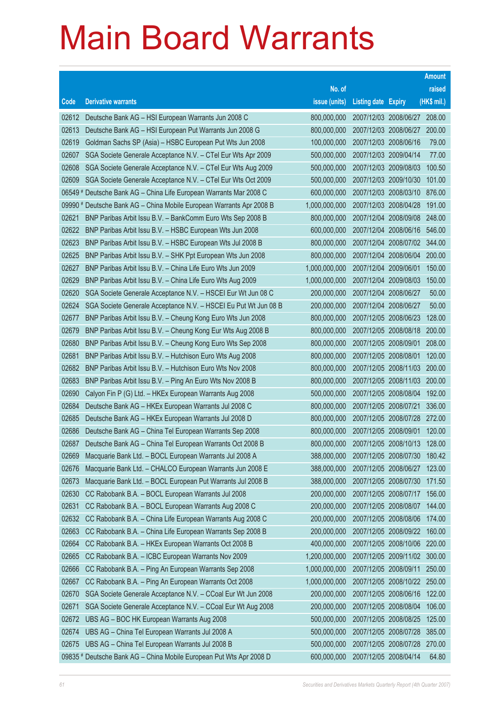|       |                                                                      |               |                            |                              | <b>Amount</b> |
|-------|----------------------------------------------------------------------|---------------|----------------------------|------------------------------|---------------|
|       |                                                                      | No. of        |                            |                              | raised        |
| Code  | <b>Derivative warrants</b>                                           | issue (units) | <b>Listing date Expiry</b> |                              | (HK\$ mil.)   |
| 02612 | Deutsche Bank AG - HSI European Warrants Jun 2008 C                  | 800,000,000   |                            | 2007/12/03 2008/06/27 208.00 |               |
| 02613 | Deutsche Bank AG - HSI European Put Warrants Jun 2008 G              | 800,000,000   |                            | 2007/12/03 2008/06/27 200.00 |               |
| 02619 | Goldman Sachs SP (Asia) – HSBC European Put Wts Jun 2008             | 100,000,000   |                            | 2007/12/03 2008/06/16        | 79.00         |
| 02607 | SGA Societe Generale Acceptance N.V. - CTel Eur Wts Apr 2009         | 500,000,000   |                            | 2007/12/03 2009/04/14        | 77.00         |
| 02608 | SGA Societe Generale Acceptance N.V. - CTel Eur Wts Aug 2009         | 500,000,000   |                            | 2007/12/03 2009/08/03        | 100.50        |
| 02609 | SGA Societe Generale Acceptance N.V. - CTel Eur Wts Oct 2009         | 500,000,000   |                            | 2007/12/03 2009/10/30        | 101.00        |
|       | 06549 # Deutsche Bank AG – China Life European Warrants Mar 2008 C   | 600,000,000   |                            | 2007/12/03 2008/03/10        | 876.00        |
|       | 09990 # Deutsche Bank AG - China Mobile European Warrants Apr 2008 B | 1,000,000,000 |                            | 2007/12/03 2008/04/28        | 191.00        |
| 02621 | BNP Paribas Arbit Issu B.V. - BankComm Euro Wts Sep 2008 B           | 800,000,000   |                            | 2007/12/04 2008/09/08        | 248.00        |
| 02622 | BNP Paribas Arbit Issu B.V. - HSBC European Wts Jun 2008             | 600,000,000   |                            | 2007/12/04 2008/06/16        | 546.00        |
| 02623 | BNP Paribas Arbit Issu B.V. - HSBC European Wts Jul 2008 B           | 800,000,000   |                            | 2007/12/04 2008/07/02        | 344.00        |
| 02625 | BNP Paribas Arbit Issu B.V. - SHK Ppt European Wts Jun 2008          | 800,000,000   |                            | 2007/12/04 2008/06/04        | 200.00        |
| 02627 | BNP Paribas Arbit Issu B.V. - China Life Euro Wts Jun 2009           | 1,000,000,000 |                            | 2007/12/04 2009/06/01        | 150.00        |
| 02629 | BNP Paribas Arbit Issu B.V. - China Life Euro Wts Aug 2009           | 1,000,000,000 |                            | 2007/12/04 2009/08/03        | 150.00        |
| 02620 | SGA Societe Generale Acceptance N.V. - HSCEI Eur Wt Jun 08 C         | 200,000,000   |                            | 2007/12/04 2008/06/27        | 50.00         |
| 02624 | SGA Societe Generale Acceptance N.V. - HSCEI Eu Put Wt Jun 08 B      | 200,000,000   |                            | 2007/12/04 2008/06/27        | 50.00         |
| 02677 | BNP Paribas Arbit Issu B.V. - Cheung Kong Euro Wts Jun 2008          | 800,000,000   |                            | 2007/12/05 2008/06/23        | 128.00        |
| 02679 | BNP Paribas Arbit Issu B.V. - Cheung Kong Eur Wts Aug 2008 B         | 800,000,000   |                            | 2007/12/05 2008/08/18 200.00 |               |
| 02680 | BNP Paribas Arbit Issu B.V. - Cheung Kong Euro Wts Sep 2008          | 800,000,000   |                            | 2007/12/05 2008/09/01        | 208.00        |
| 02681 | BNP Paribas Arbit Issu B.V. - Hutchison Euro Wts Aug 2008            | 800,000,000   |                            | 2007/12/05 2008/08/01        | 120.00        |
| 02682 | BNP Paribas Arbit Issu B.V. - Hutchison Euro Wts Nov 2008            | 800,000,000   |                            | 2007/12/05 2008/11/03        | 200.00        |
| 02683 | BNP Paribas Arbit Issu B.V. - Ping An Euro Wts Nov 2008 B            | 800,000,000   |                            | 2007/12/05 2008/11/03        | 200.00        |
| 02690 | Calyon Fin P (G) Ltd. - HKEx European Warrants Aug 2008              | 500,000,000   |                            | 2007/12/05 2008/08/04        | 192.00        |
| 02684 | Deutsche Bank AG - HKEx European Warrants Jul 2008 C                 | 800,000,000   |                            | 2007/12/05 2008/07/21        | 336.00        |
| 02685 | Deutsche Bank AG - HKEx European Warrants Jul 2008 D                 | 800,000,000   |                            | 2007/12/05 2008/07/28        | 272.00        |
| 02686 | Deutsche Bank AG - China Tel European Warrants Sep 2008              | 800,000,000   |                            | 2007/12/05 2008/09/01        | 120.00        |
| 02687 | Deutsche Bank AG - China Tel European Warrants Oct 2008 B            | 800,000,000   |                            | 2007/12/05 2008/10/13        | 128.00        |
| 02669 | Macquarie Bank Ltd. - BOCL European Warrants Jul 2008 A              | 388,000,000   |                            | 2007/12/05 2008/07/30        | 180.42        |
| 02676 | Macquarie Bank Ltd. - CHALCO European Warrants Jun 2008 E            | 388,000,000   |                            | 2007/12/05 2008/06/27        | 123.00        |
| 02673 | Macquarie Bank Ltd. - BOCL European Put Warrants Jul 2008 B          | 388,000,000   |                            | 2007/12/05 2008/07/30        | 171.50        |
| 02630 | CC Rabobank B.A. - BOCL European Warrants Jul 2008                   | 200,000,000   |                            | 2007/12/05 2008/07/17        | 156.00        |
| 02631 | CC Rabobank B.A. - BOCL European Warrants Aug 2008 C                 | 200,000,000   |                            | 2007/12/05 2008/08/07        | 144.00        |
| 02632 | CC Rabobank B.A. - China Life European Warrants Aug 2008 C           | 200,000,000   |                            | 2007/12/05 2008/08/06        | 174.00        |
| 02663 | CC Rabobank B.A. - China Life European Warrants Sep 2008 B           | 200,000,000   |                            | 2007/12/05 2008/09/22        | 160.00        |
| 02664 | CC Rabobank B.A. - HKEx European Warrants Oct 2008 B                 | 400,000,000   |                            | 2007/12/05 2008/10/06        | 220.00        |
| 02665 | CC Rabobank B.A. - ICBC European Warrants Nov 2009                   | 1,200,000,000 |                            | 2007/12/05 2009/11/02        | 300.00        |
| 02666 | CC Rabobank B.A. - Ping An European Warrants Sep 2008                | 1,000,000,000 |                            | 2007/12/05 2008/09/11        | 250.00        |
| 02667 | CC Rabobank B.A. - Ping An European Warrants Oct 2008                | 1,000,000,000 |                            | 2007/12/05 2008/10/22        | 250.00        |
| 02670 | SGA Societe Generale Acceptance N.V. - CCoal Eur Wt Jun 2008         | 200,000,000   |                            | 2007/12/05 2008/06/16        | 122.00        |
| 02671 | SGA Societe Generale Acceptance N.V. - CCoal Eur Wt Aug 2008         | 200,000,000   |                            | 2007/12/05 2008/08/04        | 106.00        |
| 02672 | UBS AG - BOC HK European Warrants Aug 2008                           | 500,000,000   |                            | 2007/12/05 2008/08/25        | 125.00        |
| 02674 | UBS AG - China Tel European Warrants Jul 2008 A                      | 500,000,000   |                            | 2007/12/05 2008/07/28        | 385.00        |
| 02675 | UBS AG - China Tel European Warrants Jul 2008 B                      | 500,000,000   |                            | 2007/12/05 2008/07/28        | 270.00        |
|       | 09835 # Deutsche Bank AG - China Mobile European Put Wts Apr 2008 D  | 600,000,000   |                            | 2007/12/05 2008/04/14        | 64.80         |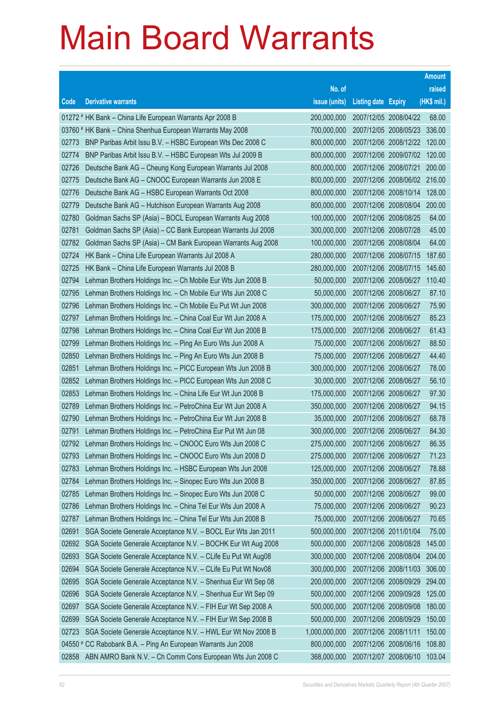|       |                                                                 |               |                            |                              | <b>Amount</b> |
|-------|-----------------------------------------------------------------|---------------|----------------------------|------------------------------|---------------|
|       |                                                                 | No. of        |                            |                              | raised        |
| Code  | <b>Derivative warrants</b>                                      | issue (units) | <b>Listing date Expiry</b> |                              | (HK\$ mil.)   |
|       | 01272 # HK Bank - China Life European Warrants Apr 2008 B       | 200,000,000   | 2007/12/05 2008/04/22      |                              | 68.00         |
|       | 03760 # HK Bank - China Shenhua European Warrants May 2008      | 700,000,000   |                            | 2007/12/05 2008/05/23        | 336.00        |
| 02773 | BNP Paribas Arbit Issu B.V. - HSBC European Wts Dec 2008 C      | 800,000,000   |                            | 2007/12/06 2008/12/22        | 120.00        |
| 02774 | BNP Paribas Arbit Issu B.V. - HSBC European Wts Jul 2009 B      | 800,000,000   |                            | 2007/12/06 2009/07/02        | 120.00        |
| 02726 | Deutsche Bank AG - Cheung Kong European Warrants Jul 2008       | 800,000,000   |                            | 2007/12/06 2008/07/21        | 200.00        |
| 02775 | Deutsche Bank AG - CNOOC European Warrants Jun 2008 E           | 800,000,000   |                            | 2007/12/06 2008/06/02 216.00 |               |
| 02776 | Deutsche Bank AG - HSBC European Warrants Oct 2008              | 800,000,000   |                            | 2007/12/06 2008/10/14        | 128.00        |
| 02779 | Deutsche Bank AG - Hutchison European Warrants Aug 2008         | 800,000,000   |                            | 2007/12/06 2008/08/04        | 200.00        |
| 02780 | Goldman Sachs SP (Asia) - BOCL European Warrants Aug 2008       | 100,000,000   |                            | 2007/12/06 2008/08/25        | 64.00         |
| 02781 | Goldman Sachs SP (Asia) - CC Bank European Warrants Jul 2008    | 300,000,000   |                            | 2007/12/06 2008/07/28        | 45.00         |
| 02782 | Goldman Sachs SP (Asia) - CM Bank European Warrants Aug 2008    | 100,000,000   |                            | 2007/12/06 2008/08/04        | 64.00         |
| 02724 | HK Bank - China Life European Warrants Jul 2008 A               | 280,000,000   |                            | 2007/12/06 2008/07/15        | 187.60        |
| 02725 | HK Bank - China Life European Warrants Jul 2008 B               | 280,000,000   |                            | 2007/12/06 2008/07/15        | 145.60        |
| 02794 | Lehman Brothers Holdings Inc. - Ch Mobile Eur Wts Jun 2008 B    | 50,000,000    |                            | 2007/12/06 2008/06/27        | 110.40        |
| 02795 | Lehman Brothers Holdings Inc. - Ch Mobile Eur Wts Jun 2008 C    | 50,000,000    | 2007/12/06 2008/06/27      |                              | 87.10         |
| 02796 | Lehman Brothers Holdings Inc. - Ch Mobile Eu Put Wt Jun 2008    | 300,000,000   | 2007/12/06 2008/06/27      |                              | 75.90         |
| 02797 | Lehman Brothers Holdings Inc. - China Coal Eur Wt Jun 2008 A    | 175,000,000   | 2007/12/06 2008/06/27      |                              | 85.23         |
| 02798 | Lehman Brothers Holdings Inc. - China Coal Eur Wt Jun 2008 B    | 175,000,000   |                            | 2007/12/06 2008/06/27        | 61.43         |
| 02799 | Lehman Brothers Holdings Inc. - Ping An Euro Wts Jun 2008 A     | 75,000,000    | 2007/12/06 2008/06/27      |                              | 88.50         |
| 02850 | Lehman Brothers Holdings Inc. - Ping An Euro Wts Jun 2008 B     | 75,000,000    | 2007/12/06 2008/06/27      |                              | 44.40         |
| 02851 | Lehman Brothers Holdings Inc. - PICC European Wts Jun 2008 B    | 300,000,000   | 2007/12/06 2008/06/27      |                              | 78.00         |
| 02852 | Lehman Brothers Holdings Inc. - PICC European Wts Jun 2008 C    | 30,000,000    | 2007/12/06 2008/06/27      |                              | 56.10         |
| 02853 | Lehman Brothers Holdings Inc. - China Life Eur Wt Jun 2008 B    | 175,000,000   | 2007/12/06 2008/06/27      |                              | 97.30         |
| 02789 | Lehman Brothers Holdings Inc. - PetroChina Eur Wt Jun 2008 A    | 350,000,000   | 2007/12/06 2008/06/27      |                              | 94.15         |
| 02790 | Lehman Brothers Holdings Inc. - PetroChina Eur Wt Jun 2008 B    | 35,000,000    | 2007/12/06 2008/06/27      |                              | 68.78         |
| 02791 | Lehman Brothers Holdings Inc. - PetroChina Eur Put Wt Jun 08    | 300,000,000   | 2007/12/06 2008/06/27      |                              | 84.30         |
| 02792 | Lehman Brothers Holdings Inc. - CNOOC Euro Wts Jun 2008 C       | 275,000,000   | 2007/12/06 2008/06/27      |                              | 86.35         |
|       | 02793 Lehman Brothers Holdings Inc. - CNOOC Euro Wts Jun 2008 D | 275,000,000   | 2007/12/06 2008/06/27      |                              | 71.23         |
| 02783 | Lehman Brothers Holdings Inc. - HSBC European Wts Jun 2008      | 125,000,000   | 2007/12/06 2008/06/27      |                              | 78.88         |
| 02784 | Lehman Brothers Holdings Inc. - Sinopec Euro Wts Jun 2008 B     | 350,000,000   | 2007/12/06 2008/06/27      |                              | 87.85         |
| 02785 | Lehman Brothers Holdings Inc. - Sinopec Euro Wts Jun 2008 C     | 50,000,000    | 2007/12/06 2008/06/27      |                              | 99.00         |
| 02786 | Lehman Brothers Holdings Inc. - China Tel Eur Wts Jun 2008 A    | 75,000,000    | 2007/12/06 2008/06/27      |                              | 90.23         |
| 02787 | Lehman Brothers Holdings Inc. - China Tel Eur Wts Jun 2008 B    | 75,000,000    | 2007/12/06 2008/06/27      |                              | 70.65         |
| 02691 | SGA Societe Generale Acceptance N.V. - BOCL Eur Wts Jan 2011    | 500,000,000   | 2007/12/06 2011/01/04      |                              | 75.00         |
| 02692 | SGA Societe Generale Acceptance N.V. - BOCHK Eur Wt Aug 2008    | 500,000,000   |                            | 2007/12/06 2008/08/28        | 145.00        |
| 02693 | SGA Societe Generale Acceptance N.V. - CLife Eu Put Wt Aug08    | 300,000,000   |                            | 2007/12/06 2008/08/04        | 204.00        |
| 02694 | SGA Societe Generale Acceptance N.V. - CLife Eu Put Wt Nov08    | 300,000,000   |                            | 2007/12/06 2008/11/03        | 306.00        |
| 02695 | SGA Societe Generale Acceptance N.V. - Shenhua Eur Wt Sep 08    | 200,000,000   |                            | 2007/12/06 2008/09/29        | 294.00        |
| 02696 | SGA Societe Generale Acceptance N.V. - Shenhua Eur Wt Sep 09    | 500,000,000   |                            | 2007/12/06 2009/09/28        | 125.00        |
| 02697 | SGA Societe Generale Acceptance N.V. - FIH Eur Wt Sep 2008 A    | 500,000,000   |                            | 2007/12/06 2008/09/08        | 180.00        |
| 02699 | SGA Societe Generale Acceptance N.V. - FIH Eur Wt Sep 2008 B    | 500,000,000   |                            | 2007/12/06 2008/09/29        | 150.00        |
| 02723 | SGA Societe Generale Acceptance N.V. - HWL Eur Wt Nov 2008 B    | 1,000,000,000 | 2007/12/06 2008/11/11      |                              | 150.00        |
|       | 04550 # CC Rabobank B.A. - Ping An European Warrants Jun 2008   | 800,000,000   |                            | 2007/12/06 2008/06/16        | 108.80        |
| 02858 | ABN AMRO Bank N.V. - Ch Comm Cons European Wts Jun 2008 C       | 368,000,000   |                            | 2007/12/07 2008/06/10        | 103.04        |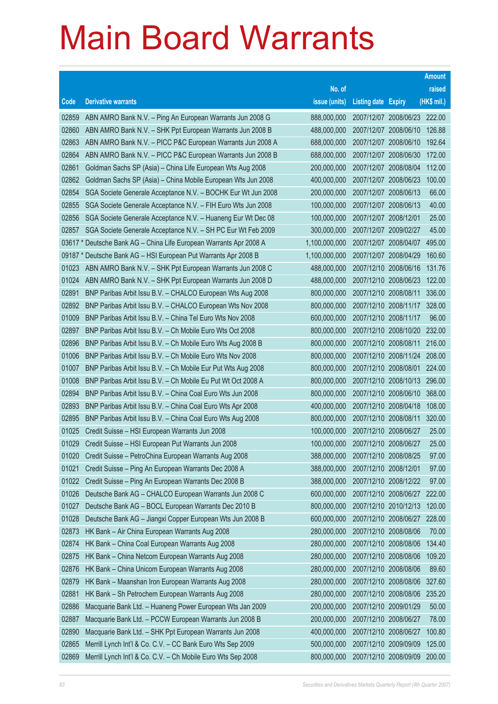|       |                                                                    |               |                            |                              | <b>Amount</b> |
|-------|--------------------------------------------------------------------|---------------|----------------------------|------------------------------|---------------|
|       |                                                                    | No. of        |                            |                              | raised        |
| Code  | <b>Derivative warrants</b>                                         | issue (units) | <b>Listing date Expiry</b> |                              | (HK\$ mil.)   |
| 02859 | ABN AMRO Bank N.V. - Ping An European Warrants Jun 2008 G          | 888,000,000   |                            | 2007/12/07 2008/06/23 222.00 |               |
| 02860 | ABN AMRO Bank N.V. - SHK Ppt European Warrants Jun 2008 B          | 488,000,000   |                            | 2007/12/07 2008/06/10        | 126.88        |
| 02863 | ABN AMRO Bank N.V. - PICC P&C European Warrants Jun 2008 A         | 688,000,000   |                            | 2007/12/07 2008/06/10        | 192.64        |
| 02864 | ABN AMRO Bank N.V. - PICC P&C European Warrants Jun 2008 B         | 688,000,000   |                            | 2007/12/07 2008/06/30        | 172.00        |
| 02861 | Goldman Sachs SP (Asia) - China Life European Wts Aug 2008         | 200,000,000   |                            | 2007/12/07 2008/08/04        | 112.00        |
| 02862 | Goldman Sachs SP (Asia) - China Mobile European Wts Jun 2008       | 400,000,000   |                            | 2007/12/07 2008/06/23        | 100.00        |
| 02854 | SGA Societe Generale Acceptance N.V. - BOCHK Eur Wt Jun 2008       | 200,000,000   |                            | 2007/12/07 2008/06/13        | 66.00         |
| 02855 | SGA Societe Generale Acceptance N.V. - FIH Euro Wts Jun 2008       | 100,000,000   |                            | 2007/12/07 2008/06/13        | 40.00         |
| 02856 | SGA Societe Generale Acceptance N.V. - Huaneng Eur Wt Dec 08       | 100,000,000   | 2007/12/07 2008/12/01      |                              | 25.00         |
| 02857 | SGA Societe Generale Acceptance N.V. - SH PC Eur Wt Feb 2009       | 300,000,000   |                            | 2007/12/07 2009/02/27        | 45.00         |
|       | 03617 * Deutsche Bank AG – China Life European Warrants Apr 2008 A | 1,100,000,000 |                            | 2007/12/07 2008/04/07        | 495.00        |
|       | 09187 * Deutsche Bank AG - HSI European Put Warrants Apr 2008 B    | 1,100,000,000 |                            | 2007/12/07 2008/04/29        | 160.60        |
| 01023 | ABN AMRO Bank N.V. - SHK Ppt European Warrants Jun 2008 C          | 488,000,000   |                            | 2007/12/10 2008/06/16        | 131.76        |
| 01024 | ABN AMRO Bank N.V. - SHK Ppt European Warrants Jun 2008 D          | 488,000,000   |                            | 2007/12/10 2008/06/23        | 122.00        |
| 02891 | BNP Paribas Arbit Issu B.V. - CHALCO European Wts Aug 2008         | 800,000,000   | 2007/12/10 2008/08/11      |                              | 336.00        |
| 02892 | BNP Paribas Arbit Issu B.V. - CHALCO European Wts Nov 2008         | 800,000,000   |                            | 2007/12/10 2008/11/17        | 328.00        |
| 01009 | BNP Paribas Arbit Issu B.V. - China Tel Euro Wts Nov 2008          | 600,000,000   | 2007/12/10 2008/11/17      |                              | 96.00         |
| 02897 | BNP Paribas Arbit Issu B.V. - Ch Mobile Euro Wts Oct 2008          | 800,000,000   |                            | 2007/12/10 2008/10/20        | 232.00        |
| 02896 | BNP Paribas Arbit Issu B.V. - Ch Mobile Euro Wts Aug 2008 B        | 800,000,000   |                            | 2007/12/10 2008/08/11        | 216.00        |
| 01006 | BNP Paribas Arbit Issu B.V. - Ch Mobile Euro Wts Nov 2008          | 800,000,000   |                            | 2007/12/10 2008/11/24        | 208.00        |
| 01007 | BNP Paribas Arbit Issu B.V. - Ch Mobile Eur Put Wts Aug 2008       | 800,000,000   |                            | 2007/12/10 2008/08/01        | 224.00        |
| 01008 | BNP Paribas Arbit Issu B.V. - Ch Mobile Eu Put Wt Oct 2008 A       | 800,000,000   |                            | 2007/12/10 2008/10/13        | 296.00        |
| 02894 | BNP Paribas Arbit Issu B.V. - China Coal Euro Wts Jun 2008         | 800,000,000   |                            | 2007/12/10 2008/06/10        | 368.00        |
| 02893 | BNP Paribas Arbit Issu B.V. - China Coal Euro Wts Apr 2008         | 400,000,000   |                            | 2007/12/10 2008/04/18        | 108.00        |
| 02895 | BNP Paribas Arbit Issu B.V. - China Coal Euro Wts Aug 2008         | 800,000,000   |                            | 2007/12/10 2008/08/11        | 320.00        |
| 01025 | Credit Suisse - HSI European Warrants Jun 2008                     | 100,000,000   |                            | 2007/12/10 2008/06/27        | 25.00         |
| 01029 | Credit Suisse - HSI European Put Warrants Jun 2008                 | 100,000,000   | 2007/12/10 2008/06/27      |                              | 25.00         |
| 01020 | Credit Suisse - PetroChina European Warrants Aug 2008              | 388,000,000   |                            | 2007/12/10 2008/08/25        | 97.00         |
| 01021 | Credit Suisse - Ping An European Warrants Dec 2008 A               | 388,000,000   | 2007/12/10 2008/12/01      |                              | 97.00         |
| 01022 | Credit Suisse - Ping An European Warrants Dec 2008 B               | 388,000,000   |                            | 2007/12/10 2008/12/22        | 97.00         |
| 01026 | Deutsche Bank AG - CHALCO European Warrants Jun 2008 C             | 600,000,000   |                            | 2007/12/10 2008/06/27        | 222.00        |
| 01027 | Deutsche Bank AG - BOCL European Warrants Dec 2010 B               | 800,000,000   |                            | 2007/12/10 2010/12/13        | 120.00        |
| 01028 | Deutsche Bank AG - Jiangxi Copper European Wts Jun 2008 B          | 600,000,000   |                            | 2007/12/10 2008/06/27        | 228.00        |
| 02873 | HK Bank - Air China European Warrants Aug 2008                     | 280,000,000   |                            | 2007/12/10 2008/08/06        | 70.00         |
| 02874 | HK Bank - China Coal European Warrants Aug 2008                    | 280,000,000   |                            | 2007/12/10 2008/08/06        | 134.40        |
| 02875 | HK Bank - China Netcom European Warrants Aug 2008                  | 280,000,000   |                            | 2007/12/10 2008/08/06        | 109.20        |
| 02876 | HK Bank - China Unicom European Warrants Aug 2008                  | 280,000,000   |                            | 2007/12/10 2008/08/06        | 89.60         |
| 02879 | HK Bank - Maanshan Iron European Warrants Aug 2008                 | 280,000,000   |                            | 2007/12/10 2008/08/06        | 327.60        |
| 02881 | HK Bank - Sh Petrochem European Warrants Aug 2008                  | 280,000,000   |                            | 2007/12/10 2008/08/06        | 235.20        |
| 02886 | Macquarie Bank Ltd. - Huaneng Power European Wts Jan 2009          | 200,000,000   |                            | 2007/12/10 2009/01/29        | 50.00         |
| 02887 | Macquarie Bank Ltd. - PCCW European Warrants Jun 2008 B            | 200,000,000   | 2007/12/10 2008/06/27      |                              | 78.00         |
| 02890 | Macquarie Bank Ltd. - SHK Ppt European Warrants Jun 2008           | 400,000,000   |                            | 2007/12/10 2008/06/27        | 100.80        |
| 02865 | Merrill Lynch Int'l & Co. C.V. - CC Bank Euro Wts Sep 2009         | 500,000,000   |                            | 2007/12/10 2009/09/09        | 125.00        |
| 02869 | Merrill Lynch Int'l & Co. C.V. - Ch Mobile Euro Wts Sep 2008       | 800,000,000   |                            | 2007/12/10 2008/09/09        | 200.00        |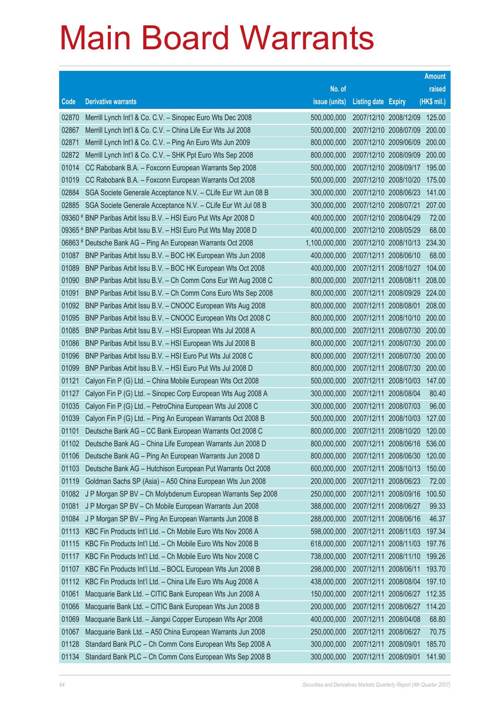|                |                                                                                                                            |                            |                                                |                       | <b>Amount</b>   |
|----------------|----------------------------------------------------------------------------------------------------------------------------|----------------------------|------------------------------------------------|-----------------------|-----------------|
|                |                                                                                                                            | No. of                     |                                                |                       | raised          |
| Code           | <b>Derivative warrants</b>                                                                                                 | issue (units)              | <b>Listing date Expiry</b>                     |                       | (HK\$ mil.)     |
| 02870          | Merrill Lynch Int'l & Co. C.V. - Sinopec Euro Wts Dec 2008                                                                 | 500,000,000                | 2007/12/10 2008/12/09                          |                       | 125.00          |
| 02867          | Merrill Lynch Int'l & Co. C.V. - China Life Eur Wts Jul 2008                                                               | 500,000,000                |                                                | 2007/12/10 2008/07/09 | 200.00          |
| 02871          | Merrill Lynch Int'l & Co. C.V. - Ping An Euro Wts Jun 2009                                                                 | 800,000,000                | 2007/12/10 2009/06/09                          |                       | 200.00          |
| 02872          | Merrill Lynch Int'l & Co. C.V. - SHK Ppt Euro Wts Sep 2008                                                                 | 800,000,000                | 2007/12/10 2008/09/09                          |                       | 200.00          |
| 01014          | CC Rabobank B.A. - Foxconn European Warrants Sep 2008                                                                      | 500,000,000                | 2007/12/10 2008/09/17                          |                       | 195.00          |
| 01019          | CC Rabobank B.A. - Foxconn European Warrants Oct 2008                                                                      | 500,000,000                | 2007/12/10 2008/10/20                          |                       | 175.00          |
| 02884          | SGA Societe Generale Acceptance N.V. - CLife Eur Wt Jun 08 B                                                               | 300,000,000                | 2007/12/10 2008/06/23                          |                       | 141.00          |
| 02885          | SGA Societe Generale Acceptance N.V. - CLife Eur Wt Jul 08 B                                                               | 300,000,000                | 2007/12/10 2008/07/21                          |                       | 207.00          |
|                | 09360 # BNP Paribas Arbit Issu B.V. - HSI Euro Put Wts Apr 2008 D                                                          | 400,000,000                | 2007/12/10 2008/04/29                          |                       | 72.00           |
|                | 09365 # BNP Paribas Arbit Issu B.V. - HSI Euro Put Wts May 2008 D                                                          | 400,000,000                | 2007/12/10 2008/05/29                          |                       | 68.00           |
|                | 06863 # Deutsche Bank AG - Ping An European Warrants Oct 2008                                                              | 1,100,000,000              |                                                | 2007/12/10 2008/10/13 | 234.30          |
| 01087          | BNP Paribas Arbit Issu B.V. - BOC HK European Wts Jun 2008                                                                 | 400,000,000                | 2007/12/11 2008/06/10                          |                       | 68.00           |
| 01089          | BNP Paribas Arbit Issu B.V. - BOC HK European Wts Oct 2008                                                                 | 400,000,000                | 2007/12/11 2008/10/27                          |                       | 104.00          |
| 01090          | BNP Paribas Arbit Issu B.V. - Ch Comm Cons Eur Wt Aug 2008 C                                                               | 800,000,000                | 2007/12/11 2008/08/11                          |                       | 208.00          |
| 01091          | BNP Paribas Arbit Issu B.V. - Ch Comm Cons Euro Wts Sep 2008                                                               | 800,000,000                | 2007/12/11 2008/09/29                          |                       | 224.00          |
| 01092          | BNP Paribas Arbit Issu B.V. - CNOOC European Wts Aug 2008                                                                  | 800,000,000                | 2007/12/11 2008/08/01                          |                       | 208.00          |
| 01095          | BNP Paribas Arbit Issu B.V. - CNOOC European Wts Oct 2008 C                                                                | 800,000,000                | 2007/12/11 2008/10/10                          |                       | 200.00          |
| 01085          | BNP Paribas Arbit Issu B.V. - HSI European Wts Jul 2008 A                                                                  | 800,000,000                | 2007/12/11 2008/07/30                          |                       | 200.00          |
| 01086          | BNP Paribas Arbit Issu B.V. - HSI European Wts Jul 2008 B                                                                  | 800,000,000                | 2007/12/11 2008/07/30                          |                       | 200.00          |
| 01096          | BNP Paribas Arbit Issu B.V. - HSI Euro Put Wts Jul 2008 C                                                                  | 800,000,000                | 2007/12/11 2008/07/30                          |                       | 200.00          |
| 01099          | BNP Paribas Arbit Issu B.V. - HSI Euro Put Wts Jul 2008 D                                                                  | 800,000,000                | 2007/12/11 2008/07/30                          |                       | 200.00          |
| 01121          | Calyon Fin P (G) Ltd. - China Mobile European Wts Oct 2008                                                                 | 500,000,000                | 2007/12/11 2008/10/03                          |                       | 147.00<br>80.40 |
| 01127<br>01035 | Calyon Fin P (G) Ltd. - Sinopec Corp European Wts Aug 2008 A<br>Calyon Fin P (G) Ltd. - PetroChina European Wts Jul 2008 C | 300,000,000<br>300,000,000 | 2007/12/11 2008/08/04<br>2007/12/11 2008/07/03 |                       | 96.00           |
| 01039          | Calyon Fin P (G) Ltd. - Ping An European Warrants Oct 2008 B                                                               | 500,000,000                | 2007/12/11 2008/10/03                          |                       | 127.00          |
| 01101          | Deutsche Bank AG - CC Bank European Warrants Oct 2008 C                                                                    | 800,000,000                | 2007/12/11 2008/10/20                          |                       | 120.00          |
| 01102          | Deutsche Bank AG - China Life European Warrants Jun 2008 D                                                                 | 800,000,000                | 2007/12/11 2008/06/16                          |                       | 536.00          |
| 01106          | Deutsche Bank AG - Ping An European Warrants Jun 2008 D                                                                    | 800,000,000                | 2007/12/11 2008/06/30                          |                       | 120.00          |
| 01103          | Deutsche Bank AG - Hutchison European Put Warrants Oct 2008                                                                | 600,000,000                | 2007/12/11 2008/10/13                          |                       | 150.00          |
| 01119          | Goldman Sachs SP (Asia) - A50 China European Wts Jun 2008                                                                  | 200,000,000                | 2007/12/11 2008/06/23                          |                       | 72.00           |
| 01082          | J P Morgan SP BV - Ch Molybdenum European Warrants Sep 2008                                                                | 250,000,000                | 2007/12/11 2008/09/16                          |                       | 100.50          |
| 01081          | J P Morgan SP BV - Ch Mobile European Warrants Jun 2008                                                                    | 388,000,000                | 2007/12/11                                     | 2008/06/27            | 99.33           |
| 01084          | J P Morgan SP BV - Ping An European Warrants Jun 2008 B                                                                    | 288,000,000                | 2007/12/11 2008/06/16                          |                       | 46.37           |
| 01113          | KBC Fin Products Int'l Ltd. - Ch Mobile Euro Wts Nov 2008 A                                                                | 598,000,000                | 2007/12/11                                     | 2008/11/03            | 197.34          |
| 01115          | KBC Fin Products Int'l Ltd. - Ch Mobile Euro Wts Nov 2008 B                                                                | 618,000,000                | 2007/12/11 2008/11/03                          |                       | 197.76          |
| 01117          | KBC Fin Products Int'l Ltd. - Ch Mobile Euro Wts Nov 2008 C                                                                | 738,000,000                | 2007/12/11                                     | 2008/11/10            | 199.26          |
| 01107          | KBC Fin Products Int'l Ltd. - BOCL European Wts Jun 2008 B                                                                 | 298,000,000                | 2007/12/11 2008/06/11                          |                       | 193.70          |
| 01112          | KBC Fin Products Int'l Ltd. - China Life Euro Wts Aug 2008 A                                                               | 438,000,000                | 2007/12/11                                     | 2008/08/04            | 197.10          |
| 01061          | Macquarie Bank Ltd. - CITIC Bank European Wts Jun 2008 A                                                                   | 150,000,000                | 2007/12/11 2008/06/27                          |                       | 112.35          |
| 01066          | Macquarie Bank Ltd. - CITIC Bank European Wts Jun 2008 B                                                                   | 200,000,000                | 2007/12/11                                     | 2008/06/27            | 114.20          |
| 01069          | Macquarie Bank Ltd. - Jiangxi Copper European Wts Apr 2008                                                                 | 400,000,000                | 2007/12/11 2008/04/08                          |                       | 68.80           |
| 01067          | Macquarie Bank Ltd. - A50 China European Warrants Jun 2008                                                                 | 250,000,000                | 2007/12/11                                     | 2008/06/27            | 70.75           |
| 01128          | Standard Bank PLC - Ch Comm Cons European Wts Sep 2008 A                                                                   | 300,000,000                | 2007/12/11 2008/09/01                          |                       | 185.70          |
| 01134          | Standard Bank PLC - Ch Comm Cons European Wts Sep 2008 B                                                                   | 300,000,000                | 2007/12/11 2008/09/01                          |                       | 141.90          |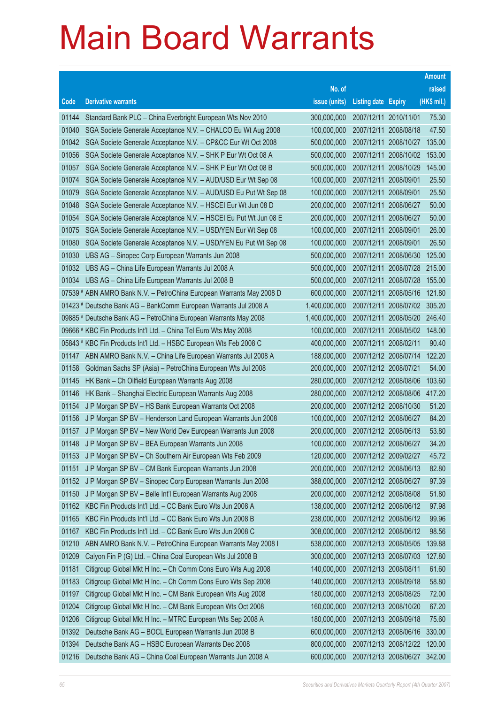|       |                                                                      |               |                            |                              | <b>Amount</b> |
|-------|----------------------------------------------------------------------|---------------|----------------------------|------------------------------|---------------|
|       |                                                                      | No. of        |                            |                              | raised        |
| Code  | <b>Derivative warrants</b>                                           | issue (units) | <b>Listing date Expiry</b> |                              | (HK\$ mil.)   |
| 01144 | Standard Bank PLC - China Everbright European Wts Nov 2010           | 300,000,000   | 2007/12/11 2010/11/01      |                              | 75.30         |
| 01040 | SGA Societe Generale Acceptance N.V. - CHALCO Eu Wt Aug 2008         | 100,000,000   | 2007/12/11 2008/08/18      |                              | 47.50         |
| 01042 | SGA Societe Generale Acceptance N.V. - CP&CC Eur Wt Oct 2008         | 500,000,000   | 2007/12/11 2008/10/27      |                              | 135.00        |
| 01056 | SGA Societe Generale Acceptance N.V. - SHK P Eur Wt Oct 08 A         | 500,000,000   | 2007/12/11 2008/10/02      |                              | 153.00        |
| 01057 | SGA Societe Generale Acceptance N.V. - SHK P Eur Wt Oct 08 B         | 500,000,000   | 2007/12/11 2008/10/29      |                              | 145.00        |
| 01074 | SGA Societe Generale Acceptance N.V. - AUD/USD Eur Wt Sep 08         | 100,000,000   | 2007/12/11 2008/09/01      |                              | 25.50         |
| 01079 | SGA Societe Generale Acceptance N.V. - AUD/USD Eu Put Wt Sep 08      | 100,000,000   | 2007/12/11 2008/09/01      |                              | 25.50         |
| 01048 | SGA Societe Generale Acceptance N.V. - HSCEI Eur Wt Jun 08 D         | 200,000,000   | 2007/12/11 2008/06/27      |                              | 50.00         |
| 01054 | SGA Societe Generale Acceptance N.V. - HSCEI Eu Put Wt Jun 08 E      | 200,000,000   | 2007/12/11 2008/06/27      |                              | 50.00         |
| 01075 | SGA Societe Generale Acceptance N.V. - USD/YEN Eur Wt Sep 08         | 100,000,000   | 2007/12/11 2008/09/01      |                              | 26.00         |
| 01080 | SGA Societe Generale Acceptance N.V. - USD/YEN Eu Put Wt Sep 08      | 100,000,000   | 2007/12/11 2008/09/01      |                              | 26.50         |
| 01030 | UBS AG - Sinopec Corp European Warrants Jun 2008                     | 500,000,000   | 2007/12/11 2008/06/30      |                              | 125.00        |
| 01032 | UBS AG - China Life European Warrants Jul 2008 A                     | 500,000,000   |                            | 2007/12/11 2008/07/28 215.00 |               |
| 01034 | UBS AG - China Life European Warrants Jul 2008 B                     | 500,000,000   | 2007/12/11 2008/07/28      |                              | 155.00        |
|       | 07539 # ABN AMRO Bank N.V. - PetroChina European Warrants May 2008 D | 600,000,000   | 2007/12/11 2008/05/16      |                              | 121.80        |
|       | 01423 # Deutsche Bank AG - BankComm European Warrants Jul 2008 A     | 1,400,000,000 |                            | 2007/12/11 2008/07/02        | 305.20        |
|       | 09885 # Deutsche Bank AG - PetroChina European Warrants May 2008     | 1,400,000,000 |                            | 2007/12/11 2008/05/20        | 246.40        |
|       | 09666 # KBC Fin Products Int'l Ltd. - China Tel Euro Wts May 2008    | 100,000,000   |                            | 2007/12/11 2008/05/02        | 148.00        |
|       | 05843 # KBC Fin Products Int'l Ltd. - HSBC European Wts Feb 2008 C   | 400,000,000   | 2007/12/11 2008/02/11      |                              | 90.40         |
| 01147 | ABN AMRO Bank N.V. - China Life European Warrants Jul 2008 A         | 188,000,000   | 2007/12/12 2008/07/14      |                              | 122.20        |
| 01158 | Goldman Sachs SP (Asia) - PetroChina European Wts Jul 2008           | 200,000,000   | 2007/12/12 2008/07/21      |                              | 54.00         |
| 01145 | HK Bank - Ch Oilfield European Warrants Aug 2008                     | 280,000,000   | 2007/12/12 2008/08/06      |                              | 103.60        |
| 01146 | HK Bank - Shanghai Electric European Warrants Aug 2008               | 280,000,000   | 2007/12/12 2008/08/06      |                              | 417.20        |
| 01154 | J P Morgan SP BV - HS Bank European Warrants Oct 2008                | 200,000,000   | 2007/12/12 2008/10/30      |                              | 51.20         |
| 01156 | J P Morgan SP BV - Henderson Land European Warrants Jun 2008         | 100,000,000   | 2007/12/12 2008/06/27      |                              | 84.20         |
| 01157 | J P Morgan SP BV - New World Dev European Warrants Jun 2008          | 200,000,000   | 2007/12/12 2008/06/13      |                              | 53.80         |
| 01148 | J P Morgan SP BV - BEA European Warrants Jun 2008                    | 100,000,000   | 2007/12/12 2008/06/27      |                              | 34.20         |
|       | 01153 J P Morgan SP BV - Ch Southern Air European Wts Feb 2009       | 120,000,000   | 2007/12/12 2009/02/27      |                              | 45.72         |
| 01151 | J P Morgan SP BV - CM Bank European Warrants Jun 2008                | 200,000,000   | 2007/12/12 2008/06/13      |                              | 82.80         |
| 01152 | J P Morgan SP BV - Sinopec Corp European Warrants Jun 2008           | 388,000,000   | 2007/12/12 2008/06/27      |                              | 97.39         |
| 01150 | J P Morgan SP BV - Belle Int'l European Warrants Aug 2008            | 200,000,000   | 2007/12/12 2008/08/08      |                              | 51.80         |
| 01162 | KBC Fin Products Int'l Ltd. - CC Bank Euro Wts Jun 2008 A            | 138,000,000   | 2007/12/12 2008/06/12      |                              | 97.98         |
| 01165 | KBC Fin Products Int'l Ltd. - CC Bank Euro Wts Jun 2008 B            | 238,000,000   | 2007/12/12 2008/06/12      |                              | 99.96         |
| 01167 | KBC Fin Products Int'l Ltd. - CC Bank Euro Wts Jun 2008 C            | 308,000,000   | 2007/12/12 2008/06/12      |                              | 98.56         |
| 01210 | ABN AMRO Bank N.V. - PetroChina European Warrants May 2008 I         | 538,000,000   | 2007/12/13 2008/05/05      |                              | 139.88        |
| 01209 | Calyon Fin P (G) Ltd. - China Coal European Wts Jul 2008 B           | 300,000,000   | 2007/12/13 2008/07/03      |                              | 127.80        |
| 01181 | Citigroup Global Mkt H Inc. - Ch Comm Cons Euro Wts Aug 2008         | 140,000,000   | 2007/12/13 2008/08/11      |                              | 61.60         |
| 01183 | Citigroup Global Mkt H Inc. - Ch Comm Cons Euro Wts Sep 2008         | 140,000,000   | 2007/12/13 2008/09/18      |                              | 58.80         |
| 01197 | Citigroup Global Mkt H Inc. - CM Bank European Wts Aug 2008          | 180,000,000   | 2007/12/13 2008/08/25      |                              | 72.00         |
| 01204 | Citigroup Global Mkt H Inc. - CM Bank European Wts Oct 2008          | 160,000,000   | 2007/12/13 2008/10/20      |                              | 67.20         |
| 01206 | Citigroup Global Mkt H Inc. - MTRC European Wts Sep 2008 A           | 180,000,000   | 2007/12/13 2008/09/18      |                              | 75.60         |
| 01392 | Deutsche Bank AG - BOCL European Warrants Jun 2008 B                 | 600,000,000   | 2007/12/13 2008/06/16      |                              | 330.00        |
| 01394 | Deutsche Bank AG - HSBC European Warrants Dec 2008                   | 800,000,000   | 2007/12/13 2008/12/22      |                              | 120.00        |
| 01216 | Deutsche Bank AG - China Coal European Warrants Jun 2008 A           | 600,000,000   | 2007/12/13 2008/06/27      |                              | 342.00        |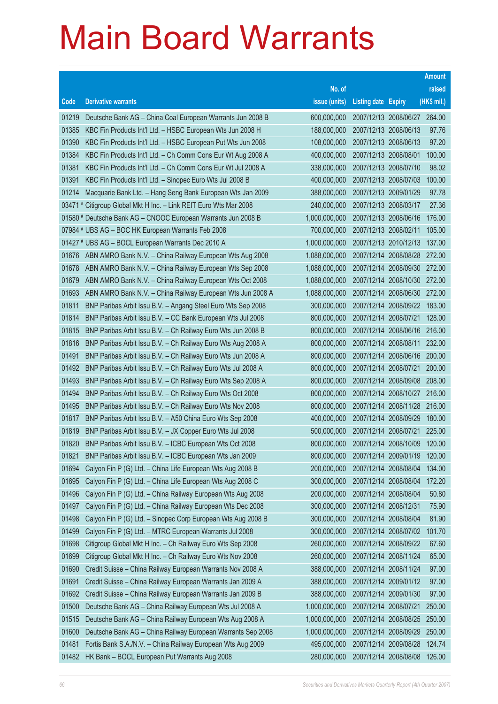|       |                                                                   |               |                              | <b>Amount</b> |
|-------|-------------------------------------------------------------------|---------------|------------------------------|---------------|
|       |                                                                   | No. of        |                              | raised        |
| Code  | <b>Derivative warrants</b>                                        | issue (units) | <b>Listing date Expiry</b>   | (HK\$ mil.)   |
| 01219 | Deutsche Bank AG - China Coal European Warrants Jun 2008 B        | 600,000,000   | 2007/12/13 2008/06/27 264.00 |               |
| 01385 | KBC Fin Products Int'l Ltd. - HSBC European Wts Jun 2008 H        | 188,000,000   | 2007/12/13 2008/06/13        | 97.76         |
| 01390 | KBC Fin Products Int'l Ltd. - HSBC European Put Wts Jun 2008      | 108,000,000   | 2007/12/13 2008/06/13        | 97.20         |
| 01384 | KBC Fin Products Int'l Ltd. - Ch Comm Cons Eur Wt Aug 2008 A      | 400,000,000   | 2007/12/13 2008/08/01        | 100.00        |
| 01381 | KBC Fin Products Int'l Ltd. - Ch Comm Cons Eur Wt Jul 2008 A      | 338,000,000   | 2007/12/13 2008/07/10        | 98.02         |
| 01391 | KBC Fin Products Int'l Ltd. - Sinopec Euro Wts Jul 2008 B         | 400,000,000   | 2007/12/13 2008/07/03        | 100.00        |
| 01214 | Macquarie Bank Ltd. - Hang Seng Bank European Wts Jan 2009        | 388,000,000   | 2007/12/13 2009/01/29        | 97.78         |
|       | 03471 # Citigroup Global Mkt H Inc. - Link REIT Euro Wts Mar 2008 | 240,000,000   | 2007/12/13 2008/03/17        | 27.36         |
|       | 01580 # Deutsche Bank AG - CNOOC European Warrants Jun 2008 B     | 1,000,000,000 | 2007/12/13 2008/06/16        | 176.00        |
|       | 07984 # UBS AG - BOC HK European Warrants Feb 2008                | 700,000,000   | 2007/12/13 2008/02/11        | 105.00        |
|       | 01427 # UBS AG - BOCL European Warrants Dec 2010 A                | 1,000,000,000 | 2007/12/13 2010/12/13        | 137.00        |
| 01676 | ABN AMRO Bank N.V. - China Railway European Wts Aug 2008          | 1,088,000,000 | 2007/12/14 2008/08/28        | 272.00        |
| 01678 | ABN AMRO Bank N.V. - China Railway European Wts Sep 2008          | 1,088,000,000 | 2007/12/14 2008/09/30 272.00 |               |
| 01679 | ABN AMRO Bank N.V. - China Railway European Wts Oct 2008          | 1,088,000,000 | 2007/12/14 2008/10/30        | 272.00        |
| 01693 | ABN AMRO Bank N.V. - China Railway European Wts Jun 2008 A        | 1,088,000,000 | 2007/12/14 2008/06/30        | 272.00        |
| 01811 | BNP Paribas Arbit Issu B.V. - Angang Steel Euro Wts Sep 2008      | 300,000,000   | 2007/12/14 2008/09/22 183.00 |               |
| 01814 | BNP Paribas Arbit Issu B.V. - CC Bank European Wts Jul 2008       | 800,000,000   | 2007/12/14 2008/07/21        | 128.00        |
| 01815 | BNP Paribas Arbit Issu B.V. - Ch Railway Euro Wts Jun 2008 B      | 800,000,000   | 2007/12/14 2008/06/16        | 216.00        |
| 01816 | BNP Paribas Arbit Issu B.V. - Ch Railway Euro Wts Aug 2008 A      | 800,000,000   | 2007/12/14 2008/08/11        | 232.00        |
| 01491 | BNP Paribas Arbit Issu B.V. - Ch Railway Euro Wts Jun 2008 A      | 800,000,000   | 2007/12/14 2008/06/16        | 200.00        |
| 01492 | BNP Paribas Arbit Issu B.V. - Ch Railway Euro Wts Jul 2008 A      | 800,000,000   | 2007/12/14 2008/07/21        | 200.00        |
| 01493 | BNP Paribas Arbit Issu B.V. - Ch Railway Euro Wts Sep 2008 A      | 800,000,000   | 2007/12/14 2008/09/08        | 208.00        |
| 01494 | BNP Paribas Arbit Issu B.V. - Ch Railway Euro Wts Oct 2008        | 800,000,000   | 2007/12/14 2008/10/27        | 216.00        |
| 01495 | BNP Paribas Arbit Issu B.V. - Ch Railway Euro Wts Nov 2008        | 800,000,000   | 2007/12/14 2008/11/28 216.00 |               |
| 01817 | BNP Paribas Arbit Issu B.V. - A50 China Euro Wts Sep 2008         | 400,000,000   | 2007/12/14 2008/09/29        | 180.00        |
| 01819 | BNP Paribas Arbit Issu B.V. - JX Copper Euro Wts Jul 2008         | 500,000,000   | 2007/12/14 2008/07/21        | 225.00        |
| 01820 | BNP Paribas Arbit Issu B.V. - ICBC European Wts Oct 2008          | 800,000,000   | 2007/12/14 2008/10/09        | 120.00        |
| 01821 | BNP Paribas Arbit Issu B.V. - ICBC European Wts Jan 2009          | 800,000,000   | 2007/12/14 2009/01/19        | 120.00        |
| 01694 | Calyon Fin P (G) Ltd. - China Life European Wts Aug 2008 B        | 200,000,000   | 2007/12/14 2008/08/04        | 134.00        |
| 01695 | Calyon Fin P (G) Ltd. - China Life European Wts Aug 2008 C        | 300,000,000   | 2007/12/14 2008/08/04        | 172.20        |
| 01496 | Calyon Fin P (G) Ltd. - China Railway European Wts Aug 2008       | 200,000,000   | 2007/12/14 2008/08/04        | 50.80         |
| 01497 | Calyon Fin P (G) Ltd. - China Railway European Wts Dec 2008       | 300,000,000   | 2007/12/14 2008/12/31        | 75.90         |
| 01498 | Calyon Fin P (G) Ltd. - Sinopec Corp European Wts Aug 2008 B      | 300,000,000   | 2007/12/14 2008/08/04        | 81.90         |
| 01499 | Calyon Fin P (G) Ltd. - MTRC European Warrants Jul 2008           | 300,000,000   | 2007/12/14 2008/07/02        | 101.70        |
| 01698 | Citigroup Global Mkt H Inc. - Ch Railway Euro Wts Sep 2008        | 260,000,000   | 2007/12/14 2008/09/22        | 67.60         |
| 01699 | Citigroup Global Mkt H Inc. - Ch Railway Euro Wts Nov 2008        | 260,000,000   | 2007/12/14 2008/11/24        | 65.00         |
| 01690 | Credit Suisse - China Railway European Warrants Nov 2008 A        | 388,000,000   | 2007/12/14 2008/11/24        | 97.00         |
| 01691 | Credit Suisse - China Railway European Warrants Jan 2009 A        | 388,000,000   | 2007/12/14 2009/01/12        | 97.00         |
| 01692 | Credit Suisse - China Railway European Warrants Jan 2009 B        | 388,000,000   | 2007/12/14 2009/01/30        | 97.00         |
| 01500 | Deutsche Bank AG - China Railway European Wts Jul 2008 A          | 1,000,000,000 | 2007/12/14 2008/07/21        | 250.00        |
| 01515 | Deutsche Bank AG - China Railway European Wts Aug 2008 A          | 1,000,000,000 | 2007/12/14 2008/08/25        | 250.00        |
| 01600 | Deutsche Bank AG - China Railway European Warrants Sep 2008       | 1,000,000,000 | 2007/12/14 2008/09/29        | 250.00        |
| 01481 | Fortis Bank S.A./N.V. - China Railway European Wts Aug 2009       | 495,000,000   | 2007/12/14 2009/08/28        | 124.74        |
| 01482 | HK Bank - BOCL European Put Warrants Aug 2008                     | 280,000,000   | 2007/12/14 2008/08/08        | 126.00        |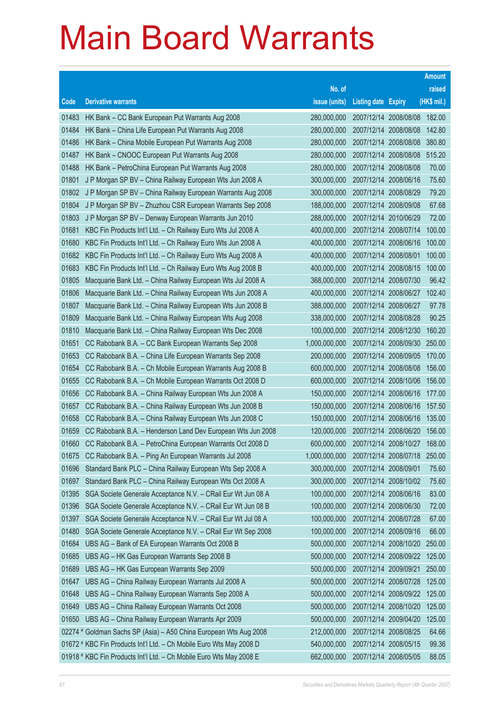|       |                                                                     |               |                            |                       | <b>Amount</b> |
|-------|---------------------------------------------------------------------|---------------|----------------------------|-----------------------|---------------|
|       |                                                                     | No. of        |                            |                       | raised        |
| Code  | <b>Derivative warrants</b>                                          | issue (units) | <b>Listing date Expiry</b> |                       | (HK\$ mil.)   |
| 01483 | HK Bank - CC Bank European Put Warrants Aug 2008                    | 280,000,000   |                            | 2007/12/14 2008/08/08 | 182.00        |
| 01484 | HK Bank - China Life European Put Warrants Aug 2008                 | 280,000,000   |                            | 2007/12/14 2008/08/08 | 142.80        |
| 01486 | HK Bank - China Mobile European Put Warrants Aug 2008               | 280,000,000   |                            | 2007/12/14 2008/08/08 | 380.80        |
| 01487 | HK Bank - CNOOC European Put Warrants Aug 2008                      | 280,000,000   |                            | 2007/12/14 2008/08/08 | 515.20        |
| 01488 | HK Bank - PetroChina European Put Warrants Aug 2008                 | 280,000,000   |                            | 2007/12/14 2008/08/08 | 70.00         |
| 01801 | J P Morgan SP BV - China Railway European Wts Jun 2008 A            | 300,000,000   |                            | 2007/12/14 2008/06/16 | 75.60         |
| 01802 | J P Morgan SP BV - China Railway European Warrants Aug 2008         | 300,000,000   |                            | 2007/12/14 2008/08/29 | 79.20         |
| 01804 | J P Morgan SP BV - Zhuzhou CSR European Warrants Sep 2008           | 188,000,000   |                            | 2007/12/14 2008/09/08 | 67.68         |
| 01803 | J P Morgan SP BV - Denway European Warrants Jun 2010                | 288,000,000   |                            | 2007/12/14 2010/06/29 | 72.00         |
| 01681 | KBC Fin Products Int'l Ltd. - Ch Railway Euro Wts Jul 2008 A        | 400,000,000   |                            | 2007/12/14 2008/07/14 | 100.00        |
| 01680 | KBC Fin Products Int'l Ltd. - Ch Railway Euro Wts Jun 2008 A        | 400,000,000   |                            | 2007/12/14 2008/06/16 | 100.00        |
| 01682 | KBC Fin Products Int'l Ltd. - Ch Railway Euro Wts Aug 2008 A        | 400,000,000   | 2007/12/14 2008/08/01      |                       | 100.00        |
| 01683 | KBC Fin Products Int'l Ltd. - Ch Railway Euro Wts Aug 2008 B        | 400,000,000   |                            | 2007/12/14 2008/08/15 | 100.00        |
| 01805 | Macquarie Bank Ltd. - China Railway European Wts Jul 2008 A         | 368,000,000   |                            | 2007/12/14 2008/07/30 | 96.42         |
| 01806 | Macquarie Bank Ltd. - China Railway European Wts Jun 2008 A         | 400,000,000   |                            | 2007/12/14 2008/06/27 | 102.40        |
| 01807 | Macquarie Bank Ltd. - China Railway European Wts Jun 2008 B         | 388,000,000   |                            | 2007/12/14 2008/06/27 | 97.78         |
| 01809 | Macquarie Bank Ltd. - China Railway European Wts Aug 2008           | 338,000,000   |                            | 2007/12/14 2008/08/28 | 90.25         |
| 01810 | Macquarie Bank Ltd. - China Railway European Wts Dec 2008           | 100,000,000   |                            | 2007/12/14 2008/12/30 | 160.20        |
| 01651 | CC Rabobank B.A. – CC Bank European Warrants Sep 2008               | 1,000,000,000 |                            | 2007/12/14 2008/09/30 | 250.00        |
| 01653 | CC Rabobank B.A. - China Life European Warrants Sep 2008            | 200,000,000   |                            | 2007/12/14 2008/09/05 | 170.00        |
| 01654 | CC Rabobank B.A. - Ch Mobile European Warrants Aug 2008 B           | 600,000,000   |                            | 2007/12/14 2008/08/08 | 156.00        |
| 01655 | CC Rabobank B.A. - Ch Mobile European Warrants Oct 2008 D           | 600,000,000   |                            | 2007/12/14 2008/10/06 | 156.00        |
| 01656 | CC Rabobank B.A. - China Railway European Wts Jun 2008 A            | 150,000,000   |                            | 2007/12/14 2008/06/16 | 177.00        |
| 01657 | CC Rabobank B.A. - China Railway European Wts Jun 2008 B            | 150,000,000   |                            | 2007/12/14 2008/06/16 | 157.50        |
| 01658 | CC Rabobank B.A. - China Railway European Wts Jun 2008 C            | 150,000,000   |                            | 2007/12/14 2008/06/16 | 135.00        |
| 01659 | CC Rabobank B.A. - Henderson Land Dev European Wts Jun 2008         | 120,000,000   |                            | 2007/12/14 2008/06/20 | 156.00        |
| 01660 | CC Rabobank B.A. - PetroChina European Warrants Oct 2008 D          | 600,000,000   |                            | 2007/12/14 2008/10/27 | 168.00        |
| 01675 | CC Rabobank B.A. - Ping An European Warrants Jul 2008               | 1,000,000,000 |                            | 2007/12/14 2008/07/18 | 250.00        |
| 01696 | Standard Bank PLC - China Railway European Wts Sep 2008 A           | 300,000,000   | 2007/12/14 2008/09/01      |                       | 75.60         |
| 01697 | Standard Bank PLC - China Railway European Wts Oct 2008 A           | 300,000,000   |                            | 2007/12/14 2008/10/02 | 75.60         |
| 01395 | SGA Societe Generale Acceptance N.V. - CRail Eur Wt Jun 08 A        | 100,000,000   |                            | 2007/12/14 2008/06/16 | 83.00         |
| 01396 | SGA Societe Generale Acceptance N.V. - CRail Eur Wt Jun 08 B        | 100,000,000   |                            | 2007/12/14 2008/06/30 | 72.00         |
| 01397 | SGA Societe Generale Acceptance N.V. - CRail Eur Wt Jul 08 A        | 100,000,000   |                            | 2007/12/14 2008/07/28 | 67.00         |
| 01480 | SGA Societe Generale Acceptance N.V. - CRail Eur Wt Sep 2008        | 100,000,000   |                            | 2007/12/14 2008/09/16 | 66.00         |
| 01684 | UBS AG - Bank of EA European Warrants Oct 2008 B                    | 500,000,000   |                            | 2007/12/14 2008/10/20 | 250.00        |
| 01685 | UBS AG - HK Gas European Warrants Sep 2008 B                        | 500,000,000   |                            | 2007/12/14 2008/09/22 | 125.00        |
| 01689 | UBS AG - HK Gas European Warrants Sep 2009                          | 500,000,000   | 2007/12/14 2009/09/21      |                       | 250.00        |
| 01647 | UBS AG - China Railway European Warrants Jul 2008 A                 | 500,000,000   |                            | 2007/12/14 2008/07/28 | 125.00        |
| 01648 | UBS AG - China Railway European Warrants Sep 2008 A                 | 500,000,000   |                            | 2007/12/14 2008/09/22 | 125.00        |
| 01649 | UBS AG - China Railway European Warrants Oct 2008                   | 500,000,000   |                            | 2007/12/14 2008/10/20 | 125.00        |
| 01650 | UBS AG - China Railway European Warrants Apr 2009                   | 500,000,000   |                            | 2007/12/14 2009/04/20 | 125.00        |
|       | 02274 # Goldman Sachs SP (Asia) - A50 China European Wts Aug 2008   | 212,000,000   |                            | 2007/12/14 2008/08/25 | 64.66         |
|       | 01672 # KBC Fin Products Int'l Ltd. - Ch Mobile Euro Wts May 2008 D | 540,000,000   |                            | 2007/12/14 2008/05/15 | 99.36         |
|       | 01918 # KBC Fin Products Int'l Ltd. - Ch Mobile Euro Wts May 2008 E | 662,000,000   |                            | 2007/12/14 2008/05/05 | 88.05         |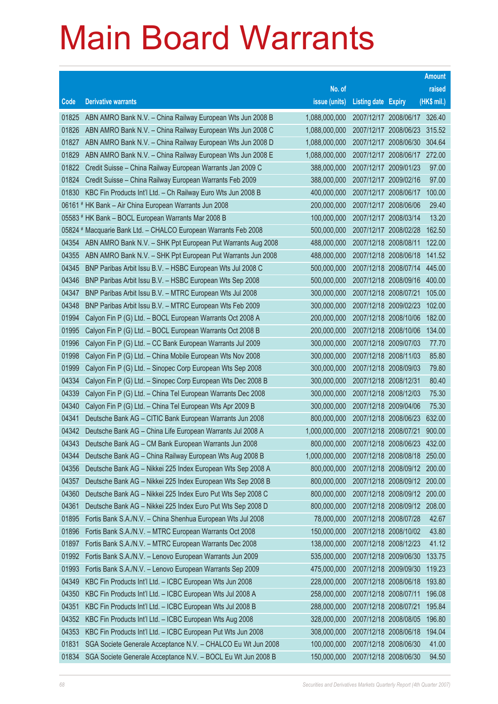|       |                                                                 |               |                            |                              | <b>Amount</b> |
|-------|-----------------------------------------------------------------|---------------|----------------------------|------------------------------|---------------|
|       |                                                                 | No. of        |                            |                              | raised        |
| Code  | <b>Derivative warrants</b>                                      | issue (units) | <b>Listing date Expiry</b> |                              | (HK\$ mil.)   |
| 01825 | ABN AMRO Bank N.V. - China Railway European Wts Jun 2008 B      | 1,088,000,000 |                            | 2007/12/17 2008/06/17 326.40 |               |
| 01826 | ABN AMRO Bank N.V. - China Railway European Wts Jun 2008 C      | 1,088,000,000 |                            | 2007/12/17 2008/06/23        | 315.52        |
| 01827 | ABN AMRO Bank N.V. - China Railway European Wts Jun 2008 D      | 1,088,000,000 |                            | 2007/12/17 2008/06/30        | 304.64        |
| 01829 | ABN AMRO Bank N.V. - China Railway European Wts Jun 2008 E      | 1,088,000,000 |                            | 2007/12/17 2008/06/17        | 272.00        |
| 01822 | Credit Suisse - China Railway European Warrants Jan 2009 C      | 388,000,000   | 2007/12/17 2009/01/23      |                              | 97.00         |
| 01824 | Credit Suisse - China Railway European Warrants Feb 2009        | 388,000,000   | 2007/12/17 2009/02/16      |                              | 97.00         |
| 01830 | KBC Fin Products Int'l Ltd. - Ch Railway Euro Wts Jun 2008 B    | 400,000,000   | 2007/12/17 2008/06/17      |                              | 100.00        |
|       | 06161 # HK Bank - Air China European Warrants Jun 2008          | 200,000,000   | 2007/12/17 2008/06/06      |                              | 29.40         |
|       | 05583 # HK Bank - BOCL European Warrants Mar 2008 B             | 100,000,000   | 2007/12/17 2008/03/14      |                              | 13.20         |
|       | 05824 # Macquarie Bank Ltd. - CHALCO European Warrants Feb 2008 | 500,000,000   |                            | 2007/12/17 2008/02/28        | 162.50        |
| 04354 | ABN AMRO Bank N.V. - SHK Ppt European Put Warrants Aug 2008     | 488,000,000   | 2007/12/18 2008/08/11      |                              | 122.00        |
| 04355 | ABN AMRO Bank N.V. - SHK Ppt European Put Warrants Jun 2008     | 488,000,000   | 2007/12/18 2008/06/18      |                              | 141.52        |
| 04345 | BNP Paribas Arbit Issu B.V. - HSBC European Wts Jul 2008 C      | 500,000,000   |                            | 2007/12/18 2008/07/14        | 445.00        |
| 04346 | BNP Paribas Arbit Issu B.V. - HSBC European Wts Sep 2008        | 500,000,000   |                            | 2007/12/18 2008/09/16        | 400.00        |
| 04347 | BNP Paribas Arbit Issu B.V. - MTRC European Wts Jul 2008        | 300,000,000   | 2007/12/18 2008/07/21      |                              | 105.00        |
| 04348 | BNP Paribas Arbit Issu B.V. - MTRC European Wts Feb 2009        | 300,000,000   | 2007/12/18 2009/02/23      |                              | 102.00        |
| 01994 | Calyon Fin P (G) Ltd. - BOCL European Warrants Oct 2008 A       | 200,000,000   | 2007/12/18 2008/10/06      |                              | 182.00        |
| 01995 | Calyon Fin P (G) Ltd. - BOCL European Warrants Oct 2008 B       | 200,000,000   |                            | 2007/12/18 2008/10/06        | 134.00        |
| 01996 | Calyon Fin P (G) Ltd. - CC Bank European Warrants Jul 2009      | 300,000,000   | 2007/12/18 2009/07/03      |                              | 77.70         |
| 01998 | Calyon Fin P (G) Ltd. - China Mobile European Wts Nov 2008      | 300,000,000   | 2007/12/18 2008/11/03      |                              | 85.80         |
| 01999 | Calyon Fin P (G) Ltd. - Sinopec Corp European Wts Sep 2008      | 300,000,000   | 2007/12/18 2008/09/03      |                              | 79.80         |
| 04334 | Calyon Fin P (G) Ltd. - Sinopec Corp European Wts Dec 2008 B    | 300,000,000   | 2007/12/18 2008/12/31      |                              | 80.40         |
| 04339 | Calyon Fin P (G) Ltd. - China Tel European Warrants Dec 2008    | 300,000,000   | 2007/12/18 2008/12/03      |                              | 75.30         |
| 04340 | Calyon Fin P (G) Ltd. - China Tel European Wts Apr 2009 B       | 300,000,000   | 2007/12/18 2009/04/06      |                              | 75.30         |
| 04341 | Deutsche Bank AG - CITIC Bank European Warrants Jun 2008        | 800,000,000   |                            | 2007/12/18 2008/06/23        | 632.00        |
| 04342 | Deutsche Bank AG - China Life European Warrants Jul 2008 A      | 1,000,000,000 | 2007/12/18 2008/07/21      |                              | 900.00        |
| 04343 | Deutsche Bank AG - CM Bank European Warrants Jun 2008           | 800,000,000   |                            | 2007/12/18 2008/06/23        | 432.00        |
| 04344 | Deutsche Bank AG - China Railway European Wts Aug 2008 B        | 1,000,000,000 |                            | 2007/12/18 2008/08/18        | 250.00        |
| 04356 | Deutsche Bank AG - Nikkei 225 Index European Wts Sep 2008 A     | 800,000,000   |                            | 2007/12/18 2008/09/12        | 200.00        |
| 04357 | Deutsche Bank AG - Nikkei 225 Index European Wts Sep 2008 B     | 800,000,000   |                            | 2007/12/18 2008/09/12        | 200.00        |
| 04360 | Deutsche Bank AG - Nikkei 225 Index Euro Put Wts Sep 2008 C     | 800,000,000   |                            | 2007/12/18 2008/09/12        | 200.00        |
| 04361 | Deutsche Bank AG - Nikkei 225 Index Euro Put Wts Sep 2008 D     | 800,000,000   |                            | 2007/12/18 2008/09/12        | 208.00        |
| 01895 | Fortis Bank S.A./N.V. - China Shenhua European Wts Jul 2008     | 78,000,000    | 2007/12/18 2008/07/28      |                              | 42.67         |
| 01896 | Fortis Bank S.A./N.V. - MTRC European Warrants Oct 2008         | 150,000,000   | 2007/12/18 2008/10/02      |                              | 43.80         |
| 01897 | Fortis Bank S.A./N.V. - MTRC European Warrants Dec 2008         | 138,000,000   | 2007/12/18 2008/12/23      |                              | 41.12         |
| 01992 | Fortis Bank S.A./N.V. - Lenovo European Warrants Jun 2009       | 535,000,000   |                            | 2007/12/18 2009/06/30        | 133.75        |
| 01993 | Fortis Bank S.A./N.V. - Lenovo European Warrants Sep 2009       | 475,000,000   | 2007/12/18 2009/09/30      |                              | 119.23        |
| 04349 | KBC Fin Products Int'l Ltd. - ICBC European Wts Jun 2008        | 228,000,000   | 2007/12/18 2008/06/18      |                              | 193.80        |
| 04350 | KBC Fin Products Int'l Ltd. - ICBC European Wts Jul 2008 A      | 258,000,000   | 2007/12/18 2008/07/11      |                              | 196.08        |
| 04351 | KBC Fin Products Int'l Ltd. - ICBC European Wts Jul 2008 B      | 288,000,000   | 2007/12/18 2008/07/21      |                              | 195.84        |
| 04352 | KBC Fin Products Int'l Ltd. - ICBC European Wts Aug 2008        | 328,000,000   | 2007/12/18 2008/08/05      |                              | 196.80        |
| 04353 | KBC Fin Products Int'l Ltd. - ICBC European Put Wts Jun 2008    | 308,000,000   | 2007/12/18 2008/06/18      |                              | 194.04        |
| 01831 | SGA Societe Generale Acceptance N.V. - CHALCO Eu Wt Jun 2008    | 100,000,000   | 2007/12/18 2008/06/30      |                              | 41.00         |
| 01834 | SGA Societe Generale Acceptance N.V. - BOCL Eu Wt Jun 2008 B    | 150,000,000   | 2007/12/18 2008/06/30      |                              | 94.50         |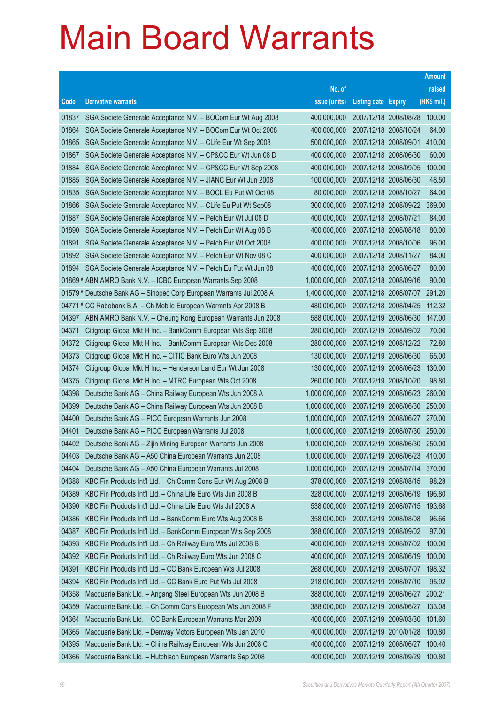|       |                                                                      |               |                            |                              | <b>Amount</b> |
|-------|----------------------------------------------------------------------|---------------|----------------------------|------------------------------|---------------|
|       |                                                                      | No. of        |                            |                              | raised        |
| Code  | <b>Derivative warrants</b>                                           | issue (units) | <b>Listing date Expiry</b> |                              | $(HK$$ mil.)  |
| 01837 | SGA Societe Generale Acceptance N.V. - BOCom Eur Wt Aug 2008         | 400,000,000   | 2007/12/18 2008/08/28      |                              | 100.00        |
| 01864 | SGA Societe Generale Acceptance N.V. - BOCom Eur Wt Oct 2008         | 400,000,000   | 2007/12/18 2008/10/24      |                              | 64.00         |
| 01865 | SGA Societe Generale Acceptance N.V. - CLife Eur Wt Sep 2008         | 500,000,000   | 2007/12/18 2008/09/01      |                              | 410.00        |
| 01867 | SGA Societe Generale Acceptance N.V. - CP&CC Eur Wt Jun 08 D         | 400,000,000   | 2007/12/18 2008/06/30      |                              | 60.00         |
| 01884 | SGA Societe Generale Acceptance N.V. - CP&CC Eur Wt Sep 2008         | 400,000,000   | 2007/12/18 2008/09/05      |                              | 100.00        |
| 01885 | SGA Societe Generale Acceptance N.V. - JIANC Eur Wt Jun 2008         | 100,000,000   | 2007/12/18 2008/06/30      |                              | 48.50         |
| 01835 | SGA Societe Generale Acceptance N.V. - BOCL Eu Put Wt Oct 08         | 80,000,000    | 2007/12/18 2008/10/27      |                              | 64.00         |
| 01866 | SGA Societe Generale Acceptance N.V. - CLife Eu Put Wt Sep08         | 300,000,000   | 2007/12/18 2008/09/22      |                              | 369.00        |
| 01887 | SGA Societe Generale Acceptance N.V. - Petch Eur Wt Jul 08 D         | 400,000,000   | 2007/12/18 2008/07/21      |                              | 84.00         |
| 01890 | SGA Societe Generale Acceptance N.V. - Petch Eur Wt Aug 08 B         | 400,000,000   | 2007/12/18 2008/08/18      |                              | 80.00         |
| 01891 | SGA Societe Generale Acceptance N.V. - Petch Eur Wt Oct 2008         | 400,000,000   | 2007/12/18 2008/10/06      |                              | 96.00         |
| 01892 | SGA Societe Generale Acceptance N.V. - Petch Eur Wt Nov 08 C         | 400,000,000   | 2007/12/18 2008/11/27      |                              | 84.00         |
| 01894 | SGA Societe Generale Acceptance N.V. - Petch Eu Put Wt Jun 08        | 400,000,000   | 2007/12/18 2008/06/27      |                              | 80.00         |
|       | 01869 # ABN AMRO Bank N.V. - ICBC European Warrants Sep 2008         | 1,000,000,000 | 2007/12/18 2008/09/16      |                              | 90.00         |
|       | 01579 # Deutsche Bank AG - Sinopec Corp European Warrants Jul 2008 A | 1,400,000,000 | 2007/12/18 2008/07/07      |                              | 291.20        |
|       | 04771 # CC Rabobank B.A. - Ch Mobile European Warrants Apr 2008 B    | 480,000,000   | 2007/12/18 2008/04/25      |                              | 112.32        |
| 04397 | ABN AMRO Bank N.V. - Cheung Kong European Warrants Jun 2008          | 588,000,000   | 2007/12/19 2008/06/30      |                              | 147.00        |
| 04371 | Citigroup Global Mkt H Inc. - BankComm European Wts Sep 2008         | 280,000,000   | 2007/12/19 2008/09/02      |                              | 70.00         |
| 04372 | Citigroup Global Mkt H Inc. - BankComm European Wts Dec 2008         | 280,000,000   | 2007/12/19 2008/12/22      |                              | 72.80         |
| 04373 | Citigroup Global Mkt H Inc. - CITIC Bank Euro Wts Jun 2008           | 130,000,000   | 2007/12/19 2008/06/30      |                              | 65.00         |
| 04374 | Citigroup Global Mkt H Inc. - Henderson Land Eur Wt Jun 2008         | 130,000,000   | 2007/12/19 2008/06/23      |                              | 130.00        |
| 04375 | Citigroup Global Mkt H Inc. - MTRC European Wts Oct 2008             | 260,000,000   | 2007/12/19 2008/10/20      |                              | 98.80         |
| 04398 | Deutsche Bank AG - China Railway European Wts Jun 2008 A             | 1,000,000,000 | 2007/12/19 2008/06/23      |                              | 260.00        |
| 04399 | Deutsche Bank AG - China Railway European Wts Jun 2008 B             | 1,000,000,000 | 2007/12/19 2008/06/30      |                              | 250.00        |
| 04400 | Deutsche Bank AG - PICC European Warrants Jun 2008                   | 1,000,000,000 |                            | 2007/12/19 2008/06/27 270.00 |               |
| 04401 | Deutsche Bank AG - PICC European Warrants Jul 2008                   | 1,000,000,000 | 2007/12/19 2008/07/30      |                              | 250.00        |
| 04402 | Deutsche Bank AG - Zijin Mining European Warrants Jun 2008           | 1,000,000,000 |                            | 2007/12/19 2008/06/30        | 250.00        |
| 04403 | Deutsche Bank AG - A50 China European Warrants Jun 2008              | 1,000,000,000 | 2007/12/19 2008/06/23      |                              | 410.00        |
| 04404 | Deutsche Bank AG - A50 China European Warrants Jul 2008              | 1,000,000,000 | 2007/12/19 2008/07/14      |                              | 370.00        |
| 04388 | KBC Fin Products Int'l Ltd. - Ch Comm Cons Eur Wt Aug 2008 B         | 378,000,000   | 2007/12/19 2008/08/15      |                              | 98.28         |
| 04389 | KBC Fin Products Int'l Ltd. - China Life Euro Wts Jun 2008 B         | 328,000,000   | 2007/12/19 2008/06/19      |                              | 196.80        |
| 04390 | KBC Fin Products Int'l Ltd. - China Life Euro Wts Jul 2008 A         | 538,000,000   | 2007/12/19 2008/07/15      |                              | 193.68        |
| 04386 | KBC Fin Products Int'l Ltd. - BankComm Euro Wts Aug 2008 B           | 358,000,000   | 2007/12/19 2008/08/08      |                              | 96.66         |
| 04387 | KBC Fin Products Int'l Ltd. - BankComm European Wts Sep 2008         | 388,000,000   | 2007/12/19 2008/09/02      |                              | 97.00         |
| 04393 | KBC Fin Products Int'l Ltd. - Ch Railway Euro Wts Jul 2008 B         | 400,000,000   | 2007/12/19 2008/07/02      |                              | 100.00        |
| 04392 | KBC Fin Products Int'l Ltd. - Ch Railway Euro Wts Jun 2008 C         | 400,000,000   | 2007/12/19 2008/06/19      |                              | 100.00        |
| 04391 | KBC Fin Products Int'l Ltd. - CC Bank European Wts Jul 2008          | 268,000,000   | 2007/12/19 2008/07/07      |                              | 198.32        |
| 04394 | KBC Fin Products Int'l Ltd. - CC Bank Euro Put Wts Jul 2008          | 218,000,000   | 2007/12/19 2008/07/10      |                              | 95.92         |
| 04358 | Macquarie Bank Ltd. - Angang Steel European Wts Jun 2008 B           | 388,000,000   | 2007/12/19 2008/06/27      |                              | 200.21        |
| 04359 | Macquarie Bank Ltd. - Ch Comm Cons European Wts Jun 2008 F           | 388,000,000   | 2007/12/19 2008/06/27      |                              | 133.08        |
| 04364 | Macquarie Bank Ltd. - CC Bank European Warrants Mar 2009             | 400,000,000   | 2007/12/19 2009/03/30      |                              | 101.60        |
| 04365 | Macquarie Bank Ltd. - Denway Motors European Wts Jan 2010            | 400,000,000   | 2007/12/19 2010/01/28      |                              | 100.80        |
| 04395 | Macquarie Bank Ltd. - China Railway European Wts Jun 2008 C          | 400,000,000   | 2007/12/19 2008/06/27      |                              | 100.40        |
| 04366 | Macquarie Bank Ltd. - Hutchison European Warrants Sep 2008           | 400,000,000   | 2007/12/19 2008/09/29      |                              | 100.80        |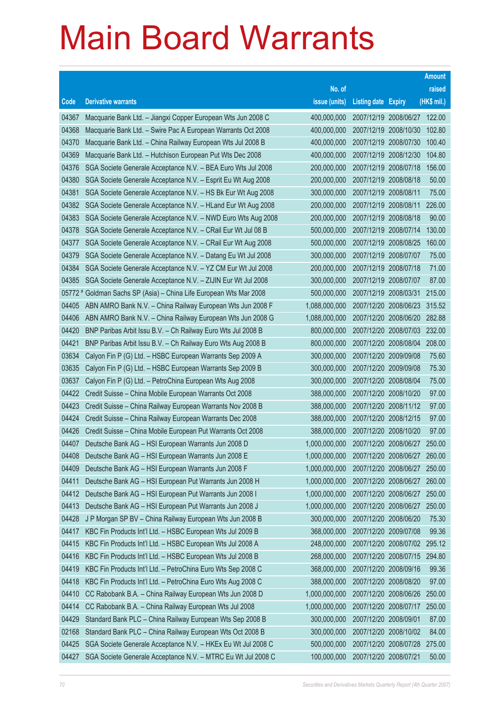|       |                                                                    |               |                            |                       | <b>Amount</b> |
|-------|--------------------------------------------------------------------|---------------|----------------------------|-----------------------|---------------|
|       |                                                                    | No. of        |                            |                       | raised        |
| Code  | <b>Derivative warrants</b>                                         | issue (units) | <b>Listing date Expiry</b> |                       | (HK\$ mil.)   |
| 04367 | Macquarie Bank Ltd. - Jiangxi Copper European Wts Jun 2008 C       | 400,000,000   | 2007/12/19 2008/06/27      |                       | 122.00        |
| 04368 | Macquarie Bank Ltd. - Swire Pac A European Warrants Oct 2008       | 400,000,000   | 2007/12/19 2008/10/30      |                       | 102.80        |
| 04370 | Macquarie Bank Ltd. - China Railway European Wts Jul 2008 B        | 400,000,000   | 2007/12/19 2008/07/30      |                       | 100.40        |
| 04369 | Macquarie Bank Ltd. - Hutchison European Put Wts Dec 2008          | 400,000,000   | 2007/12/19 2008/12/30      |                       | 104.80        |
| 04376 | SGA Societe Generale Acceptance N.V. - BEA Euro Wts Jul 2008       | 200,000,000   | 2007/12/19 2008/07/18      |                       | 156.00        |
| 04380 | SGA Societe Generale Acceptance N.V. - Esprit Eu Wt Aug 2008       | 200,000,000   | 2007/12/19 2008/08/18      |                       | 50.00         |
| 04381 | SGA Societe Generale Acceptance N.V. - HS Bk Eur Wt Aug 2008       | 300,000,000   | 2007/12/19 2008/08/11      |                       | 75.00         |
| 04382 | SGA Societe Generale Acceptance N.V. - HLand Eur Wt Aug 2008       | 200,000,000   | 2007/12/19 2008/08/11      |                       | 226.00        |
| 04383 | SGA Societe Generale Acceptance N.V. - NWD Euro Wts Aug 2008       | 200,000,000   | 2007/12/19 2008/08/18      |                       | 90.00         |
| 04378 | SGA Societe Generale Acceptance N.V. - CRail Eur Wt Jul 08 B       | 500,000,000   | 2007/12/19 2008/07/14      |                       | 130.00        |
| 04377 | SGA Societe Generale Acceptance N.V. - CRail Eur Wt Aug 2008       | 500,000,000   | 2007/12/19 2008/08/25      |                       | 160.00        |
| 04379 | SGA Societe Generale Acceptance N.V. - Datang Eu Wt Jul 2008       | 300,000,000   | 2007/12/19 2008/07/07      |                       | 75.00         |
| 04384 | SGA Societe Generale Acceptance N.V. - YZ CM Eur Wt Jul 2008       | 200,000,000   | 2007/12/19 2008/07/18      |                       | 71.00         |
| 04385 | SGA Societe Generale Acceptance N.V. - ZIJIN Eur Wt Jul 2008       | 300,000,000   | 2007/12/19 2008/07/07      |                       | 87.00         |
|       | 05772 # Goldman Sachs SP (Asia) – China Life European Wts Mar 2008 | 500,000,000   | 2007/12/19 2008/03/31      |                       | 215.00        |
| 04405 | ABN AMRO Bank N.V. - China Railway European Wts Jun 2008 F         | 1,088,000,000 | 2007/12/20 2008/06/23      |                       | 315.52        |
| 04406 | ABN AMRO Bank N.V. - China Railway European Wts Jun 2008 G         | 1,088,000,000 | 2007/12/20 2008/06/20      |                       | 282.88        |
| 04420 | BNP Paribas Arbit Issu B.V. - Ch Railway Euro Wts Jul 2008 B       | 800,000,000   | 2007/12/20 2008/07/03      |                       | 232.00        |
| 04421 | BNP Paribas Arbit Issu B.V. - Ch Railway Euro Wts Aug 2008 B       | 800,000,000   | 2007/12/20 2008/08/04      |                       | 208.00        |
| 03634 | Calyon Fin P (G) Ltd. - HSBC European Warrants Sep 2009 A          | 300,000,000   | 2007/12/20 2009/09/08      |                       | 75.60         |
| 03635 | Calyon Fin P (G) Ltd. - HSBC European Warrants Sep 2009 B          | 300,000,000   | 2007/12/20 2009/09/08      |                       | 75.30         |
| 03637 | Calyon Fin P (G) Ltd. - PetroChina European Wts Aug 2008           | 300,000,000   | 2007/12/20 2008/08/04      |                       | 75.00         |
| 04422 | Credit Suisse - China Mobile European Warrants Oct 2008            | 388,000,000   | 2007/12/20 2008/10/20      |                       | 97.00         |
| 04423 | Credit Suisse - China Railway European Warrants Nov 2008 B         | 388,000,000   | 2007/12/20 2008/11/12      |                       | 97.00         |
| 04424 | Credit Suisse - China Railway European Warrants Dec 2008           | 388,000,000   | 2007/12/20 2008/12/15      |                       | 97.00         |
| 04426 | Credit Suisse - China Mobile European Put Warrants Oct 2008        | 388,000,000   | 2007/12/20 2008/10/20      |                       | 97.00         |
| 04407 | Deutsche Bank AG - HSI European Warrants Jun 2008 D                | 1,000,000,000 | 2007/12/20 2008/06/27      |                       | 250.00        |
| 04408 | Deutsche Bank AG - HSI European Warrants Jun 2008 E                | 1,000,000,000 |                            | 2007/12/20 2008/06/27 | 260.00        |
| 04409 | Deutsche Bank AG - HSI European Warrants Jun 2008 F                | 1,000,000,000 | 2007/12/20 2008/06/27      |                       | 250.00        |
| 04411 | Deutsche Bank AG - HSI European Put Warrants Jun 2008 H            | 1,000,000,000 | 2007/12/20 2008/06/27      |                       | 260.00        |
| 04412 | Deutsche Bank AG - HSI European Put Warrants Jun 2008 I            | 1,000,000,000 | 2007/12/20 2008/06/27      |                       | 250.00        |
| 04413 | Deutsche Bank AG - HSI European Put Warrants Jun 2008 J            | 1,000,000,000 | 2007/12/20 2008/06/27      |                       | 250.00        |
| 04428 | J P Morgan SP BV - China Railway European Wts Jun 2008 B           | 300,000,000   | 2007/12/20 2008/06/20      |                       | 75.30         |
| 04417 | KBC Fin Products Int'l Ltd. - HSBC European Wts Jul 2009 B         | 368,000,000   | 2007/12/20 2009/07/08      |                       | 99.36         |
| 04415 | KBC Fin Products Int'l Ltd. - HSBC European Wts Jul 2008 A         | 248,000,000   | 2007/12/20 2008/07/02      |                       | 295.12        |
| 04416 | KBC Fin Products Int'l Ltd. - HSBC European Wts Jul 2008 B         | 268,000,000   | 2007/12/20 2008/07/15      |                       | 294.80        |
| 04419 | KBC Fin Products Int'l Ltd. - PetroChina Euro Wts Sep 2008 C       | 368,000,000   | 2007/12/20 2008/09/16      |                       | 99.36         |
| 04418 | KBC Fin Products Int'l Ltd. - PetroChina Euro Wts Aug 2008 C       | 388,000,000   | 2007/12/20 2008/08/20      |                       | 97.00         |
| 04410 | CC Rabobank B.A. - China Railway European Wts Jun 2008 D           | 1,000,000,000 | 2007/12/20 2008/06/26      |                       | 250.00        |
| 04414 | CC Rabobank B.A. - China Railway European Wts Jul 2008             | 1,000,000,000 |                            | 2007/12/20 2008/07/17 | 250.00        |
| 04429 | Standard Bank PLC - China Railway European Wts Sep 2008 B          | 300,000,000   | 2007/12/20 2008/09/01      |                       | 87.00         |
| 02168 | Standard Bank PLC - China Railway European Wts Oct 2008 B          | 300,000,000   | 2007/12/20 2008/10/02      |                       | 84.00         |
| 04425 | SGA Societe Generale Acceptance N.V. - HKEx Eu Wt Jul 2008 C       | 500,000,000   | 2007/12/20 2008/07/28      |                       | 275.00        |
| 04427 | SGA Societe Generale Acceptance N.V. - MTRC Eu Wt Jul 2008 C       | 100,000,000   | 2007/12/20 2008/07/21      |                       | 50.00         |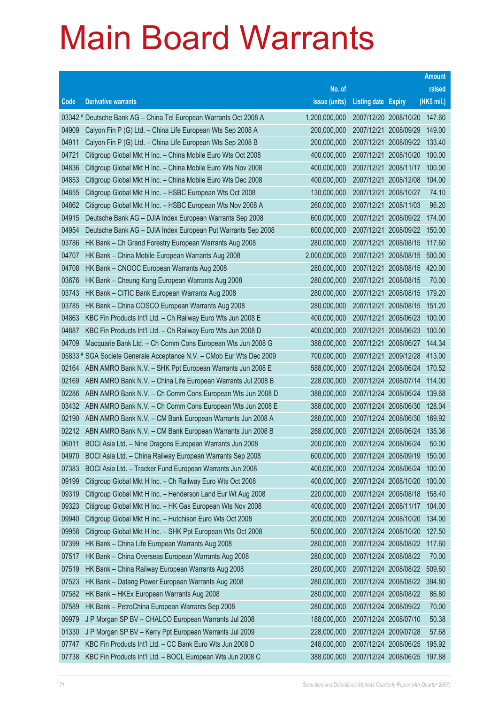|       |                                                                      |               |                            |                       | <b>Amount</b> |
|-------|----------------------------------------------------------------------|---------------|----------------------------|-----------------------|---------------|
|       |                                                                      | No. of        |                            |                       | raised        |
| Code  | <b>Derivative warrants</b>                                           | issue (units) | <b>Listing date Expiry</b> |                       | (HK\$ mil.)   |
|       | 03342 # Deutsche Bank AG - China Tel European Warrants Oct 2008 A    | 1,200,000,000 |                            | 2007/12/20 2008/10/20 | 147.60        |
| 04909 | Calyon Fin P (G) Ltd. - China Life European Wts Sep 2008 A           | 200,000,000   |                            | 2007/12/21 2008/09/29 | 149.00        |
| 04911 | Calyon Fin P (G) Ltd. - China Life European Wts Sep 2008 B           | 200,000,000   |                            | 2007/12/21 2008/09/22 | 133.40        |
| 04721 | Citigroup Global Mkt H Inc. - China Mobile Euro Wts Oct 2008         | 400,000,000   |                            | 2007/12/21 2008/10/20 | 100.00        |
| 04836 | Citigroup Global Mkt H Inc. - China Mobile Euro Wts Nov 2008         | 400,000,000   |                            | 2007/12/21 2008/11/17 | 100.00        |
| 04853 | Citigroup Global Mkt H Inc. - China Mobile Euro Wts Dec 2008         | 400,000,000   |                            | 2007/12/21 2008/12/08 | 104.00        |
| 04855 | Citigroup Global Mkt H Inc. - HSBC European Wts Oct 2008             | 130,000,000   | 2007/12/21 2008/10/27      |                       | 74.10         |
| 04862 | Citigroup Global Mkt H Inc. - HSBC European Wts Nov 2008 A           | 260,000,000   |                            | 2007/12/21 2008/11/03 | 96.20         |
| 04915 | Deutsche Bank AG - DJIA Index European Warrants Sep 2008             | 600,000,000   |                            | 2007/12/21 2008/09/22 | 174.00        |
| 04954 | Deutsche Bank AG - DJIA Index European Put Warrants Sep 2008         | 600,000,000   |                            | 2007/12/21 2008/09/22 | 150.00        |
| 03786 | HK Bank - Ch Grand Forestry European Warrants Aug 2008               | 280,000,000   |                            | 2007/12/21 2008/08/15 | 117.60        |
| 04707 | HK Bank - China Mobile European Warrants Aug 2008                    | 2,000,000,000 |                            | 2007/12/21 2008/08/15 | 500.00        |
| 04708 | HK Bank - CNOOC European Warrants Aug 2008                           | 280,000,000   |                            | 2007/12/21 2008/08/15 | 420.00        |
| 03676 | HK Bank - Cheung Kong European Warrants Aug 2008                     | 280,000,000   |                            | 2007/12/21 2008/08/15 | 70.00         |
| 03743 | HK Bank - CITIC Bank European Warrants Aug 2008                      | 280,000,000   |                            | 2007/12/21 2008/08/15 | 179.20        |
| 03785 | HK Bank - China COSCO European Warrants Aug 2008                     | 280,000,000   |                            | 2007/12/21 2008/08/15 | 151.20        |
| 04863 | KBC Fin Products Int'l Ltd. - Ch Railway Euro Wts Jun 2008 E         | 400,000,000   |                            | 2007/12/21 2008/06/23 | 100.00        |
| 04887 | KBC Fin Products Int'l Ltd. - Ch Railway Euro Wts Jun 2008 D         | 400,000,000   |                            | 2007/12/21 2008/06/23 | 100.00        |
| 04709 | Macquarie Bank Ltd. - Ch Comm Cons European Wts Jun 2008 G           | 388,000,000   |                            | 2007/12/21 2008/06/27 | 144.34        |
|       | 05833 # SGA Societe Generale Acceptance N.V. - CMob Eur Wts Dec 2009 | 700,000,000   |                            | 2007/12/21 2009/12/28 | 413.00        |
| 02164 | ABN AMRO Bank N.V. - SHK Ppt European Warrants Jun 2008 E            | 588,000,000   |                            | 2007/12/24 2008/06/24 | 170.52        |
| 02169 | ABN AMRO Bank N.V. - China Life European Warrants Jul 2008 B         | 228,000,000   |                            | 2007/12/24 2008/07/14 | 114.00        |
| 02286 | ABN AMRO Bank N.V. - Ch Comm Cons European Wts Jun 2008 D            | 388,000,000   |                            | 2007/12/24 2008/06/24 | 139.68        |
| 03432 | ABN AMRO Bank N.V. - Ch Comm Cons European Wts Jun 2008 E            | 388,000,000   |                            | 2007/12/24 2008/06/30 | 128.04        |
| 02190 | ABN AMRO Bank N.V. - CM Bank European Warrants Jun 2008 A            | 288,000,000   |                            | 2007/12/24 2008/06/30 | 169.92        |
| 02212 | ABN AMRO Bank N.V. - CM Bank European Warrants Jun 2008 B            | 288,000,000   |                            | 2007/12/24 2008/06/24 | 135.36        |
| 06011 | BOCI Asia Ltd. - Nine Dragons European Warrants Jun 2008             | 200,000,000   | 2007/12/24 2008/06/24      |                       | 50.00         |
| 04970 | BOCI Asia Ltd. - China Railway European Warrants Sep 2008            | 600,000,000   |                            | 2007/12/24 2008/09/19 | 150.00        |
| 07383 | BOCI Asia Ltd. - Tracker Fund European Warrants Jun 2008             | 400,000,000   |                            | 2007/12/24 2008/06/24 | 100.00        |
| 09199 | Citigroup Global Mkt H Inc. - Ch Railway Euro Wts Oct 2008           | 400,000,000   |                            | 2007/12/24 2008/10/20 | 100.00        |
| 09319 | Citigroup Global Mkt H Inc. - Henderson Land Eur Wt Aug 2008         | 220,000,000   |                            | 2007/12/24 2008/08/18 | 158.40        |
| 09323 | Citigroup Global Mkt H Inc. - HK Gas European Wts Nov 2008           | 400,000,000   |                            | 2007/12/24 2008/11/17 | 104.00        |
| 09940 | Citigroup Global Mkt H Inc. - Hutchison Euro Wts Oct 2008            | 200,000,000   |                            | 2007/12/24 2008/10/20 | 134.00        |
| 09958 | Citigroup Global Mkt H Inc. - SHK Ppt European Wts Oct 2008          | 500,000,000   |                            | 2007/12/24 2008/10/20 | 127.50        |
| 07399 | HK Bank - China Life European Warrants Aug 2008                      | 280,000,000   |                            | 2007/12/24 2008/08/22 | 117.60        |
| 07517 | HK Bank - China Overseas European Warrants Aug 2008                  | 280,000,000   |                            | 2007/12/24 2008/08/22 | 70.00         |
| 07519 | HK Bank - China Railway European Warrants Aug 2008                   | 280,000,000   |                            | 2007/12/24 2008/08/22 | 509.60        |
| 07523 | HK Bank - Datang Power European Warrants Aug 2008                    | 280,000,000   |                            | 2007/12/24 2008/08/22 | 394.80        |
| 07582 | HK Bank - HKEx European Warrants Aug 2008                            | 280,000,000   |                            | 2007/12/24 2008/08/22 | 86.80         |
| 07589 | HK Bank - PetroChina European Warrants Sep 2008                      | 280,000,000   |                            | 2007/12/24 2008/09/22 | 70.00         |
| 09979 | J P Morgan SP BV - CHALCO European Warrants Jul 2008                 | 188,000,000   |                            | 2007/12/24 2008/07/10 | 50.38         |
| 01330 | J P Morgan SP BV - Kerry Ppt European Warrants Jul 2009              | 228,000,000   | 2007/12/24 2009/07/28      |                       | 57.68         |
| 07747 | KBC Fin Products Int'l Ltd. - CC Bank Euro Wts Jun 2008 D            | 248,000,000   |                            | 2007/12/24 2008/06/25 | 195.92        |
| 07738 | KBC Fin Products Int'l Ltd. - BOCL European Wts Jun 2008 C           | 388,000,000   |                            | 2007/12/24 2008/06/25 | 197.88        |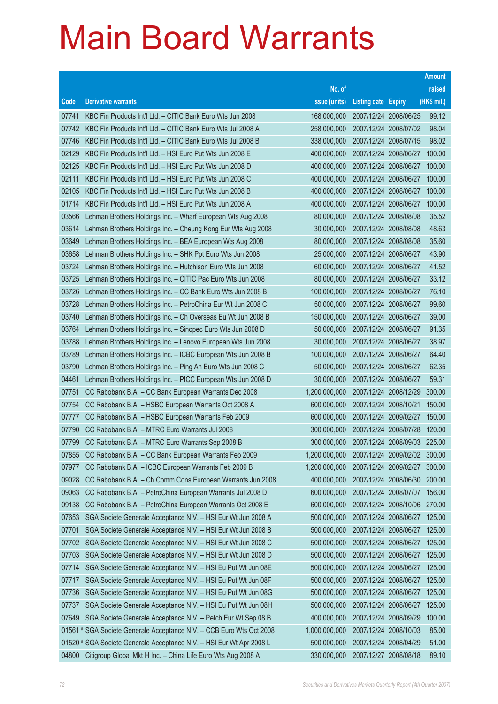|                |                                                                                                                    |                            |                            |                                                | <b>Amount</b>    |
|----------------|--------------------------------------------------------------------------------------------------------------------|----------------------------|----------------------------|------------------------------------------------|------------------|
|                |                                                                                                                    | No. of                     |                            |                                                | raised           |
| Code           | <b>Derivative warrants</b>                                                                                         | issue (units)              | <b>Listing date Expiry</b> |                                                | (HK\$ mil.)      |
| 07741          | KBC Fin Products Int'l Ltd. - CITIC Bank Euro Wts Jun 2008                                                         | 168,000,000                | 2007/12/24 2008/06/25      |                                                | 99.12            |
| 07742          | KBC Fin Products Int'l Ltd. - CITIC Bank Euro Wts Jul 2008 A                                                       | 258,000,000                | 2007/12/24 2008/07/02      |                                                | 98.04            |
| 07746          | KBC Fin Products Int'l Ltd. - CITIC Bank Euro Wts Jul 2008 B                                                       | 338,000,000                | 2007/12/24 2008/07/15      |                                                | 98.02            |
| 02129          | KBC Fin Products Int'l Ltd. - HSI Euro Put Wts Jun 2008 E                                                          | 400,000,000                | 2007/12/24 2008/06/27      |                                                | 100.00           |
| 02125          | KBC Fin Products Int'l Ltd. - HSI Euro Put Wts Jun 2008 D                                                          | 400,000,000                | 2007/12/24 2008/06/27      |                                                | 100.00           |
| 02111          | KBC Fin Products Int'l Ltd. - HSI Euro Put Wts Jun 2008 C                                                          | 400,000,000                |                            | 2007/12/24 2008/06/27                          | 100.00           |
| 02105          | KBC Fin Products Int'l Ltd. - HSI Euro Put Wts Jun 2008 B                                                          | 400,000,000                | 2007/12/24 2008/06/27      |                                                | 100.00           |
| 01714          | KBC Fin Products Int'l Ltd. - HSI Euro Put Wts Jun 2008 A                                                          | 400,000,000                | 2007/12/24 2008/06/27      |                                                | 100.00           |
| 03566          | Lehman Brothers Holdings Inc. - Wharf European Wts Aug 2008                                                        | 80,000,000                 | 2007/12/24 2008/08/08      |                                                | 35.52            |
| 03614          | Lehman Brothers Holdings Inc. - Cheung Kong Eur Wts Aug 2008                                                       | 30,000,000                 | 2007/12/24 2008/08/08      |                                                | 48.63            |
| 03649          | Lehman Brothers Holdings Inc. - BEA European Wts Aug 2008                                                          | 80,000,000                 | 2007/12/24 2008/08/08      |                                                | 35.60            |
| 03658          | Lehman Brothers Holdings Inc. - SHK Ppt Euro Wts Jun 2008                                                          | 25,000,000                 | 2007/12/24 2008/06/27      |                                                | 43.90            |
| 03724          | Lehman Brothers Holdings Inc. - Hutchison Euro Wts Jun 2008                                                        | 60,000,000                 | 2007/12/24 2008/06/27      |                                                | 41.52            |
| 03725          | Lehman Brothers Holdings Inc. - CITIC Pac Euro Wts Jun 2008                                                        | 80,000,000                 | 2007/12/24 2008/06/27      |                                                | 33.12            |
| 03726          | Lehman Brothers Holdings Inc. - CC Bank Euro Wts Jun 2008 B                                                        | 100,000,000                | 2007/12/24 2008/06/27      |                                                | 76.10            |
| 03728          | Lehman Brothers Holdings Inc. - PetroChina Eur Wt Jun 2008 C                                                       | 50,000,000                 | 2007/12/24 2008/06/27      |                                                | 99.60            |
| 03740          | Lehman Brothers Holdings Inc. - Ch Overseas Eu Wt Jun 2008 B                                                       | 150,000,000                | 2007/12/24 2008/06/27      |                                                | 39.00            |
| 03764          | Lehman Brothers Holdings Inc. - Sinopec Euro Wts Jun 2008 D                                                        | 50,000,000                 | 2007/12/24 2008/06/27      |                                                | 91.35            |
| 03788          | Lehman Brothers Holdings Inc. - Lenovo European Wts Jun 2008                                                       | 30,000,000                 | 2007/12/24 2008/06/27      |                                                | 38.97            |
| 03789          | Lehman Brothers Holdings Inc. - ICBC European Wts Jun 2008 B                                                       | 100,000,000                | 2007/12/24 2008/06/27      |                                                | 64.40            |
| 03790          | Lehman Brothers Holdings Inc. - Ping An Euro Wts Jun 2008 C                                                        | 50,000,000                 | 2007/12/24 2008/06/27      |                                                | 62.35            |
| 04461          | Lehman Brothers Holdings Inc. - PICC European Wts Jun 2008 D                                                       | 30,000,000                 | 2007/12/24 2008/06/27      |                                                | 59.31            |
| 07751          | CC Rabobank B.A. - CC Bank European Warrants Dec 2008                                                              | 1,200,000,000              | 2007/12/24 2008/12/29      |                                                | 300.00           |
| 07754          | CC Rabobank B.A. - HSBC European Warrants Oct 2008 A                                                               | 600,000,000                | 2007/12/24 2008/10/21      |                                                | 150.00           |
| 07777          | CC Rabobank B.A. - HSBC European Warrants Feb 2009                                                                 | 600,000,000                | 2007/12/24 2009/02/27      |                                                | 150.00           |
| 07790          | CC Rabobank B.A. - MTRC Euro Warrants Jul 2008                                                                     | 300,000,000                |                            | 2007/12/24 2008/07/28                          | 120.00           |
| 07799          | CC Rabobank B.A. - MTRC Euro Warrants Sep 2008 B                                                                   | 300,000,000                |                            | 2007/12/24 2008/09/03                          | 225.00           |
| 07855          | CC Rabobank B.A. - CC Bank European Warrants Feb 2009                                                              | 1,200,000,000              |                            | 2007/12/24 2009/02/02                          | 300.00           |
| 07977<br>09028 | CC Rabobank B.A. - ICBC European Warrants Feb 2009 B<br>CC Rabobank B.A. - Ch Comm Cons European Warrants Jun 2008 | 1,200,000,000              | 2007/12/24 2009/02/27      |                                                | 300.00           |
| 09063          | CC Rabobank B.A. - PetroChina European Warrants Jul 2008 D                                                         | 400,000,000<br>600,000,000 |                            | 2007/12/24 2008/06/30<br>2007/12/24 2008/07/07 | 200.00<br>156.00 |
| 09138          | CC Rabobank B.A. - PetroChina European Warrants Oct 2008 E                                                         | 600,000,000                |                            | 2007/12/24 2008/10/06                          | 270.00           |
| 07653          | SGA Societe Generale Acceptance N.V. - HSI Eur Wt Jun 2008 A                                                       | 500,000,000                | 2007/12/24 2008/06/27      |                                                | 125.00           |
| 07701          | SGA Societe Generale Acceptance N.V. - HSI Eur Wt Jun 2008 B                                                       | 500,000,000                |                            | 2007/12/24 2008/06/27                          | 125.00           |
| 07702          | SGA Societe Generale Acceptance N.V. - HSI Eur Wt Jun 2008 C                                                       | 500,000,000                | 2007/12/24 2008/06/27      |                                                | 125.00           |
| 07703          | SGA Societe Generale Acceptance N.V. - HSI Eur Wt Jun 2008 D                                                       | 500,000,000                |                            | 2007/12/24 2008/06/27                          | 125.00           |
| 07714          | SGA Societe Generale Acceptance N.V. - HSI Eu Put Wt Jun 08E                                                       | 500,000,000                | 2007/12/24 2008/06/27      |                                                | 125.00           |
| 07717          | SGA Societe Generale Acceptance N.V. - HSI Eu Put Wt Jun 08F                                                       | 500,000,000                | 2007/12/24 2008/06/27      |                                                | 125.00           |
| 07736          | SGA Societe Generale Acceptance N.V. - HSI Eu Put Wt Jun 08G                                                       | 500,000,000                | 2007/12/24 2008/06/27      |                                                | 125.00           |
| 07737          | SGA Societe Generale Acceptance N.V. - HSI Eu Put Wt Jun 08H                                                       | 500,000,000                |                            | 2007/12/24 2008/06/27                          | 125.00           |
| 07649          | SGA Societe Generale Acceptance N.V. - Petch Eur Wt Sep 08 B                                                       | 400,000,000                | 2007/12/24 2008/09/29      |                                                | 100.00           |
|                | 01561 # SGA Societe Generale Acceptance N.V. - CCB Euro Wts Oct 2008                                               | 1,000,000,000              | 2007/12/24 2008/10/03      |                                                | 85.00            |
|                | 01520 # SGA Societe Generale Acceptance N.V. - HSI Eur Wt Apr 2008 L                                               | 500,000,000                | 2007/12/24 2008/04/29      |                                                | 51.00            |
| 04800          | Citigroup Global Mkt H Inc. - China Life Euro Wts Aug 2008 A                                                       | 330,000,000                | 2007/12/27 2008/08/18      |                                                | 89.10            |
|                |                                                                                                                    |                            |                            |                                                |                  |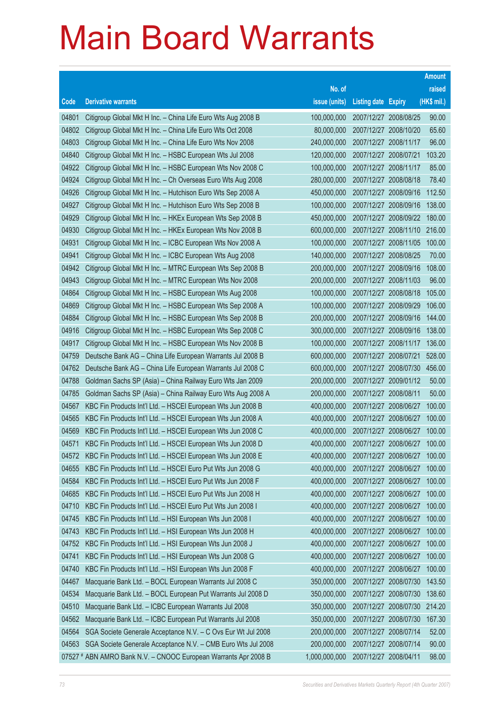|       |                                                                 |               |                            |                       | <b>Amount</b> |
|-------|-----------------------------------------------------------------|---------------|----------------------------|-----------------------|---------------|
|       |                                                                 | No. of        |                            |                       | raised        |
| Code  | <b>Derivative warrants</b>                                      | issue (units) | <b>Listing date Expiry</b> |                       | (HK\$ mil.)   |
| 04801 | Citigroup Global Mkt H Inc. - China Life Euro Wts Aug 2008 B    | 100,000,000   | 2007/12/27 2008/08/25      |                       | 90.00         |
| 04802 | Citigroup Global Mkt H Inc. - China Life Euro Wts Oct 2008      | 80,000,000    | 2007/12/27 2008/10/20      |                       | 65.60         |
| 04803 | Citigroup Global Mkt H Inc. - China Life Euro Wts Nov 2008      | 240,000,000   | 2007/12/27 2008/11/17      |                       | 96.00         |
| 04840 | Citigroup Global Mkt H Inc. - HSBC European Wts Jul 2008        | 120,000,000   | 2007/12/27 2008/07/21      |                       | 103.20        |
| 04922 | Citigroup Global Mkt H Inc. - HSBC European Wts Nov 2008 C      | 100,000,000   | 2007/12/27 2008/11/17      |                       | 85.00         |
| 04924 | Citigroup Global Mkt H Inc. - Ch Overseas Euro Wts Aug 2008     | 280,000,000   | 2007/12/27 2008/08/18      |                       | 78.40         |
| 04926 | Citigroup Global Mkt H Inc. - Hutchison Euro Wts Sep 2008 A     | 450,000,000   |                            | 2007/12/27 2008/09/16 | 112.50        |
| 04927 | Citigroup Global Mkt H Inc. - Hutchison Euro Wts Sep 2008 B     | 100,000,000   |                            | 2007/12/27 2008/09/16 | 138.00        |
| 04929 | Citigroup Global Mkt H Inc. - HKEx European Wts Sep 2008 B      | 450,000,000   |                            | 2007/12/27 2008/09/22 | 180.00        |
| 04930 | Citigroup Global Mkt H Inc. - HKEx European Wts Nov 2008 B      | 600,000,000   |                            | 2007/12/27 2008/11/10 | 216.00        |
| 04931 | Citigroup Global Mkt H Inc. - ICBC European Wts Nov 2008 A      | 100,000,000   |                            | 2007/12/27 2008/11/05 | 100.00        |
| 04941 | Citigroup Global Mkt H Inc. - ICBC European Wts Aug 2008        | 140,000,000   | 2007/12/27 2008/08/25      |                       | 70.00         |
| 04942 | Citigroup Global Mkt H Inc. - MTRC European Wts Sep 2008 B      | 200,000,000   |                            | 2007/12/27 2008/09/16 | 108.00        |
| 04943 | Citigroup Global Mkt H Inc. - MTRC European Wts Nov 2008        | 200,000,000   | 2007/12/27 2008/11/03      |                       | 96.00         |
| 04864 | Citigroup Global Mkt H Inc. - HSBC European Wts Aug 2008        | 100,000,000   |                            | 2007/12/27 2008/08/18 | 105.00        |
| 04869 | Citigroup Global Mkt H Inc. - HSBC European Wts Sep 2008 A      | 100,000,000   | 2007/12/27 2008/09/29      |                       | 106.00        |
| 04884 | Citigroup Global Mkt H Inc. - HSBC European Wts Sep 2008 B      | 200,000,000   | 2007/12/27 2008/09/16      |                       | 144.00        |
| 04916 | Citigroup Global Mkt H Inc. - HSBC European Wts Sep 2008 C      | 300,000,000   |                            | 2007/12/27 2008/09/16 | 138.00        |
| 04917 | Citigroup Global Mkt H Inc. - HSBC European Wts Nov 2008 B      | 100,000,000   | 2007/12/27 2008/11/17      |                       | 136.00        |
| 04759 | Deutsche Bank AG - China Life European Warrants Jul 2008 B      | 600,000,000   |                            | 2007/12/27 2008/07/21 | 528.00        |
| 04762 | Deutsche Bank AG - China Life European Warrants Jul 2008 C      | 600,000,000   |                            | 2007/12/27 2008/07/30 | 456.00        |
| 04788 | Goldman Sachs SP (Asia) - China Railway Euro Wts Jan 2009       | 200,000,000   |                            | 2007/12/27 2009/01/12 | 50.00         |
| 04785 | Goldman Sachs SP (Asia) - China Railway Euro Wts Aug 2008 A     | 200,000,000   | 2007/12/27 2008/08/11      |                       | 50.00         |
| 04567 | KBC Fin Products Int'l Ltd. - HSCEI European Wts Jun 2008 B     | 400,000,000   | 2007/12/27 2008/06/27      |                       | 100.00        |
| 04565 | KBC Fin Products Int'l Ltd. - HSCEI European Wts Jun 2008 A     | 400,000,000   | 2007/12/27 2008/06/27      |                       | 100.00        |
| 04569 | KBC Fin Products Int'l Ltd. - HSCEI European Wts Jun 2008 C     | 400,000,000   | 2007/12/27 2008/06/27      |                       | 100.00        |
| 04571 | KBC Fin Products Int'l Ltd. - HSCEI European Wts Jun 2008 D     | 400,000,000   | 2007/12/27 2008/06/27      |                       | 100.00        |
| 04572 | KBC Fin Products Int'l Ltd. - HSCEI European Wts Jun 2008 E     | 400,000,000   | 2007/12/27 2008/06/27      |                       | 100.00        |
| 04655 | KBC Fin Products Int'l Ltd. - HSCEI Euro Put Wts Jun 2008 G     | 400,000,000   | 2007/12/27 2008/06/27      |                       | 100.00        |
| 04584 | KBC Fin Products Int'l Ltd. - HSCEI Euro Put Wts Jun 2008 F     | 400,000,000   | 2007/12/27 2008/06/27      |                       | 100.00        |
| 04685 | KBC Fin Products Int'l Ltd. - HSCEI Euro Put Wts Jun 2008 H     | 400,000,000   | 2007/12/27 2008/06/27      |                       | 100.00        |
| 04710 | KBC Fin Products Int'l Ltd. - HSCEI Euro Put Wts Jun 2008 I     | 400,000,000   | 2007/12/27 2008/06/27      |                       | 100.00        |
| 04745 | KBC Fin Products Int'l Ltd. - HSI European Wts Jun 2008 I       | 400,000,000   | 2007/12/27 2008/06/27      |                       | 100.00        |
| 04743 | KBC Fin Products Int'l Ltd. - HSI European Wts Jun 2008 H       | 400,000,000   | 2007/12/27 2008/06/27      |                       | 100.00        |
| 04752 | KBC Fin Products Int'l Ltd. - HSI European Wts Jun 2008 J       | 400,000,000   | 2007/12/27 2008/06/27      |                       | 100.00        |
| 04741 | KBC Fin Products Int'l Ltd. - HSI European Wts Jun 2008 G       | 400,000,000   | 2007/12/27 2008/06/27      |                       | 100.00        |
| 04740 | KBC Fin Products Int'l Ltd. - HSI European Wts Jun 2008 F       | 400,000,000   | 2007/12/27 2008/06/27      |                       | 100.00        |
| 04467 | Macquarie Bank Ltd. - BOCL European Warrants Jul 2008 C         | 350,000,000   | 2007/12/27 2008/07/30      |                       | 143.50        |
| 04534 | Macquarie Bank Ltd. - BOCL European Put Warrants Jul 2008 D     | 350,000,000   | 2007/12/27 2008/07/30      |                       | 138.60        |
| 04510 | Macquarie Bank Ltd. - ICBC European Warrants Jul 2008           | 350,000,000   |                            | 2007/12/27 2008/07/30 | 214.20        |
| 04562 | Macquarie Bank Ltd. - ICBC European Put Warrants Jul 2008       | 350,000,000   | 2007/12/27 2008/07/30      |                       | 167.30        |
| 04564 | SGA Societe Generale Acceptance N.V. - C Ovs Eur Wt Jul 2008    | 200,000,000   | 2007/12/27 2008/07/14      |                       | 52.00         |
| 04563 | SGA Societe Generale Acceptance N.V. - CMB Euro Wts Jul 2008    | 200,000,000   | 2007/12/27 2008/07/14      |                       | 90.00         |
|       | 07527 # ABN AMRO Bank N.V. - CNOOC European Warrants Apr 2008 B | 1,000,000,000 | 2007/12/27 2008/04/11      |                       | 98.00         |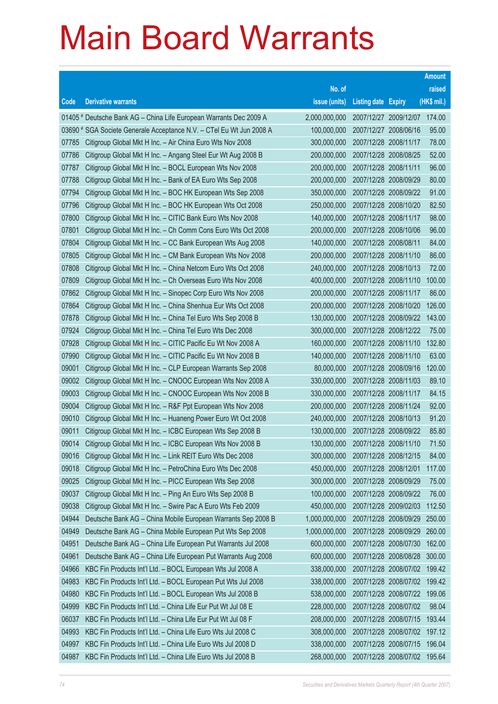|                |                                                                                                                            |                              |                            |                                                | <b>Amount</b>    |
|----------------|----------------------------------------------------------------------------------------------------------------------------|------------------------------|----------------------------|------------------------------------------------|------------------|
|                |                                                                                                                            | No. of                       |                            |                                                | raised           |
| Code           | <b>Derivative warrants</b>                                                                                                 | issue (units)                | <b>Listing date Expiry</b> |                                                | $(HK$$ mil.)     |
|                | 01405 # Deutsche Bank AG - China Life European Warrants Dec 2009 A                                                         | 2,000,000,000                |                            | 2007/12/27 2009/12/07                          | 174.00           |
|                | 03690 # SGA Societe Generale Acceptance N.V. - CTel Eu Wt Jun 2008 A                                                       | 100,000,000                  |                            | 2007/12/27 2008/06/16                          | 95.00            |
| 07785          | Citigroup Global Mkt H Inc. - Air China Euro Wts Nov 2008                                                                  | 300,000,000                  | 2007/12/28 2008/11/17      |                                                | 78.00            |
| 07786          | Citigroup Global Mkt H Inc. - Angang Steel Eur Wt Aug 2008 B                                                               | 200,000,000                  |                            | 2007/12/28 2008/08/25                          | 52.00            |
| 07787          | Citigroup Global Mkt H Inc. - BOCL European Wts Nov 2008                                                                   | 200,000,000                  | 2007/12/28 2008/11/11      |                                                | 96.00            |
| 07788          | Citigroup Global Mkt H Inc. - Bank of EA Euro Wts Sep 2008                                                                 | 200,000,000                  |                            | 2007/12/28 2008/09/29                          | 80.00            |
| 07794          | Citigroup Global Mkt H Inc. - BOC HK European Wts Sep 2008                                                                 | 350,000,000                  |                            | 2007/12/28 2008/09/22                          | 91.00            |
| 07796          | Citigroup Global Mkt H Inc. - BOC HK European Wts Oct 2008                                                                 | 250,000,000                  |                            | 2007/12/28 2008/10/20                          | 82.50            |
| 07800          | Citigroup Global Mkt H Inc. - CITIC Bank Euro Wts Nov 2008                                                                 | 140,000,000                  | 2007/12/28 2008/11/17      |                                                | 98.00            |
| 07801          | Citigroup Global Mkt H Inc. - Ch Comm Cons Euro Wts Oct 2008                                                               | 200,000,000                  |                            | 2007/12/28 2008/10/06                          | 96.00            |
| 07804          | Citigroup Global Mkt H Inc. – CC Bank European Wts Aug 2008                                                                | 140,000,000                  | 2007/12/28 2008/08/11      |                                                | 84.00            |
| 07805          | Citigroup Global Mkt H Inc. - CM Bank European Wts Nov 2008                                                                | 200,000,000                  |                            | 2007/12/28 2008/11/10                          | 86.00            |
| 07808          | Citigroup Global Mkt H Inc. - China Netcom Euro Wts Oct 2008                                                               | 240,000,000                  | 2007/12/28 2008/10/13      |                                                | 72.00            |
| 07809          | Citigroup Global Mkt H Inc. - Ch Overseas Euro Wts Nov 2008                                                                | 400,000,000                  |                            | 2007/12/28 2008/11/10                          | 100.00           |
| 07862          | Citigroup Global Mkt H Inc. - Sinopec Corp Euro Wts Nov 2008                                                               | 200,000,000                  | 2007/12/28 2008/11/17      |                                                | 86.00            |
| 07864          | Citigroup Global Mkt H Inc. - China Shenhua Eur Wts Oct 2008                                                               | 200,000,000                  |                            | 2007/12/28 2008/10/20                          | 126.00           |
| 07878          | Citigroup Global Mkt H Inc. - China Tel Euro Wts Sep 2008 B                                                                | 130,000,000                  |                            | 2007/12/28 2008/09/22                          | 143.00           |
| 07924          | Citigroup Global Mkt H Inc. - China Tel Euro Wts Dec 2008                                                                  | 300,000,000                  |                            | 2007/12/28 2008/12/22                          | 75.00            |
| 07928          | Citigroup Global Mkt H Inc. - CITIC Pacific Eu Wt Nov 2008 A                                                               | 160,000,000                  |                            | 2007/12/28 2008/11/10                          | 132.80           |
| 07990          | Citigroup Global Mkt H Inc. - CITIC Pacific Eu Wt Nov 2008 B                                                               | 140,000,000                  |                            | 2007/12/28 2008/11/10                          | 63.00            |
| 09001          | Citigroup Global Mkt H Inc. - CLP European Warrants Sep 2008                                                               | 80,000,000                   |                            | 2007/12/28 2008/09/16                          | 120.00           |
| 09002          | Citigroup Global Mkt H Inc. - CNOOC European Wts Nov 2008 A                                                                | 330,000,000                  |                            | 2007/12/28 2008/11/03                          | 89.10            |
| 09003          | Citigroup Global Mkt H Inc. - CNOOC European Wts Nov 2008 B                                                                | 330,000,000                  | 2007/12/28 2008/11/17      |                                                | 84.15            |
| 09004          | Citigroup Global Mkt H Inc. - R&F Ppt European Wts Nov 2008                                                                | 200,000,000                  |                            | 2007/12/28 2008/11/24                          | 92.00            |
| 09010          | Citigroup Global Mkt H Inc. - Huaneng Power Euro Wt Oct 2008                                                               | 240,000,000                  | 2007/12/28 2008/10/13      |                                                | 91.20            |
| 09011          | Citigroup Global Mkt H Inc. - ICBC European Wts Sep 2008 B                                                                 | 130,000,000                  |                            | 2007/12/28 2008/09/22                          | 85.80            |
| 09014          | Citigroup Global Mkt H Inc. - ICBC European Wts Nov 2008 B                                                                 | 130,000,000                  | 2007/12/28 2008/11/10      |                                                | 71.50            |
| 09016          | Citigroup Global Mkt H Inc. - Link REIT Euro Wts Dec 2008                                                                  | 300,000,000                  | 2007/12/28 2008/12/15      |                                                | 84.00            |
| 09018          | Citigroup Global Mkt H Inc. - PetroChina Euro Wts Dec 2008                                                                 | 450,000,000                  | 2007/12/28 2008/12/01      |                                                | 117.00           |
| 09025          | Citigroup Global Mkt H Inc. - PICC European Wts Sep 2008                                                                   | 300,000,000                  | 2007/12/28 2008/09/29      |                                                | 75.00            |
| 09037          | Citigroup Global Mkt H Inc. - Ping An Euro Wts Sep 2008 B                                                                  | 100,000,000                  | 2007/12/28 2008/09/22      |                                                | 76.00            |
| 09038<br>04944 | Citigroup Global Mkt H Inc. - Swire Pac A Euro Wts Feb 2009                                                                | 450,000,000<br>1,000,000,000 |                            | 2007/12/28 2009/02/03<br>2007/12/28 2008/09/29 | 112.50<br>250.00 |
| 04949          | Deutsche Bank AG - China Mobile European Warrants Sep 2008 B<br>Deutsche Bank AG - China Mobile European Put Wts Sep 2008  | 1,000,000,000                |                            | 2007/12/28 2008/09/29                          | 260.00           |
| 04951          | Deutsche Bank AG - China Life European Put Warrants Jul 2008                                                               | 600,000,000                  |                            | 2007/12/28 2008/07/30                          | 162.00           |
| 04961          | Deutsche Bank AG - China Life European Put Warrants Aug 2008                                                               | 600,000,000                  |                            | 2007/12/28 2008/08/28                          | 300.00           |
| 04966          |                                                                                                                            | 338,000,000                  |                            | 2007/12/28 2008/07/02                          | 199.42           |
| 04983          | KBC Fin Products Int'l Ltd. - BOCL European Wts Jul 2008 A                                                                 | 338,000,000                  |                            | 2007/12/28 2008/07/02                          | 199.42           |
| 04980          | KBC Fin Products Int'l Ltd. - BOCL European Put Wts Jul 2008<br>KBC Fin Products Int'l Ltd. - BOCL European Wts Jul 2008 B | 538,000,000                  |                            | 2007/12/28 2008/07/22                          | 199.06           |
| 04999          | KBC Fin Products Int'l Ltd. - China Life Eur Put Wt Jul 08 E                                                               | 228,000,000                  |                            | 2007/12/28 2008/07/02                          | 98.04            |
| 06037          | KBC Fin Products Int'l Ltd. - China Life Eur Put Wt Jul 08 F                                                               | 208,000,000                  |                            | 2007/12/28 2008/07/15                          | 193.44           |
| 04993          | KBC Fin Products Int'l Ltd. - China Life Euro Wts Jul 2008 C                                                               | 308,000,000                  |                            | 2007/12/28 2008/07/02                          | 197.12           |
| 04997          | KBC Fin Products Int'l Ltd. - China Life Euro Wts Jul 2008 D                                                               | 338,000,000                  |                            | 2007/12/28 2008/07/15                          | 196.04           |
|                |                                                                                                                            |                              |                            |                                                |                  |
| 04987          | KBC Fin Products Int'l Ltd. - China Life Euro Wts Jul 2008 B                                                               | 268,000,000                  |                            | 2007/12/28 2008/07/02                          | 195.64           |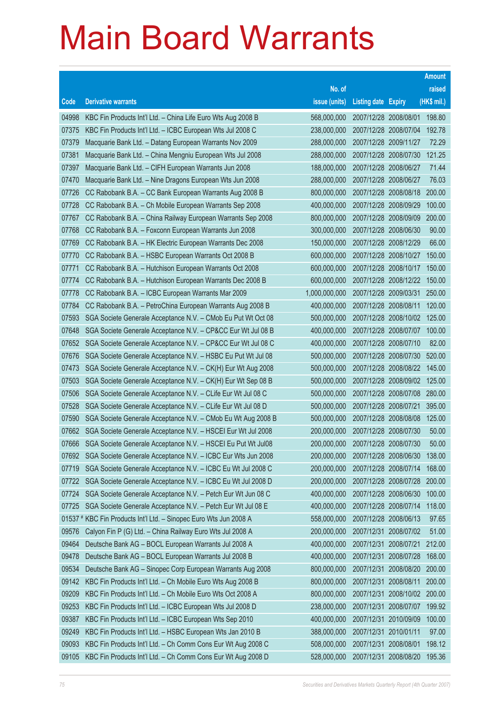|       |                                                                    |               |                            |                       | <b>Amount</b> |
|-------|--------------------------------------------------------------------|---------------|----------------------------|-----------------------|---------------|
|       |                                                                    | No. of        |                            |                       | raised        |
| Code  | <b>Derivative warrants</b>                                         | issue (units) | <b>Listing date Expiry</b> |                       | (HK\$ mil.)   |
| 04998 | KBC Fin Products Int'l Ltd. - China Life Euro Wts Aug 2008 B       | 568,000,000   | 2007/12/28 2008/08/01      |                       | 198.80        |
| 07375 | KBC Fin Products Int'l Ltd. - ICBC European Wts Jul 2008 C         | 238,000,000   | 2007/12/28 2008/07/04      |                       | 192.78        |
| 07379 | Macquarie Bank Ltd. - Datang European Warrants Nov 2009            | 288,000,000   | 2007/12/28 2009/11/27      |                       | 72.29         |
| 07381 | Macquarie Bank Ltd. - China Mengniu European Wts Jul 2008          | 288,000,000   | 2007/12/28 2008/07/30      |                       | 121.25        |
| 07397 | Macquarie Bank Ltd. - CIFH European Warrants Jun 2008              | 188,000,000   | 2007/12/28 2008/06/27      |                       | 71.44         |
| 07470 | Macquarie Bank Ltd. - Nine Dragons European Wts Jun 2008           | 288,000,000   | 2007/12/28 2008/06/27      |                       | 76.03         |
| 07726 | CC Rabobank B.A. - CC Bank European Warrants Aug 2008 B            | 800,000,000   |                            | 2007/12/28 2008/08/18 | 200.00        |
| 07728 | CC Rabobank B.A. - Ch Mobile European Warrants Sep 2008            | 400,000,000   | 2007/12/28 2008/09/29      |                       | 100.00        |
| 07767 | CC Rabobank B.A. - China Railway European Warrants Sep 2008        | 800,000,000   |                            | 2007/12/28 2008/09/09 | 200.00        |
| 07768 | CC Rabobank B.A. - Foxconn European Warrants Jun 2008              | 300,000,000   | 2007/12/28 2008/06/30      |                       | 90.00         |
| 07769 | CC Rabobank B.A. - HK Electric European Warrants Dec 2008          | 150,000,000   | 2007/12/28 2008/12/29      |                       | 66.00         |
| 07770 | CC Rabobank B.A. - HSBC European Warrants Oct 2008 B               | 600,000,000   | 2007/12/28 2008/10/27      |                       | 150.00        |
| 07771 | CC Rabobank B.A. - Hutchison European Warrants Oct 2008            | 600,000,000   | 2007/12/28 2008/10/17      |                       | 150.00        |
| 07774 | CC Rabobank B.A. - Hutchison European Warrants Dec 2008 B          | 600,000,000   |                            | 2007/12/28 2008/12/22 | 150.00        |
| 07778 | CC Rabobank B.A. - ICBC European Warrants Mar 2009                 | 1,000,000,000 | 2007/12/28 2009/03/31      |                       | 250.00        |
| 07784 | CC Rabobank B.A. - PetroChina European Warrants Aug 2008 B         | 400,000,000   | 2007/12/28 2008/08/11      |                       | 120.00        |
| 07593 | SGA Societe Generale Acceptance N.V. - CMob Eu Put Wt Oct 08       | 500,000,000   |                            | 2007/12/28 2008/10/02 | 125.00        |
| 07648 | SGA Societe Generale Acceptance N.V. - CP&CC Eur Wt Jul 08 B       | 400,000,000   | 2007/12/28 2008/07/07      |                       | 100.00        |
| 07652 | SGA Societe Generale Acceptance N.V. - CP&CC Eur Wt Jul 08 C       | 400,000,000   | 2007/12/28 2008/07/10      |                       | 82.00         |
| 07676 | SGA Societe Generale Acceptance N.V. - HSBC Eu Put Wt Jul 08       | 500,000,000   | 2007/12/28 2008/07/30      |                       | 520.00        |
| 07473 | SGA Societe Generale Acceptance N.V. - CK(H) Eur Wt Aug 2008       | 500,000,000   | 2007/12/28 2008/08/22      |                       | 145.00        |
| 07503 | SGA Societe Generale Acceptance N.V. - CK(H) Eur Wt Sep 08 B       | 500,000,000   |                            | 2007/12/28 2008/09/02 | 125.00        |
| 07506 | SGA Societe Generale Acceptance N.V. - CLife Eur Wt Jul 08 C       | 500,000,000   |                            | 2007/12/28 2008/07/08 | 280.00        |
| 07528 | SGA Societe Generale Acceptance N.V. - CLife Eur Wt Jul 08 D       | 500,000,000   | 2007/12/28 2008/07/21      |                       | 395.00        |
| 07590 | SGA Societe Generale Acceptance N.V. - CMob Eu Wt Aug 2008 B       | 500,000,000   | 2007/12/28 2008/08/08      |                       | 125.00        |
| 07662 | SGA Societe Generale Acceptance N.V. - HSCEI Eur Wt Jul 2008       | 200,000,000   | 2007/12/28 2008/07/30      |                       | 50.00         |
| 07666 | SGA Societe Generale Acceptance N.V. - HSCEI Eu Put Wt Jul08       | 200,000,000   | 2007/12/28 2008/07/30      |                       | 50.00         |
|       | 07692 SGA Societe Generale Acceptance N.V. - ICBC Eur Wts Jun 2008 | 200,000,000   | 2007/12/28 2008/06/30      |                       | 138.00        |
| 07719 | SGA Societe Generale Acceptance N.V. - ICBC Eu Wt Jul 2008 C       | 200,000,000   | 2007/12/28 2008/07/14      |                       | 168.00        |
| 07722 | SGA Societe Generale Acceptance N.V. - ICBC Eu Wt Jul 2008 D       | 200,000,000   | 2007/12/28 2008/07/28      |                       | 200.00        |
| 07724 | SGA Societe Generale Acceptance N.V. - Petch Eur Wt Jun 08 C       | 400,000,000   | 2007/12/28 2008/06/30      |                       | 100.00        |
| 07725 | SGA Societe Generale Acceptance N.V. - Petch Eur Wt Jul 08 E       | 400,000,000   | 2007/12/28 2008/07/14      |                       | 118.00        |
|       | 01537 # KBC Fin Products Int'l Ltd. - Sinopec Euro Wts Jun 2008 A  | 558,000,000   | 2007/12/28 2008/06/13      |                       | 97.65         |
| 09576 | Calyon Fin P (G) Ltd. - China Railway Euro Wts Jul 2008 A          | 200,000,000   | 2007/12/31 2008/07/02      |                       | 51.00         |
| 09464 | Deutsche Bank AG - BOCL European Warrants Jul 2008 A               | 400,000,000   | 2007/12/31 2008/07/21      |                       | 212.00        |
| 09478 | Deutsche Bank AG - BOCL European Warrants Jul 2008 B               | 400,000,000   | 2007/12/31 2008/07/28      |                       | 168.00        |
| 09534 | Deutsche Bank AG - Sinopec Corp European Warrants Aug 2008         | 800,000,000   | 2007/12/31 2008/08/20      |                       | 200.00        |
| 09142 | KBC Fin Products Int'l Ltd. - Ch Mobile Euro Wts Aug 2008 B        | 800,000,000   | 2007/12/31 2008/08/11      |                       | 200.00        |
| 09209 | KBC Fin Products Int'l Ltd. - Ch Mobile Euro Wts Oct 2008 A        | 800,000,000   |                            | 2007/12/31 2008/10/02 | 200.00        |
| 09253 | KBC Fin Products Int'l Ltd. - ICBC European Wts Jul 2008 D         | 238,000,000   | 2007/12/31 2008/07/07      |                       | 199.92        |
| 09387 | KBC Fin Products Int'l Ltd. - ICBC European Wts Sep 2010           | 400,000,000   | 2007/12/31 2010/09/09      |                       | 100.00        |
| 09249 | KBC Fin Products Int'l Ltd. - HSBC European Wts Jan 2010 B         | 388,000,000   | 2007/12/31 2010/01/11      |                       | 97.00         |
| 09093 | KBC Fin Products Int'l Ltd. - Ch Comm Cons Eur Wt Aug 2008 C       | 508,000,000   | 2007/12/31 2008/08/01      |                       | 198.12        |
| 09105 | KBC Fin Products Int'l Ltd. - Ch Comm Cons Eur Wt Aug 2008 D       | 528,000,000   | 2007/12/31 2008/08/20      |                       | 195.36        |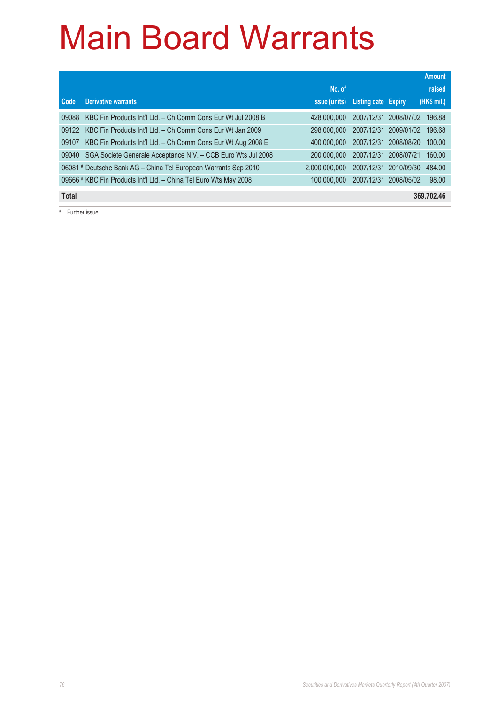|              |                                                                   |                      |                            |                       | <b>Amount</b> |
|--------------|-------------------------------------------------------------------|----------------------|----------------------------|-----------------------|---------------|
|              |                                                                   | No. of               |                            |                       | raised        |
| Code         | <b>Derivative warrants</b>                                        | <i>issue (units)</i> | <b>Listing date Expiry</b> |                       | (HK\$ mil.)   |
| 09088        | KBC Fin Products Int'l Ltd. - Ch Comm Cons Eur Wt Jul 2008 B      | 428,000,000          |                            | 2007/12/31 2008/07/02 | 196.88        |
| 09122        | KBC Fin Products Int'l Ltd. - Ch Comm Cons Eur Wt Jan 2009        | 298,000,000          | 2007/12/31                 | 2009/01/02            | 196.68        |
| 09107        | KBC Fin Products Int'l Ltd. - Ch Comm Cons Eur Wt Aug 2008 E      | 400,000,000          | 2007/12/31                 | 2008/08/20            | 100.00        |
| 09040        | SGA Societe Generale Acceptance N.V. - CCB Euro Wts Jul 2008      | 200,000,000          | 2007/12/31                 | 2008/07/21            | 160.00        |
|              | 06081 # Deutsche Bank AG - China Tel European Warrants Sep 2010   | 2.000.000.000        | 2007/12/31                 | 2010/09/30            | 484.00        |
|              | 09666 # KBC Fin Products Int'l Ltd. - China Tel Euro Wts May 2008 | 100.000.000          | 2007/12/31                 | 2008/05/02            | 98.00         |
| <b>Total</b> |                                                                   |                      |                            |                       | 369,702.46    |

# Further issue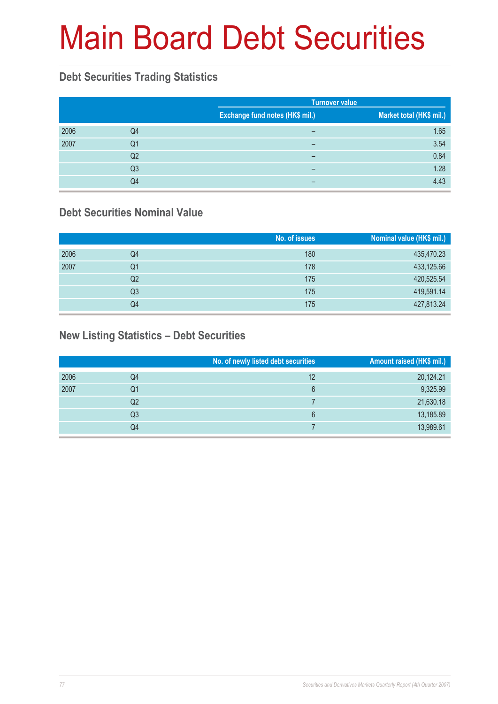# Main Board Debt Securities

### **Debt Securities Trading Statistics**

|      |                |                                 | <b>Turnover value</b>    |  |  |
|------|----------------|---------------------------------|--------------------------|--|--|
|      |                | Exchange fund notes (HK\$ mil.) | Market total (HK\$ mil.) |  |  |
| 2006 | Q4             | -                               | 1.65                     |  |  |
| 2007 | Q1             | -                               | 3.54                     |  |  |
|      | Q2             | -                               | 0.84                     |  |  |
|      | Q <sub>3</sub> | -                               | 1.28                     |  |  |
|      | Q4             | -                               | 4.43                     |  |  |

### **Debt Securities Nominal Value**

|      |                | No. of issues | Nominal value (HK\$ mil.) |
|------|----------------|---------------|---------------------------|
| 2006 | Q4             | 180           | 435,470.23                |
| 2007 | Q1             | 178           | 433,125.66                |
|      | Q2             | 175           | 420,525.54                |
|      | Q <sub>3</sub> | 175           | 419,591.14                |
|      | Q4             | 175           | 427,813.24                |

### **New Listing Statistics – Debt Securities**

|      |                | No. of newly listed debt securities | Amount raised (HK\$ mil.) |
|------|----------------|-------------------------------------|---------------------------|
| 2006 | Q4             | 12                                  | 20,124.21                 |
| 2007 | Q1             | 6                                   | 9,325.99                  |
|      | Q2             |                                     | 21,630.18                 |
|      | Q <sub>3</sub> | 6                                   | 13,185.89                 |
|      | Q4             |                                     | 13,989.61                 |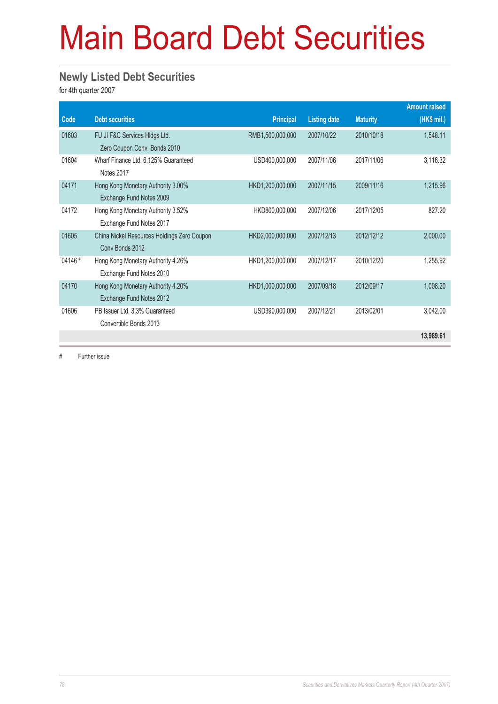## Main Board Debt Securities

#### **Newly Listed Debt Securities**

for 4th quarter 2007

|         |                                             |                  |                     |                 | <b>Amount raised</b> |
|---------|---------------------------------------------|------------------|---------------------|-----------------|----------------------|
| Code    | <b>Debt securities</b>                      | <b>Principal</b> | <b>Listing date</b> | <b>Maturity</b> | (HK\$ mil.)          |
| 01603   | FU JI F&C Services HIdgs Ltd.               | RMB1,500,000,000 | 2007/10/22          | 2010/10/18      | 1,548.11             |
|         | Zero Coupon Conv. Bonds 2010                |                  |                     |                 |                      |
| 01604   | Wharf Finance Ltd. 6.125% Guaranteed        | USD400,000,000   | 2007/11/06          | 2017/11/06      | 3,116.32             |
|         | Notes 2017                                  |                  |                     |                 |                      |
| 04171   | Hong Kong Monetary Authority 3.00%          | HKD1,200,000,000 | 2007/11/15          | 2009/11/16      | 1,215.96             |
|         | Exchange Fund Notes 2009                    |                  |                     |                 |                      |
| 04172   | Hong Kong Monetary Authority 3.52%          | HKD800,000,000   | 2007/12/06          | 2017/12/05      | 827.20               |
|         | Exchange Fund Notes 2017                    |                  |                     |                 |                      |
| 01605   | China Nickel Resources Holdings Zero Coupon | HKD2,000,000,000 | 2007/12/13          | 2012/12/12      | 2,000.00             |
|         | Conv Bonds 2012                             |                  |                     |                 |                      |
| 04146 # | Hong Kong Monetary Authority 4.26%          | HKD1,200,000,000 | 2007/12/17          | 2010/12/20      | 1,255.92             |
|         | Exchange Fund Notes 2010                    |                  |                     |                 |                      |
| 04170   | Hong Kong Monetary Authority 4.20%          | HKD1,000,000,000 | 2007/09/18          | 2012/09/17      | 1,008.20             |
|         | Exchange Fund Notes 2012                    |                  |                     |                 |                      |
| 01606   | PB Issuer Ltd. 3.3% Guaranteed              | USD390,000,000   | 2007/12/21          | 2013/02/01      | 3,042.00             |
|         | Convertible Bonds 2013                      |                  |                     |                 |                      |
|         |                                             |                  |                     |                 | 13,989.61            |

# Further issue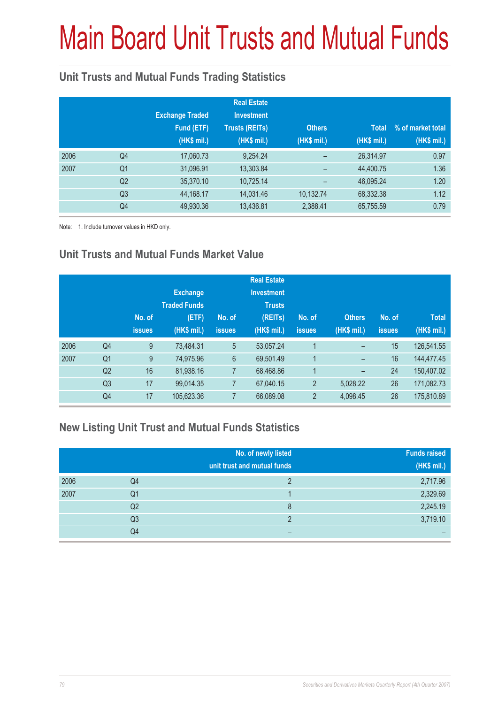# Main Board Unit Trusts and Mutual Funds

### **Unit Trusts and Mutual Funds Trading Statistics**

|      |                | <b>Exchange Traded</b><br>Fund (ETF)<br>(HK\$ mil.) | <b>Real Estate</b><br><b>Investment</b><br><b>Trusts (REITs)</b><br>(HK\$ mil.) | <b>Others</b><br>(HK\$ mil.) | <b>Total</b><br>(HK\$ mil.) | % of market total<br>(HK\$ mil.) |
|------|----------------|-----------------------------------------------------|---------------------------------------------------------------------------------|------------------------------|-----------------------------|----------------------------------|
| 2006 | Q4             | 17,060.73                                           | 9,254.24                                                                        |                              | 26,314.97                   | 0.97                             |
| 2007 | Q <sub>1</sub> | 31,096.91                                           | 13,303.84                                                                       |                              | 44,400.75                   | 1.36                             |
|      | Q <sub>2</sub> | 35,370.10                                           | 10,725.14                                                                       |                              | 46,095.24                   | 1.20                             |
|      | Q3             | 44,168.17                                           | 14,031.46                                                                       | 10,132.74                    | 68,332.38                   | 1.12                             |
|      | Q4             | 49,930.36                                           | 13,436.81                                                                       | 2,388.41                     | 65,755.59                   | 0.79                             |

Note: 1. Include turnover values in HKD only.

### **Unit Trusts and Mutual Funds Market Value**

|      |                | No. of<br><b>issues</b> | <b>Exchange</b><br><b>Traded Funds</b><br>(ETF)<br>(HK\$ mil.) | No. of<br><b>issues</b> | <b>Real Estate</b><br><b>Investment</b><br><b>Trusts</b><br>(REITs)<br>(HK\$ mil.) | No. of<br><b>issues</b> | <b>Others</b><br>(HK\$ mil.) | No. of<br><b>issues</b> | <b>Total</b><br>(HK\$ mil.) |
|------|----------------|-------------------------|----------------------------------------------------------------|-------------------------|------------------------------------------------------------------------------------|-------------------------|------------------------------|-------------------------|-----------------------------|
| 2006 | Q <sub>4</sub> | 9                       | 73.484.31                                                      | 5                       | 53,057.24                                                                          | 1                       | -                            | 15                      | 126,541.55                  |
| 2007 | Q <sub>1</sub> | 9                       | 74,975.96                                                      | $6\phantom{1}$          | 69,501.49                                                                          | 1                       | -                            | 16                      | 144,477.45                  |
|      | Q2             | 16                      | 81,938.16                                                      | $\overline{7}$          | 68,468.86                                                                          | 1                       | -                            | 24                      | 150,407.02                  |
|      | Q <sub>3</sub> | 17                      | 99.014.35                                                      | $\overline{7}$          | 67,040.15                                                                          | $\overline{2}$          | 5,028.22                     | 26                      | 171,082.73                  |
|      | Q4             | 17                      | 105,623.36                                                     | 7                       | 66,089.08                                                                          | $\overline{2}$          | 4,098.45                     | 26                      | 175,810.89                  |

### **New Listing Unit Trust and Mutual Funds Statistics**

|      |                | No. of newly listed<br>unit trust and mutual funds | <b>Funds raised</b><br>(HK\$ mil.) |
|------|----------------|----------------------------------------------------|------------------------------------|
| 2006 | Q4             |                                                    | 2,717.96                           |
| 2007 | Q1             |                                                    | 2,329.69                           |
|      | Q <sub>2</sub> | 8                                                  | 2,245.19                           |
|      | Q <sub>3</sub> | ŋ                                                  | 3,719.10                           |
|      | Q4             | -                                                  | -                                  |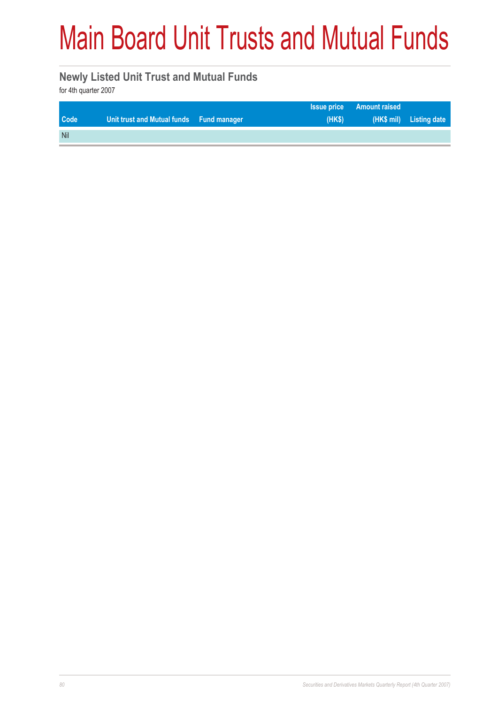### Main Board Unit Trusts and Mutual Funds

#### **Newly Listed Unit Trust and Mutual Funds**

for 4th quarter 2007

|            |                                          |       | <b>Issue price Amount raised</b> |                         |
|------------|------------------------------------------|-------|----------------------------------|-------------------------|
| Code       | Unit trust and Mutual funds Fund manager | (HKS) |                                  | (HK\$ mil) Listing date |
| <b>Nil</b> |                                          |       |                                  |                         |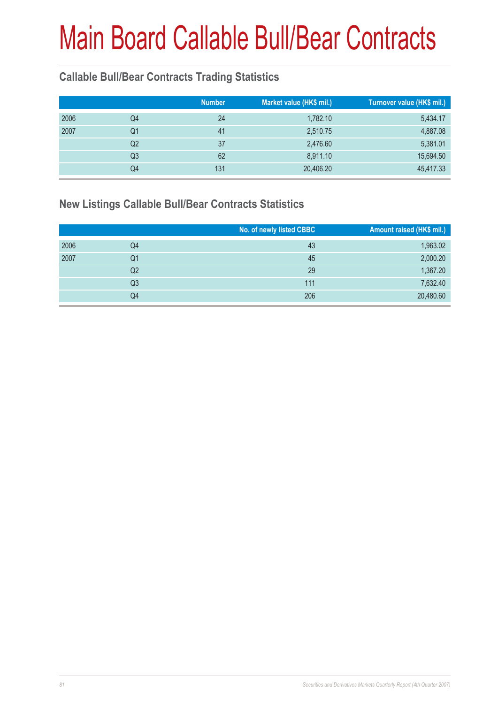### **Callable Bull/Bear Contracts Trading Statistics**

|      |                | <b>Number</b> | Market value (HK\$ mil.) | Turnover value (HK\$ mil.) |
|------|----------------|---------------|--------------------------|----------------------------|
| 2006 | Q4             | 24            | 1,782.10                 | 5,434.17                   |
| 2007 | Q1             | 41            | 2,510.75                 | 4,887.08                   |
|      | Q2             | 37            | 2,476.60                 | 5,381.01                   |
|      | Q <sub>3</sub> | 62            | 8,911.10                 | 15,694.50                  |
|      | Q4             | 131           | 20,406.20                | 45,417.33                  |

#### **New Listings Callable Bull/Bear Contracts Statistics**

|      |    | No. of newly listed CBBC | Amount raised (HK\$ mil.) |
|------|----|--------------------------|---------------------------|
| 2006 | Q4 | 43                       | 1,963.02                  |
| 2007 | Q1 | 45                       | 2,000.20                  |
|      | Q2 | 29                       | 1,367.20                  |
|      | Q3 | 111                      | 7,632.40                  |
|      | Q4 | 206                      | 20,480.60                 |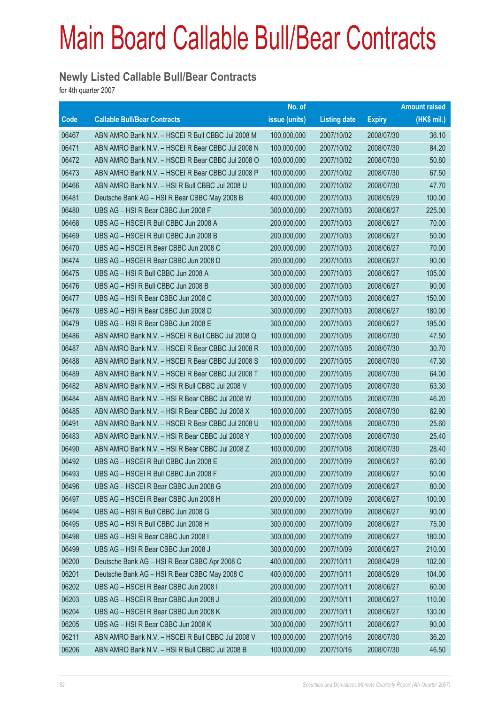#### **Newly Listed Callable Bull/Bear Contracts**

for 4th quarter 2007

|       |                                                   | No. of        |                     |               | <b>Amount raised</b> |
|-------|---------------------------------------------------|---------------|---------------------|---------------|----------------------|
| Code  | <b>Callable Bull/Bear Contracts</b>               | issue (units) | <b>Listing date</b> | <b>Expiry</b> | (HK\$ mil.)          |
| 06467 | ABN AMRO Bank N.V. - HSCEI R Bull CBBC Jul 2008 M | 100,000,000   | 2007/10/02          | 2008/07/30    | 36.10                |
| 06471 | ABN AMRO Bank N.V. - HSCEI R Bear CBBC Jul 2008 N | 100,000,000   | 2007/10/02          | 2008/07/30    | 84.20                |
| 06472 | ABN AMRO Bank N.V. - HSCEI R Bear CBBC Jul 2008 O | 100,000,000   | 2007/10/02          | 2008/07/30    | 50.80                |
| 06473 | ABN AMRO Bank N.V. - HSCEI R Bear CBBC Jul 2008 P | 100,000,000   | 2007/10/02          | 2008/07/30    | 67.50                |
| 06466 | ABN AMRO Bank N.V. - HSI R Bull CBBC Jul 2008 U   | 100,000,000   | 2007/10/02          | 2008/07/30    | 47.70                |
| 06481 | Deutsche Bank AG - HSI R Bear CBBC May 2008 B     | 400,000,000   | 2007/10/03          | 2008/05/29    | 100.00               |
| 06480 | UBS AG - HSI R Bear CBBC Jun 2008 F               | 300,000,000   | 2007/10/03          | 2008/06/27    | 225.00               |
| 06468 | UBS AG - HSCEI R Bull CBBC Jun 2008 A             | 200,000,000   | 2007/10/03          | 2008/06/27    | 70.00                |
| 06469 | UBS AG - HSCEI R Bull CBBC Jun 2008 B             | 200,000,000   | 2007/10/03          | 2008/06/27    | 50.00                |
| 06470 | UBS AG - HSCEI R Bear CBBC Jun 2008 C             | 200,000,000   | 2007/10/03          | 2008/06/27    | 70.00                |
| 06474 | UBS AG - HSCEI R Bear CBBC Jun 2008 D             | 200,000,000   | 2007/10/03          | 2008/06/27    | 90.00                |
| 06475 | UBS AG - HSI R Bull CBBC Jun 2008 A               | 300,000,000   | 2007/10/03          | 2008/06/27    | 105.00               |
| 06476 | UBS AG - HSI R Bull CBBC Jun 2008 B               | 300,000,000   | 2007/10/03          | 2008/06/27    | 90.00                |
| 06477 | UBS AG - HSI R Bear CBBC Jun 2008 C               | 300,000,000   | 2007/10/03          | 2008/06/27    | 150.00               |
| 06478 | UBS AG - HSI R Bear CBBC Jun 2008 D               | 300,000,000   | 2007/10/03          | 2008/06/27    | 180.00               |
| 06479 | UBS AG - HSI R Bear CBBC Jun 2008 E               | 300,000,000   | 2007/10/03          | 2008/06/27    | 195.00               |
| 06486 | ABN AMRO Bank N.V. - HSCEI R Bull CBBC Jul 2008 Q | 100,000,000   | 2007/10/05          | 2008/07/30    | 47.50                |
| 06487 | ABN AMRO Bank N.V. - HSCEI R Bear CBBC Jul 2008 R | 100,000,000   | 2007/10/05          | 2008/07/30    | 30.70                |
| 06488 | ABN AMRO Bank N.V. - HSCEI R Bear CBBC Jul 2008 S | 100,000,000   | 2007/10/05          | 2008/07/30    | 47.30                |
| 06489 | ABN AMRO Bank N.V. - HSCEI R Bear CBBC Jul 2008 T | 100,000,000   | 2007/10/05          | 2008/07/30    | 64.00                |
| 06482 | ABN AMRO Bank N.V. - HSI R Bull CBBC Jul 2008 V   | 100,000,000   | 2007/10/05          | 2008/07/30    | 63.30                |
| 06484 | ABN AMRO Bank N.V. - HSI R Bear CBBC Jul 2008 W   | 100,000,000   | 2007/10/05          | 2008/07/30    | 46.20                |
| 06485 | ABN AMRO Bank N.V. - HSI R Bear CBBC Jul 2008 X   | 100,000,000   | 2007/10/05          | 2008/07/30    | 62.90                |
| 06491 | ABN AMRO Bank N.V. - HSCEI R Bear CBBC Jul 2008 U | 100,000,000   | 2007/10/08          | 2008/07/30    | 25.60                |
| 06483 | ABN AMRO Bank N.V. - HSI R Bear CBBC Jul 2008 Y   | 100,000,000   | 2007/10/08          | 2008/07/30    | 25.40                |
| 06490 | ABN AMRO Bank N.V. - HSI R Bear CBBC Jul 2008 Z   | 100,000,000   | 2007/10/08          | 2008/07/30    | 28.40                |
| 06492 | UBS AG - HSCEI R Bull CBBC Jun 2008 E             | 200,000,000   | 2007/10/09          | 2008/06/27    | 60.00                |
| 06493 | UBS AG - HSCEI R Bull CBBC Jun 2008 F             | 200,000,000   | 2007/10/09          | 2008/06/27    | 50.00                |
| 06496 | UBS AG - HSCEI R Bear CBBC Jun 2008 G             | 200,000,000   | 2007/10/09          | 2008/06/27    | 80.00                |
| 06497 | UBS AG - HSCEI R Bear CBBC Jun 2008 H             | 200,000,000   | 2007/10/09          | 2008/06/27    | 100.00               |
| 06494 | UBS AG - HSI R Bull CBBC Jun 2008 G               | 300,000,000   | 2007/10/09          | 2008/06/27    | 90.00                |
| 06495 | UBS AG - HSI R Bull CBBC Jun 2008 H               | 300,000,000   | 2007/10/09          | 2008/06/27    | 75.00                |
| 06498 | UBS AG - HSI R Bear CBBC Jun 2008 I               | 300,000,000   | 2007/10/09          | 2008/06/27    | 180.00               |
| 06499 | UBS AG - HSI R Bear CBBC Jun 2008 J               | 300,000,000   | 2007/10/09          | 2008/06/27    | 210.00               |
| 06200 | Deutsche Bank AG - HSI R Bear CBBC Apr 2008 C     | 400,000,000   | 2007/10/11          | 2008/04/29    | 102.00               |
| 06201 | Deutsche Bank AG - HSI R Bear CBBC May 2008 C     | 400,000,000   | 2007/10/11          | 2008/05/29    | 104.00               |
| 06202 | UBS AG - HSCEI R Bear CBBC Jun 2008 I             | 200,000,000   | 2007/10/11          | 2008/06/27    | 60.00                |
| 06203 | UBS AG - HSCEI R Bear CBBC Jun 2008 J             | 200,000,000   | 2007/10/11          | 2008/06/27    | 110.00               |
| 06204 | UBS AG - HSCEI R Bear CBBC Jun 2008 K             | 200,000,000   | 2007/10/11          | 2008/06/27    | 130.00               |
| 06205 | UBS AG - HSI R Bear CBBC Jun 2008 K               | 300,000,000   | 2007/10/11          | 2008/06/27    | 90.00                |
| 06211 | ABN AMRO Bank N.V. - HSCEI R Bull CBBC Jul 2008 V | 100,000,000   | 2007/10/16          | 2008/07/30    | 36.20                |
| 06206 | ABN AMRO Bank N.V. - HSI R Bull CBBC Jul 2008 B   | 100,000,000   | 2007/10/16          | 2008/07/30    | 46.50                |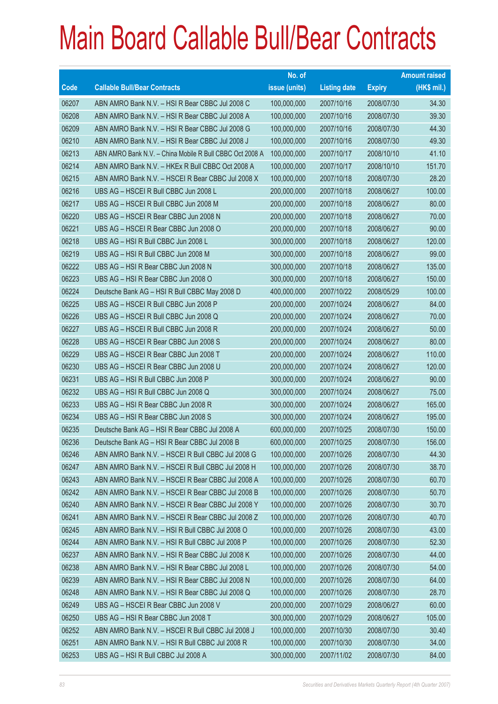|             |                                                          | No. of        |                     |               | <b>Amount raised</b> |
|-------------|----------------------------------------------------------|---------------|---------------------|---------------|----------------------|
| <b>Code</b> | <b>Callable Bull/Bear Contracts</b>                      | issue (units) | <b>Listing date</b> | <b>Expiry</b> | (HK\$ mil.)          |
| 06207       | ABN AMRO Bank N.V. - HSI R Bear CBBC Jul 2008 C          | 100,000,000   | 2007/10/16          | 2008/07/30    | 34.30                |
| 06208       | ABN AMRO Bank N.V. - HSI R Bear CBBC Jul 2008 A          | 100,000,000   | 2007/10/16          | 2008/07/30    | 39.30                |
| 06209       | ABN AMRO Bank N.V. - HSI R Bear CBBC Jul 2008 G          | 100,000,000   | 2007/10/16          | 2008/07/30    | 44.30                |
| 06210       | ABN AMRO Bank N.V. - HSI R Bear CBBC Jul 2008 J          | 100,000,000   | 2007/10/16          | 2008/07/30    | 49.30                |
| 06213       | ABN AMRO Bank N.V. - China Mobile R Bull CBBC Oct 2008 A | 100,000,000   | 2007/10/17          | 2008/10/10    | 41.10                |
| 06214       | ABN AMRO Bank N.V. - HKEx R Bull CBBC Oct 2008 A         | 100,000,000   | 2007/10/17          | 2008/10/10    | 151.70               |
| 06215       | ABN AMRO Bank N.V. - HSCEI R Bear CBBC Jul 2008 X        | 100,000,000   | 2007/10/18          | 2008/07/30    | 28.20                |
| 06216       | UBS AG - HSCEI R Bull CBBC Jun 2008 L                    | 200,000,000   | 2007/10/18          | 2008/06/27    | 100.00               |
| 06217       | UBS AG - HSCEI R Bull CBBC Jun 2008 M                    | 200,000,000   | 2007/10/18          | 2008/06/27    | 80.00                |
| 06220       | UBS AG - HSCEI R Bear CBBC Jun 2008 N                    | 200,000,000   | 2007/10/18          | 2008/06/27    | 70.00                |
| 06221       | UBS AG - HSCEI R Bear CBBC Jun 2008 O                    | 200,000,000   | 2007/10/18          | 2008/06/27    | 90.00                |
| 06218       | UBS AG - HSI R Bull CBBC Jun 2008 L                      | 300,000,000   | 2007/10/18          | 2008/06/27    | 120.00               |
| 06219       | UBS AG - HSI R Bull CBBC Jun 2008 M                      | 300,000,000   | 2007/10/18          | 2008/06/27    | 99.00                |
| 06222       | UBS AG - HSI R Bear CBBC Jun 2008 N                      | 300,000,000   | 2007/10/18          | 2008/06/27    | 135.00               |
| 06223       | UBS AG - HSI R Bear CBBC Jun 2008 O                      | 300,000,000   | 2007/10/18          | 2008/06/27    | 150.00               |
| 06224       | Deutsche Bank AG - HSI R Bull CBBC May 2008 D            | 400,000,000   | 2007/10/22          | 2008/05/29    | 100.00               |
| 06225       | UBS AG - HSCEI R Bull CBBC Jun 2008 P                    | 200,000,000   | 2007/10/24          | 2008/06/27    | 84.00                |
| 06226       | UBS AG - HSCEI R Bull CBBC Jun 2008 Q                    | 200,000,000   | 2007/10/24          | 2008/06/27    | 70.00                |
| 06227       | UBS AG - HSCEI R Bull CBBC Jun 2008 R                    | 200,000,000   | 2007/10/24          | 2008/06/27    | 50.00                |
| 06228       | UBS AG - HSCEI R Bear CBBC Jun 2008 S                    | 200,000,000   | 2007/10/24          | 2008/06/27    | 80.00                |
| 06229       | UBS AG - HSCEI R Bear CBBC Jun 2008 T                    | 200,000,000   | 2007/10/24          | 2008/06/27    | 110.00               |
| 06230       | UBS AG - HSCEI R Bear CBBC Jun 2008 U                    | 200,000,000   | 2007/10/24          | 2008/06/27    | 120.00               |
| 06231       | UBS AG - HSI R Bull CBBC Jun 2008 P                      | 300,000,000   | 2007/10/24          | 2008/06/27    | 90.00                |
| 06232       | UBS AG - HSI R Bull CBBC Jun 2008 Q                      | 300,000,000   | 2007/10/24          | 2008/06/27    | 75.00                |
| 06233       | UBS AG - HSI R Bear CBBC Jun 2008 R                      | 300,000,000   | 2007/10/24          | 2008/06/27    | 165.00               |
| 06234       | UBS AG - HSI R Bear CBBC Jun 2008 S                      | 300,000,000   | 2007/10/24          | 2008/06/27    | 195.00               |
| 06235       | Deutsche Bank AG - HSI R Bear CBBC Jul 2008 A            | 600,000,000   | 2007/10/25          | 2008/07/30    | 150.00               |
| 06236       | Deutsche Bank AG - HSI R Bear CBBC Jul 2008 B            | 600,000,000   | 2007/10/25          | 2008/07/30    | 156.00               |
| 06246       | ABN AMRO Bank N.V. - HSCEI R Bull CBBC Jul 2008 G        | 100,000,000   | 2007/10/26          | 2008/07/30    | 44.30                |
| 06247       | ABN AMRO Bank N.V. - HSCEI R Bull CBBC Jul 2008 H        | 100,000,000   | 2007/10/26          | 2008/07/30    | 38.70                |
| 06243       | ABN AMRO Bank N.V. - HSCEI R Bear CBBC Jul 2008 A        | 100,000,000   | 2007/10/26          | 2008/07/30    | 60.70                |
| 06242       | ABN AMRO Bank N.V. - HSCEI R Bear CBBC Jul 2008 B        | 100,000,000   | 2007/10/26          | 2008/07/30    | 50.70                |
| 06240       | ABN AMRO Bank N.V. - HSCEI R Bear CBBC Jul 2008 Y        | 100,000,000   | 2007/10/26          | 2008/07/30    | 30.70                |
| 06241       | ABN AMRO Bank N.V. - HSCEI R Bear CBBC Jul 2008 Z        | 100,000,000   | 2007/10/26          | 2008/07/30    | 40.70                |
| 06245       | ABN AMRO Bank N.V. - HSI R Bull CBBC Jul 2008 O          | 100,000,000   | 2007/10/26          | 2008/07/30    | 43.00                |
| 06244       | ABN AMRO Bank N.V. - HSI R Bull CBBC Jul 2008 P          | 100,000,000   | 2007/10/26          | 2008/07/30    | 52.30                |
| 06237       | ABN AMRO Bank N.V. - HSI R Bear CBBC Jul 2008 K          | 100,000,000   | 2007/10/26          | 2008/07/30    | 44.00                |
| 06238       | ABN AMRO Bank N.V. - HSI R Bear CBBC Jul 2008 L          | 100,000,000   | 2007/10/26          | 2008/07/30    | 54.00                |
| 06239       | ABN AMRO Bank N.V. - HSI R Bear CBBC Jul 2008 N          | 100,000,000   | 2007/10/26          | 2008/07/30    | 64.00                |
| 06248       | ABN AMRO Bank N.V. - HSI R Bear CBBC Jul 2008 Q          | 100,000,000   | 2007/10/26          | 2008/07/30    | 28.70                |
| 06249       | UBS AG - HSCEI R Bear CBBC Jun 2008 V                    | 200,000,000   | 2007/10/29          | 2008/06/27    | 60.00                |
| 06250       | UBS AG - HSI R Bear CBBC Jun 2008 T                      | 300,000,000   | 2007/10/29          | 2008/06/27    | 105.00               |
| 06252       | ABN AMRO Bank N.V. - HSCEI R Bull CBBC Jul 2008 J        | 100,000,000   | 2007/10/30          | 2008/07/30    | 30.40                |
| 06251       | ABN AMRO Bank N.V. - HSI R Bull CBBC Jul 2008 R          | 100,000,000   | 2007/10/30          | 2008/07/30    | 34.00                |
| 06253       | UBS AG - HSI R Bull CBBC Jul 2008 A                      | 300,000,000   | 2007/11/02          | 2008/07/30    | 84.00                |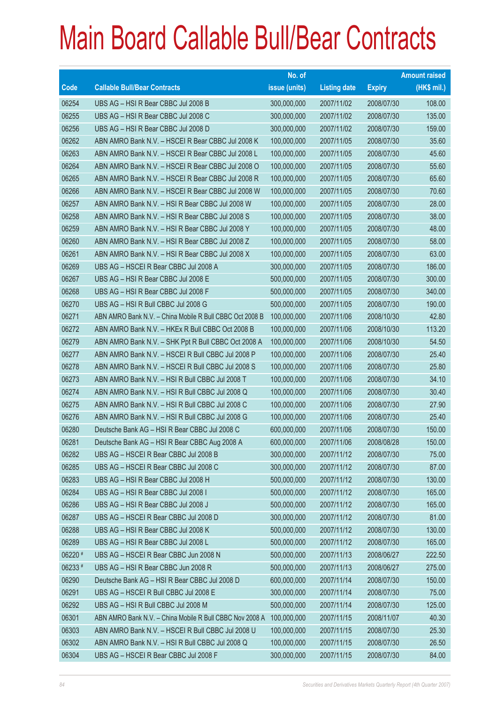|             |                                                          | No. of        |                     |               | <b>Amount raised</b> |
|-------------|----------------------------------------------------------|---------------|---------------------|---------------|----------------------|
| <b>Code</b> | <b>Callable Bull/Bear Contracts</b>                      | issue (units) | <b>Listing date</b> | <b>Expiry</b> | (HK\$ mil.)          |
| 06254       | UBS AG - HSI R Bear CBBC Jul 2008 B                      | 300,000,000   | 2007/11/02          | 2008/07/30    | 108.00               |
| 06255       | UBS AG - HSI R Bear CBBC Jul 2008 C                      | 300,000,000   | 2007/11/02          | 2008/07/30    | 135.00               |
| 06256       | UBS AG - HSI R Bear CBBC Jul 2008 D                      | 300,000,000   | 2007/11/02          | 2008/07/30    | 159.00               |
| 06262       | ABN AMRO Bank N.V. - HSCEI R Bear CBBC Jul 2008 K        | 100,000,000   | 2007/11/05          | 2008/07/30    | 35.60                |
| 06263       | ABN AMRO Bank N.V. - HSCEI R Bear CBBC Jul 2008 L        | 100,000,000   | 2007/11/05          | 2008/07/30    | 45.60                |
| 06264       | ABN AMRO Bank N.V. - HSCEI R Bear CBBC Jul 2008 O        | 100,000,000   | 2007/11/05          | 2008/07/30    | 55.60                |
| 06265       | ABN AMRO Bank N.V. - HSCEI R Bear CBBC Jul 2008 R        | 100,000,000   | 2007/11/05          | 2008/07/30    | 65.60                |
| 06266       | ABN AMRO Bank N.V. - HSCEI R Bear CBBC Jul 2008 W        | 100,000,000   | 2007/11/05          | 2008/07/30    | 70.60                |
| 06257       | ABN AMRO Bank N.V. - HSI R Bear CBBC Jul 2008 W          | 100,000,000   | 2007/11/05          | 2008/07/30    | 28.00                |
| 06258       | ABN AMRO Bank N.V. - HSI R Bear CBBC Jul 2008 S          | 100,000,000   | 2007/11/05          | 2008/07/30    | 38.00                |
| 06259       | ABN AMRO Bank N.V. - HSI R Bear CBBC Jul 2008 Y          | 100,000,000   | 2007/11/05          | 2008/07/30    | 48.00                |
| 06260       | ABN AMRO Bank N.V. - HSI R Bear CBBC Jul 2008 Z          | 100,000,000   | 2007/11/05          | 2008/07/30    | 58.00                |
| 06261       | ABN AMRO Bank N.V. - HSI R Bear CBBC Jul 2008 X          | 100,000,000   | 2007/11/05          | 2008/07/30    | 63.00                |
| 06269       | UBS AG - HSCEI R Bear CBBC Jul 2008 A                    | 300,000,000   | 2007/11/05          | 2008/07/30    | 186.00               |
| 06267       | UBS AG - HSI R Bear CBBC Jul 2008 E                      | 500,000,000   | 2007/11/05          | 2008/07/30    | 300.00               |
| 06268       | UBS AG - HSI R Bear CBBC Jul 2008 F                      | 500,000,000   | 2007/11/05          | 2008/07/30    | 340.00               |
| 06270       | UBS AG - HSI R Bull CBBC Jul 2008 G                      | 500,000,000   | 2007/11/05          | 2008/07/30    | 190.00               |
| 06271       | ABN AMRO Bank N.V. - China Mobile R Bull CBBC Oct 2008 B | 100,000,000   | 2007/11/06          | 2008/10/30    | 42.80                |
| 06272       | ABN AMRO Bank N.V. - HKEx R Bull CBBC Oct 2008 B         | 100,000,000   | 2007/11/06          | 2008/10/30    | 113.20               |
| 06279       | ABN AMRO Bank N.V. - SHK Ppt R Bull CBBC Oct 2008 A      | 100,000,000   | 2007/11/06          | 2008/10/30    | 54.50                |
| 06277       | ABN AMRO Bank N.V. - HSCEI R Bull CBBC Jul 2008 P        | 100,000,000   | 2007/11/06          | 2008/07/30    | 25.40                |
| 06278       | ABN AMRO Bank N.V. - HSCEI R Bull CBBC Jul 2008 S        | 100,000,000   | 2007/11/06          | 2008/07/30    | 25.80                |
| 06273       | ABN AMRO Bank N.V. - HSI R Bull CBBC Jul 2008 T          | 100,000,000   | 2007/11/06          | 2008/07/30    | 34.10                |
| 06274       | ABN AMRO Bank N.V. - HSI R Bull CBBC Jul 2008 Q          | 100,000,000   | 2007/11/06          | 2008/07/30    | 30.40                |
| 06275       | ABN AMRO Bank N.V. - HSI R Bull CBBC Jul 2008 C          | 100,000,000   | 2007/11/06          | 2008/07/30    | 27.90                |
| 06276       | ABN AMRO Bank N.V. - HSI R Bull CBBC Jul 2008 G          | 100,000,000   | 2007/11/06          | 2008/07/30    | 25.40                |
| 06280       | Deutsche Bank AG - HSI R Bear CBBC Jul 2008 C            | 600,000,000   | 2007/11/06          | 2008/07/30    | 150.00               |
| 06281       | Deutsche Bank AG - HSI R Bear CBBC Aug 2008 A            | 600,000,000   | 2007/11/06          | 2008/08/28    | 150.00               |
| 06282       | UBS AG - HSCEI R Bear CBBC Jul 2008 B                    | 300,000,000   | 2007/11/12          | 2008/07/30    | 75.00                |
| 06285       | UBS AG - HSCEI R Bear CBBC Jul 2008 C                    | 300,000,000   | 2007/11/12          | 2008/07/30    | 87.00                |
| 06283       | UBS AG - HSI R Bear CBBC Jul 2008 H                      | 500,000,000   | 2007/11/12          | 2008/07/30    | 130.00               |
| 06284       | UBS AG - HSI R Bear CBBC Jul 2008 I                      | 500,000,000   | 2007/11/12          | 2008/07/30    | 165.00               |
| 06286       | UBS AG - HSI R Bear CBBC Jul 2008 J                      | 500,000,000   | 2007/11/12          | 2008/07/30    | 165.00               |
| 06287       | UBS AG - HSCEI R Bear CBBC Jul 2008 D                    | 300,000,000   | 2007/11/12          | 2008/07/30    | 81.00                |
| 06288       | UBS AG - HSI R Bear CBBC Jul 2008 K                      | 500,000,000   | 2007/11/12          | 2008/07/30    | 130.00               |
| 06289       | UBS AG - HSI R Bear CBBC Jul 2008 L                      | 500,000,000   | 2007/11/12          | 2008/07/30    | 165.00               |
| 06220 #     | UBS AG - HSCEI R Bear CBBC Jun 2008 N                    | 500,000,000   | 2007/11/13          | 2008/06/27    | 222.50               |
| 06233 #     | UBS AG - HSI R Bear CBBC Jun 2008 R                      | 500,000,000   | 2007/11/13          | 2008/06/27    | 275.00               |
| 06290       | Deutsche Bank AG - HSI R Bear CBBC Jul 2008 D            | 600,000,000   | 2007/11/14          | 2008/07/30    | 150.00               |
| 06291       | UBS AG - HSCEI R Bull CBBC Jul 2008 E                    | 300,000,000   | 2007/11/14          | 2008/07/30    | 75.00                |
| 06292       | UBS AG - HSI R Bull CBBC Jul 2008 M                      | 500,000,000   | 2007/11/14          | 2008/07/30    | 125.00               |
| 06301       | ABN AMRO Bank N.V. - China Mobile R Bull CBBC Nov 2008 A | 100,000,000   | 2007/11/15          | 2008/11/07    | 40.30                |
| 06303       | ABN AMRO Bank N.V. - HSCEI R Bull CBBC Jul 2008 U        | 100,000,000   | 2007/11/15          | 2008/07/30    | 25.30                |
| 06302       | ABN AMRO Bank N.V. - HSI R Bull CBBC Jul 2008 Q          | 100,000,000   | 2007/11/15          | 2008/07/30    | 26.50                |
| 06304       | UBS AG - HSCEI R Bear CBBC Jul 2008 F                    | 300,000,000   | 2007/11/15          | 2008/07/30    | 84.00                |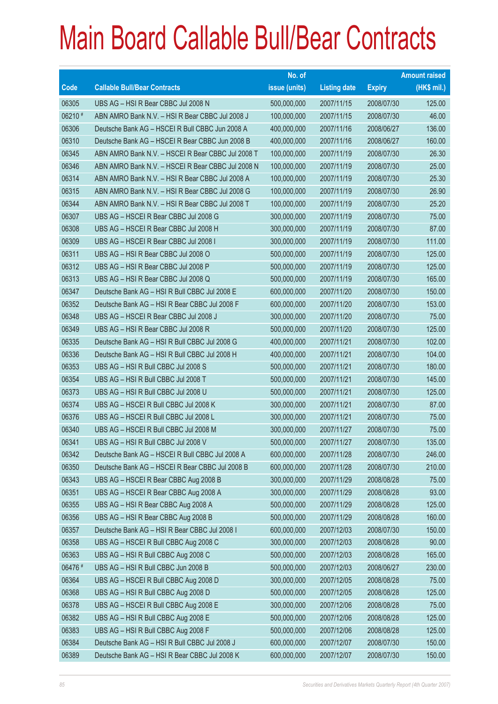|             |                                                   | No. of        |                     |               | <b>Amount raised</b> |
|-------------|---------------------------------------------------|---------------|---------------------|---------------|----------------------|
| <b>Code</b> | <b>Callable Bull/Bear Contracts</b>               | issue (units) | <b>Listing date</b> | <b>Expiry</b> | (HK\$ mil.)          |
| 06305       | UBS AG - HSI R Bear CBBC Jul 2008 N               | 500,000,000   | 2007/11/15          | 2008/07/30    | 125.00               |
| 06210 #     | ABN AMRO Bank N.V. - HSI R Bear CBBC Jul 2008 J   | 100,000,000   | 2007/11/15          | 2008/07/30    | 46.00                |
| 06306       | Deutsche Bank AG - HSCEI R Bull CBBC Jun 2008 A   | 400,000,000   | 2007/11/16          | 2008/06/27    | 136.00               |
| 06310       | Deutsche Bank AG - HSCEI R Bear CBBC Jun 2008 B   | 400,000,000   | 2007/11/16          | 2008/06/27    | 160.00               |
| 06345       | ABN AMRO Bank N.V. - HSCEI R Bear CBBC Jul 2008 T | 100,000,000   | 2007/11/19          | 2008/07/30    | 26.30                |
| 06346       | ABN AMRO Bank N.V. - HSCEI R Bear CBBC Jul 2008 N | 100.000.000   | 2007/11/19          | 2008/07/30    | 25.00                |
| 06314       | ABN AMRO Bank N.V. - HSI R Bear CBBC Jul 2008 A   | 100,000,000   | 2007/11/19          | 2008/07/30    | 25.30                |
| 06315       | ABN AMRO Bank N.V. - HSI R Bear CBBC Jul 2008 G   | 100,000,000   | 2007/11/19          | 2008/07/30    | 26.90                |
| 06344       | ABN AMRO Bank N.V. - HSI R Bear CBBC Jul 2008 T   | 100,000,000   | 2007/11/19          | 2008/07/30    | 25.20                |
| 06307       | UBS AG - HSCEI R Bear CBBC Jul 2008 G             | 300,000,000   | 2007/11/19          | 2008/07/30    | 75.00                |
| 06308       | UBS AG - HSCEI R Bear CBBC Jul 2008 H             | 300,000,000   | 2007/11/19          | 2008/07/30    | 87.00                |
| 06309       | UBS AG - HSCEI R Bear CBBC Jul 2008 I             | 300,000,000   | 2007/11/19          | 2008/07/30    | 111.00               |
| 06311       | UBS AG - HSI R Bear CBBC Jul 2008 O               | 500,000,000   | 2007/11/19          | 2008/07/30    | 125.00               |
| 06312       | UBS AG - HSI R Bear CBBC Jul 2008 P               | 500,000,000   | 2007/11/19          | 2008/07/30    | 125.00               |
| 06313       | UBS AG - HSI R Bear CBBC Jul 2008 Q               | 500,000,000   | 2007/11/19          | 2008/07/30    | 165.00               |
| 06347       | Deutsche Bank AG - HSI R Bull CBBC Jul 2008 E     | 600,000,000   | 2007/11/20          | 2008/07/30    | 150.00               |
| 06352       | Deutsche Bank AG - HSI R Bear CBBC Jul 2008 F     | 600,000,000   | 2007/11/20          | 2008/07/30    | 153.00               |
| 06348       | UBS AG - HSCEI R Bear CBBC Jul 2008 J             | 300,000,000   | 2007/11/20          | 2008/07/30    | 75.00                |
| 06349       | UBS AG - HSI R Bear CBBC Jul 2008 R               | 500,000,000   | 2007/11/20          | 2008/07/30    | 125.00               |
| 06335       | Deutsche Bank AG - HSI R Bull CBBC Jul 2008 G     | 400,000,000   | 2007/11/21          | 2008/07/30    | 102.00               |
| 06336       | Deutsche Bank AG - HSI R Bull CBBC Jul 2008 H     | 400,000,000   | 2007/11/21          | 2008/07/30    | 104.00               |
| 06353       | UBS AG - HSI R Bull CBBC Jul 2008 S               | 500,000,000   | 2007/11/21          | 2008/07/30    | 180.00               |
| 06354       | UBS AG - HSI R Bull CBBC Jul 2008 T               | 500,000,000   | 2007/11/21          | 2008/07/30    | 145.00               |
| 06373       | UBS AG - HSI R Bull CBBC Jul 2008 U               | 500,000,000   | 2007/11/21          | 2008/07/30    | 125.00               |
| 06374       | UBS AG - HSCEI R Bull CBBC Jul 2008 K             | 300,000,000   | 2007/11/21          | 2008/07/30    | 87.00                |
| 06376       | UBS AG - HSCEI R Bull CBBC Jul 2008 L             | 300,000,000   | 2007/11/21          | 2008/07/30    | 75.00                |
| 06340       | UBS AG - HSCEI R Bull CBBC Jul 2008 M             | 300,000,000   | 2007/11/27          | 2008/07/30    | 75.00                |
| 06341       | UBS AG - HSI R Bull CBBC Jul 2008 V               | 500,000,000   | 2007/11/27          | 2008/07/30    | 135.00               |
| 06342       | Deutsche Bank AG - HSCEI R Bull CBBC Jul 2008 A   | 600,000,000   | 2007/11/28          | 2008/07/30    | 246.00               |
| 06350       | Deutsche Bank AG - HSCEI R Bear CBBC Jul 2008 B   | 600,000,000   | 2007/11/28          | 2008/07/30    | 210.00               |
| 06343       | UBS AG - HSCEI R Bear CBBC Aug 2008 B             | 300,000,000   | 2007/11/29          | 2008/08/28    | 75.00                |
| 06351       | UBS AG - HSCEI R Bear CBBC Aug 2008 A             | 300,000,000   | 2007/11/29          | 2008/08/28    | 93.00                |
| 06355       | UBS AG - HSI R Bear CBBC Aug 2008 A               | 500,000,000   | 2007/11/29          | 2008/08/28    | 125.00               |
| 06356       | UBS AG - HSI R Bear CBBC Aug 2008 B               | 500,000,000   | 2007/11/29          | 2008/08/28    | 160.00               |
| 06357       | Deutsche Bank AG - HSI R Bear CBBC Jul 2008 I     | 600,000,000   | 2007/12/03          | 2008/07/30    | 150.00               |
| 06358       | UBS AG - HSCEI R Bull CBBC Aug 2008 C             | 300,000,000   | 2007/12/03          | 2008/08/28    | 90.00                |
| 06363       | UBS AG - HSI R Bull CBBC Aug 2008 C               | 500,000,000   | 2007/12/03          | 2008/08/28    | 165.00               |
| 06476 #     | UBS AG - HSI R Bull CBBC Jun 2008 B               | 500,000,000   | 2007/12/03          | 2008/06/27    | 230.00               |
| 06364       | UBS AG - HSCEI R Bull CBBC Aug 2008 D             | 300,000,000   | 2007/12/05          | 2008/08/28    | 75.00                |
| 06368       | UBS AG - HSI R Bull CBBC Aug 2008 D               | 500,000,000   | 2007/12/05          | 2008/08/28    | 125.00               |
| 06378       | UBS AG - HSCEI R Bull CBBC Aug 2008 E             | 300,000,000   | 2007/12/06          | 2008/08/28    | 75.00                |
| 06382       | UBS AG - HSI R Bull CBBC Aug 2008 E               | 500,000,000   | 2007/12/06          | 2008/08/28    | 125.00               |
| 06383       | UBS AG - HSI R Bull CBBC Aug 2008 F               | 500,000,000   | 2007/12/06          | 2008/08/28    | 125.00               |
| 06384       | Deutsche Bank AG - HSI R Bull CBBC Jul 2008 J     | 600,000,000   | 2007/12/07          | 2008/07/30    | 150.00               |
| 06389       | Deutsche Bank AG - HSI R Bear CBBC Jul 2008 K     | 600,000,000   | 2007/12/07          | 2008/07/30    | 150.00               |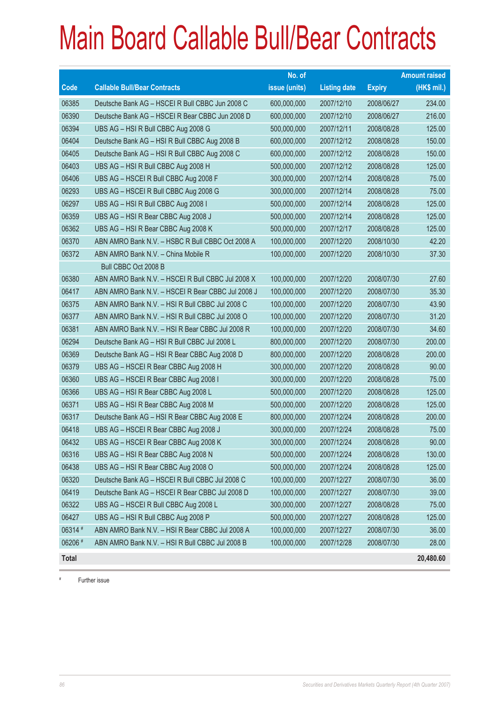|              |                                                   | No. of        |                     |               | <b>Amount raised</b> |
|--------------|---------------------------------------------------|---------------|---------------------|---------------|----------------------|
| Code         | <b>Callable Bull/Bear Contracts</b>               | issue (units) | <b>Listing date</b> | <b>Expiry</b> | $(HK$$ mil.)         |
| 06385        | Deutsche Bank AG - HSCEI R Bull CBBC Jun 2008 C   | 600,000,000   | 2007/12/10          | 2008/06/27    | 234.00               |
| 06390        | Deutsche Bank AG - HSCEI R Bear CBBC Jun 2008 D   | 600,000,000   | 2007/12/10          | 2008/06/27    | 216.00               |
| 06394        | UBS AG - HSI R Bull CBBC Aug 2008 G               | 500,000,000   | 2007/12/11          | 2008/08/28    | 125.00               |
| 06404        | Deutsche Bank AG - HSI R Bull CBBC Aug 2008 B     | 600,000,000   | 2007/12/12          | 2008/08/28    | 150.00               |
| 06405        | Deutsche Bank AG - HSI R Bull CBBC Aug 2008 C     | 600,000,000   | 2007/12/12          | 2008/08/28    | 150.00               |
| 06403        | UBS AG - HSI R Bull CBBC Aug 2008 H               | 500,000,000   | 2007/12/12          | 2008/08/28    | 125.00               |
| 06406        | UBS AG - HSCEI R Bull CBBC Aug 2008 F             | 300,000,000   | 2007/12/14          | 2008/08/28    | 75.00                |
| 06293        | UBS AG - HSCEI R Bull CBBC Aug 2008 G             | 300,000,000   | 2007/12/14          | 2008/08/28    | 75.00                |
| 06297        | UBS AG - HSI R Bull CBBC Aug 2008 I               | 500,000,000   | 2007/12/14          | 2008/08/28    | 125.00               |
| 06359        | UBS AG - HSI R Bear CBBC Aug 2008 J               | 500,000,000   | 2007/12/14          | 2008/08/28    | 125.00               |
| 06362        | UBS AG - HSI R Bear CBBC Aug 2008 K               | 500,000,000   | 2007/12/17          | 2008/08/28    | 125.00               |
| 06370        | ABN AMRO Bank N.V. - HSBC R Bull CBBC Oct 2008 A  | 100,000,000   | 2007/12/20          | 2008/10/30    | 42.20                |
| 06372        | ABN AMRO Bank N.V. - China Mobile R               | 100,000,000   | 2007/12/20          | 2008/10/30    | 37.30                |
|              | Bull CBBC Oct 2008 B                              |               |                     |               |                      |
| 06380        | ABN AMRO Bank N.V. - HSCEI R Bull CBBC Jul 2008 X | 100,000,000   | 2007/12/20          | 2008/07/30    | 27.60                |
| 06417        | ABN AMRO Bank N.V. - HSCEI R Bear CBBC Jul 2008 J | 100,000,000   | 2007/12/20          | 2008/07/30    | 35.30                |
| 06375        | ABN AMRO Bank N.V. - HSI R Bull CBBC Jul 2008 C   | 100,000,000   | 2007/12/20          | 2008/07/30    | 43.90                |
| 06377        | ABN AMRO Bank N.V. - HSI R Bull CBBC Jul 2008 O   | 100,000,000   | 2007/12/20          | 2008/07/30    | 31.20                |
| 06381        | ABN AMRO Bank N.V. - HSI R Bear CBBC Jul 2008 R   | 100,000,000   | 2007/12/20          | 2008/07/30    | 34.60                |
| 06294        | Deutsche Bank AG - HSI R Bull CBBC Jul 2008 L     | 800,000,000   | 2007/12/20          | 2008/07/30    | 200.00               |
| 06369        | Deutsche Bank AG - HSI R Bear CBBC Aug 2008 D     | 800,000,000   | 2007/12/20          | 2008/08/28    | 200.00               |
| 06379        | UBS AG - HSCEI R Bear CBBC Aug 2008 H             | 300,000,000   | 2007/12/20          | 2008/08/28    | 90.00                |
| 06360        | UBS AG - HSCEI R Bear CBBC Aug 2008 I             | 300,000,000   | 2007/12/20          | 2008/08/28    | 75.00                |
| 06366        | UBS AG - HSI R Bear CBBC Aug 2008 L               | 500,000,000   | 2007/12/20          | 2008/08/28    | 125.00               |
| 06371        | UBS AG - HSI R Bear CBBC Aug 2008 M               | 500,000,000   | 2007/12/20          | 2008/08/28    | 125.00               |
| 06317        | Deutsche Bank AG - HSI R Bear CBBC Aug 2008 E     | 800,000,000   | 2007/12/24          | 2008/08/28    | 200.00               |
| 06418        | UBS AG - HSCEI R Bear CBBC Aug 2008 J             | 300,000,000   | 2007/12/24          | 2008/08/28    | 75.00                |
| 06432        | UBS AG - HSCEI R Bear CBBC Aug 2008 K             | 300,000,000   | 2007/12/24          | 2008/08/28    | 90.00                |
| 06316        | UBS AG - HSI R Bear CBBC Aug 2008 N               | 500,000,000   | 2007/12/24          | 2008/08/28    | 130.00               |
| 06438        | UBS AG - HSI R Bear CBBC Aug 2008 O               | 500,000,000   | 2007/12/24          | 2008/08/28    | 125.00               |
| 06320        | Deutsche Bank AG - HSCEI R Bull CBBC Jul 2008 C   | 100,000,000   | 2007/12/27          | 2008/07/30    | 36.00                |
| 06419        | Deutsche Bank AG - HSCEI R Bear CBBC Jul 2008 D   | 100,000,000   | 2007/12/27          | 2008/07/30    | 39.00                |
| 06322        | UBS AG - HSCEI R Bull CBBC Aug 2008 L             | 300,000,000   | 2007/12/27          | 2008/08/28    | 75.00                |
| 06427        | UBS AG - HSI R Bull CBBC Aug 2008 P               | 500,000,000   | 2007/12/27          | 2008/08/28    | 125.00               |
| 06314 #      | ABN AMRO Bank N.V. - HSI R Bear CBBC Jul 2008 A   | 100,000,000   | 2007/12/27          | 2008/07/30    | 36.00                |
| 06206 #      | ABN AMRO Bank N.V. - HSI R Bull CBBC Jul 2008 B   | 100,000,000   | 2007/12/28          | 2008/07/30    | 28.00                |
| <b>Total</b> |                                                   |               |                     |               | 20,480.60            |

# Further issue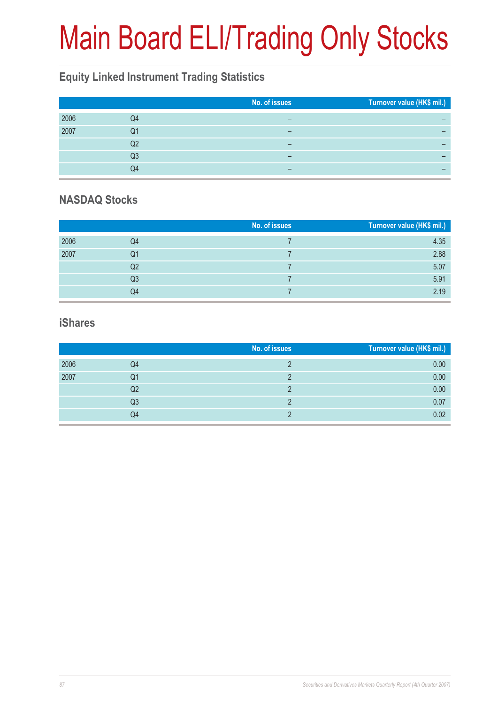# Main Board ELI/Trading Only Stocks

### **Equity Linked Instrument Trading Statistics**

|      |    | No. of issues | Turnover value (HK\$ mil.) |
|------|----|---------------|----------------------------|
| 2006 | Q4 |               |                            |
| 2007 | Q1 |               |                            |
|      | Q2 | -             |                            |
|      | Q3 | -             |                            |
|      | Q4 | -             |                            |

#### **NASDAQ Stocks**

|      |    | No. of issues | Turnover value (HK\$ mil.) |
|------|----|---------------|----------------------------|
| 2006 | Q4 |               | 4.35                       |
| 2007 | Q1 |               | 2.88                       |
|      | Q2 |               | 5.07                       |
|      | Q3 |               | 5.91                       |
|      | Q4 |               | 2.19                       |

#### **iShares**

|      |    | No. of issues | Turnover value (HK\$ mil.) |
|------|----|---------------|----------------------------|
| 2006 | Q4 |               | 0.00                       |
| 2007 | Q1 |               | 0.00                       |
|      | Q2 |               | 0.00                       |
|      | Q3 |               | 0.07                       |
|      | Q4 |               | 0.02                       |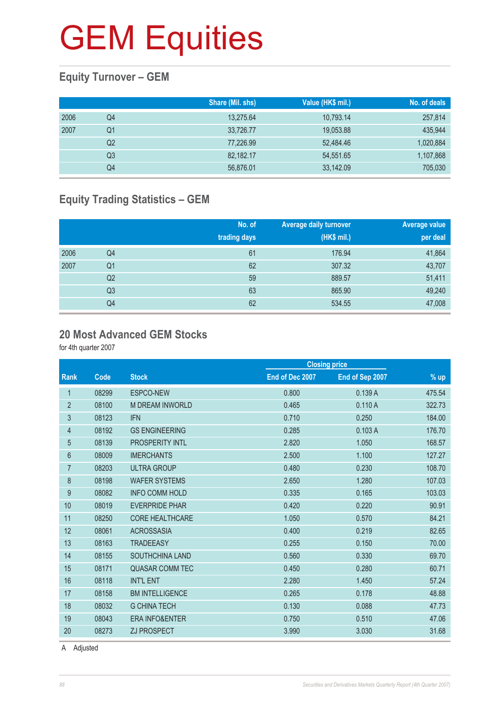### **Equity Turnover – GEM**

|      |    | Share (Mil. shs) | Value (HK\$ mil.) | No. of deals |
|------|----|------------------|-------------------|--------------|
| 2006 | Q4 | 13,275.64        | 10,793.14         | 257,814      |
| 2007 | Q1 | 33,726.77        | 19,053.88         | 435,944      |
|      | Q2 | 77,226.99        | 52,484.46         | 1,020,884    |
|      | Q3 | 82,182.17        | 54,551.65         | 1,107,868    |
|      | Q4 | 56,876.01        | 33,142.09         | 705,030      |

### **Equity Trading Statistics – GEM**

|      |                | No. of<br>trading days | <b>Average daily turnover</b><br>(HK\$ mil.) | Average value<br>per deal |
|------|----------------|------------------------|----------------------------------------------|---------------------------|
| 2006 | Q4             | 61                     | 176.94                                       | 41,864                    |
| 2007 | Q <sub>1</sub> | 62                     | 307.32                                       | 43,707                    |
|      | Q <sub>2</sub> | 59                     | 889.57                                       | 51,411                    |
|      | Q <sub>3</sub> | 63                     | 865.90                                       | 49,240                    |
|      | Q4             | 62                     | 534.55                                       | 47,008                    |

#### **20 Most Advanced GEM Stocks**

for 4th quarter 2007

|                |       |                           |                 | <b>Closing price</b> |        |
|----------------|-------|---------------------------|-----------------|----------------------|--------|
| Rank           | Code  | <b>Stock</b>              | End of Dec 2007 | End of Sep 2007      | % up   |
| 1              | 08299 | ESPCO-NEW                 | 0.800           | 0.139A               | 475.54 |
| $\overline{2}$ | 08100 | <b>M DREAM INWORLD</b>    | 0.465           | 0.110A               | 322.73 |
| $\sqrt{3}$     | 08123 | <b>IFN</b>                | 0.710           | 0.250                | 184.00 |
| 4              | 08192 | <b>GS ENGINEERING</b>     | 0.285           | 0.103A               | 176.70 |
| 5              | 08139 | <b>PROSPERITY INTL</b>    | 2.820           | 1.050                | 168.57 |
| 6              | 08009 | <b>IMERCHANTS</b>         | 2.500           | 1.100                | 127.27 |
| $\overline{7}$ | 08203 | <b>ULTRA GROUP</b>        | 0.480           | 0.230                | 108.70 |
| 8              | 08198 | <b>WAFER SYSTEMS</b>      | 2.650           | 1.280                | 107.03 |
| 9              | 08082 | <b>INFO COMM HOLD</b>     | 0.335           | 0.165                | 103.03 |
| 10             | 08019 | <b>EVERPRIDE PHAR</b>     | 0.420           | 0.220                | 90.91  |
| 11             | 08250 | <b>CORE HEALTHCARE</b>    | 1.050           | 0.570                | 84.21  |
| 12             | 08061 | <b>ACROSSASIA</b>         | 0.400           | 0.219                | 82.65  |
| 13             | 08163 | <b>TRADEEASY</b>          | 0.255           | 0.150                | 70.00  |
| 14             | 08155 | <b>SOUTHCHINA LAND</b>    | 0.560           | 0.330                | 69.70  |
| 15             | 08171 | <b>QUASAR COMM TEC</b>    | 0.450           | 0.280                | 60.71  |
| 16             | 08118 | <b>INT'L ENT</b>          | 2.280           | 1.450                | 57.24  |
| 17             | 08158 | <b>BM INTELLIGENCE</b>    | 0.265           | 0.178                | 48.88  |
| 18             | 08032 | <b>G CHINA TECH</b>       | 0.130           | 0.088                | 47.73  |
| 19             | 08043 | <b>ERA INFO&amp;ENTER</b> | 0.750           | 0.510                | 47.06  |
| 20             | 08273 | <b>ZJ PROSPECT</b>        | 3.990           | 3.030                | 31.68  |
|                |       |                           |                 |                      |        |

A Adjusted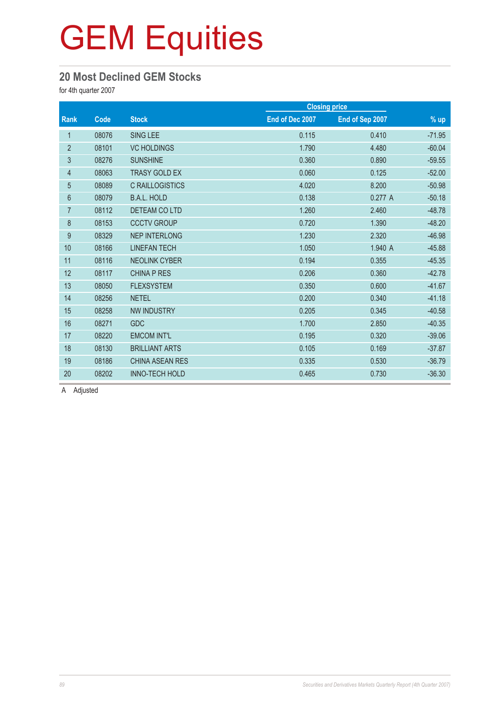#### **20 Most Declined GEM Stocks**

for 4th quarter 2007

|                |       |                        |                 | <b>Closing price</b> |          |
|----------------|-------|------------------------|-----------------|----------------------|----------|
| Rank           | Code  | <b>Stock</b>           | End of Dec 2007 | End of Sep 2007      | $%$ up   |
| 1              | 08076 | <b>SING LEE</b>        | 0.115           | 0.410                | $-71.95$ |
| $\overline{2}$ | 08101 | <b>VC HOLDINGS</b>     | 1.790           | 4.480                | $-60.04$ |
| 3              | 08276 | <b>SUNSHINE</b>        | 0.360           | 0.890                | $-59.55$ |
| $\overline{4}$ | 08063 | <b>TRASY GOLD EX</b>   | 0.060           | 0.125                | $-52.00$ |
| $\overline{5}$ | 08089 | C RAILLOGISTICS        | 4.020           | 8.200                | $-50.98$ |
| $6\phantom{.}$ | 08079 | <b>B.A.L. HOLD</b>     | 0.138           | 0.277A               | $-50.18$ |
| $\overline{7}$ | 08112 | <b>DETEAM CO LTD</b>   | 1.260           | 2.460                | $-48.78$ |
| $\,8\,$        | 08153 | <b>CCCTV GROUP</b>     | 0.720           | 1.390                | $-48.20$ |
| 9              | 08329 | <b>NEP INTERLONG</b>   | 1.230           | 2.320                | $-46.98$ |
| 10             | 08166 | <b>LINEFAN TECH</b>    | 1.050           | 1.940 A              | $-45.88$ |
| 11             | 08116 | <b>NEOLINK CYBER</b>   | 0.194           | 0.355                | $-45.35$ |
| 12             | 08117 | <b>CHINA P RES</b>     | 0.206           | 0.360                | $-42.78$ |
| 13             | 08050 | <b>FLEXSYSTEM</b>      | 0.350           | 0.600                | $-41.67$ |
| 14             | 08256 | <b>NETEL</b>           | 0.200           | 0.340                | $-41.18$ |
| 15             | 08258 | <b>NW INDUSTRY</b>     | 0.205           | 0.345                | $-40.58$ |
| 16             | 08271 | <b>GDC</b>             | 1.700           | 2.850                | $-40.35$ |
| 17             | 08220 | <b>EMCOM INT'L</b>     | 0.195           | 0.320                | $-39.06$ |
| 18             | 08130 | <b>BRILLIANT ARTS</b>  | 0.105           | 0.169                | $-37.87$ |
| 19             | 08186 | <b>CHINA ASEAN RES</b> | 0.335           | 0.530                | $-36.79$ |
| 20             | 08202 | <b>INNO-TECH HOLD</b>  | 0.465           | 0.730                | $-36.30$ |

A Adjusted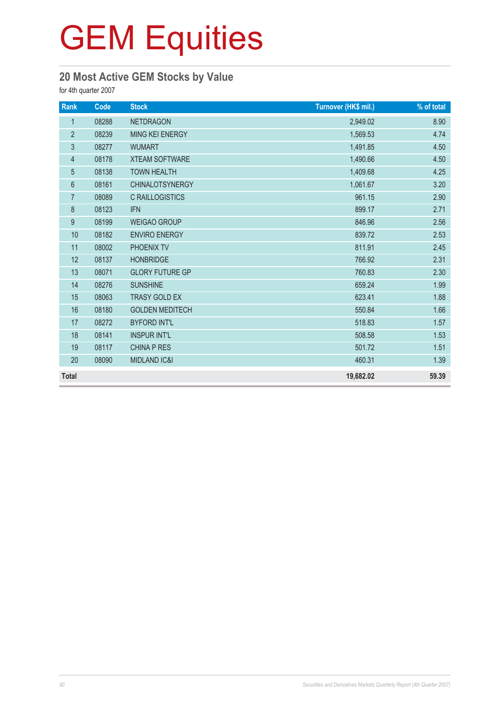### **20 Most Active GEM Stocks by Value**

for 4th quarter 2007

| Rank             | Code  | <b>Stock</b>            | Turnover (HK\$ mil.) | % of total |
|------------------|-------|-------------------------|----------------------|------------|
| $\mathbf{1}$     | 08288 | <b>NETDRAGON</b>        | 2,949.02             | 8.90       |
| $\overline{2}$   | 08239 | <b>MING KEI ENERGY</b>  | 1,569.53             | 4.74       |
| $\mathfrak{Z}$   | 08277 | <b>WUMART</b>           | 1,491.85             | 4.50       |
| $\overline{4}$   | 08178 | <b>XTEAM SOFTWARE</b>   | 1,490.66             | 4.50       |
| $\overline{5}$   | 08138 | <b>TOWN HEALTH</b>      | 1,409.68             | 4.25       |
| $\boldsymbol{6}$ | 08161 | <b>CHINALOTSYNERGY</b>  | 1,061.67             | 3.20       |
| $\overline{7}$   | 08089 | <b>C RAILLOGISTICS</b>  | 961.15               | 2.90       |
| 8                | 08123 | <b>IFN</b>              | 899.17               | 2.71       |
| 9                | 08199 | <b>WEIGAO GROUP</b>     | 846.96               | 2.56       |
| 10               | 08182 | <b>ENVIRO ENERGY</b>    | 839.72               | 2.53       |
| 11               | 08002 | PHOENIX TV              | 811.91               | 2.45       |
| 12               | 08137 | <b>HONBRIDGE</b>        | 766.92               | 2.31       |
| 13               | 08071 | <b>GLORY FUTURE GP</b>  | 760.83               | 2.30       |
| 14               | 08276 | <b>SUNSHINE</b>         | 659.24               | 1.99       |
| 15               | 08063 | <b>TRASY GOLD EX</b>    | 623.41               | 1.88       |
| 16               | 08180 | <b>GOLDEN MEDITECH</b>  | 550.84               | 1.66       |
| 17               | 08272 | <b>BYFORD INT'L</b>     | 518.83               | 1.57       |
| 18               | 08141 | <b>INSPUR INT'L</b>     | 508.58               | 1.53       |
| 19               | 08117 | <b>CHINA P RES</b>      | 501.72               | 1.51       |
| 20               | 08090 | <b>MIDLAND IC&amp;I</b> | 460.31               | 1.39       |
| <b>Total</b>     |       |                         | 19,682.02            | 59.39      |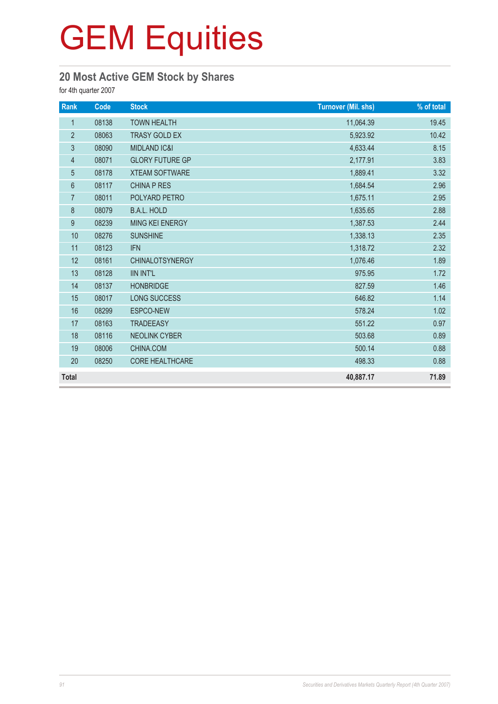### **20 Most Active GEM Stock by Shares**

for 4th quarter 2007

| Rank           | Code  | <b>Stock</b>            | <b>Turnover (Mil. shs)</b> | % of total |
|----------------|-------|-------------------------|----------------------------|------------|
| $\mathbf{1}$   | 08138 | <b>TOWN HEALTH</b>      | 11,064.39                  | 19.45      |
| $\overline{2}$ | 08063 | <b>TRASY GOLD EX</b>    | 5,923.92                   | 10.42      |
| 3              | 08090 | <b>MIDLAND IC&amp;I</b> | 4,633.44                   | 8.15       |
| $\overline{4}$ | 08071 | <b>GLORY FUTURE GP</b>  | 2,177.91                   | 3.83       |
| $\overline{5}$ | 08178 | <b>XTEAM SOFTWARE</b>   | 1,889.41                   | 3.32       |
| $6\,$          | 08117 | <b>CHINA P RES</b>      | 1,684.54                   | 2.96       |
| $\overline{7}$ | 08011 | POLYARD PETRO           | 1,675.11                   | 2.95       |
| $\bf 8$        | 08079 | <b>B.A.L. HOLD</b>      | 1,635.65                   | 2.88       |
| 9              | 08239 | MING KEI ENERGY         | 1,387.53                   | 2.44       |
| 10             | 08276 | <b>SUNSHINE</b>         | 1,338.13                   | 2.35       |
| 11             | 08123 | <b>IFN</b>              | 1,318.72                   | 2.32       |
| 12             | 08161 | <b>CHINALOTSYNERGY</b>  | 1,076.46                   | 1.89       |
| 13             | 08128 | <b>IIN INT'L</b>        | 975.95                     | 1.72       |
| 14             | 08137 | <b>HONBRIDGE</b>        | 827.59                     | 1.46       |
| 15             | 08017 | <b>LONG SUCCESS</b>     | 646.82                     | 1.14       |
| 16             | 08299 | ESPCO-NEW               | 578.24                     | 1.02       |
| 17             | 08163 | <b>TRADEEASY</b>        | 551.22                     | 0.97       |
| 18             | 08116 | <b>NEOLINK CYBER</b>    | 503.68                     | 0.89       |
| 19             | 08006 | CHINA.COM               | 500.14                     | 0.88       |
| 20             | 08250 | CORE HEALTHCARE         | 498.33                     | 0.88       |
| <b>Total</b>   |       |                         | 40,887.17                  | 71.89      |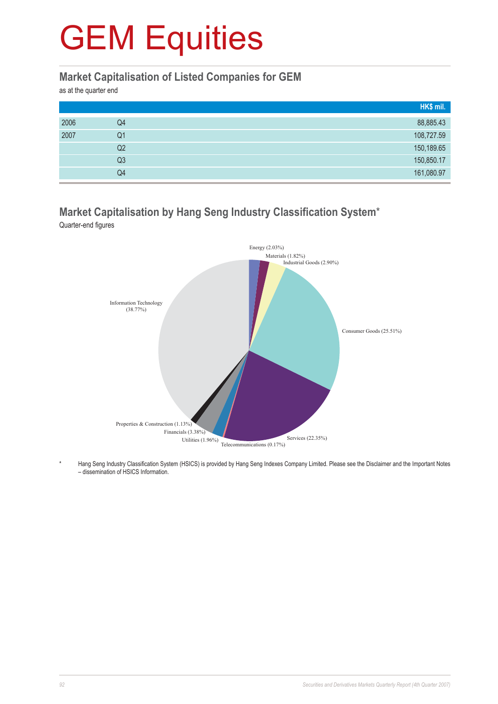#### **Market Capitalisation of Listed Companies for GEM**

as at the quarter end

|      |    | HK\$ mil.  |
|------|----|------------|
| 2006 | Q4 | 88,885.43  |
| 2007 | Q1 | 108,727.59 |
|      | Q2 | 150,189.65 |
|      | Q3 | 150,850.17 |
|      | Q4 | 161,080.97 |

### **Market Capitalisation by Hang Seng Industry Classification System**\*

Quarter-end figures



Hang Seng Industry Classification System (HSICS) is provided by Hang Seng Indexes Company Limited. Please see the Disclaimer and the Important Notes – dissemination of HSICS Information.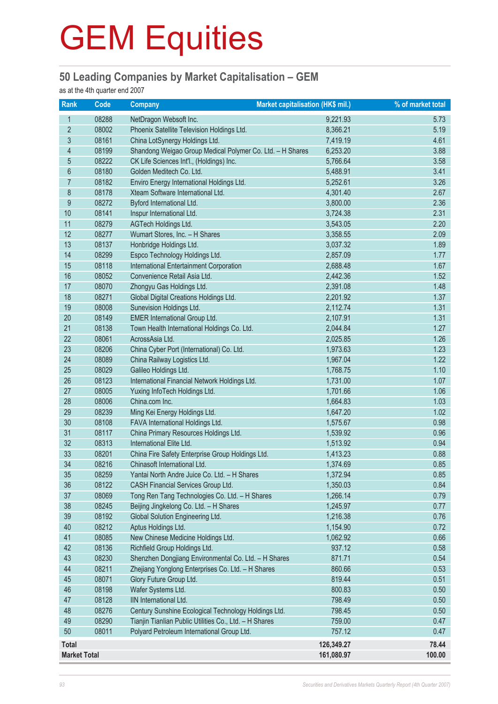#### **50 Leading Companies by Market Capitalisation – GEM**

as at the 4th quarter end 2007

| <b>Rank</b>         | Code           | <b>Company</b>                                                    | Market capitalisation (HK\$ mil.) | % of market total |
|---------------------|----------------|-------------------------------------------------------------------|-----------------------------------|-------------------|
| $\mathbf{1}$        | 08288          | NetDragon Websoft Inc.                                            | 9,221.93                          | 5.73              |
| $\overline{2}$      | 08002          | Phoenix Satellite Television Holdings Ltd.                        | 8,366.21                          | 5.19              |
| $\mathfrak{S}$      | 08161          | China LotSynergy Holdings Ltd.                                    | 7,419.19                          | 4.61              |
| 4                   | 08199          | Shandong Weigao Group Medical Polymer Co. Ltd. - H Shares         | 6,253.20                          | 3.88              |
| 5                   | 08222          | CK Life Sciences Int'l., (Holdings) Inc.                          | 5,766.64                          | 3.58              |
| $6\,$               | 08180          | Golden Meditech Co. Ltd.                                          | 5,488.91                          | 3.41              |
| $\overline{7}$      | 08182          | Enviro Energy International Holdings Ltd.                         | 5,252.61                          | 3.26              |
| 8                   | 08178          | Xteam Software International Ltd.                                 | 4,301.40                          | 2.67              |
| 9                   | 08272          | Byford International Ltd.                                         | 3,800.00                          | 2.36              |
| 10                  | 08141          | Inspur International Ltd.                                         | 3,724.38                          | 2.31              |
| 11                  | 08279          | AGTech Holdings Ltd.                                              | 3,543.05                          | 2.20              |
| 12                  | 08277          | Wumart Stores, Inc. - H Shares                                    | 3,358.55                          | 2.09              |
| 13                  | 08137          | Honbridge Holdings Ltd.                                           | 3,037.32                          | 1.89              |
| 14                  | 08299          | Espco Technology Holdings Ltd.                                    | 2,857.09                          | 1.77              |
| 15                  | 08118          | <b>International Entertainment Corporation</b>                    | 2,688.48                          | 1.67              |
| 16                  | 08052          | Convenience Retail Asia Ltd.                                      | 2,442.36                          | 1.52              |
| 17                  | 08070          | Zhongyu Gas Holdings Ltd.                                         | 2,391.08                          | 1.48              |
| 18                  | 08271          | Global Digital Creations Holdings Ltd.                            | 2,201.92                          | 1.37              |
| 19                  | 08008          | Sunevision Holdings Ltd.                                          | 2,112.74                          | 1.31              |
| 20                  | 08149          | <b>EMER International Group Ltd.</b>                              | 2,107.91                          | 1.31              |
| 21                  | 08138          | Town Health International Holdings Co. Ltd.                       | 2,044.84                          | 1.27              |
| 22                  | 08061          | AcrossAsia Ltd.                                                   | 2,025.85                          | 1.26              |
| 23                  | 08206          | China Cyber Port (International) Co. Ltd.                         | 1,973.63                          | 1.23              |
| 24                  | 08089          | China Railway Logistics Ltd.                                      | 1,967.04                          | 1.22              |
| 25                  | 08029          | Galileo Holdings Ltd.                                             | 1,768.75                          | 1.10              |
| 26                  | 08123          | International Financial Network Holdings Ltd.                     | 1,731.00                          | 1.07              |
| 27<br>28            | 08005<br>08006 | Yuxing InfoTech Holdings Ltd.<br>China.com Inc.                   | 1,701.66                          | 1.06<br>1.03      |
| 29                  | 08239          |                                                                   | 1,664.83<br>1,647.20              | 1.02              |
| 30                  | 08108          | Ming Kei Energy Holdings Ltd.<br>FAVA International Holdings Ltd. | 1,575.67                          | 0.98              |
| 31                  | 08117          | China Primary Resources Holdings Ltd.                             | 1,539.92                          | 0.96              |
| 32                  | 08313          | International Elite Ltd.                                          | 1,513.92                          | 0.94              |
| 33                  | 08201          | China Fire Safety Enterprise Group Holdings Ltd.                  | 1,413.23                          | 0.88              |
| 34                  | 08216          | Chinasoft International Ltd.                                      | 1,374.69                          | 0.85              |
| 35                  | 08259          | Yantai North Andre Juice Co. Ltd. - H Shares                      | 1,372.94                          | 0.85              |
| 36                  | 08122          | CASH Financial Services Group Ltd.                                | 1,350.03                          | 0.84              |
| 37                  | 08069          | Tong Ren Tang Technologies Co. Ltd. - H Shares                    | 1,266.14                          | 0.79              |
| 38                  | 08245          | Beijing Jingkelong Co. Ltd. - H Shares                            | 1,245.97                          | 0.77              |
| 39                  | 08192          | Global Solution Engineering Ltd.                                  | 1,216.38                          | 0.76              |
| 40                  | 08212          | Aptus Holdings Ltd.                                               | 1,154.90                          | 0.72              |
| 41                  | 08085          | New Chinese Medicine Holdings Ltd.                                | 1,062.92                          | 0.66              |
| 42                  | 08136          | Richfield Group Holdings Ltd.                                     | 937.12                            | 0.58              |
| 43                  | 08230          | Shenzhen Dongjiang Environmental Co. Ltd. - H Shares              | 871.71                            | 0.54              |
| 44                  | 08211          | Zhejiang Yonglong Enterprises Co. Ltd. - H Shares                 | 860.66                            | 0.53              |
| 45                  | 08071          | Glory Future Group Ltd.                                           | 819.44                            | 0.51              |
| 46                  | 08198          | Wafer Systems Ltd.                                                | 800.83                            | 0.50              |
| 47                  | 08128          | IIN International Ltd.                                            | 798.49                            | 0.50              |
| 48                  | 08276          | Century Sunshine Ecological Technology Holdings Ltd.              | 798.45                            | 0.50              |
| 49                  | 08290          | Tianjin Tianlian Public Utilities Co., Ltd. - H Shares            | 759.00                            | 0.47              |
| 50                  | 08011          | Polyard Petroleum International Group Ltd.                        | 757.12                            | 0.47              |
| <b>Total</b>        |                |                                                                   | 126,349.27                        | 78.44             |
| <b>Market Total</b> |                |                                                                   | 161,080.97                        | 100.00            |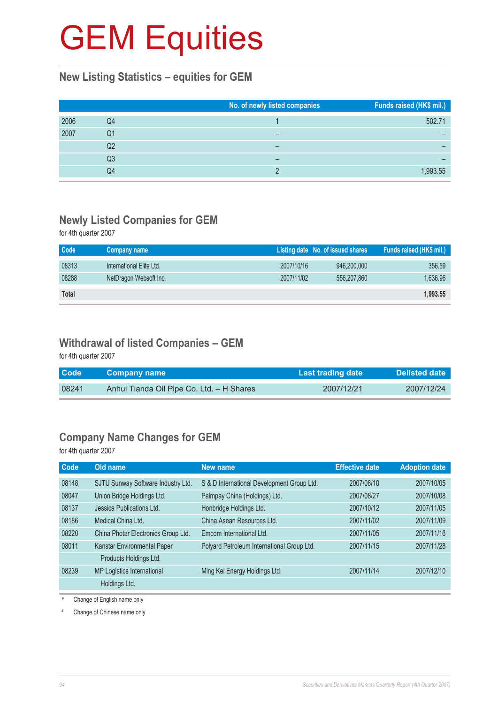#### **New Listing Statistics – equities for GEM**

|      |    | No. of newly listed companies | Funds raised (HK\$ mil.) |
|------|----|-------------------------------|--------------------------|
| 2006 | Q4 |                               | 502.71                   |
| 2007 | Q1 |                               |                          |
|      | Q2 |                               |                          |
|      | Q3 |                               |                          |
|      | Q4 |                               | 1.993.55                 |

### **Newly Listed Companies for GEM**

for 4th quarter 2007

| Code         | Company name             |            | Listing date No. of issued shares | Funds raised (HK\$ mil.) |
|--------------|--------------------------|------------|-----------------------------------|--------------------------|
| 08313        | International Elite Ltd. | 2007/10/16 | 946,200,000                       | 356.59                   |
| 08288        | NetDragon Websoft Inc.   | 2007/11/02 | 556,207,860                       | 1,636.96                 |
| <b>Total</b> |                          |            |                                   | 1,993.55                 |

#### **Withdrawal of listed Companies – GEM**

for 4th quarter 2007

| <b>Code</b> | <b>Company name</b>                       | Last trading date | <b>Delisted date</b> |
|-------------|-------------------------------------------|-------------------|----------------------|
| 08241       | Anhui Tianda Oil Pipe Co. Ltd. - H Shares | 2007/12/21        | 2007/12/24           |

### **Company Name Changes for GEM**

for 4th quarter 2007

| Code  | Old name                            | New name                                   | <b>Effective date</b> | <b>Adoption date</b> |
|-------|-------------------------------------|--------------------------------------------|-----------------------|----------------------|
| 08148 | SJTU Sunway Software Industry Ltd.  | S & D International Development Group Ltd. | 2007/08/10            | 2007/10/05           |
| 08047 | Union Bridge Holdings Ltd.          | Palmpay China (Holdings) Ltd.              | 2007/08/27            | 2007/10/08           |
| 08137 | Jessica Publications Ltd.           | Honbridge Holdings Ltd.                    | 2007/10/12            | 2007/11/05           |
| 08186 | Medical China Ltd.                  | China Asean Resources Ltd.                 | 2007/11/02            | 2007/11/09           |
| 08220 | China Photar Electronics Group Ltd. | Emcom International Ltd.                   | 2007/11/05            | 2007/11/16           |
| 08011 | Kanstar Environmental Paper         | Polyard Petroleum International Group Ltd. | 2007/11/15            | 2007/11/28           |
|       | Products Holdings Ltd.              |                                            |                       |                      |
| 08239 | MP Logistics International          | Ming Kei Energy Holdings Ltd.              | 2007/11/14            | 2007/12/10           |
|       | Holdings Ltd.                       |                                            |                       |                      |

\* Change of English name only

# Change of Chinese name only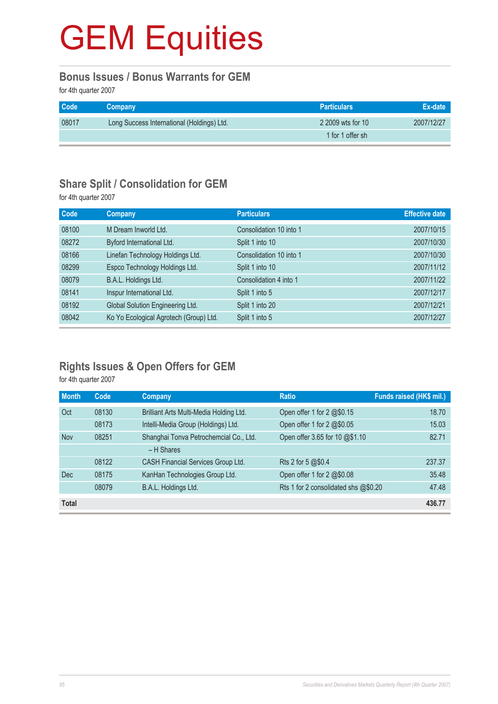#### **Bonus Issues / Bonus Warrants for GEM**

for 4th quarter 2007

| Code  | Company                                    | <b>Particulars</b> | Ex-date    |
|-------|--------------------------------------------|--------------------|------------|
| 08017 | Long Success International (Holdings) Ltd. | 2 2009 wts for 10  | 2007/12/27 |
|       |                                            | 1 for 1 offer sh   |            |

#### **Share Split / Consolidation for GEM**

for 4th quarter 2007

| Code  | <b>Company</b>                         | <b>Particulars</b>      | <b>Effective date</b> |
|-------|----------------------------------------|-------------------------|-----------------------|
| 08100 | M Dream Inworld Ltd.                   | Consolidation 10 into 1 | 2007/10/15            |
| 08272 | Byford International Ltd.              | Split 1 into 10         | 2007/10/30            |
| 08166 | Linefan Technology Holdings Ltd.       | Consolidation 10 into 1 | 2007/10/30            |
| 08299 | Espco Technology Holdings Ltd.         | Split 1 into 10         | 2007/11/12            |
| 08079 | B.A.L. Holdings Ltd.                   | Consolidation 4 into 1  | 2007/11/22            |
| 08141 | Inspur International Ltd.              | Split 1 into 5          | 2007/12/17            |
| 08192 | Global Solution Engineering Ltd.       | Split 1 into 20         | 2007/12/21            |
| 08042 | Ko Yo Ecological Agrotech (Group) Ltd. | Split 1 into 5          | 2007/12/27            |

### **Rights Issues & Open Offers for GEM**

for 4th quarter 2007

| <b>Month</b> | Code  | Company                                 | <b>Ratio</b>                         | Funds raised (HK\$ mil.) |
|--------------|-------|-----------------------------------------|--------------------------------------|--------------------------|
| Oct          | 08130 | Brilliant Arts Multi-Media Holding Ltd. | Open offer 1 for 2 @\$0.15           | 18.70                    |
|              | 08173 | Intelli-Media Group (Holdings) Ltd.     | Open offer 1 for 2 @\$0.05           | 15.03                    |
| <b>Nov</b>   | 08251 | Shanghai Tonva Petrochemcial Co., Ltd.  | Open offer 3.65 for 10 @\$1.10       | 82.71                    |
|              |       | $-$ H Shares                            |                                      |                          |
|              | 08122 | CASH Financial Services Group Ltd.      | Rts 2 for 5 @\$0.4                   | 237.37                   |
| Dec          | 08175 | KanHan Technologies Group Ltd.          | Open offer 1 for $2 \& 0.08$         | 35.48                    |
|              | 08079 | B.A.L. Holdings Ltd.                    | Rts 1 for 2 consolidated shs @\$0.20 | 47.48                    |
| <b>Total</b> |       |                                         |                                      | 436.77                   |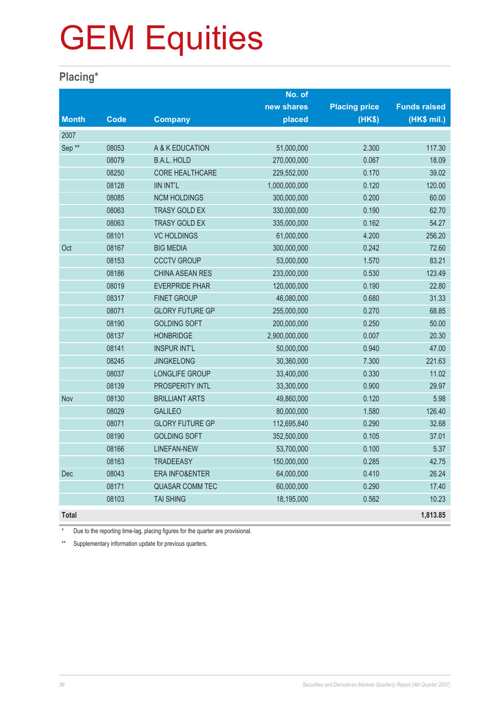### **Placing\***

|                   |             |                           | No. of        |                      |                     |
|-------------------|-------------|---------------------------|---------------|----------------------|---------------------|
|                   |             |                           | new shares    | <b>Placing price</b> | <b>Funds raised</b> |
| <b>Month</b>      | <b>Code</b> | <b>Company</b>            | placed        | (HK\$)               | (HK\$ mil.)         |
| 2007              |             |                           |               |                      |                     |
| Sep <sup>**</sup> | 08053       | A & K EDUCATION           | 51,000,000    | 2.300                | 117.30              |
|                   | 08079       | <b>B.A.L. HOLD</b>        | 270,000,000   | 0.067                | 18.09               |
|                   | 08250       | <b>CORE HEALTHCARE</b>    | 229,552,000   | 0.170                | 39.02               |
|                   | 08128       | <b>IIN INT'L</b>          | 1,000,000,000 | 0.120                | 120.00              |
|                   | 08085       | <b>NCM HOLDINGS</b>       | 300,000,000   | 0.200                | 60.00               |
|                   | 08063       | <b>TRASY GOLD EX</b>      | 330,000,000   | 0.190                | 62.70               |
|                   | 08063       | <b>TRASY GOLD EX</b>      | 335,000,000   | 0.162                | 54.27               |
|                   | 08101       | <b>VC HOLDINGS</b>        | 61,000,000    | 4.200                | 256.20              |
| Oct               | 08167       | <b>BIG MEDIA</b>          | 300,000,000   | 0.242                | 72.60               |
|                   | 08153       | <b>CCCTV GROUP</b>        | 53,000,000    | 1.570                | 83.21               |
|                   | 08186       | <b>CHINA ASEAN RES</b>    | 233,000,000   | 0.530                | 123.49              |
|                   | 08019       | <b>EVERPRIDE PHAR</b>     | 120,000,000   | 0.190                | 22.80               |
|                   | 08317       | <b>FINET GROUP</b>        | 46,080,000    | 0.680                | 31.33               |
|                   | 08071       | <b>GLORY FUTURE GP</b>    | 255,000,000   | 0.270                | 68.85               |
|                   | 08190       | <b>GOLDING SOFT</b>       | 200,000,000   | 0.250                | 50.00               |
|                   | 08137       | <b>HONBRIDGE</b>          | 2,900,000,000 | 0.007                | 20.30               |
|                   | 08141       | <b>INSPUR INT'L</b>       | 50,000,000    | 0.940                | 47.00               |
|                   | 08245       | <b>JINGKELONG</b>         | 30,360,000    | 7.300                | 221.63              |
|                   | 08037       | LONGLIFE GROUP            | 33,400,000    | 0.330                | 11.02               |
|                   | 08139       | PROSPERITY INTL           | 33,300,000    | 0.900                | 29.97               |
| Nov               | 08130       | <b>BRILLIANT ARTS</b>     | 49,860,000    | 0.120                | 5.98                |
|                   | 08029       | <b>GALILEO</b>            | 80,000,000    | 1.580                | 126.40              |
|                   | 08071       | <b>GLORY FUTURE GP</b>    | 112,695,840   | 0.290                | 32.68               |
|                   | 08190       | <b>GOLDING SOFT</b>       | 352,500,000   | 0.105                | 37.01               |
|                   | 08166       | <b>LINEFAN-NEW</b>        | 53,700,000    | 0.100                | 5.37                |
|                   | 08163       | <b>TRADEEASY</b>          | 150,000,000   | 0.285                | 42.75               |
| Dec               | 08043       | <b>ERA INFO&amp;ENTER</b> | 64,000,000    | 0.410                | 26.24               |
|                   | 08171       | <b>QUASAR COMM TEC</b>    | 60,000,000    | 0.290                | 17.40               |
|                   | 08103       | <b>TAI SHING</b>          | 18,195,000    | 0.562                | 10.23               |
| <b>Total</b>      |             |                           |               |                      | 1,813.85            |

Due to the reporting time-lag, placing figures for the quarter are provisional.

\*\* Supplementary information update for previous quarters.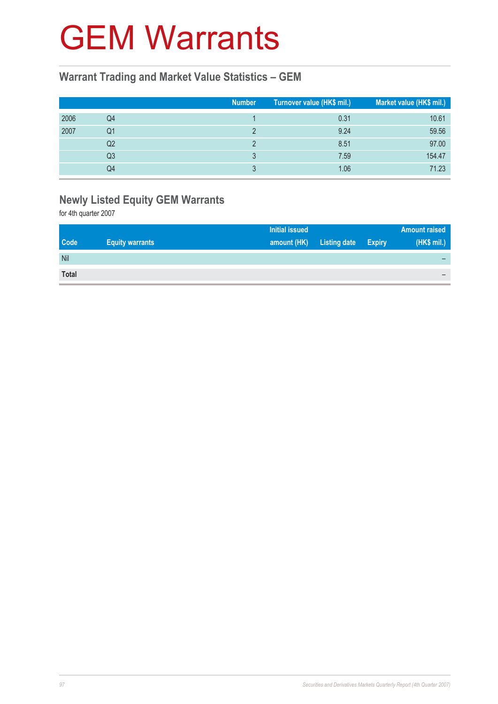### GEM Warrants

#### **Warrant Trading and Market Value Statistics – GEM**

|      |                | <b>Number</b> | Turnover value (HK\$ mil.) | Market value (HK\$ mil.) |
|------|----------------|---------------|----------------------------|--------------------------|
| 2006 | Q4             |               | 0.31                       | 10.61                    |
| 2007 | Q1             |               | 9.24                       | 59.56                    |
|      | Q2             |               | 8.51                       | 97.00                    |
|      | Q <sub>3</sub> |               | 7.59                       | 154.47                   |
|      | Q4             |               | 1.06                       | 71.23                    |

### **Newly Listed Equity GEM Warrants**

for 4th quarter 2007

| <b>Code</b><br><b>Listing date</b><br><b>Equity warrants</b><br>amount (HK)<br><b>Expiry</b> |             |
|----------------------------------------------------------------------------------------------|-------------|
|                                                                                              | (HK\$ mil.) |
| Nil                                                                                          |             |
| <b>Total</b>                                                                                 |             |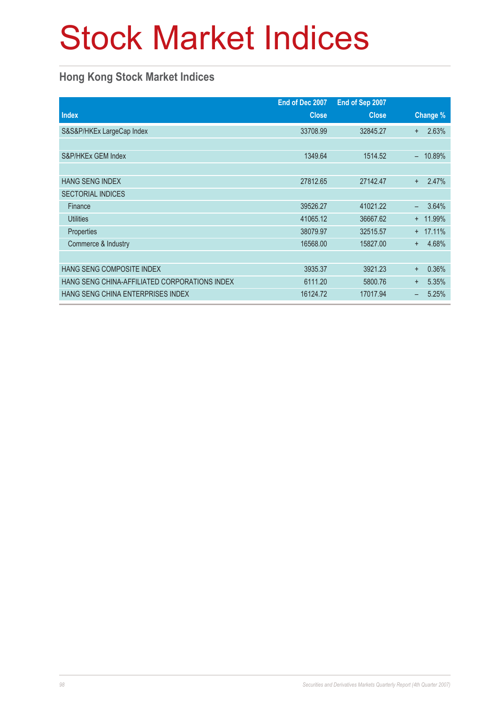### Stock Market Indices

### **Hong Kong Stock Market Indices**

|                                               | End of Dec 2007 | End of Sep 2007 |                    |
|-----------------------------------------------|-----------------|-----------------|--------------------|
| <b>Index</b>                                  | <b>Close</b>    | <b>Close</b>    | Change %           |
| S&S&P/HKEx LargeCap Index                     | 33708.99        | 32845.27        | 2.63%<br>$+$       |
|                                               |                 |                 |                    |
| S&P/HKEx GEM Index                            | 1349.64         | 1514.52         | 10.89%             |
|                                               |                 |                 |                    |
| <b>HANG SENG INDEX</b>                        | 27812.65        | 27142.47        | 2.47%<br>$+$       |
| <b>SECTORIAL INDICES</b>                      |                 |                 |                    |
| Finance                                       | 39526.27        | 41021.22        | 3.64%              |
| <b>Utilities</b>                              | 41065.12        | 36667.62        | + 11.99%           |
| <b>Properties</b>                             | 38079.97        | 32515.57        | 17.11%<br>$^+$     |
| Commerce & Industry                           | 16568.00        | 15827.00        | 4.68%<br>$+$       |
|                                               |                 |                 |                    |
| HANG SENG COMPOSITE INDEX                     | 3935.37         | 3921.23         | 0.36%<br>$\ddot{}$ |
| HANG SENG CHINA-AFFILIATED CORPORATIONS INDEX | 6111.20         | 5800.76         | 5.35%<br>$+$       |
| HANG SENG CHINA ENTERPRISES INDEX             | 16124.72        | 17017.94        | 5.25%              |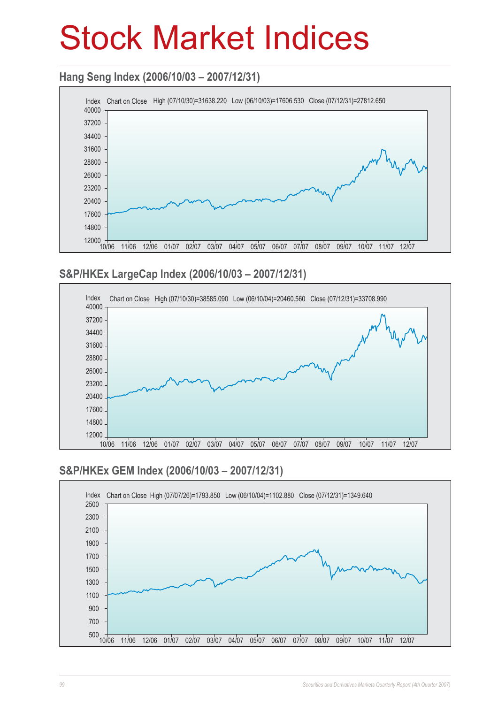### Stock Market Indices

#### **Hang Seng Index (2006/10/03 – 2007/12/31)**



#### **S&P/HKEx LargeCap Index (2006/10/03 – 2007/12/31)**



### **S&P/HKEx GEM Index (2006/10/03 – 2007/12/31)**

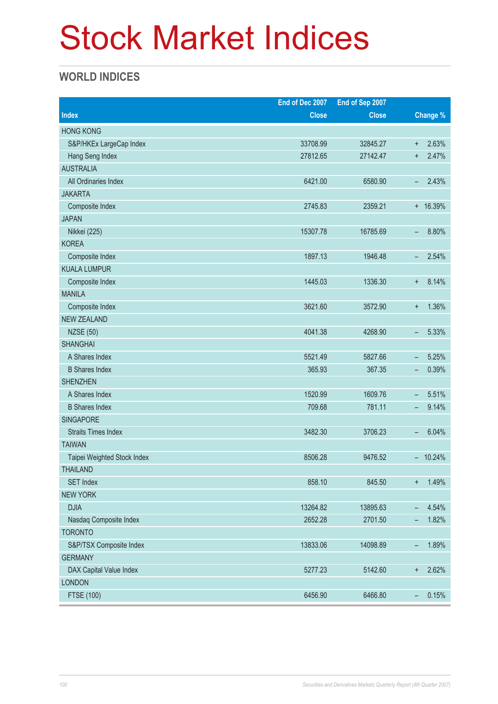### Stock Market Indices

### **WORLD INDICES**

|                             | End of Dec 2007 | End of Sep 2007 |                                   |  |
|-----------------------------|-----------------|-----------------|-----------------------------------|--|
| <b>Index</b>                | <b>Close</b>    | <b>Close</b>    | Change %                          |  |
| <b>HONG KONG</b>            |                 |                 |                                   |  |
| S&P/HKEx LargeCap Index     | 33708.99        | 32845.27        | 2.63%<br>$\ddot{}$                |  |
| Hang Seng Index             | 27812.65        | 27142.47        | 2.47%<br>$\ddot{}$                |  |
| <b>AUSTRALIA</b>            |                 |                 |                                   |  |
| All Ordinaries Index        | 6421.00         | 6580.90         | 2.43%<br>-                        |  |
| <b>JAKARTA</b>              |                 |                 |                                   |  |
| Composite Index             | 2745.83         | 2359.21         | $+ 16.39%$                        |  |
| <b>JAPAN</b>                |                 |                 |                                   |  |
| Nikkei (225)                | 15307.78        | 16785.69        | 8.80%<br>-                        |  |
| <b>KOREA</b>                |                 |                 |                                   |  |
| Composite Index             | 1897.13         | 1946.48         | 2.54%<br>$\qquad \qquad -$        |  |
| <b>KUALA LUMPUR</b>         |                 |                 |                                   |  |
| Composite Index             | 1445.03         | 1336.30         | 8.14%<br>$\ddot{}$                |  |
| <b>MANILA</b>               |                 |                 |                                   |  |
| Composite Index             | 3621.60         | 3572.90         | 1.36%<br>$\ddot{}$                |  |
| <b>NEW ZEALAND</b>          |                 |                 |                                   |  |
| <b>NZSE (50)</b>            | 4041.38         | 4268.90         | 5.33%<br>-                        |  |
| <b>SHANGHAI</b>             |                 |                 |                                   |  |
| A Shares Index              | 5521.49         | 5827.66         | 5.25%<br>$\qquad \qquad -$        |  |
| <b>B</b> Shares Index       | 365.93          | 367.35          | 0.39%<br>$\overline{\phantom{a}}$ |  |
| <b>SHENZHEN</b>             |                 |                 |                                   |  |
| A Shares Index              | 1520.99         | 1609.76         | 5.51%<br>$\overline{\phantom{m}}$ |  |
| <b>B</b> Shares Index       | 709.68          | 781.11          | 9.14%<br>-                        |  |
| <b>SINGAPORE</b>            |                 |                 |                                   |  |
| <b>Straits Times Index</b>  | 3482.30         | 3706.23         | 6.04%<br>-                        |  |
| <b>TAIWAN</b>               |                 |                 |                                   |  |
| Taipei Weighted Stock Index | 8506.28         | 9476.52         | $-10.24%$                         |  |
| <b>THAILAND</b>             |                 |                 |                                   |  |
| <b>SET Index</b>            | 858.10          | 845.50          | 1.49%<br>$\ddot{}$                |  |
| <b>NEW YORK</b>             |                 |                 |                                   |  |
| <b>DJIA</b>                 | 13264.82        | 13895.63        | 4.54%<br>-                        |  |
| Nasdaq Composite Index      | 2652.28         | 2701.50         | 1.82%<br>-                        |  |
| <b>TORONTO</b>              |                 |                 |                                   |  |
| S&P/TSX Composite Index     | 13833.06        | 14098.89        | 1.89%<br>$\overline{\phantom{0}}$ |  |
| <b>GERMANY</b>              |                 |                 |                                   |  |
| DAX Capital Value Index     | 5277.23         | 5142.60         | 2.62%<br>$\ddot{}$                |  |
| <b>LONDON</b>               |                 |                 |                                   |  |
| <b>FTSE (100)</b>           | 6456.90         | 6466.80         | 0.15%<br>$\overline{\phantom{m}}$ |  |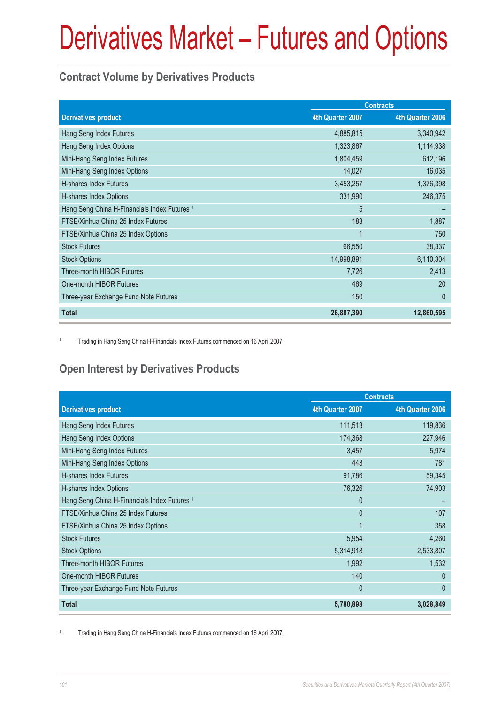### **Contract Volume by Derivatives Products**

|                                                         |                  | <b>Contracts</b> |
|---------------------------------------------------------|------------------|------------------|
| <b>Derivatives product</b>                              | 4th Quarter 2007 | 4th Quarter 2006 |
| Hang Seng Index Futures                                 | 4,885,815        | 3,340,942        |
| Hang Seng Index Options                                 | 1,323,867        | 1,114,938        |
| Mini-Hang Seng Index Futures                            | 1,804,459        | 612,196          |
| Mini-Hang Seng Index Options                            | 14,027           | 16,035           |
| H-shares Index Futures                                  | 3,453,257        | 1,376,398        |
| H-shares Index Options                                  | 331,990          | 246,375          |
| Hang Seng China H-Financials Index Futures <sup>1</sup> | 5                |                  |
| FTSE/Xinhua China 25 Index Futures                      | 183              | 1,887            |
| FTSE/Xinhua China 25 Index Options                      | 1                | 750              |
| <b>Stock Futures</b>                                    | 66,550           | 38,337           |
| <b>Stock Options</b>                                    | 14,998,891       | 6,110,304        |
| <b>Three-month HIBOR Futures</b>                        | 7,726            | 2,413            |
| One-month HIBOR Futures                                 | 469              | 20               |
| Three-year Exchange Fund Note Futures                   | 150              | $\theta$         |
| <b>Total</b>                                            | 26,887,390       | 12,860,595       |

1 Trading in Hang Seng China H-Financials Index Futures commenced on 16 April 2007.

### **Open Interest by Derivatives Products**

|                                                         |                  | <b>Contracts</b> |
|---------------------------------------------------------|------------------|------------------|
| <b>Derivatives product</b>                              | 4th Quarter 2007 | 4th Quarter 2006 |
| Hang Seng Index Futures                                 | 111,513          | 119,836          |
| Hang Seng Index Options                                 | 174,368          | 227,946          |
| Mini-Hang Seng Index Futures                            | 3,457            | 5,974            |
| Mini-Hang Seng Index Options                            | 443              | 781              |
| H-shares Index Futures                                  | 91,786           | 59,345           |
| H-shares Index Options                                  | 76,326           | 74,903           |
| Hang Seng China H-Financials Index Futures <sup>1</sup> | $\mathbf{0}$     |                  |
| FTSE/Xinhua China 25 Index Futures                      | $\mathbf{0}$     | 107              |
| FTSE/Xinhua China 25 Index Options                      | 1                | 358              |
| <b>Stock Futures</b>                                    | 5,954            | 4,260            |
| <b>Stock Options</b>                                    | 5,314,918        | 2,533,807        |
| Three-month HIBOR Futures                               | 1,992            | 1,532            |
| One-month HIBOR Futures                                 | 140              | $\Omega$         |
| Three-year Exchange Fund Note Futures                   | $\mathbf{0}$     | $\mathbf{0}$     |
| <b>Total</b>                                            | 5,780,898        | 3,028,849        |

1 Trading in Hang Seng China H-Financials Index Futures commenced on 16 April 2007.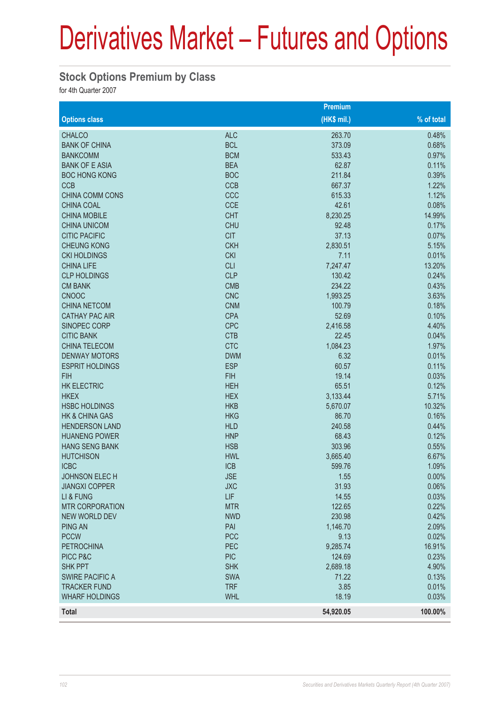#### **Stock Options Premium by Class**

for 4th Quarter 2007

|                           |            | Premium      |            |
|---------------------------|------------|--------------|------------|
| <b>Options class</b>      |            | $(HK$$ mil.) | % of total |
| <b>CHALCO</b>             | <b>ALC</b> | 263.70       | 0.48%      |
| <b>BANK OF CHINA</b>      | <b>BCL</b> | 373.09       | 0.68%      |
| <b>BANKCOMM</b>           | <b>BCM</b> | 533.43       | 0.97%      |
| <b>BANK OF E ASIA</b>     | <b>BEA</b> | 62.87        | 0.11%      |
| <b>BOC HONG KONG</b>      | <b>BOC</b> | 211.84       | 0.39%      |
| <b>CCB</b>                | <b>CCB</b> | 667.37       | 1.22%      |
| <b>CHINA COMM CONS</b>    | CCC        | 615.33       | 1.12%      |
| <b>CHINA COAL</b>         | <b>CCE</b> | 42.61        | 0.08%      |
| <b>CHINA MOBILE</b>       | <b>CHT</b> | 8,230.25     | 14.99%     |
| <b>CHINA UNICOM</b>       | <b>CHU</b> | 92.48        | 0.17%      |
| <b>CITIC PACIFIC</b>      | <b>CIT</b> | 37.13        | 0.07%      |
| <b>CHEUNG KONG</b>        | <b>CKH</b> | 2,830.51     | 5.15%      |
| <b>CKI HOLDINGS</b>       | <b>CKI</b> | 7.11         | 0.01%      |
| <b>CHINA LIFE</b>         | <b>CLI</b> | 7,247.47     | 13.20%     |
| <b>CLP HOLDINGS</b>       | <b>CLP</b> | 130.42       | 0.24%      |
| <b>CM BANK</b>            | <b>CMB</b> | 234.22       | 0.43%      |
| <b>CNOOC</b>              | <b>CNC</b> | 1,993.25     | 3.63%      |
| <b>CHINA NETCOM</b>       | <b>CNM</b> | 100.79       | 0.18%      |
| <b>CATHAY PAC AIR</b>     | <b>CPA</b> | 52.69        | 0.10%      |
| <b>SINOPEC CORP</b>       | <b>CPC</b> | 2,416.58     | 4.40%      |
| <b>CITIC BANK</b>         | <b>CTB</b> | 22.45        | 0.04%      |
| <b>CHINA TELECOM</b>      | <b>CTC</b> | 1,084.23     | 1.97%      |
| <b>DENWAY MOTORS</b>      | <b>DWM</b> | 6.32         | 0.01%      |
| <b>ESPRIT HOLDINGS</b>    | <b>ESP</b> | 60.57        | 0.11%      |
| <b>FIH</b>                | <b>FIH</b> | 19.14        | 0.03%      |
| <b>HK ELECTRIC</b>        | <b>HEH</b> | 65.51        | 0.12%      |
| <b>HKEX</b>               | <b>HEX</b> | 3,133.44     | 5.71%      |
| <b>HSBC HOLDINGS</b>      | <b>HKB</b> | 5,670.07     | 10.32%     |
| <b>HK &amp; CHINA GAS</b> | <b>HKG</b> | 86.70        | 0.16%      |
| <b>HENDERSON LAND</b>     | <b>HLD</b> | 240.58       | 0.44%      |
| <b>HUANENG POWER</b>      | <b>HNP</b> | 68.43        | 0.12%      |
| <b>HANG SENG BANK</b>     | <b>HSB</b> | 303.96       | 0.55%      |
| <b>HUTCHISON</b>          | <b>HWL</b> | 3,665.40     | 6.67%      |
| <b>ICBC</b>               | <b>ICB</b> | 599.76       | 1.09%      |
| JOHNSON ELECH             | <b>JSE</b> | 1.55         | 0.00%      |
| <b>JIANGXI COPPER</b>     | <b>JXC</b> | 31.93        | 0.06%      |
| LI & FUNG                 | LIF        | 14.55        | 0.03%      |
| <b>MTR CORPORATION</b>    | <b>MTR</b> | 122.65       | 0.22%      |
| <b>NEW WORLD DEV</b>      | <b>NWD</b> | 230.98       | 0.42%      |
| <b>PING AN</b>            | PAI        | 1,146.70     | 2.09%      |
| <b>PCCW</b>               | <b>PCC</b> | 9.13         | 0.02%      |
| <b>PETROCHINA</b>         | PEC        | 9,285.74     | 16.91%     |
| PICC P&C                  | <b>PIC</b> | 124.69       | 0.23%      |
| <b>SHK PPT</b>            | <b>SHK</b> | 2,689.18     | 4.90%      |
| <b>SWIRE PACIFIC A</b>    | <b>SWA</b> | 71.22        | 0.13%      |
| <b>TRACKER FUND</b>       | <b>TRF</b> | 3.85         | 0.01%      |
| <b>WHARF HOLDINGS</b>     | <b>WHL</b> | 18.19        | 0.03%      |
| <b>Total</b>              |            | 54,920.05    | 100.00%    |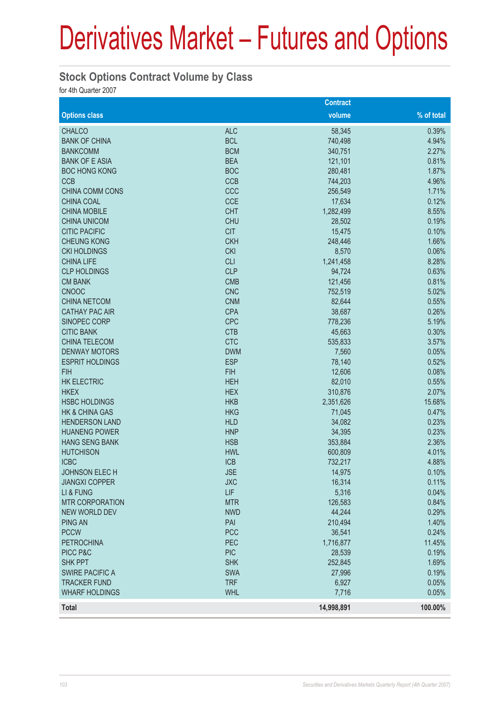#### **Stock Options Contract Volume by Class**

for 4th Quarter 2007

|                           |            | <b>Contract</b> |            |
|---------------------------|------------|-----------------|------------|
| <b>Options class</b>      |            | volume          | % of total |
| <b>CHALCO</b>             | <b>ALC</b> | 58,345          | 0.39%      |
| <b>BANK OF CHINA</b>      | <b>BCL</b> | 740,498         | 4.94%      |
| <b>BANKCOMM</b>           | <b>BCM</b> | 340,751         | 2.27%      |
| <b>BANK OF E ASIA</b>     | <b>BEA</b> | 121,101         | 0.81%      |
| <b>BOC HONG KONG</b>      | <b>BOC</b> | 280,481         | 1.87%      |
| <b>CCB</b>                | <b>CCB</b> | 744,203         | 4.96%      |
| <b>CHINA COMM CONS</b>    | CCC        | 256,549         | 1.71%      |
| <b>CHINA COAL</b>         | <b>CCE</b> | 17,634          | 0.12%      |
| <b>CHINA MOBILE</b>       | <b>CHT</b> | 1,282,499       | 8.55%      |
| <b>CHINA UNICOM</b>       | <b>CHU</b> | 28,502          | 0.19%      |
| <b>CITIC PACIFIC</b>      | <b>CIT</b> | 15,475          | 0.10%      |
| <b>CHEUNG KONG</b>        | <b>CKH</b> | 248,446         | 1.66%      |
| <b>CKI HOLDINGS</b>       | <b>CKI</b> | 8,570           | 0.06%      |
| <b>CHINA LIFE</b>         | <b>CLI</b> | 1,241,458       | 8.28%      |
| <b>CLP HOLDINGS</b>       | <b>CLP</b> | 94,724          | 0.63%      |
| <b>CM BANK</b>            | <b>CMB</b> | 121,456         | 0.81%      |
| <b>CNOOC</b>              | <b>CNC</b> | 752,519         | 5.02%      |
| <b>CHINA NETCOM</b>       | <b>CNM</b> | 82,644          | 0.55%      |
| <b>CATHAY PAC AIR</b>     | <b>CPA</b> | 38,687          | 0.26%      |
| SINOPEC CORP              | <b>CPC</b> | 778,236         | 5.19%      |
| <b>CITIC BANK</b>         | <b>CTB</b> | 45,663          | 0.30%      |
| <b>CHINA TELECOM</b>      | <b>CTC</b> | 535,833         | 3.57%      |
| <b>DENWAY MOTORS</b>      | <b>DWM</b> | 7,560           | 0.05%      |
| <b>ESPRIT HOLDINGS</b>    | <b>ESP</b> | 78,140          | 0.52%      |
| <b>FIH</b>                | <b>FIH</b> | 12,606          | 0.08%      |
| <b>HK ELECTRIC</b>        | <b>HEH</b> | 82,010          | 0.55%      |
| <b>HKEX</b>               | <b>HEX</b> | 310,876         | 2.07%      |
| <b>HSBC HOLDINGS</b>      | <b>HKB</b> | 2,351,626       | 15.68%     |
| <b>HK &amp; CHINA GAS</b> | <b>HKG</b> | 71,045          | 0.47%      |
| <b>HENDERSON LAND</b>     | <b>HLD</b> | 34,082          | 0.23%      |
| <b>HUANENG POWER</b>      | <b>HNP</b> | 34,395          | 0.23%      |
| <b>HANG SENG BANK</b>     | <b>HSB</b> | 353,884         | 2.36%      |
| <b>HUTCHISON</b>          | <b>HWL</b> | 600,809         | 4.01%      |
| <b>ICBC</b>               | <b>ICB</b> | 732,217         | 4.88%      |
| JOHNSON ELECH             | <b>JSE</b> | 14,975          | 0.10%      |
| <b>JIANGXI COPPER</b>     | <b>JXC</b> | 16,314          | 0.11%      |
| LI & FUNG                 | LIF        | 5,316           | 0.04%      |
| <b>MTR CORPORATION</b>    | <b>MTR</b> | 126,583         | 0.84%      |
| <b>NEW WORLD DEV</b>      | <b>NWD</b> | 44,244          | 0.29%      |
| <b>PING AN</b>            | PAI        | 210,494         | 1.40%      |
| <b>PCCW</b>               | <b>PCC</b> | 36,541          | 0.24%      |
| <b>PETROCHINA</b>         | PEC        | 1,716,877       | 11.45%     |
| PICC P&C                  | <b>PIC</b> | 28,539          | 0.19%      |
| <b>SHK PPT</b>            | <b>SHK</b> | 252,845         | 1.69%      |
| <b>SWIRE PACIFIC A</b>    | <b>SWA</b> | 27,996          | 0.19%      |
| <b>TRACKER FUND</b>       | <b>TRF</b> | 6,927           | 0.05%      |
| <b>WHARF HOLDINGS</b>     | <b>WHL</b> | 7,716           | 0.05%      |
| <b>Total</b>              |            | 14,998,891      | 100.00%    |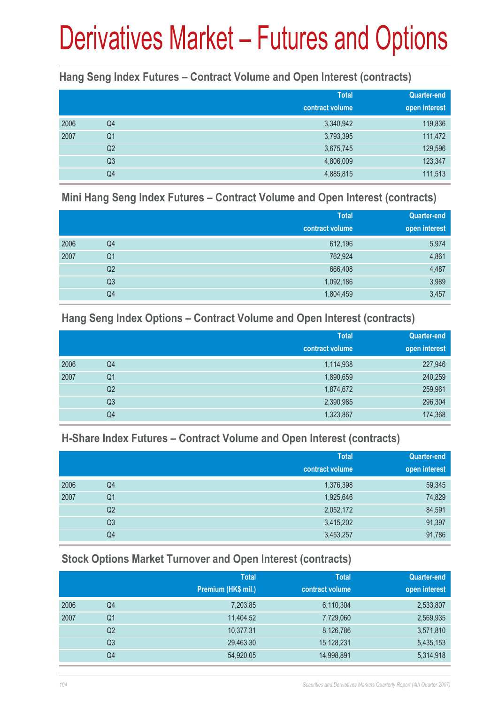#### **Hang Seng Index Futures – Contract Volume and Open Interest (contracts)**

|      |                | <b>Total</b><br>contract volume | <b>Quarter-end</b><br>open interest |
|------|----------------|---------------------------------|-------------------------------------|
| 2006 | Q <sub>4</sub> | 3,340,942                       | 119,836                             |
| 2007 | Q <sub>1</sub> | 3,793,395                       | 111,472                             |
|      | Q <sub>2</sub> | 3,675,745                       | 129,596                             |
|      | Q <sub>3</sub> | 4,806,009                       | 123,347                             |
|      | Q4             | 4,885,815                       | 111,513                             |

#### **Mini Hang Seng Index Futures – Contract Volume and Open Interest (contracts)**

|      |                | <b>Total</b><br>contract volume | <b>Quarter-end</b><br>open interest |
|------|----------------|---------------------------------|-------------------------------------|
| 2006 | Q4             | 612,196                         | 5,974                               |
| 2007 | Q <sub>1</sub> | 762,924                         | 4,861                               |
|      | Q <sub>2</sub> | 666,408                         | 4,487                               |
|      | Q <sub>3</sub> | 1,092,186                       | 3,989                               |
|      | Q4             | 1,804,459                       | 3,457                               |

#### **Hang Seng Index Options – Contract Volume and Open Interest (contracts)**

|      |                | <b>Total</b>    | Quarter-end   |
|------|----------------|-----------------|---------------|
|      |                | contract volume | open interest |
| 2006 | Q4             | 1,114,938       | 227,946       |
| 2007 | Q <sub>1</sub> | 1,890,659       | 240,259       |
|      | Q <sub>2</sub> | 1,874,672       | 259,961       |
|      | Q <sub>3</sub> | 2,390,985       | 296,304       |
|      | Q4             | 1,323,867       | 174,368       |

#### **H-Share Index Futures – Contract Volume and Open Interest (contracts)**

|      |                | <b>Total</b>    | <b>Quarter-end</b> |
|------|----------------|-----------------|--------------------|
|      |                | contract volume | open interest      |
| 2006 | Q4             | 1,376,398       | 59,345             |
| 2007 | Q <sub>1</sub> | 1,925,646       | 74,829             |
|      | Q <sub>2</sub> | 2,052,172       | 84,591             |
|      | Q <sub>3</sub> | 3,415,202       | 91,397             |
|      | Q4             | 3,453,257       | 91,786             |

### **Stock Options Market Turnover and Open Interest (contracts)**

|    | <b>Total</b>        | <b>Total</b>    | <b>Quarter-end</b> |
|----|---------------------|-----------------|--------------------|
|    | Premium (HK\$ mil.) | contract volume | open interest      |
| Q4 | 7,203.85            | 6,110,304       | 2,533,807          |
| Q1 | 11,404.52           | 7,729,060       | 2,569,935          |
| Q2 | 10,377.31           | 8,126,786       | 3,571,810          |
| Q3 | 29,463.30           | 15,128,231      | 5,435,153          |
| Q4 | 54,920.05           | 14,998,891      | 5,314,918          |
|    |                     |                 |                    |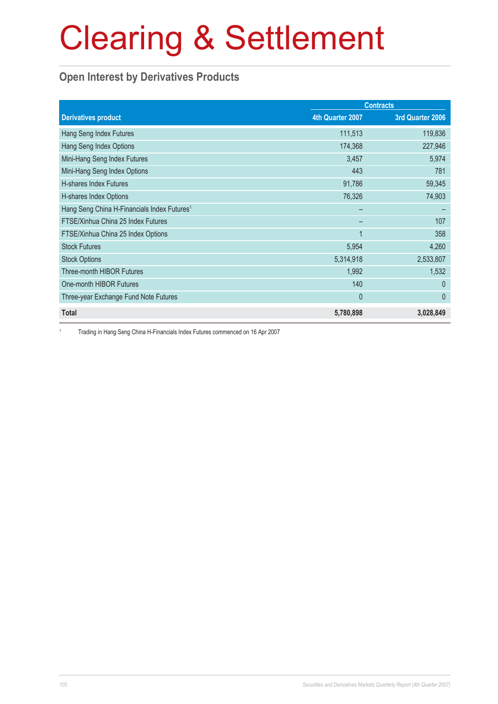### **Open Interest by Derivatives Products**

|                                                         |                  | <b>Contracts</b> |  |
|---------------------------------------------------------|------------------|------------------|--|
| <b>Derivatives product</b>                              | 4th Quarter 2007 | 3rd Quarter 2006 |  |
| Hang Seng Index Futures                                 | 111,513          | 119,836          |  |
| Hang Seng Index Options                                 | 174,368          | 227,946          |  |
| Mini-Hang Seng Index Futures                            | 3,457            | 5,974            |  |
| Mini-Hang Seng Index Options                            | 443              | 781              |  |
| H-shares Index Futures                                  | 91,786           | 59,345           |  |
| H-shares Index Options                                  | 76,326           | 74,903           |  |
| Hang Seng China H-Financials Index Futures <sup>1</sup> |                  |                  |  |
| FTSE/Xinhua China 25 Index Futures                      |                  | 107              |  |
| FTSE/Xinhua China 25 Index Options                      | $\mathbf 1$      | 358              |  |
| <b>Stock Futures</b>                                    | 5,954            | 4,260            |  |
| <b>Stock Options</b>                                    | 5,314,918        | 2,533,807        |  |
| <b>Three-month HIBOR Futures</b>                        | 1,992            | 1,532            |  |
| One-month HIBOR Futures                                 | 140              | $\Omega$         |  |
| Three-year Exchange Fund Note Futures                   | 0                | $\mathbf{0}$     |  |
| <b>Total</b>                                            | 5,780,898        | 3,028,849        |  |

1 Trading in Hang Seng China H-Financials Index Futures commenced on 16 Apr 2007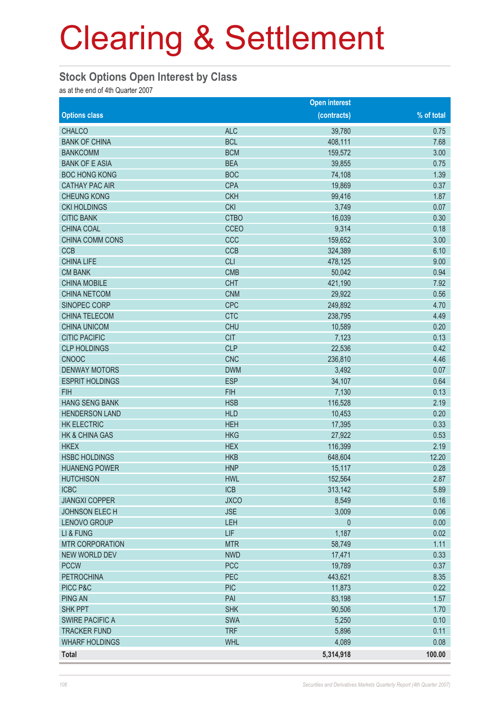#### **Stock Options Open Interest by Class**

as at the end of 4th Quarter 2007

|                           |             | <b>Open interest</b> |            |
|---------------------------|-------------|----------------------|------------|
| <b>Options class</b>      |             | (contracts)          | % of total |
| <b>CHALCO</b>             | <b>ALC</b>  | 39,780               | 0.75       |
| <b>BANK OF CHINA</b>      | <b>BCL</b>  | 408,111              | 7.68       |
| <b>BANKCOMM</b>           | <b>BCM</b>  | 159,572              | 3.00       |
| <b>BANK OF E ASIA</b>     | <b>BEA</b>  | 39,855               | 0.75       |
| <b>BOC HONG KONG</b>      | <b>BOC</b>  | 74,108               | 1.39       |
| <b>CATHAY PAC AIR</b>     | <b>CPA</b>  | 19,869               | 0.37       |
| <b>CHEUNG KONG</b>        | <b>CKH</b>  | 99,416               | 1.87       |
| <b>CKI HOLDINGS</b>       | <b>CKI</b>  | 3,749                | 0.07       |
| <b>CITIC BANK</b>         | <b>CTBO</b> | 16,039               | 0.30       |
| <b>CHINA COAL</b>         | <b>CCEO</b> | 9,314                | 0.18       |
| CHINA COMM CONS           | CCC         | 159,652              | 3.00       |
| <b>CCB</b>                | <b>CCB</b>  | 324,389              | 6.10       |
| <b>CHINA LIFE</b>         | <b>CLI</b>  | 478,125              | 9.00       |
| <b>CM BANK</b>            | <b>CMB</b>  | 50,042               | 0.94       |
| <b>CHINA MOBILE</b>       | <b>CHT</b>  | 421,190              | 7.92       |
| <b>CHINA NETCOM</b>       | <b>CNM</b>  | 29,922               | 0.56       |
| SINOPEC CORP              | <b>CPC</b>  | 249,892              | 4.70       |
| <b>CHINA TELECOM</b>      | <b>CTC</b>  | 238,795              | 4.49       |
| <b>CHINA UNICOM</b>       | <b>CHU</b>  | 10,589               | 0.20       |
| <b>CITIC PACIFIC</b>      | <b>CIT</b>  | 7,123                | 0.13       |
| <b>CLP HOLDINGS</b>       | <b>CLP</b>  | 22,536               | 0.42       |
| <b>CNOOC</b>              | <b>CNC</b>  | 236,810              | 4.46       |
| <b>DENWAY MOTORS</b>      | <b>DWM</b>  | 3,492                | 0.07       |
| <b>ESPRIT HOLDINGS</b>    | <b>ESP</b>  | 34,107               | 0.64       |
| <b>FIH</b>                | <b>FIH</b>  | 7,130                | 0.13       |
| <b>HANG SENG BANK</b>     | <b>HSB</b>  | 116,528              | 2.19       |
| <b>HENDERSON LAND</b>     | <b>HLD</b>  | 10,453               | 0.20       |
| <b>HK ELECTRIC</b>        | <b>HEH</b>  | 17,395               | 0.33       |
| <b>HK &amp; CHINA GAS</b> | <b>HKG</b>  | 27,922               | 0.53       |
| <b>HKEX</b>               | <b>HEX</b>  | 116,399              | 2.19       |
| <b>HSBC HOLDINGS</b>      | <b>HKB</b>  | 648,604              | 12.20      |
| <b>HUANENG POWER</b>      | <b>HNP</b>  | 15,117               | 0.28       |
| <b>HUTCHISON</b>          | <b>HWL</b>  | 152,564              | 2.87       |
| <b>ICBC</b>               | ICB         | 313,142              | 5.89       |
| <b>JIANGXI COPPER</b>     | <b>JXCO</b> | 8,549                | 0.16       |
| JOHNSON ELECH             | <b>JSE</b>  | 3,009                | 0.06       |
| LENOVO GROUP              | LEH         | $\mathbf{0}$         | 0.00       |
| LI & FUNG                 | LIF         | 1,187                | 0.02       |
| <b>MTR CORPORATION</b>    | <b>MTR</b>  | 58,749               | 1.11       |
| <b>NEW WORLD DEV</b>      | <b>NWD</b>  | 17,471               | 0.33       |
| <b>PCCW</b>               | <b>PCC</b>  | 19,789               | 0.37       |
| <b>PETROCHINA</b>         | PEC         | 443,621              | 8.35       |
| PICC P&C                  | <b>PIC</b>  | 11,873               | 0.22       |
| <b>PING AN</b>            | PAI         | 83,198               | 1.57       |
| <b>SHK PPT</b>            | <b>SHK</b>  | 90,506               | 1.70       |
| <b>SWIRE PACIFIC A</b>    | <b>SWA</b>  | 5,250                | 0.10       |
| <b>TRACKER FUND</b>       | <b>TRF</b>  | 5,896                | 0.11       |
| <b>WHARF HOLDINGS</b>     | <b>WHL</b>  | 4,089                | 0.08       |
| Total                     |             | 5,314,918            | 100.00     |
|                           |             |                      |            |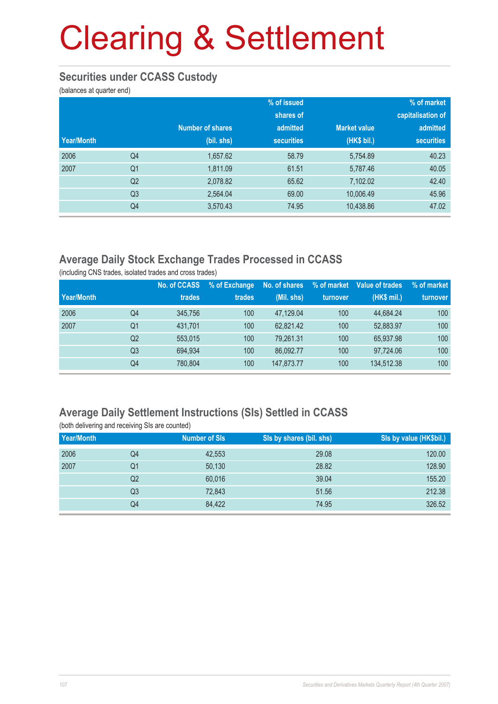#### **Securities under CCASS Custody**

(balances at quarter end)

|            |                |                         | % of issued       |                     | % of market       |
|------------|----------------|-------------------------|-------------------|---------------------|-------------------|
|            |                |                         | shares of         |                     | capitalisation of |
|            |                | <b>Number of shares</b> | admitted          | <b>Market value</b> | admitted          |
| Year/Month |                | (bil. shs)              | <b>securities</b> | (HK\$ bil.)         | <b>securities</b> |
| 2006       | Q <sub>4</sub> | 1,657.62                | 58.79             | 5,754.89            | 40.23             |
| 2007       | Q <sub>1</sub> | 1,811.09                | 61.51             | 5,787.46            | 40.05             |
|            | Q <sub>2</sub> | 2,078.82                | 65.62             | 7,102.02            | 42.40             |
|            | Q3             | 2,564.04                | 69.00             | 10,006.49           | 45.96             |
|            | Q4             | 3,570.43                | 74.95             | 10,438.86           | 47.02             |

### **Average Daily Stock Exchange Trades Processed in CCASS**

(including CNS trades, isolated trades and cross trades)

|            |                | No. of CCASS | % of Exchange | No. of shares | % of market | Value of trades | % of market |
|------------|----------------|--------------|---------------|---------------|-------------|-----------------|-------------|
| Year/Month |                | trades       | trades        | (Mil. shs)    | turnover    | (HK\$ mil.)     | turnover    |
| 2006       | Q4             | 345,756      | 100           | 47.129.04     | 100         | 44.684.24       | 100         |
| 2007       | Q1             | 431.701      | 100           | 62.821.42     | 100         | 52.883.97       | 100         |
|            | Q <sub>2</sub> | 553.015      | 100           | 79.261.31     | 100         | 65.937.98       | 100         |
|            | Q3             | 694.934      | 100           | 86.092.77     | 100         | 97.724.06       | 100         |
|            | Q4             | 780.804      | 100           | 147.873.77    | 100         | 134.512.38      | 100         |

### **Average Daily Settlement Instructions (SIs) Settled in CCASS**

| (both delivering and receiving SIs are counted) |                |                      |                          |                         |  |  |  |
|-------------------------------------------------|----------------|----------------------|--------------------------|-------------------------|--|--|--|
| Year/Month                                      |                | <b>Number of SIs</b> | SIs by shares (bil. shs) | Sis by value (HK\$bil.) |  |  |  |
| 2006                                            | Q4             | 42.553               | 29.08                    | 120.00                  |  |  |  |
| 2007                                            | Q1             | 50,130               | 28.82                    | 128.90                  |  |  |  |
|                                                 | Q <sub>2</sub> | 60,016               | 39.04                    | 155.20                  |  |  |  |
|                                                 | Q <sub>3</sub> | 72,843               | 51.56                    | 212.38                  |  |  |  |
|                                                 | Q4             | 84.422               | 74.95                    | 326.52                  |  |  |  |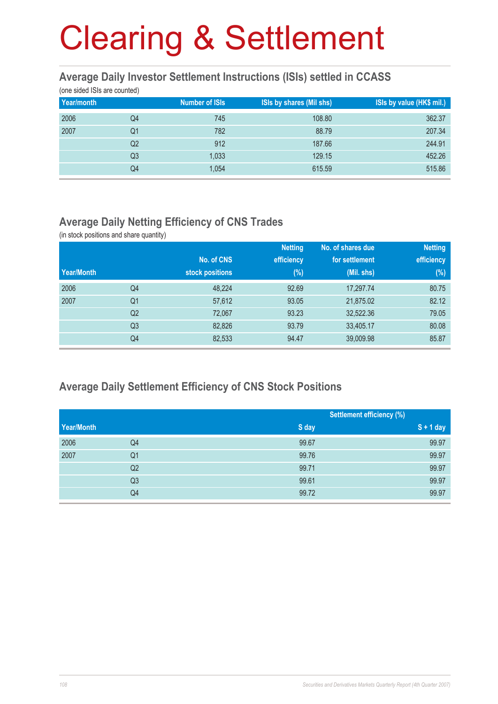#### **Average Daily Investor Settlement Instructions (ISIs) settled in CCASS**

(one sided ISIs are counted)

| Year/month |                | <b>Number of ISIs</b> | <b>ISIs by shares (Mil shs)</b> | ISIs by value (HK\$ mil.) |
|------------|----------------|-----------------------|---------------------------------|---------------------------|
| 2006       | Q4             | 745                   | 108.80                          | 362.37                    |
| 2007       | Q1             | 782                   | 88.79                           | 207.34                    |
|            | Q2             | 912                   | 187.66                          | 244.91                    |
|            | Q <sub>3</sub> | 1,033                 | 129.15                          | 452.26                    |
|            | Q4             | 1,054                 | 615.59                          | 515.86                    |

#### **Average Daily Netting Efficiency of CNS Trades**

(in stock positions and share quantity)

|                |                 | <b>Netting</b> | No. of shares due | <b>Netting</b> |
|----------------|-----------------|----------------|-------------------|----------------|
|                | No. of CNS      |                | for settlement    | efficiency     |
|                | stock positions | $(\%)$         | (Mil. shs)        | $(\%)$         |
| Q4             | 48,224          | 92.69          | 17,297.74         | 80.75          |
| Q <sub>1</sub> | 57,612          | 93.05          | 21,875.02         | 82.12          |
| Q <sub>2</sub> | 72,067          | 93.23          | 32,522.36         | 79.05          |
| Q <sub>3</sub> | 82,826          | 93.79          | 33,405.17         | 80.08          |
| Q4             | 82,533          | 94.47          | 39,009.98         | 85.87          |
|                |                 |                | efficiency        |                |

### **Average Daily Settlement Efficiency of CNS Stock Positions**

|            |                | <b>Settlement efficiency (%)</b> |             |
|------------|----------------|----------------------------------|-------------|
| Year/Month |                | S day                            | $S + 1$ day |
| 2006       | Q4             | 99.67                            | 99.97       |
| 2007       | Q <sub>1</sub> | 99.76                            | 99.97       |
|            | Q <sub>2</sub> | 99.71                            | 99.97       |
|            | Q <sub>3</sub> | 99.61                            | 99.97       |
|            | Q4             | 99.72                            | 99.97       |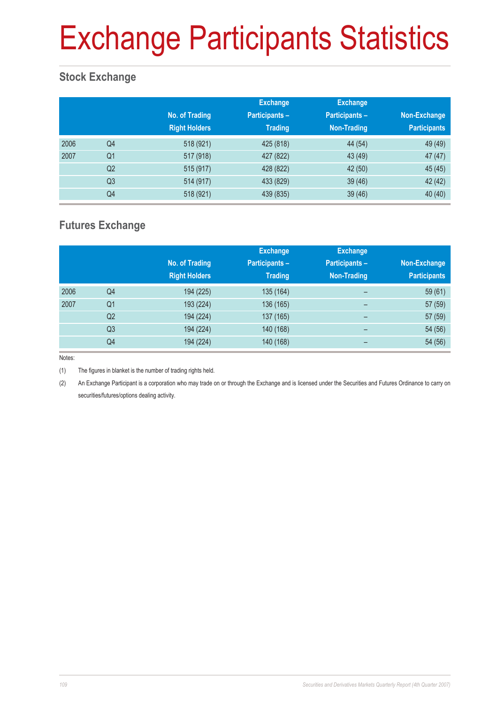# Exchange Participants Statistics

### **Stock Exchange**

|      |                | No. of Trading<br><b>Right Holders</b> | <b>Exchange</b><br><b>Participants -</b><br><b>Trading</b> | <b>Exchange</b><br><b>Participants -</b><br>Non-Trading | Non-Exchange<br><b>Participants</b> |
|------|----------------|----------------------------------------|------------------------------------------------------------|---------------------------------------------------------|-------------------------------------|
| 2006 | Q4             | 518 (921)                              | 425 (818)                                                  | 44 (54)                                                 | 49 (49)                             |
| 2007 | Q <sub>1</sub> | 517 (918)                              | 427 (822)                                                  | 43 (49)                                                 | 47 (47)                             |
|      | Q <sub>2</sub> | 515 (917)                              | 428 (822)                                                  | 42 (50)                                                 | 45 (45)                             |
|      | Q <sub>3</sub> | 514 (917)                              | 433 (829)                                                  | 39 (46)                                                 | 42 (42)                             |
|      | Q4             | 518 (921)                              | 439 (835)                                                  | 39 (46)                                                 | 40(40)                              |

#### **Futures Exchange**

|      |                | No. of Trading<br><b>Right Holders</b> | <b>Exchange</b><br><b>Participants -</b><br><b>Trading</b> | <b>Exchange</b><br><b>Participants -</b><br>Non-Trading | Non-Exchange<br><b>Participants</b> |
|------|----------------|----------------------------------------|------------------------------------------------------------|---------------------------------------------------------|-------------------------------------|
| 2006 | Q4             | 194 (225)                              | 135 (164)                                                  | $\qquad \qquad$                                         | 59 (61)                             |
| 2007 | Q <sub>1</sub> | 193 (224)                              | 136 (165)                                                  | -                                                       | 57 (59)                             |
|      | Q <sub>2</sub> | 194 (224)                              | 137 (165)                                                  | -                                                       | 57 (59)                             |
|      | Q <sub>3</sub> | 194 (224)                              | 140 (168)                                                  | $\overline{\phantom{0}}$                                | 54 (56)                             |
|      | Q4             | 194 (224)                              | 140 (168)                                                  | $\overline{\phantom{0}}$                                | 54 (56)                             |

Notes:

(1) The figures in blanket is the number of trading rights held.

(2) An Exchange Participant is a corporation who may trade on or through the Exchange and is licensed under the Securities and Futures Ordinance to carry on securities/futures/options dealing activity.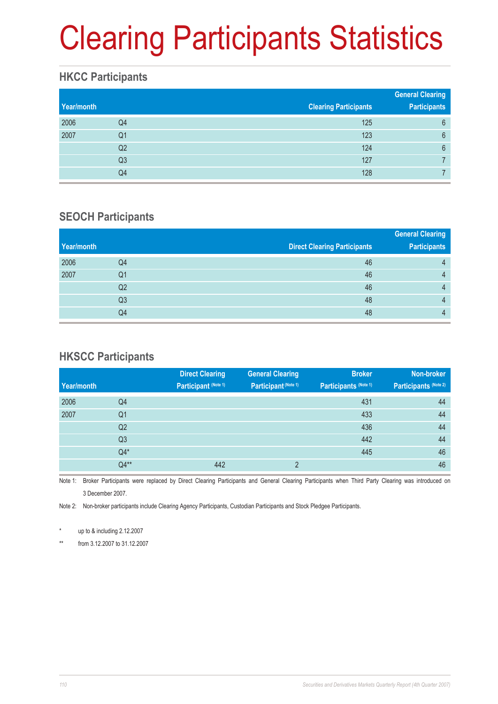# Clearing Participants Statistics

#### **HKCC Participants**

| Year/month |    | <b>Clearing Participants</b> | <b>General Clearing</b><br><b>Participants</b> |
|------------|----|------------------------------|------------------------------------------------|
| 2006       | Q4 | 125                          | 6                                              |
| 2007       | Q1 | 123                          | $6\phantom{1}6$                                |
|            | Q2 | 124                          | 6                                              |
|            | Q3 | 127                          |                                                |
|            | Q4 | 128                          |                                                |

#### **SEOCH Participants**

|    |                                     | <b>General Clearing</b> |
|----|-------------------------------------|-------------------------|
|    | <b>Direct Clearing Participants</b> | <b>Participants</b>     |
| Q4 | 46                                  | 4                       |
| Q1 | 46                                  | 4                       |
| Q2 | 46                                  | $\Delta$                |
| Q3 | 48                                  | 4                       |
| Q4 | 48                                  | Д                       |
|    |                                     |                         |

### **HKSCC Participants**

|            |                | <b>Direct Clearing</b> | <b>General Clearing</b> | <b>Broker</b>         | Non-broker            |
|------------|----------------|------------------------|-------------------------|-----------------------|-----------------------|
| Year/month |                | Participant (Note 1)   | Participant (Note 1)    | Participants (Note 1) | Participants (Note 2) |
| 2006       | Q4             |                        |                         | 431                   | 44                    |
| 2007       | Q <sub>1</sub> |                        |                         | 433                   | 44                    |
|            | Q <sub>2</sub> |                        |                         | 436                   | 44                    |
|            | Q <sub>3</sub> |                        |                         | 442                   | 44                    |
|            | $Q4*$          |                        |                         | 445                   | 46                    |
|            | $Q4**$         | 442                    | $\overline{2}$          |                       | 46                    |

Note 1: Broker Participants were replaced by Direct Clearing Participants and General Clearing Participants when Third Party Clearing was introduced on 3 December 2007.

Note 2: Non-broker participants include Clearing Agency Participants, Custodian Participants and Stock Pledgee Participants.

up to  $&$  including 2.12.2007

\*\* from 3.12.2007 to 31.12.2007